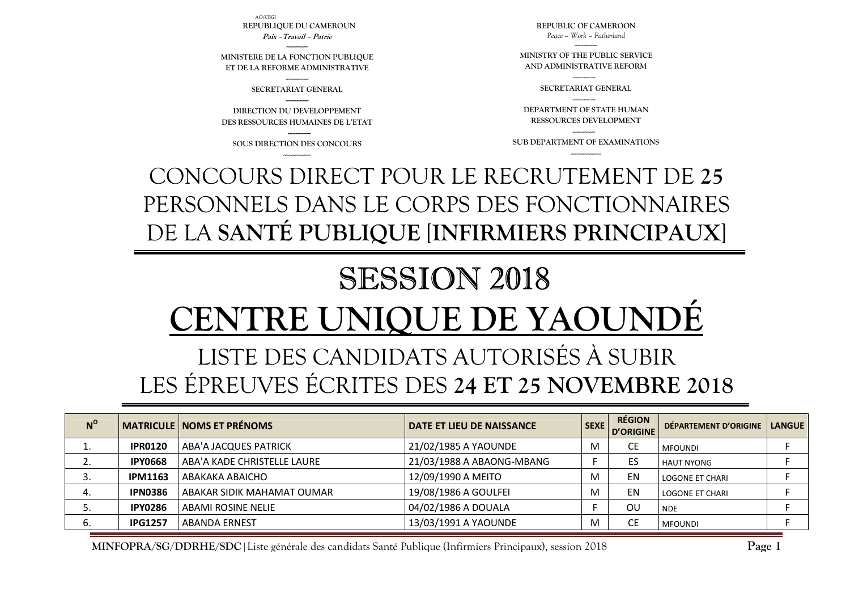**N<sup>O</sup>** MATRICULE</sub> NOMS ET PRÉNOMS **NOMS ET PRÉNOMS**  $\begin{bmatrix} 1 & 0 & 0 \end{bmatrix}$  **DATE ET LIEU DE NAISSANCE**  $\begin{bmatrix} 1 & 0 & 0 \end{bmatrix}$  **SEXE**  $\begin{bmatrix} 0 & 0 & 0 \end{bmatrix}$  département d'Origine  $\begin{bmatrix} 1 & 0 & 0 \end{bmatrix}$  langue 1. **IPR0120** ABA'A JACQUES PATRICK 21/02/1985 A YAOUNDE M CE MFOUNDI <sup>F</sup> 2.**IPY0668** ABA'A KADE CHRISTELLE LAURE 21/03/1988 A ABAONG-MBANG F F ES HAUT NYONG F F 3. **IPM1163** ABAKAKA ABAICHO 12/09/1990 A MEITO M EN LOGONE ET CHARI <sup>F</sup> 4.**IPN0386** ABAKAR SIDIK MAHAMAT OUMAR 19/08/1986 A GOULFEI M | EN LOGONE ET CHARI F 5. **IPY0286** ABAMI ROSINE NELIE 04/02/1986 A DOUALA F OU NDE <sup>F</sup> 6.**IPG1257** ABANDA ERNEST 13/03/1991 A YAOUNDE M CE MFOUNDI  $\blacksquare$ 

**MINFOPRA/SG/DDRHE/SDC**|Liste générale des candidats Santé Publique (Infirmiers Principaux), session 2018

## LISTE DES CANDIDATS AUTORISÉS À SUBIR LES ÉPREUVES ÉCRITES DES **24 ET 25 NOVEMBRE 2018**

## SESSION 2018 **CENTRE UNIQUE DE YAQUN**

CONCOURS DIRECT POUR LE RECRUTEMENT DE **25** PERSONNELS DANS LE CORPS DES FONCTIONNAIRES DE LA **SANTÉ PUBLIQUE** [**INFIRMIERS PRINCIPAUX**]

**--------------- SOUS DIRECTION DES CONCOURS ------------------**

**DIRECTION DU DEVELOPPEMENT DES RESSOURCES HUMAINES DE L'ETAT** 

**--------------- SECRETARIAT GENERAL ---------------** 

**-------------- MINISTERE DE LA FONCTION PUBLIQUE ET DE LA REFORME ADMINISTRATIVE** 

AO/CBGI**REPUBLIQUE DU CAMEROUN Paix –Travail – Patrie** 

> --------------- **SUB DEPARTMENT OF EXAMINATIONS --------------------**

**DEPARTMENT OF STATE HUMAN RESSOURCES DEVELOPMENT** 

--------------- **SECRETARIAT GENERAL** ---------------

**MINISTRY OF THE PUBLIC SERVICE AND ADMINISTRATIVE REFORM** 

**REPUBLIC OF CAMEROON** *Peace – Work – Fatherland* 

**Page 1**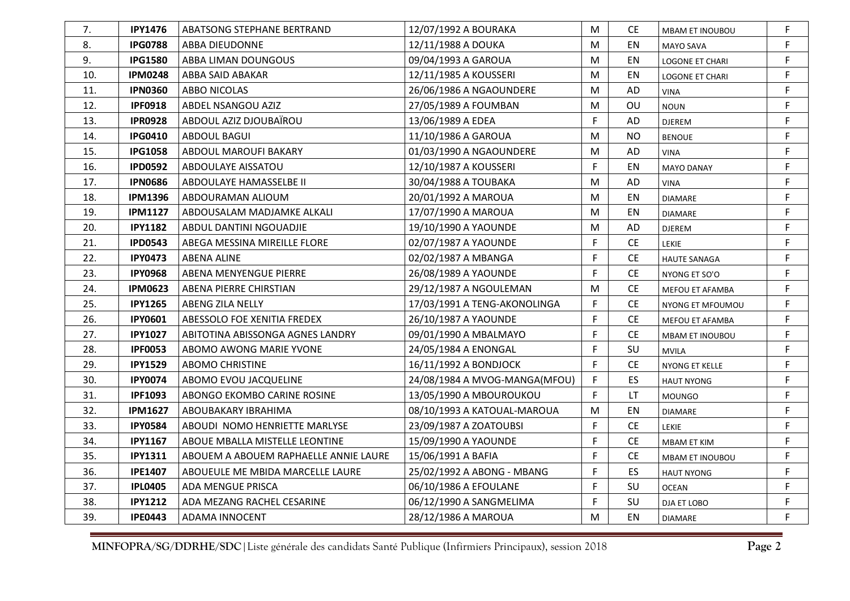| 7.  | <b>IPY1476</b> | ABATSONG STEPHANE BERTRAND            | 12/07/1992 A BOURAKA          | M         | CE.       | <b>MBAM ET INOUBOU</b> | F |
|-----|----------------|---------------------------------------|-------------------------------|-----------|-----------|------------------------|---|
| 8.  | <b>IPG0788</b> | ABBA DIEUDONNE                        | 12/11/1988 A DOUKA            | M         | EN        | MAYO SAVA              | F |
| 9.  | <b>IPG1580</b> | ABBA LIMAN DOUNGOUS                   | 09/04/1993 A GAROUA           | М         | EN        | LOGONE ET CHARI        | F |
| 10. | <b>IPM0248</b> | ABBA SAID ABAKAR                      | 12/11/1985 A KOUSSERI         | M         | EN        | LOGONE ET CHARI        | F |
| 11. | <b>IPN0360</b> | <b>ABBO NICOLAS</b>                   | 26/06/1986 A NGAOUNDERE       | M         | AD        | VINA                   | F |
| 12. | <b>IPF0918</b> | ABDEL NSANGOU AZIZ                    | 27/05/1989 A FOUMBAN          | M         | OU        | <b>NOUN</b>            | F |
| 13. | <b>IPR0928</b> | ABDOUL AZIZ DJOUBAÏROU                | 13/06/1989 A EDEA             | E         | AD        | DJEREM                 | F |
| 14. | <b>IPG0410</b> | <b>ABDOUL BAGUI</b>                   | 11/10/1986 A GAROUA           | M         | NO.       | <b>BENOUE</b>          | F |
| 15. | <b>IPG1058</b> | ABDOUL MAROUFI BAKARY                 | 01/03/1990 A NGAOUNDERE       | M         | AD        | VINA                   | F |
| 16. | <b>IPD0592</b> | ABDOULAYE AISSATOU                    | 12/10/1987 A KOUSSERI         | F         | EN        | <b>MAYO DANAY</b>      | F |
| 17. | <b>IPN0686</b> | ABDOULAYE HAMASSELBE II               | 30/04/1988 A TOUBAKA          | M         | AD        | VINA                   | F |
| 18. | <b>IPM1396</b> | ABDOURAMAN ALIOUM                     | 20/01/1992 A MAROUA           | М         | EN        | <b>DIAMARE</b>         | F |
| 19. | <b>IPM1127</b> | ABDOUSALAM MADJAMKE ALKALI            | 17/07/1990 A MAROUA           | M         | EN        | <b>DIAMARE</b>         | F |
| 20. | <b>IPY1182</b> | ABDUL DANTINI NGOUADJIE               | 19/10/1990 A YAOUNDE          | M         | AD        | DJEREM                 | F |
| 21. | <b>IPD0543</b> | ABEGA MESSINA MIREILLE FLORE          | 02/07/1987 A YAOUNDE          | F.        | <b>CE</b> | <b>LEKIE</b>           | F |
| 22. | <b>IPY0473</b> | <b>ABENA ALINE</b>                    | 02/02/1987 A MBANGA           | F         | <b>CE</b> | <b>HAUTE SANAGA</b>    | F |
| 23. | <b>IPY0968</b> | ABENA MENYENGUE PIERRE                | 26/08/1989 A YAOUNDE          | F         | <b>CE</b> | NYONG ET SO'O          | F |
| 24. | <b>IPM0623</b> | ABENA PIERRE CHIRSTIAN                | 29/12/1987 A NGOULEMAN        | ${\sf M}$ | <b>CE</b> | MEFOU ET AFAMBA        | F |
| 25. | <b>IPY1265</b> | ABENG ZILA NELLY                      | 17/03/1991 A TENG-AKONOLINGA  | F         | CE.       | NYONG ET MFOUMOU       | F |
| 26. | <b>IPY0601</b> | ABESSOLO FOE XENITIA FREDEX           | 26/10/1987 A YAOUNDE          | F         | <b>CE</b> | MEFOU ET AFAMBA        | F |
| 27. | <b>IPY1027</b> | ABITOTINA ABISSONGA AGNES LANDRY      | 09/01/1990 A MBALMAYO         | F         | <b>CE</b> | <b>MBAM ET INOUBOU</b> | F |
| 28. | <b>IPF0053</b> | ABOMO AWONG MARIE YVONE               | 24/05/1984 A ENONGAL          | F         | SU        | <b>MVILA</b>           | F |
| 29. | <b>IPY1529</b> | <b>ABOMO CHRISTINE</b>                | 16/11/1992 A BONDJOCK         | F         | CE.       | NYONG ET KELLE         | F |
| 30. | <b>IPY0074</b> | ABOMO EVOU JACQUELINE                 | 24/08/1984 A MVOG-MANGA(MFOU) | F.        | <b>ES</b> | <b>HAUT NYONG</b>      | F |
| 31. | <b>IPF1093</b> | ABONGO EKOMBO CARINE ROSINE           | 13/05/1990 A MBOUROUKOU       | F         | LT        | <b>MOUNGO</b>          | F |
| 32. | <b>IPM1627</b> | ABOUBAKARY IBRAHIMA                   | 08/10/1993 A KATOUAL-MAROUA   | M         | EN        | <b>DIAMARE</b>         | F |
| 33. | <b>IPY0584</b> | ABOUDI NOMO HENRIETTE MARLYSE         | 23/09/1987 A ZOATOUBSI        | F         | <b>CE</b> | LEKIE                  | F |
| 34. | <b>IPY1167</b> | ABOUE MBALLA MISTELLE LEONTINE        | 15/09/1990 A YAOUNDE          | F.        | <b>CE</b> | MBAM ET KIM            | F |
| 35. | <b>IPY1311</b> | ABOUEM A ABOUEM RAPHAELLE ANNIE LAURE | 15/06/1991 A BAFIA            | F         | CЕ        | <b>MBAM ET INOUBOU</b> | F |
| 36. | <b>IPE1407</b> | ABOUEULE ME MBIDA MARCELLE LAURE      | 25/02/1992 A ABONG - MBANG    | F.        | ES        | <b>HAUT NYONG</b>      | F |
| 37. | <b>IPL0405</b> | ADA MENGUE PRISCA                     | 06/10/1986 A EFOULANE         | F         | SU        | <b>OCEAN</b>           | F |
| 38. | <b>IPY1212</b> | ADA MEZANG RACHEL CESARINE            | 06/12/1990 A SANGMELIMA       | F.        | SU        | DJA ET LOBO            | F |
| 39. | <b>IPE0443</b> | <b>ADAMA INNOCENT</b>                 | 28/12/1986 A MAROUA           | М         | EN        | <b>DIAMARE</b>         | F |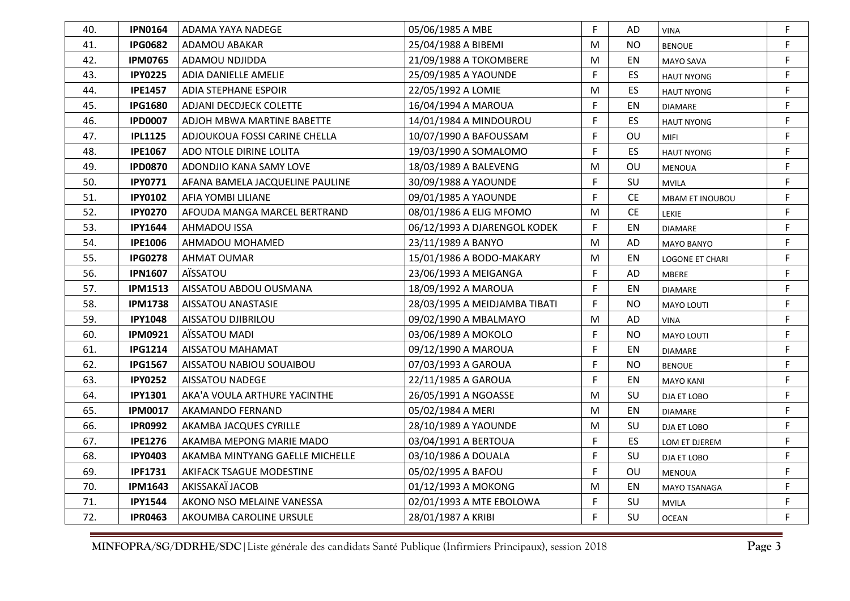| 40. | <b>IPN0164</b> | ADAMA YAYA NADEGE               | 05/06/1985 A MBE              | F. | AD             | <b>VINA</b>       | F           |
|-----|----------------|---------------------------------|-------------------------------|----|----------------|-------------------|-------------|
| 41. | <b>IPG0682</b> | ADAMOU ABAKAR                   | 25/04/1988 A BIBEMI           | M  | <b>NO</b>      | <b>BENOUE</b>     | F           |
| 42. | <b>IPM0765</b> | ADAMOU NDJIDDA                  | 21/09/1988 A TOKOMBERE        | М  | EN             | <b>MAYO SAVA</b>  | $\mathsf F$ |
| 43. | <b>IPY0225</b> | ADIA DANIELLE AMELIE            | 25/09/1985 A YAOUNDE          | F  | <b>ES</b>      | <b>HAUT NYONG</b> | F.          |
| 44. | <b>IPE1457</b> | <b>ADIA STEPHANE ESPOIR</b>     | 22/05/1992 A LOMIE            | М  | ES.            | <b>HAUT NYONG</b> | $\mathsf F$ |
| 45. | <b>IPG1680</b> | ADJANI DECDJECK COLETTE         | 16/04/1994 A MAROUA           | F  | EN             | <b>DIAMARE</b>    | F.          |
| 46. | <b>IPD0007</b> | ADJOH MBWA MARTINE BABETTE      | 14/01/1984 A MINDOUROU        | F  | ES             | <b>HAUT NYONG</b> | F           |
| 47. | <b>IPL1125</b> | ADJOUKOUA FOSSI CARINE CHELLA   | 10/07/1990 A BAFOUSSAM        | F  | OU             | <b>MIFI</b>       | F.          |
| 48. | <b>IPE1067</b> | ADO NTOLE DIRINE LOLITA         | 19/03/1990 A SOMALOMO         | F  | ES.            | <b>HAUT NYONG</b> | $\mathsf F$ |
| 49. | <b>IPD0870</b> | ADONDJIO KANA SAMY LOVE         | 18/03/1989 A BALEVENG         | М  | OU             | <b>MENOUA</b>     | F           |
| 50. | <b>IPY0771</b> | AFANA BAMELA JACQUELINE PAULINE | 30/09/1988 A YAOUNDE          | F  | SU             | <b>MVILA</b>      | $\mathsf F$ |
| 51. | <b>IPY0102</b> | AFIA YOMBI LILIANE              | 09/01/1985 A YAOUNDE          | F  | <b>CE</b>      | MBAM ET INOUBOU   | F           |
| 52. | <b>IPY0270</b> | AFOUDA MANGA MARCEL BERTRAND    | 08/01/1986 A ELIG MFOMO       | М  | <b>CE</b>      | LEKIE             | $\mathsf F$ |
| 53. | <b>IPY1644</b> | <b>AHMADOU ISSA</b>             | 06/12/1993 A DJARENGOL KODEK  | F  | EN             | <b>DIAMARE</b>    | F           |
| 54. | <b>IPE1006</b> | AHMADOU MOHAMED                 | 23/11/1989 A BANYO            | М  | AD             | <b>MAYO BANYO</b> | F           |
| 55. | <b>IPG0278</b> | <b>AHMAT OUMAR</b>              | 15/01/1986 A BODO-MAKARY      | M  | EN             | LOGONE ET CHARI   | F           |
| 56. | <b>IPN1607</b> | AÏSSATOU                        | 23/06/1993 A MEIGANGA         | F  | AD             | <b>MBERE</b>      | F           |
| 57. | <b>IPM1513</b> | AISSATOU ABDOU OUSMANA          | 18/09/1992 A MAROUA           | F  | EN             | <b>DIAMARE</b>    | F           |
| 58. | <b>IPM1738</b> | AISSATOU ANASTASIE              | 28/03/1995 A MEIDJAMBA TIBATI | F  | N <sub>O</sub> | <b>MAYO LOUTI</b> | F           |
| 59. | <b>IPY1048</b> | AISSATOU DJIBRILOU              | 09/02/1990 A MBALMAYO         | M  | AD             | <b>VINA</b>       | F           |
| 60. | <b>IPM0921</b> | AÏSSATOU MADI                   | 03/06/1989 A MOKOLO           | F  | NO.            | MAYO LOUTI        | $\mathsf F$ |
| 61. | <b>IPG1214</b> | AISSATOU MAHAMAT                | 09/12/1990 A MAROUA           | F  | EN             | <b>DIAMARE</b>    | $\mathsf F$ |
| 62. | <b>IPG1567</b> | AISSATOU NABIOU SOUAIBOU        | 07/03/1993 A GAROUA           | F  | NO.            | <b>BENOUE</b>     | F           |
| 63. | <b>IPY0252</b> | AISSATOU NADEGE                 | 22/11/1985 A GAROUA           | F. | EN             | <b>MAYO KANI</b>  | F           |
| 64. | <b>IPY1301</b> | AKA'A VOULA ARTHURE YACINTHE    | 26/05/1991 A NGOASSE          | М  | SU             | DJA ET LOBO       | F           |
| 65. | <b>IPM0017</b> | AKAMANDO FERNAND                | 05/02/1984 A MERI             | M  | EN             | <b>DIAMARE</b>    | F           |
| 66. | <b>IPR0992</b> | AKAMBA JACQUES CYRILLE          | 28/10/1989 A YAOUNDE          | М  | SU             | DJA ET LOBO       | F           |
| 67. | <b>IPE1276</b> | AKAMBA MEPONG MARIE MADO        | 03/04/1991 A BERTOUA          | F. | <b>ES</b>      | LOM ET DJEREM     | $\mathsf F$ |
| 68. | <b>IPY0403</b> | AKAMBA MINTYANG GAELLE MICHELLE | 03/10/1986 A DOUALA           | F  | SU             | DJA ET LOBO       | F           |
| 69. | <b>IPF1731</b> | AKIFACK TSAGUE MODESTINE        | 05/02/1995 A BAFOU            | F  | OU             | <b>MENOUA</b>     | $\mathsf F$ |
| 70. | <b>IPM1643</b> | AKISSAKAÏ JACOB                 | 01/12/1993 A MOKONG           | М  | EN             | MAYO TSANAGA      | F           |
| 71. | <b>IPY1544</b> | AKONO NSO MELAINE VANESSA       | 02/01/1993 A MTE EBOLOWA      | F  | SU             | <b>MVILA</b>      | $\mathsf F$ |
| 72. | <b>IPR0463</b> | AKOUMBA CAROLINE URSULE         | 28/01/1987 A KRIBI            | F  | SU             | <b>OCEAN</b>      | F           |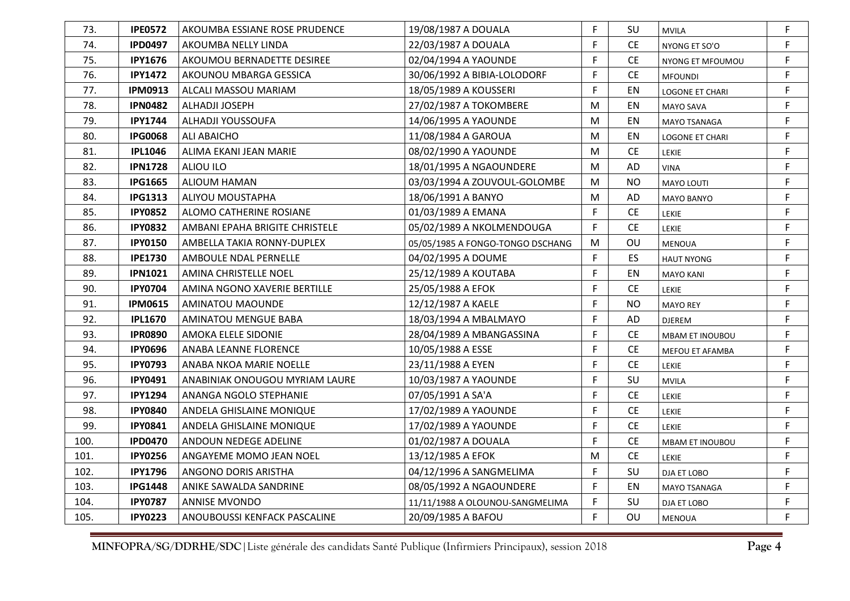| 73.  | <b>IPE0572</b> | AKOUMBA ESSIANE ROSE PRUDENCE  | 19/08/1987 A DOUALA              | F. | SU        | <b>MVILA</b>           | F |
|------|----------------|--------------------------------|----------------------------------|----|-----------|------------------------|---|
| 74.  | <b>IPD0497</b> | AKOUMBA NELLY LINDA            | 22/03/1987 A DOUALA              | F  | <b>CE</b> | NYONG ET SO'O          | F |
| 75.  | <b>IPY1676</b> | AKOUMOU BERNADETTE DESIREE     | 02/04/1994 A YAOUNDE             | F  | <b>CE</b> | NYONG ET MFOUMOU       | F |
| 76.  | <b>IPY1472</b> | AKOUNOU MBARGA GESSICA         | 30/06/1992 A BIBIA-LOLODORF      | F. | CE.       | <b>MFOUNDI</b>         | F |
| 77.  | <b>IPM0913</b> | ALCALI MASSOU MARIAM           | 18/05/1989 A KOUSSERI            | F  | EN        | LOGONE ET CHARI        | F |
| 78.  | <b>IPN0482</b> | ALHADJI JOSEPH                 | 27/02/1987 A TOKOMBERE           | M  | EN        | <b>MAYO SAVA</b>       | F |
| 79.  | <b>IPY1744</b> | ALHADJI YOUSSOUFA              | 14/06/1995 A YAOUNDE             | M  | EN        | MAYO TSANAGA           | F |
| 80.  | <b>IPG0068</b> | ALI ABAICHO                    | 11/08/1984 A GAROUA              | м  | EN        | LOGONE ET CHARI        | F |
| 81.  | <b>IPL1046</b> | ALIMA EKANI JEAN MARIE         | 08/02/1990 A YAOUNDE             | M  | <b>CE</b> | LEKIE                  | F |
| 82.  | <b>IPN1728</b> | ALIOU ILO                      | 18/01/1995 A NGAOUNDERE          | М  | AD        | <b>VINA</b>            | F |
| 83.  | <b>IPG1665</b> | ALIOUM HAMAN                   | 03/03/1994 A ZOUVOUL-GOLOMBE     | M  | NO.       | MAYO LOUTI             | F |
| 84.  | <b>IPG1313</b> | ALIYOU MOUSTAPHA               | 18/06/1991 A BANYO               | M  | AD        | <b>MAYO BANYO</b>      | F |
| 85.  | <b>IPY0852</b> | ALOMO CATHERINE ROSIANE        | 01/03/1989 A EMANA               | F  | <b>CE</b> | <b>LEKIE</b>           | F |
| 86.  | <b>IPY0832</b> | AMBANI EPAHA BRIGITE CHRISTELE | 05/02/1989 A NKOLMENDOUGA        | F  | <b>CE</b> | <b>LEKIE</b>           | F |
| 87.  | <b>IPY0150</b> | AMBELLA TAKIA RONNY-DUPLEX     | 05/05/1985 A FONGO-TONGO DSCHANG | M  | OU        | <b>MENOUA</b>          | F |
| 88.  | <b>IPE1730</b> | AMBOULE NDAL PERNELLE          | 04/02/1995 A DOUME               | F  | ES        | <b>HAUT NYONG</b>      | F |
| 89.  | <b>IPN1021</b> | AMINA CHRISTELLE NOEL          | 25/12/1989 A KOUTABA             | F  | EN        | <b>MAYO KANI</b>       | F |
| 90.  | <b>IPY0704</b> | AMINA NGONO XAVERIE BERTILLE   | 25/05/1988 A EFOK                | F  | <b>CE</b> | <b>LEKIE</b>           | F |
| 91.  | <b>IPM0615</b> | AMINATOU MAOUNDE               | 12/12/1987 A KAELE               | F  | <b>NO</b> | <b>MAYO REY</b>        | F |
| 92.  | <b>IPL1670</b> | <b>AMINATOU MENGUE BABA</b>    | 18/03/1994 A MBALMAYO            | F  | AD        | <b>DJEREM</b>          | F |
| 93.  | <b>IPR0890</b> | AMOKA ELELE SIDONIE            | 28/04/1989 A MBANGASSINA         | F  | <b>CE</b> | <b>MBAM ET INOUBOU</b> | F |
| 94.  | <b>IPY0696</b> | ANABA LEANNE FLORENCE          | 10/05/1988 A ESSE                | F  | <b>CE</b> | MEFOU ET AFAMBA        | F |
| 95.  | <b>IPY0793</b> | ANABA NKOA MARIE NOELLE        | 23/11/1988 A EYEN                | F  | <b>CE</b> | LEKIE                  | F |
| 96.  | <b>IPY0491</b> | ANABINIAK ONOUGOU MYRIAM LAURE | 10/03/1987 A YAOUNDE             | F  | SU        | <b>MVILA</b>           | F |
| 97.  | <b>IPY1294</b> | ANANGA NGOLO STEPHANIE         | 07/05/1991 A SA'A                | F  | <b>CE</b> | <b>LEKIE</b>           | F |
| 98.  | <b>IPY0840</b> | ANDELA GHISLAINE MONIQUE       | 17/02/1989 A YAOUNDE             | F  | <b>CE</b> | <b>LEKIE</b>           | F |
| 99.  | <b>IPY0841</b> | ANDELA GHISLAINE MONIQUE       | 17/02/1989 A YAOUNDE             | F. | CE.       | <b>LEKIE</b>           | F |
| 100. | <b>IPD0470</b> | ANDOUN NEDEGE ADELINE          | 01/02/1987 A DOUALA              | F  | CE.       | <b>MBAM ET INOUBOU</b> | F |
| 101. | <b>IPY0256</b> | ANGAYEME MOMO JEAN NOEL        | 13/12/1985 A EFOK                | M  | CE.       | <b>LEKIE</b>           | F |
| 102. | <b>IPY1796</b> | ANGONO DORIS ARISTHA           | 04/12/1996 A SANGMELIMA          | F. | SU        | DJA ET LOBO            | F |
| 103. | <b>IPG1448</b> | ANIKE SAWALDA SANDRINE         | 08/05/1992 A NGAOUNDERE          | F. | EN        | MAYO TSANAGA           | F |
| 104. | <b>IPY0787</b> | <b>ANNISE MVONDO</b>           | 11/11/1988 A OLOUNOU-SANGMELIMA  | F  | SU        | DJA ET LOBO            | F |
| 105. | <b>IPY0223</b> | ANOUBOUSSI KENFACK PASCALINE   | 20/09/1985 A BAFOU               | F  | OU        | <b>MENOUA</b>          | F |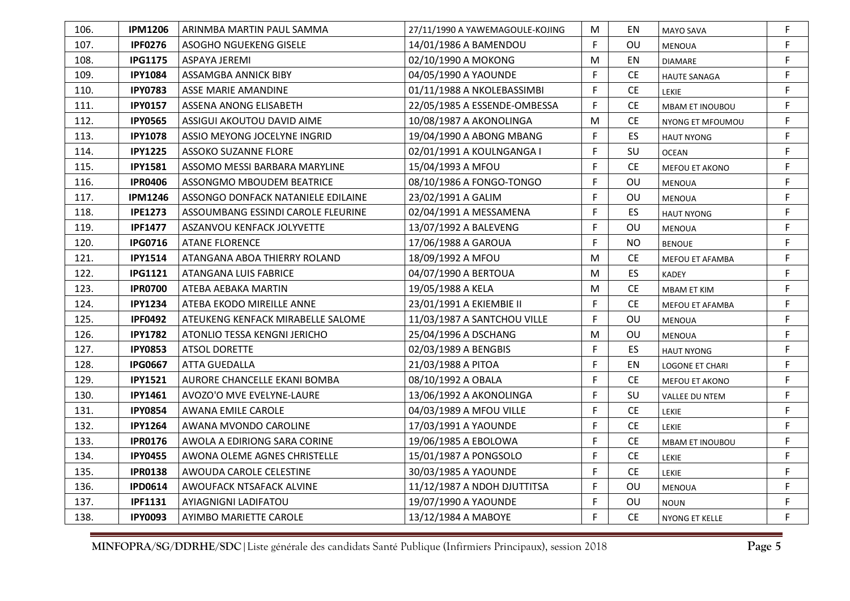| 106. | <b>IPM1206</b> | ARINMBA MARTIN PAUL SAMMA          | 27/11/1990 A YAWEMAGOULE-KOJING | М | EN        | MAYO SAVA              | F |
|------|----------------|------------------------------------|---------------------------------|---|-----------|------------------------|---|
| 107. | <b>IPF0276</b> | ASOGHO NGUEKENG GISELE             | 14/01/1986 A BAMENDOU           | F | OU        | <b>MENOUA</b>          | F |
| 108. | <b>IPG1175</b> | ASPAYA JEREMI                      | 02/10/1990 A MOKONG             | M | EN        | <b>DIAMARE</b>         | F |
| 109. | <b>IPY1084</b> | ASSAMGBA ANNICK BIBY               | 04/05/1990 A YAOUNDE            | F | <b>CE</b> | <b>HAUTE SANAGA</b>    | F |
| 110. | <b>IPY0783</b> | ASSE MARIE AMANDINE                | 01/11/1988 A NKOLEBASSIMBI      | F | <b>CE</b> | LEKIE                  | F |
| 111. | <b>IPY0157</b> | ASSENA ANONG ELISABETH             | 22/05/1985 A ESSENDE-OMBESSA    | F | <b>CE</b> | <b>MBAM ET INOUBOU</b> | F |
| 112. | <b>IPY0565</b> | ASSIGUI AKOUTOU DAVID AIME         | 10/08/1987 A AKONOLINGA         | M | <b>CE</b> | NYONG ET MFOUMOU       | F |
| 113. | <b>IPY1078</b> | ASSIO MEYONG JOCELYNE INGRID       | 19/04/1990 A ABONG MBANG        | F | <b>ES</b> | HAUT NYONG             | F |
| 114. | <b>IPY1225</b> | <b>ASSOKO SUZANNE FLORE</b>        | 02/01/1991 A KOULNGANGA I       | F | SU        | <b>OCEAN</b>           | F |
| 115. | <b>IPY1581</b> | ASSOMO MESSI BARBARA MARYLINE      | 15/04/1993 A MFOU               | F | <b>CE</b> | MEFOU ET AKONO         | F |
| 116. | <b>IPR0406</b> | ASSONGMO MBOUDEM BEATRICE          | 08/10/1986 A FONGO-TONGO        | F | OU        | <b>MENOUA</b>          | F |
| 117. | <b>IPM1246</b> | ASSONGO DONFACK NATANIELE EDILAINE | 23/02/1991 A GALIM              | F | OU        | <b>MENOUA</b>          | F |
| 118. | <b>IPE1273</b> | ASSOUMBANG ESSINDI CAROLE FLEURINE | 02/04/1991 A MESSAMENA          | F | ES        | <b>HAUT NYONG</b>      | F |
| 119. | <b>IPF1477</b> | ASZANVOU KENFACK JOLYVETTE         | 13/07/1992 A BALEVENG           | F | OU        | <b>MENOUA</b>          | F |
| 120. | <b>IPG0716</b> | <b>ATANE FLORENCE</b>              | 17/06/1988 A GAROUA             | F | <b>NO</b> | <b>BENOUE</b>          | F |
| 121. | <b>IPY1514</b> | ATANGANA ABOA THIERRY ROLAND       | 18/09/1992 A MFOU               | M | <b>CE</b> | MEFOU ET AFAMBA        | F |
| 122. | <b>IPG1121</b> | ATANGANA LUIS FABRICE              | 04/07/1990 A BERTOUA            | М | ES        | <b>KADEY</b>           | F |
| 123. | <b>IPR0700</b> | ATEBA AEBAKA MARTIN                | 19/05/1988 A KELA               | M | <b>CE</b> | <b>MBAM ET KIM</b>     | F |
| 124. | <b>IPY1234</b> | ATEBA EKODO MIREILLE ANNE          | 23/01/1991 A EKIEMBIE II        | F | <b>CE</b> | MEFOU ET AFAMBA        | F |
| 125. | <b>IPF0492</b> | ATEUKENG KENFACK MIRABELLE SALOME  | 11/03/1987 A SANTCHOU VILLE     | F | OU        | <b>MENOUA</b>          | F |
| 126. | <b>IPY1782</b> | ATONLIO TESSA KENGNI JERICHO       | 25/04/1996 A DSCHANG            | M | OU        | <b>MENOUA</b>          | F |
| 127. | <b>IPY0853</b> | <b>ATSOL DORETTE</b>               | 02/03/1989 A BENGBIS            | F | ES        | <b>HAUT NYONG</b>      | F |
| 128. | <b>IPG0667</b> | ATTA GUEDALLA                      | 21/03/1988 A PITOA              | F | EN        | LOGONE ET CHARI        | F |
| 129. | <b>IPY1521</b> | AURORE CHANCELLE EKANI BOMBA       | 08/10/1992 A OBALA              | F | <b>CE</b> | MEFOU ET AKONO         | F |
| 130. | <b>IPY1461</b> | AVOZO'O MVE EVELYNE-LAURE          | 13/06/1992 A AKONOLINGA         | F | SU        | VALLEE DU NTEM         | F |
| 131. | <b>IPY0854</b> | AWANA EMILE CAROLE                 | 04/03/1989 A MFOU VILLE         | F | <b>CE</b> | LEKIE                  | F |
| 132. | <b>IPY1264</b> | AWANA MVONDO CAROLINE              | 17/03/1991 A YAOUNDE            | F | <b>CE</b> | <b>LEKIE</b>           | F |
| 133. | <b>IPR0176</b> | AWOLA A EDIRIONG SARA CORINE       | 19/06/1985 A EBOLOWA            | F | <b>CE</b> | <b>MBAM ET INOUBOU</b> | F |
| 134. | <b>IPY0455</b> | AWONA OLEME AGNES CHRISTELLE       | 15/01/1987 A PONGSOLO           | F | <b>CE</b> | <b>LEKIE</b>           | F |
| 135. | <b>IPR0138</b> | AWOUDA CAROLE CELESTINE            | 30/03/1985 A YAOUNDE            | F | <b>CE</b> | <b>LEKIE</b>           | F |
| 136. | <b>IPD0614</b> | AWOUFACK NTSAFACK ALVINE           | 11/12/1987 A NDOH DJUTTITSA     | F | OU        | <b>MENOUA</b>          | F |
| 137. | <b>IPF1131</b> | AYIAGNIGNI LADIFATOU               | 19/07/1990 A YAOUNDE            | F | OU        | <b>NOUN</b>            | F |
| 138. | <b>IPY0093</b> | AYIMBO MARIETTE CAROLE             | 13/12/1984 A MABOYE             | F | <b>CE</b> | NYONG ET KELLE         | F |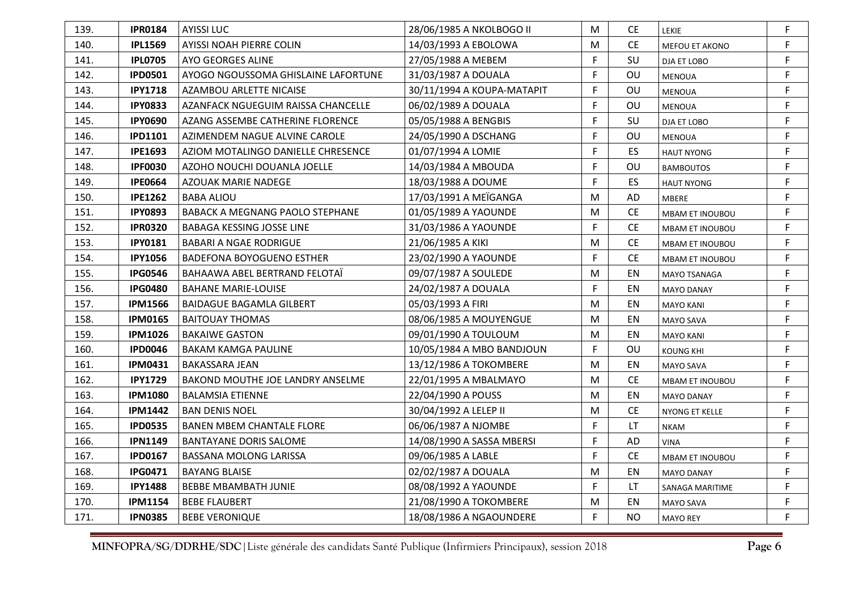| 139. | <b>IPR0184</b> | <b>AYISSI LUC</b>                      | 28/06/1985 A NKOLBOGO II   | M         | CE.       | <b>LEKIE</b>           | F |
|------|----------------|----------------------------------------|----------------------------|-----------|-----------|------------------------|---|
| 140. | <b>IPL1569</b> | AYISSI NOAH PIERRE COLIN               | 14/03/1993 A EBOLOWA       | M         | <b>CE</b> | MEFOU ET AKONO         | F |
| 141. | <b>IPL0705</b> | AYO GEORGES ALINE                      | 27/05/1988 A MEBEM         | F         | SU        | DJA ET LOBO            | F |
| 142. | <b>IPD0501</b> | AYOGO NGOUSSOMA GHISLAINE LAFORTUNE    | 31/03/1987 A DOUALA        | F         | OU        | <b>MENOUA</b>          | F |
| 143. | <b>IPY1718</b> | AZAMBOU ARLETTE NICAISE                | 30/11/1994 A KOUPA-MATAPIT | F         | OU        | <b>MENOUA</b>          | F |
| 144. | <b>IPY0833</b> | AZANFACK NGUEGUIM RAISSA CHANCELLE     | 06/02/1989 A DOUALA        | F         | OU        | <b>MENOUA</b>          | F |
| 145. | <b>IPY0690</b> | AZANG ASSEMBE CATHERINE FLORENCE       | 05/05/1988 A BENGBIS       | F         | SU        | DJA ET LOBO            | F |
| 146. | <b>IPD1101</b> | AZIMENDEM NAGUE ALVINE CAROLE          | 24/05/1990 A DSCHANG       | F         | OU        | <b>MENOUA</b>          | F |
| 147. | <b>IPE1693</b> | AZIOM MOTALINGO DANIELLE CHRESENCE     | 01/07/1994 A LOMIE         | F         | ES        | <b>HAUT NYONG</b>      | F |
| 148. | <b>IPF0030</b> | AZOHO NOUCHI DOUANLA JOELLE            | 14/03/1984 A MBOUDA        | F         | OU        | <b>BAMBOUTOS</b>       | F |
| 149. | <b>IPE0664</b> | AZOUAK MARIE NADEGE                    | 18/03/1988 A DOUME         | F         | ES        | <b>HAUT NYONG</b>      | F |
| 150. | <b>IPE1262</b> | <b>BABA ALIOU</b>                      | 17/03/1991 A MEÏGANGA      | M         | <b>AD</b> | MBERE                  | F |
| 151. | <b>IPY0893</b> | <b>BABACK A MEGNANG PAOLO STEPHANE</b> | 01/05/1989 A YAOUNDE       | M         | <b>CE</b> | <b>MBAM ET INOUBOU</b> | F |
| 152. | <b>IPR0320</b> | BABAGA KESSING JOSSE LINE              | 31/03/1986 A YAOUNDE       | F         | <b>CE</b> | <b>MBAM ET INOUBOU</b> | F |
| 153. | <b>IPY0181</b> | <b>BABARI A NGAE RODRIGUE</b>          | 21/06/1985 A KIKI          | M         | <b>CE</b> | <b>MBAM ET INOUBOU</b> | F |
| 154. | <b>IPY1056</b> | <b>BADEFONA BOYOGUENO ESTHER</b>       | 23/02/1990 A YAOUNDE       | F         | <b>CE</b> | <b>MBAM ET INOUBOU</b> | F |
| 155. | <b>IPG0546</b> | BAHAAWA ABEL BERTRAND FELOTAI          | 09/07/1987 A SOULEDE       | M         | EN        | MAYO TSANAGA           | F |
| 156. | <b>IPG0480</b> | <b>BAHANE MARIE-LOUISE</b>             | 24/02/1987 A DOUALA        | F         | EN        | <b>MAYO DANAY</b>      | F |
| 157. | <b>IPM1566</b> | <b>BAIDAGUE BAGAMLA GILBERT</b>        | 05/03/1993 A FIRI          | M         | EN        | <b>MAYO KANI</b>       | F |
| 158. | <b>IPM0165</b> | <b>BAITOUAY THOMAS</b>                 | 08/06/1985 A MOUYENGUE     | M         | EN        | MAYO SAVA              | F |
| 159. | <b>IPM1026</b> | <b>BAKAIWE GASTON</b>                  | 09/01/1990 A TOULOUM       | M         | EN        | <b>MAYO KANI</b>       | F |
| 160. | <b>IPD0046</b> | <b>BAKAM KAMGA PAULINE</b>             | 10/05/1984 A MBO BANDJOUN  | F         | OU        | <b>KOUNG KHI</b>       | F |
| 161. | <b>IPM0431</b> | <b>BAKASSARA JEAN</b>                  | 13/12/1986 A TOKOMBERE     | M         | EN        | MAYO SAVA              | F |
| 162. | <b>IPY1729</b> | BAKOND MOUTHE JOE LANDRY ANSELME       | 22/01/1995 A MBALMAYO      | M         | <b>CE</b> | <b>MBAM ET INOUBOU</b> | F |
| 163. | <b>IPM1080</b> | <b>BALAMSIA ETIENNE</b>                | 22/04/1990 A POUSS         | M         | ΕN        | <b>MAYO DANAY</b>      | F |
| 164. | <b>IPM1442</b> | <b>BAN DENIS NOEL</b>                  | 30/04/1992 A LELEP II      | M         | <b>CE</b> | NYONG ET KELLE         | F |
| 165. | <b>IPD0535</b> | <b>BANEN MBEM CHANTALE FLORE</b>       | 06/06/1987 A NJOMBE        | F         | LT        | <b>NKAM</b>            | F |
| 166. | <b>IPN1149</b> | <b>BANTAYANE DORIS SALOME</b>          | 14/08/1990 A SASSA MBERSI  | F         | AD        | VINA                   | F |
| 167. | <b>IPD0167</b> | <b>BASSANA MOLONG LARISSA</b>          | 09/06/1985 A LABLE         | F         | <b>CE</b> | <b>MBAM ET INOUBOU</b> | F |
| 168. | <b>IPG0471</b> | <b>BAYANG BLAISE</b>                   | 02/02/1987 A DOUALA        | ${\sf M}$ | EN        | <b>MAYO DANAY</b>      | F |
| 169. | <b>IPY1488</b> | <b>BEBBE MBAMBATH JUNIE</b>            | 08/08/1992 A YAOUNDE       | F         | LT.       | SANAGA MARITIME        | F |
| 170. | <b>IPM1154</b> | <b>BEBE FLAUBERT</b>                   | 21/08/1990 A TOKOMBERE     | M         | EN        | MAYO SAVA              | F |
| 171. | <b>IPN0385</b> | <b>BEBE VERONIQUE</b>                  | 18/08/1986 A NGAOUNDERE    | F         | <b>NO</b> | <b>MAYO REY</b>        | F |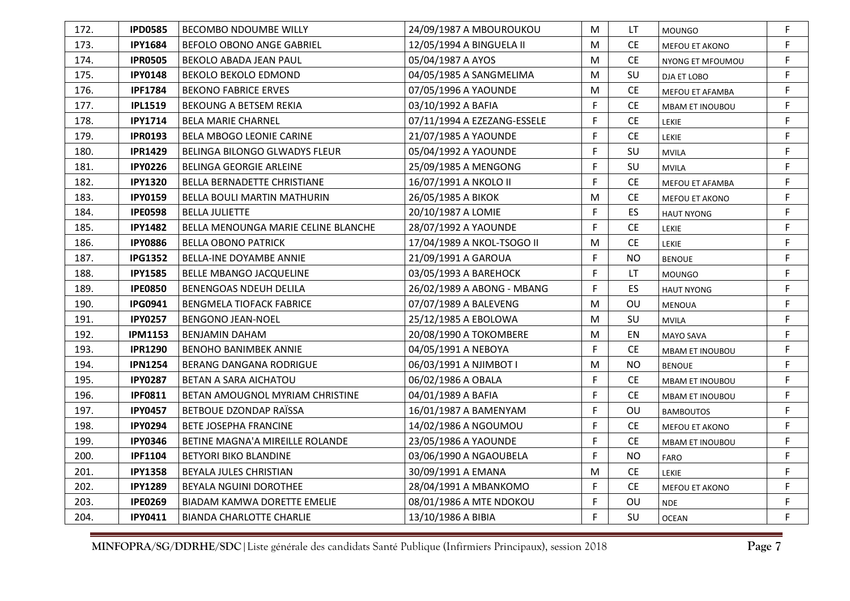| 172. | <b>IPD0585</b> | <b>BECOMBO NDOUMBE WILLY</b>        | 24/09/1987 A MBOUROUKOU     | M | LT        | <b>MOUNGO</b>          | F |
|------|----------------|-------------------------------------|-----------------------------|---|-----------|------------------------|---|
| 173. | <b>IPY1684</b> | <b>BEFOLO OBONO ANGE GABRIEL</b>    | 12/05/1994 A BINGUELA II    | M | <b>CE</b> | MEFOU ET AKONO         | F |
| 174. | <b>IPR0505</b> | BEKOLO ABADA JEAN PAUL              | 05/04/1987 A AYOS           | M | <b>CE</b> | NYONG ET MFOUMOU       | F |
| 175. | <b>IPY0148</b> | <b>BEKOLO BEKOLO EDMOND</b>         | 04/05/1985 A SANGMELIMA     | M | SU        | DJA ET LOBO            | F |
| 176. | <b>IPF1784</b> | <b>BEKONO FABRICE ERVES</b>         | 07/05/1996 A YAOUNDE        | M | CE.       | MEFOU ET AFAMBA        | F |
| 177. | <b>IPL1519</b> | <b>BEKOUNG A BETSEM REKIA</b>       | 03/10/1992 A BAFIA          | F | <b>CE</b> | <b>MBAM ET INOUBOU</b> | F |
| 178. | <b>IPY1714</b> | <b>BELA MARIE CHARNEL</b>           | 07/11/1994 A EZEZANG-ESSELE | F | <b>CE</b> | <b>LEKIE</b>           | F |
| 179. | <b>IPR0193</b> | <b>BELA MBOGO LEONIE CARINE</b>     | 21/07/1985 A YAOUNDE        | F | <b>CE</b> | <b>LEKIE</b>           | F |
| 180. | <b>IPR1429</b> | BELINGA BILONGO GLWADYS FLEUR       | 05/04/1992 A YAOUNDE        | F | SU        | <b>MVILA</b>           | F |
| 181. | <b>IPY0226</b> | <b>BELINGA GEORGIE ARLEINE</b>      | 25/09/1985 A MENGONG        | F | SU        | <b>MVILA</b>           | F |
| 182. | <b>IPY1320</b> | BELLA BERNADETTE CHRISTIANE         | 16/07/1991 A NKOLO II       | F | <b>CE</b> | MEFOU ET AFAMBA        | F |
| 183. | <b>IPY0159</b> | <b>BELLA BOULI MARTIN MATHURIN</b>  | 26/05/1985 A BIKOK          | M | <b>CE</b> | MEFOU ET AKONO         | F |
| 184. | <b>IPE0598</b> | <b>BELLA JULIETTE</b>               | 20/10/1987 A LOMIE          | F | <b>ES</b> | <b>HAUT NYONG</b>      | F |
| 185. | <b>IPY1482</b> | BELLA MENOUNGA MARIE CELINE BLANCHE | 28/07/1992 A YAOUNDE        | F | <b>CE</b> | LEKIE                  | F |
| 186. | <b>IPY0886</b> | <b>BELLA OBONO PATRICK</b>          | 17/04/1989 A NKOL-TSOGO II  | M | <b>CE</b> | LEKIE                  | F |
| 187. | <b>IPG1352</b> | BELLA-INE DOYAMBE ANNIE             | 21/09/1991 A GAROUA         | F | <b>NO</b> | <b>BENOUE</b>          | F |
| 188. | <b>IPY1585</b> | <b>BELLE MBANGO JACQUELINE</b>      | 03/05/1993 A BAREHOCK       | F | LT        | <b>MOUNGO</b>          | F |
| 189. | <b>IPE0850</b> | <b>BENENGOAS NDEUH DELILA</b>       | 26/02/1989 A ABONG - MBANG  | F | <b>ES</b> | <b>HAUT NYONG</b>      | F |
| 190. | <b>IPG0941</b> | <b>BENGMELA TIOFACK FABRICE</b>     | 07/07/1989 A BALEVENG       | M | OU        | <b>MENOUA</b>          | F |
| 191. | <b>IPY0257</b> | <b>BENGONO JEAN-NOEL</b>            | 25/12/1985 A EBOLOWA        | M | SU        | <b>MVILA</b>           | F |
| 192. | <b>IPM1153</b> | <b>BENJAMIN DAHAM</b>               | 20/08/1990 A TOKOMBERE      | M | EN        | MAYO SAVA              | F |
| 193. | <b>IPR1290</b> | <b>BENOHO BANIMBEK ANNIE</b>        | 04/05/1991 A NEBOYA         | F | <b>CE</b> | <b>MBAM ET INOUBOU</b> | F |
| 194. | <b>IPN1254</b> | BERANG DANGANA RODRIGUE             | 06/03/1991 A NJIMBOT I      | M | <b>NO</b> | <b>BENOUE</b>          | F |
| 195. | <b>IPY0287</b> | BETAN A SARA AICHATOU               | 06/02/1986 A OBALA          | F | <b>CE</b> | <b>MBAM ET INOUBOU</b> | F |
| 196. | <b>IPF0811</b> | BETAN AMOUGNOL MYRIAM CHRISTINE     | 04/01/1989 A BAFIA          | F | <b>CE</b> | <b>MBAM ET INOUBOU</b> | F |
| 197. | <b>IPY0457</b> | BETBOUE DZONDAP RAÏSSA              | 16/01/1987 A BAMENYAM       | F | OU        | <b>BAMBOUTOS</b>       | F |
| 198. | <b>IPY0294</b> | <b>BETE JOSEPHA FRANCINE</b>        | 14/02/1986 A NGOUMOU        | F | CE.       | <b>MEFOU ET AKONO</b>  | F |
| 199. | <b>IPY0346</b> | BETINE MAGNA'A MIREILLE ROLANDE     | 23/05/1986 A YAOUNDE        | F | <b>CE</b> | <b>MBAM ET INOUBOU</b> | F |
| 200. | <b>IPF1104</b> | <b>BETYORI BIKO BLANDINE</b>        | 03/06/1990 A NGAOUBELA      | F | <b>NO</b> | <b>FARO</b>            | F |
| 201. | <b>IPY1358</b> | BEYALA JULES CHRISTIAN              | 30/09/1991 A EMANA          | M | <b>CE</b> | <b>LEKIE</b>           | F |
| 202. | <b>IPY1289</b> | <b>BEYALA NGUINI DOROTHEE</b>       | 28/04/1991 A MBANKOMO       | F | <b>CE</b> | MEFOU ET AKONO         | F |
| 203. | <b>IPE0269</b> | <b>BIADAM KAMWA DORETTE EMELIE</b>  | 08/01/1986 A MTE NDOKOU     | F | OU        | <b>NDE</b>             | F |
| 204. | <b>IPY0411</b> | <b>BIANDA CHARLOTTE CHARLIE</b>     | 13/10/1986 A BIBIA          | F | SU        | <b>OCEAN</b>           | F |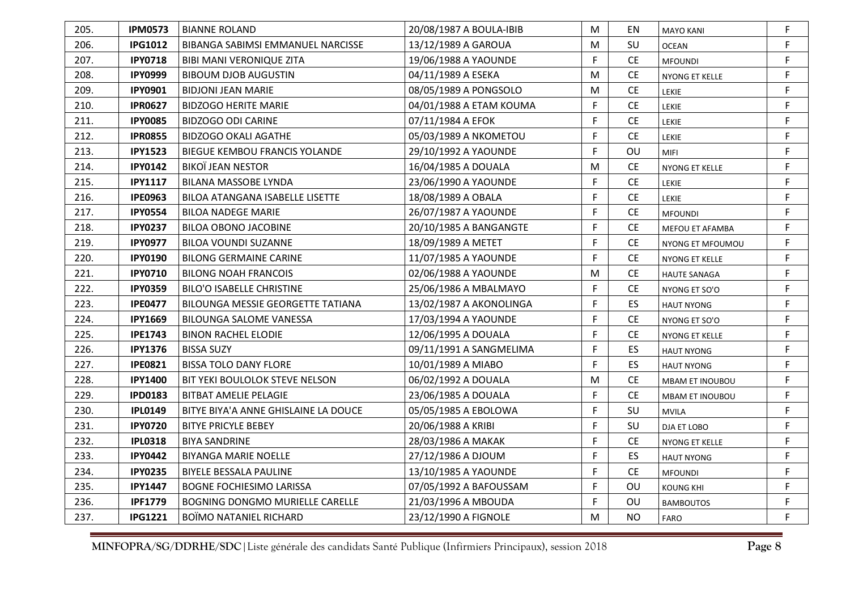| 205. | <b>IPM0573</b> | <b>BIANNE ROLAND</b>                   | 20/08/1987 A BOULA-IBIB | M | ΕN        | <b>MAYO KANI</b>    | F |
|------|----------------|----------------------------------------|-------------------------|---|-----------|---------------------|---|
| 206. | <b>IPG1012</b> | BIBANGA SABIMSI EMMANUEL NARCISSE      | 13/12/1989 A GAROUA     | M | SU        | <b>OCEAN</b>        | F |
| 207. | <b>IPY0718</b> | <b>BIBI MANI VERONIQUE ZITA</b>        | 19/06/1988 A YAOUNDE    | F | <b>CE</b> | <b>MFOUNDI</b>      | F |
| 208. | <b>IPY0999</b> | <b>BIBOUM DJOB AUGUSTIN</b>            | 04/11/1989 A ESEKA      | M | <b>CE</b> | NYONG ET KELLE      | F |
| 209. | <b>IPY0901</b> | <b>BIDJONI JEAN MARIE</b>              | 08/05/1989 A PONGSOLO   | M | <b>CE</b> | LEKIE               | F |
| 210. | <b>IPR0627</b> | <b>BIDZOGO HERITE MARIE</b>            | 04/01/1988 A ETAM KOUMA | F | <b>CE</b> | <b>LEKIE</b>        | F |
| 211. | <b>IPY0085</b> | <b>BIDZOGO ODI CARINE</b>              | 07/11/1984 A EFOK       | F | <b>CE</b> | LEKIE               | F |
| 212. | <b>IPR0855</b> | <b>BIDZOGO OKALI AGATHE</b>            | 05/03/1989 A NKOMETOU   | F | <b>CE</b> | <b>LEKIE</b>        | F |
| 213. | <b>IPY1523</b> | BIEGUE KEMBOU FRANCIS YOLANDE          | 29/10/1992 A YAOUNDE    | F | OU        | <b>MIFI</b>         | F |
| 214. | <b>IPY0142</b> | <b>BIKOÏ JEAN NESTOR</b>               | 16/04/1985 A DOUALA     | M | <b>CE</b> | NYONG ET KELLE      | F |
| 215. | <b>IPY1117</b> | <b>BILANA MASSOBE LYNDA</b>            | 23/06/1990 A YAOUNDE    | F | <b>CE</b> | LEKIE               | F |
| 216. | <b>IPE0963</b> | <b>BILOA ATANGANA ISABELLE LISETTE</b> | 18/08/1989 A OBALA      | F | <b>CE</b> | <b>LEKIE</b>        | F |
| 217. | <b>IPY0554</b> | <b>BILOA NADEGE MARIE</b>              | 26/07/1987 A YAOUNDE    | F | <b>CE</b> | <b>MFOUNDI</b>      | F |
| 218. | <b>IPY0237</b> | BILOA OBONO JACOBINE                   | 20/10/1985 A BANGANGTE  | F | <b>CE</b> | MEFOU ET AFAMBA     | F |
| 219. | <b>IPY0977</b> | <b>BILOA VOUNDI SUZANNE</b>            | 18/09/1989 A METET      | F | <b>CE</b> | NYONG ET MFOUMOU    | F |
| 220. | <b>IPY0190</b> | <b>BILONG GERMAINE CARINE</b>          | 11/07/1985 A YAOUNDE    | F | <b>CE</b> | NYONG ET KELLE      | F |
| 221. | <b>IPY0710</b> | <b>BILONG NOAH FRANCOIS</b>            | 02/06/1988 A YAOUNDE    | М | <b>CE</b> | <b>HAUTE SANAGA</b> | F |
| 222. | <b>IPY0359</b> | <b>BILO'O ISABELLE CHRISTINE</b>       | 25/06/1986 A MBALMAYO   | F | <b>CE</b> | NYONG ET SO'O       | F |
| 223. | <b>IPE0477</b> | BILOUNGA MESSIE GEORGETTE TATIANA      | 13/02/1987 A AKONOLINGA | F | ES        | <b>HAUT NYONG</b>   | F |
| 224. | <b>IPY1669</b> | <b>BILOUNGA SALOME VANESSA</b>         | 17/03/1994 A YAOUNDE    | F | <b>CE</b> | NYONG ET SO'O       | F |
| 225. | <b>IPE1743</b> | <b>BINON RACHEL ELODIE</b>             | 12/06/1995 A DOUALA     | F | <b>CE</b> | NYONG ET KELLE      | F |
| 226. | <b>IPY1376</b> | <b>BISSA SUZY</b>                      | 09/11/1991 A SANGMELIMA | F | ES        | <b>HAUT NYONG</b>   | F |
| 227. | <b>IPE0821</b> | <b>BISSA TOLO DANY FLORE</b>           | 10/01/1989 A MIABO      | F | ES        | <b>HAUT NYONG</b>   | F |
| 228. | <b>IPY1400</b> | BIT YEKI BOULOLOK STEVE NELSON         | 06/02/1992 A DOUALA     | M | <b>CE</b> | MBAM ET INOUBOU     | F |
| 229. | <b>IPD0183</b> | <b>BITBAT AMELIE PELAGIE</b>           | 23/06/1985 A DOUALA     | F | <b>CE</b> | MBAM ET INOUBOU     | F |
| 230. | <b>IPL0149</b> | BITYE BIYA'A ANNE GHISLAINE LA DOUCE   | 05/05/1985 A EBOLOWA    | F | SU        | <b>MVILA</b>        | F |
| 231. | <b>IPY0720</b> | <b>BITYE PRICYLE BEBEY</b>             | 20/06/1988 A KRIBI      | F | SU        | DJA ET LOBO         | F |
| 232. | <b>IPL0318</b> | <b>BIYA SANDRINE</b>                   | 28/03/1986 A MAKAK      | F | <b>CE</b> | NYONG ET KELLE      | F |
| 233. | <b>IPY0442</b> | <b>BIYANGA MARIE NOELLE</b>            | 27/12/1986 A DJOUM      | F | ES        | <b>HAUT NYONG</b>   | F |
| 234. | <b>IPY0235</b> | <b>BIYELE BESSALA PAULINE</b>          | 13/10/1985 A YAOUNDE    | F | <b>CE</b> | <b>MFOUNDI</b>      | F |
| 235. | <b>IPY1447</b> | <b>BOGNE FOCHIESIMO LARISSA</b>        | 07/05/1992 A BAFOUSSAM  | F | OU        | KOUNG KHI           | F |
| 236. | <b>IPF1779</b> | <b>BOGNING DONGMO MURIELLE CARELLE</b> | 21/03/1996 A MBOUDA     | F | OU        | <b>BAMBOUTOS</b>    | F |
| 237. | <b>IPG1221</b> | <b>BOÏMO NATANIEL RICHARD</b>          | 23/12/1990 A FIGNOLE    | M | <b>NO</b> | FARO                | F |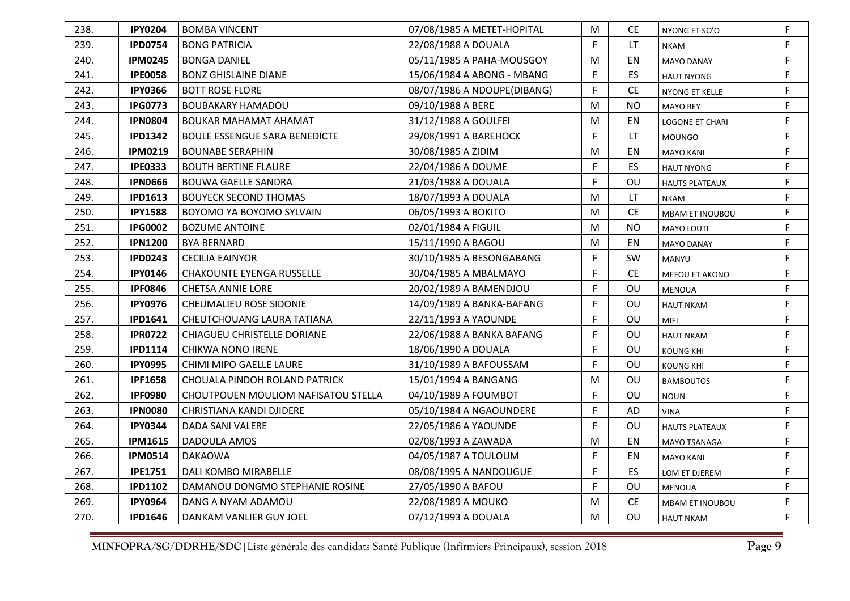| 238. | <b>IPY0204</b> | <b>BOMBA VINCENT</b>                 | 07/08/1985 A METET-HOPITAL  | M | CE.       | NYONG ET SO'O          | F |
|------|----------------|--------------------------------------|-----------------------------|---|-----------|------------------------|---|
| 239. | <b>IPD0754</b> | <b>BONG PATRICIA</b>                 | 22/08/1988 A DOUALA         | F | LT.       | <b>NKAM</b>            | F |
| 240. | <b>IPM0245</b> | <b>BONGA DANIEL</b>                  | 05/11/1985 A PAHA-MOUSGOY   | M | EN        | <b>MAYO DANAY</b>      | F |
| 241. | <b>IPE0058</b> | <b>BONZ GHISLAINE DIANE</b>          | 15/06/1984 A ABONG - MBANG  | F | ES        | <b>HAUT NYONG</b>      | F |
| 242. | <b>IPY0366</b> | <b>BOTT ROSE FLORE</b>               | 08/07/1986 A NDOUPE(DIBANG) | F | <b>CE</b> | NYONG ET KELLE         | F |
| 243. | <b>IPG0773</b> | <b>BOUBAKARY HAMADOU</b>             | 09/10/1988 A BERE           | M | <b>NO</b> | <b>MAYO REY</b>        | F |
| 244. | <b>IPN0804</b> | <b>BOUKAR MAHAMAT AHAMAT</b>         | 31/12/1988 A GOULFEI        | M | EN        | LOGONE ET CHARI        | F |
| 245. | <b>IPD1342</b> | <b>BOULE ESSENGUE SARA BENEDICTE</b> | 29/08/1991 A BAREHOCK       | F | LT        | <b>MOUNGO</b>          | F |
| 246. | <b>IPM0219</b> | <b>BOUNABE SERAPHIN</b>              | 30/08/1985 A ZIDIM          | M | EN        | <b>MAYO KANI</b>       | F |
| 247. | <b>IPE0333</b> | <b>BOUTH BERTINE FLAURE</b>          | 22/04/1986 A DOUME          | F | <b>ES</b> | <b>HAUT NYONG</b>      | F |
| 248. | <b>IPN0666</b> | <b>BOUWA GAELLE SANDRA</b>           | 21/03/1988 A DOUALA         | F | OU        | <b>HAUTS PLATEAUX</b>  | F |
| 249. | <b>IPD1613</b> | <b>BOUYECK SECOND THOMAS</b>         | 18/07/1993 A DOUALA         | M | LT.       | <b>NKAM</b>            | F |
| 250. | <b>IPY1588</b> | BOYOMO YA BOYOMO SYLVAIN             | 06/05/1993 A BOKITO         | M | <b>CE</b> | <b>MBAM ET INOUBOU</b> | F |
| 251. | <b>IPG0002</b> | <b>BOZUME ANTOINE</b>                | 02/01/1984 A FIGUIL         | M | <b>NO</b> | <b>MAYO LOUTI</b>      | F |
| 252. | <b>IPN1200</b> | <b>BYA BERNARD</b>                   | 15/11/1990 A BAGOU          | M | EN        | <b>MAYO DANAY</b>      | F |
| 253. | <b>IPD0243</b> | <b>CECILIA EAINYOR</b>               | 30/10/1985 A BESONGABANG    | F | SW        | MANYU                  | F |
| 254. | <b>IPY0146</b> | <b>CHAKOUNTE EYENGA RUSSELLE</b>     | 30/04/1985 A MBALMAYO       | F | <b>CE</b> | MEFOU ET AKONO         | F |
| 255. | <b>IPF0846</b> | <b>CHETSA ANNIE LORE</b>             | 20/02/1989 A BAMENDJOU      | F | OU        | <b>MENOUA</b>          | F |
| 256. | <b>IPY0976</b> | CHEUMALIEU ROSE SIDONIE              | 14/09/1989 A BANKA-BAFANG   | F | OU        | <b>HAUT NKAM</b>       | F |
| 257. | <b>IPD1641</b> | CHEUTCHOUANG LAURA TATIANA           | 22/11/1993 A YAOUNDE        | F | <b>OU</b> | MIFI                   | F |
| 258. | <b>IPR0722</b> | CHIAGUEU CHRISTELLE DORIANE          | 22/06/1988 A BANKA BAFANG   | F | OU        | <b>HAUT NKAM</b>       | F |
| 259. | <b>IPD1114</b> | <b>CHIKWA NONO IRENE</b>             | 18/06/1990 A DOUALA         | F | <b>OU</b> | <b>KOUNG KHI</b>       | F |
| 260. | <b>IPY0995</b> | <b>CHIMI MIPO GAELLE LAURE</b>       | 31/10/1989 A BAFOUSSAM      | F | OU        | KOUNG KHI              | F |
| 261. | <b>IPF1658</b> | CHOUALA PINDOH ROLAND PATRICK        | 15/01/1994 A BANGANG        | M | OU        | <b>BAMBOUTOS</b>       | F |
| 262. | <b>IPF0980</b> | CHOUTPOUEN MOULIOM NAFISATOU STELLA  | 04/10/1989 A FOUMBOT        | F | OU        | <b>NOUN</b>            | F |
| 263. | <b>IPN0080</b> | CHRISTIANA KANDI DJIDERE             | 05/10/1984 A NGAOUNDERE     | F | <b>AD</b> | <b>VINA</b>            | F |
| 264. | <b>IPY0344</b> | DADA SANI VALERE                     | 22/05/1986 A YAOUNDE        | F | OU        | <b>HAUTS PLATEAUX</b>  | F |
| 265. | <b>IPM1615</b> | DADOULA AMOS                         | 02/08/1993 A ZAWADA         | M | EN        | MAYO TSANAGA           | F |
| 266. | <b>IPM0514</b> | <b>DAKAOWA</b>                       | 04/05/1987 A TOULOUM        | F | EN        | <b>MAYO KANI</b>       | F |
| 267. | <b>IPE1751</b> | <b>DALI KOMBO MIRABELLE</b>          | 08/08/1995 A NANDOUGUE      | F | ES        | LOM ET DJEREM          | F |
| 268. | <b>IPD1102</b> | DAMANOU DONGMO STEPHANIE ROSINE      | 27/05/1990 A BAFOU          | F | OU        | <b>MENOUA</b>          | F |
| 269. | <b>IPY0964</b> | DANG A NYAM ADAMOU                   | 22/08/1989 A MOUKO          | M | <b>CE</b> | <b>MBAM ET INOUBOU</b> | F |
| 270. | <b>IPD1646</b> | DANKAM VANLIER GUY JOEL              | 07/12/1993 A DOUALA         | M | OU        | <b>HAUT NKAM</b>       | F |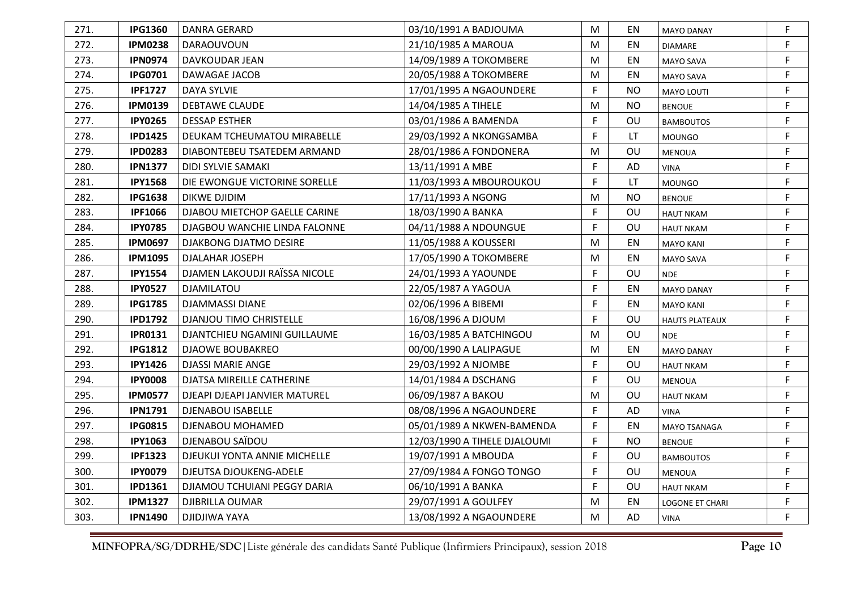| 271. | <b>IPG1360</b> | <b>DANRA GERARD</b>            | 03/10/1991 A BADJOUMA        | M            | EN        | <b>MAYO DANAY</b>     | F           |
|------|----------------|--------------------------------|------------------------------|--------------|-----------|-----------------------|-------------|
| 272. | <b>IPM0238</b> | DARAOUVOUN                     | 21/10/1985 A MAROUA          | M            | EN        | <b>DIAMARE</b>        | F           |
| 273. | <b>IPN0974</b> | DAVKOUDAR JEAN                 | 14/09/1989 A TOKOMBERE       | M            | EN        | MAYO SAVA             | F           |
| 274. | <b>IPG0701</b> | DAWAGAE JACOB                  | 20/05/1988 A TOKOMBERE       | M            | EN        | MAYO SAVA             | $\mathsf F$ |
| 275. | <b>IPF1727</b> | DAYA SYLVIE                    | 17/01/1995 A NGAOUNDERE      | F            | <b>NO</b> | <b>MAYO LOUTI</b>     | $\mathsf F$ |
| 276. | <b>IPM0139</b> | <b>DEBTAWE CLAUDE</b>          | 14/04/1985 A TIHELE          | M            | NO.       | <b>BENOUE</b>         | F           |
| 277. | <b>IPY0265</b> | <b>DESSAP ESTHER</b>           | 03/01/1986 A BAMENDA         | F            | OU        | <b>BAMBOUTOS</b>      | $\mathsf F$ |
| 278. | <b>IPD1425</b> | DEUKAM TCHEUMATOU MIRABELLE    | 29/03/1992 A NKONGSAMBA      | F            | LT.       | <b>MOUNGO</b>         | F           |
| 279. | <b>IPD0283</b> | DIABONTEBEU TSATEDEM ARMAND    | 28/01/1986 A FONDONERA       | M            | OU        | <b>MENOUA</b>         | F           |
| 280. | <b>IPN1377</b> | DIDI SYLVIE SAMAKI             | 13/11/1991 A MBE             | F            | <b>AD</b> | VINA                  | $\mathsf F$ |
| 281. | <b>IPY1568</b> | DIE EWONGUE VICTORINE SORELLE  | 11/03/1993 A MBOUROUKOU      | F            | <b>LT</b> | <b>MOUNGO</b>         | $\mathsf F$ |
| 282. | <b>IPG1638</b> | DIKWE DJIDIM                   | 17/11/1993 A NGONG           | м            | <b>NO</b> | <b>BENOUE</b>         | F           |
| 283. | <b>IPF1066</b> | DJABOU MIETCHOP GAELLE CARINE  | 18/03/1990 A BANKA           | F            | OU        | <b>HAUT NKAM</b>      | $\mathsf F$ |
| 284. | <b>IPY0785</b> | DJAGBOU WANCHIE LINDA FALONNE  | 04/11/1988 A NDOUNGUE        | F            | OU        | <b>HAUT NKAM</b>      | $\mathsf F$ |
| 285. | <b>IPM0697</b> | DJAKBONG DJATMO DESIRE         | 11/05/1988 A KOUSSERI        | М            | EN        | MAYO KANI             | F           |
| 286. | <b>IPM1095</b> | DJALAHAR JOSEPH                | 17/05/1990 A TOKOMBERE       | M            | EN        | MAYO SAVA             | $\mathsf F$ |
| 287. | <b>IPY1554</b> | DJAMEN LAKOUDJI RAÏSSA NICOLE  | 24/01/1993 A YAOUNDE         | $\mathsf{F}$ | OU        | <b>NDE</b>            | $\mathsf F$ |
| 288. | <b>IPY0527</b> | <b>DJAMILATOU</b>              | 22/05/1987 A YAGOUA          | F            | EN        | <b>MAYO DANAY</b>     | $\mathsf F$ |
| 289. | <b>IPG1785</b> | DJAMMASSI DIANE                | 02/06/1996 A BIBEMI          | F            | EN        | <b>MAYO KANI</b>      | F           |
| 290. | <b>IPD1792</b> | <b>DJANJOU TIMO CHRISTELLE</b> | 16/08/1996 A DJOUM           | F            | OU        | <b>HAUTS PLATEAUX</b> | F           |
| 291. | <b>IPR0131</b> | DJANTCHIEU NGAMINI GUILLAUME   | 16/03/1985 A BATCHINGOU      | M            | OU        | <b>NDE</b>            | F           |
| 292. | <b>IPG1812</b> | <b>DJAOWE BOUBAKREO</b>        | 00/00/1990 A LALIPAGUE       | М            | EN        | <b>MAYO DANAY</b>     | F           |
| 293. | <b>IPY1426</b> | <b>DJASSI MARIE ANGE</b>       | 29/03/1992 A NJOMBE          | F            | OU        | <b>HAUT NKAM</b>      | F           |
| 294. | <b>IPY0008</b> | DJATSA MIREILLE CATHERINE      | 14/01/1984 A DSCHANG         | F            | OU        | <b>MENOUA</b>         | $\mathsf F$ |
| 295. | <b>IPM0577</b> | DJEAPI DJEAPI JANVIER MATUREL  | 06/09/1987 A BAKOU           | M            | OU        | <b>HAUT NKAM</b>      | $\mathsf F$ |
| 296. | <b>IPN1791</b> | <b>DJENABOU ISABELLE</b>       | 08/08/1996 A NGAOUNDERE      | F            | <b>AD</b> | <b>VINA</b>           | $\mathsf F$ |
| 297. | <b>IPG0815</b> | DJENABOU MOHAMED               | 05/01/1989 A NKWEN-BAMENDA   | F            | EN        | <b>MAYO TSANAGA</b>   | F           |
| 298. | <b>IPY1063</b> | DJENABOU SAÏDOU                | 12/03/1990 A TIHELE DJALOUMI | F            | NO.       | <b>BENOUE</b>         | F           |
| 299. | <b>IPF1323</b> | DJEUKUI YONTA ANNIE MICHELLE   | 19/07/1991 A MBOUDA          | F            | OU        | <b>BAMBOUTOS</b>      | $\mathsf F$ |
| 300. | <b>IPY0079</b> | DJEUTSA DJOUKENG-ADELE         | 27/09/1984 A FONGO TONGO     | F            | OU        | <b>MENOUA</b>         | F.          |
| 301. | <b>IPD1361</b> | DJIAMOU TCHUIANI PEGGY DARIA   | 06/10/1991 A BANKA           | F            | OU        | <b>HAUT NKAM</b>      | F           |
| 302. | <b>IPM1327</b> | DJIBRILLA OUMAR                | 29/07/1991 A GOULFEY         | M            | EN        | LOGONE ET CHARI       | F           |
| 303. | <b>IPN1490</b> | <b>DJIDJIWA YAYA</b>           | 13/08/1992 A NGAOUNDERE      | M            | AD        | <b>VINA</b>           | F           |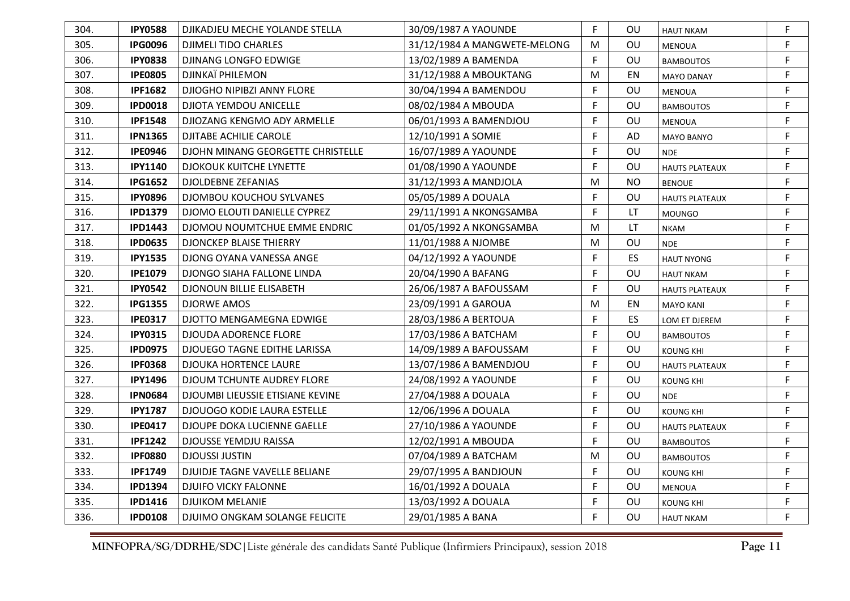| 304. | <b>IPY0588</b> | DJIKADJEU MECHE YOLANDE STELLA      | 30/09/1987 A YAOUNDE         | F | OU        | <b>HAUT NKAM</b>      | F |
|------|----------------|-------------------------------------|------------------------------|---|-----------|-----------------------|---|
| 305. | <b>IPG0096</b> | <b>DJIMELI TIDO CHARLES</b>         | 31/12/1984 A MANGWETE-MELONG | M | OU        | <b>MENOUA</b>         | F |
| 306. | <b>IPY0838</b> | DJINANG LONGFO EDWIGE               | 13/02/1989 A BAMENDA         | F | OU        | <b>BAMBOUTOS</b>      | F |
| 307. | <b>IPE0805</b> | DJINKAÏ PHILEMON                    | 31/12/1988 A MBOUKTANG       | M | EN        | <b>MAYO DANAY</b>     | F |
| 308. | <b>IPF1682</b> | DJIOGHO NIPIBZI ANNY FLORE          | 30/04/1994 A BAMENDOU        | F | OU        | MENOUA                | F |
| 309. | <b>IPD0018</b> | DJIOTA YEMDOU ANICELLE              | 08/02/1984 A MBOUDA          | F | OU        | <b>BAMBOUTOS</b>      | F |
| 310. | <b>IPF1548</b> | DJIOZANG KENGMO ADY ARMELLE         | 06/01/1993 A BAMENDJOU       | F | OU        | <b>MENOUA</b>         | F |
| 311. | <b>IPN1365</b> | <b>DJITABE ACHILIE CAROLE</b>       | 12/10/1991 A SOMIE           | F | AD        | <b>MAYO BANYO</b>     | F |
| 312. | <b>IPE0946</b> | DJOHN MINANG GEORGETTE CHRISTELLE   | 16/07/1989 A YAOUNDE         | F | OU        | <b>NDE</b>            | F |
| 313. | <b>IPY1140</b> | DJOKOUK KUITCHE LYNETTE             | 01/08/1990 A YAOUNDE         | F | OU        | <b>HAUTS PLATEAUX</b> | F |
| 314. | <b>IPG1652</b> | <b>DJOLDEBNE ZEFANIAS</b>           | 31/12/1993 A MANDJOLA        | M | <b>NO</b> | <b>BENOUE</b>         | F |
| 315. | <b>IPY0896</b> | DJOMBOU KOUCHOU SYLVANES            | 05/05/1989 A DOUALA          | F | OU        | <b>HAUTS PLATEAUX</b> | F |
| 316. | <b>IPD1379</b> | DJOMO ELOUTI DANIELLE CYPREZ        | 29/11/1991 A NKONGSAMBA      | F | LT        | <b>MOUNGO</b>         | F |
| 317. | <b>IPD1443</b> | DJOMOU NOUMTCHUE EMME ENDRIC        | 01/05/1992 A NKONGSAMBA      | M | <b>LT</b> | <b>NKAM</b>           | F |
| 318. | <b>IPD0635</b> | <b>DJONCKEP BLAISE THIERRY</b>      | 11/01/1988 A NJOMBE          | M | OU        | <b>NDE</b>            | F |
| 319. | <b>IPY1535</b> | DJONG OYANA VANESSA ANGE            | 04/12/1992 A YAOUNDE         | F | ES        | <b>HAUT NYONG</b>     | F |
| 320. | <b>IPE1079</b> | DJONGO SIAHA FALLONE LINDA          | 20/04/1990 A BAFANG          | F | OU        | <b>HAUT NKAM</b>      | F |
| 321. | <b>IPY0542</b> | DJONOUN BILLIE ELISABETH            | 26/06/1987 A BAFOUSSAM       | F | OU        | <b>HAUTS PLATEAUX</b> | F |
| 322. | <b>IPG1355</b> | <b>DJORWE AMOS</b>                  | 23/09/1991 A GAROUA          | M | EN        | <b>MAYO KANI</b>      | F |
| 323. | <b>IPE0317</b> | DJOTTO MENGAMEGNA EDWIGE            | 28/03/1986 A BERTOUA         | F | ES        | LOM ET DJEREM         | F |
| 324. | <b>IPY0315</b> | <b>DJOUDA ADORENCE FLORE</b>        | 17/03/1986 A BATCHAM         | F | OU        | <b>BAMBOUTOS</b>      | F |
| 325. | <b>IPD0975</b> | <b>DJOUEGO TAGNE EDITHE LARISSA</b> | 14/09/1989 A BAFOUSSAM       | F | OU        | <b>KOUNG KHI</b>      | F |
| 326. | <b>IPF0368</b> | <b>DJOUKA HORTENCE LAURE</b>        | 13/07/1986 A BAMENDJOU       | F | OU        | <b>HAUTS PLATEAUX</b> | F |
| 327. | <b>IPY1496</b> | DJOUM TCHUNTE AUDREY FLORE          | 24/08/1992 A YAOUNDE         | F | OU        | KOUNG KHI             | F |
| 328. | <b>IPN0684</b> | DJOUMBI LIEUSSIE ETISIANE KEVINE    | 27/04/1988 A DOUALA          | F | <b>OU</b> | <b>NDE</b>            | F |
| 329. | <b>IPY1787</b> | <b>DJOUOGO KODIE LAURA ESTELLE</b>  | 12/06/1996 A DOUALA          | F | OU        | <b>KOUNG KHI</b>      | F |
| 330. | <b>IPE0417</b> | DJOUPE DOKA LUCIENNE GAELLE         | 27/10/1986 A YAOUNDE         | F | OU        | <b>HAUTS PLATEAUX</b> | F |
| 331. | <b>IPF1242</b> | DJOUSSE YEMDJU RAISSA               | 12/02/1991 A MBOUDA          | F | OU        | <b>BAMBOUTOS</b>      | F |
| 332. | <b>IPF0880</b> | <b>DJOUSSI JUSTIN</b>               | 07/04/1989 A BATCHAM         | M | OU        | <b>BAMBOUTOS</b>      | F |
| 333. | <b>IPF1749</b> | DJUIDJE TAGNE VAVELLE BELIANE       | 29/07/1995 A BANDJOUN        | F | OU        | <b>KOUNG KHI</b>      | F |
| 334. | <b>IPD1394</b> | <b>DJUIFO VICKY FALONNE</b>         | 16/01/1992 A DOUALA          | F | OU        | <b>MENOUA</b>         | F |
| 335. | <b>IPD1416</b> | <b>DJUIKOM MELANIE</b>              | 13/03/1992 A DOUALA          | F | OU        | KOUNG KHI             | F |
| 336. | <b>IPD0108</b> | DJUIMO ONGKAM SOLANGE FELICITE      | 29/01/1985 A BANA            | F | OU        | <b>HAUT NKAM</b>      | F |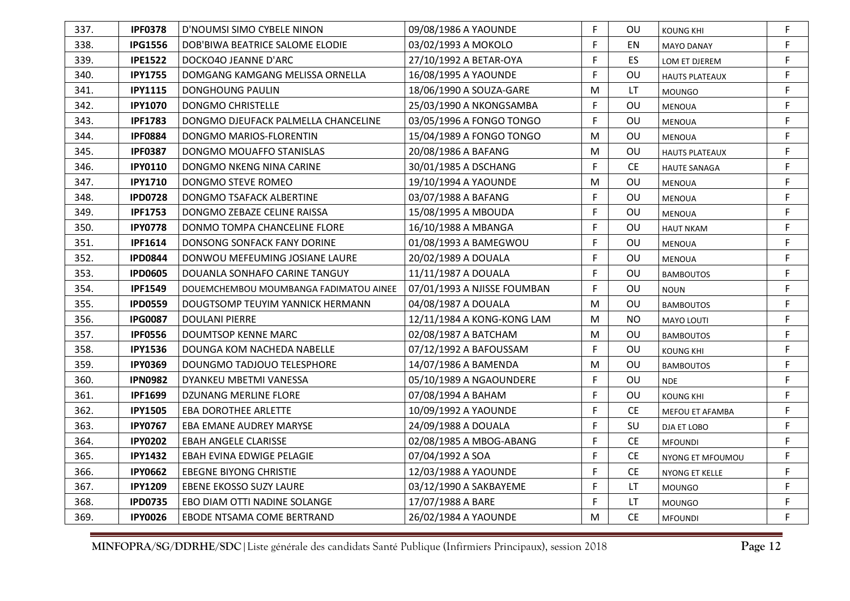| 337. | <b>IPF0378</b> | D'NOUMSI SIMO CYBELE NINON             | 09/08/1986 A YAOUNDE        | F | <b>OU</b> | <b>KOUNG KHI</b>      | F           |
|------|----------------|----------------------------------------|-----------------------------|---|-----------|-----------------------|-------------|
| 338. | <b>IPG1556</b> | DOB'BIWA BEATRICE SALOME ELODIE        | 03/02/1993 A MOKOLO         | F | EN        | <b>MAYO DANAY</b>     | F           |
| 339. | <b>IPE1522</b> | DOCKO4O JEANNE D'ARC                   | 27/10/1992 A BETAR-OYA      | F | ES        | LOM ET DJEREM         | F           |
| 340. | <b>IPY1755</b> | DOMGANG KAMGANG MELISSA ORNELLA        | 16/08/1995 A YAOUNDE        | F | OU        | <b>HAUTS PLATEAUX</b> | F           |
| 341. | <b>IPY1115</b> | DONGHOUNG PAULIN                       | 18/06/1990 A SOUZA-GARE     | M | LT        | <b>MOUNGO</b>         | $\mathsf F$ |
| 342. | <b>IPY1070</b> | <b>DONGMO CHRISTELLE</b>               | 25/03/1990 A NKONGSAMBA     | F | OU        | <b>MENOUA</b>         | F           |
| 343. | <b>IPF1783</b> | DONGMO DJEUFACK PALMELLA CHANCELINE    | 03/05/1996 A FONGO TONGO    | F | OU        | <b>MENOUA</b>         | $\mathsf F$ |
| 344. | <b>IPF0884</b> | DONGMO MARIOS-FLORENTIN                | 15/04/1989 A FONGO TONGO    | M | OU        | <b>MENOUA</b>         | F           |
| 345. | <b>IPF0387</b> | DONGMO MOUAFFO STANISLAS               | 20/08/1986 A BAFANG         | M | OU        | <b>HAUTS PLATEAUX</b> | F           |
| 346. | <b>IPY0110</b> | DONGMO NKENG NINA CARINE               | 30/01/1985 A DSCHANG        | F | CE.       | <b>HAUTE SANAGA</b>   | F           |
| 347. | <b>IPY1710</b> | DONGMO STEVE ROMEO                     | 19/10/1994 A YAOUNDE        | М | <b>OU</b> | <b>MENOUA</b>         | $\mathsf F$ |
| 348. | <b>IPD0728</b> | DONGMO TSAFACK ALBERTINE               | 03/07/1988 A BAFANG         | F | OU        | <b>MENOUA</b>         | F           |
| 349. | <b>IPF1753</b> | DONGMO ZEBAZE CELINE RAISSA            | 15/08/1995 A MBOUDA         | F | OU        | <b>MENOUA</b>         | $\mathsf F$ |
| 350. | <b>IPY0778</b> | DONMO TOMPA CHANCELINE FLORE           | 16/10/1988 A MBANGA         | F | <b>OU</b> | <b>HAUT NKAM</b>      | F           |
| 351. | <b>IPF1614</b> | DONSONG SONFACK FANY DORINE            | 01/08/1993 A BAMEGWOU       | F | <b>OU</b> | <b>MENOUA</b>         | F.          |
| 352. | <b>IPD0844</b> | DONWOU MEFEUMING JOSIANE LAURE         | 20/02/1989 A DOUALA         | F | OU        | MENOUA                | F           |
| 353. | <b>IPD0605</b> | DOUANLA SONHAFO CARINE TANGUY          | 11/11/1987 A DOUALA         | F | OU        | <b>BAMBOUTOS</b>      | F           |
| 354. | <b>IPF1549</b> | DOUEMCHEMBOU MOUMBANGA FADIMATOU AINEE | 07/01/1993 A NJISSE FOUMBAN | F | OU        | <b>NOUN</b>           | $\mathsf F$ |
| 355. | <b>IPD0559</b> | DOUGTSOMP TEUYIM YANNICK HERMANN       | 04/08/1987 A DOUALA         | M | OU        | <b>BAMBOUTOS</b>      | F           |
| 356. | <b>IPG0087</b> | <b>DOULANI PIERRE</b>                  | 12/11/1984 A KONG-KONG LAM  | М | NO.       | MAYO LOUTI            | F           |
| 357. | <b>IPF0556</b> | DOUMTSOP KENNE MARC                    | 02/08/1987 A BATCHAM        | M | <b>OU</b> | <b>BAMBOUTOS</b>      | F           |
| 358. | <b>IPY1536</b> | DOUNGA KOM NACHEDA NABELLE             | 07/12/1992 A BAFOUSSAM      | F | OU        | <b>KOUNG KHI</b>      | F           |
| 359. | <b>IPY0369</b> | DOUNGMO TADJOUO TELESPHORE             | 14/07/1986 A BAMENDA        | M | OU        | <b>BAMBOUTOS</b>      | F           |
| 360. | <b>IPN0982</b> | DYANKEU MBETMI VANESSA                 | 05/10/1989 A NGAOUNDERE     | F | OU        | <b>NDE</b>            | $\mathsf F$ |
| 361. | <b>IPF1699</b> | DZUNANG MERLINE FLORE                  | 07/08/1994 A BAHAM          | F | OU        | <b>KOUNG KHI</b>      | F           |
| 362. | <b>IPY1505</b> | <b>EBA DOROTHEE ARLETTE</b>            | 10/09/1992 A YAOUNDE        | F | <b>CE</b> | MEFOU ET AFAMBA       | F           |
| 363. | <b>IPY0767</b> | EBA EMANE AUDREY MARYSE                | 24/09/1988 A DOUALA         | F | SU        | DJA ET LOBO           | F           |
| 364. | <b>IPY0202</b> | <b>EBAH ANGELE CLARISSE</b>            | 02/08/1985 A MBOG-ABANG     | F | <b>CE</b> | <b>MFOUNDI</b>        | F           |
| 365. | <b>IPY1432</b> | EBAH EVINA EDWIGE PELAGIE              | 07/04/1992 A SOA            | F | <b>CE</b> | NYONG ET MFOUMOU      | F           |
| 366. | <b>IPY0662</b> | <b>EBEGNE BIYONG CHRISTIE</b>          | 12/03/1988 A YAOUNDE        | F | <b>CE</b> | NYONG ET KELLE        | F           |
| 367. | <b>IPY1209</b> | <b>EBENE EKOSSO SUZY LAURE</b>         | 03/12/1990 A SAKBAYEME      | F | LT        | <b>MOUNGO</b>         | F           |
| 368. | <b>IPD0735</b> | EBO DIAM OTTI NADINE SOLANGE           | 17/07/1988 A BARE           | F | LT.       | <b>MOUNGO</b>         | F           |
| 369. | <b>IPY0026</b> | EBODE NTSAMA COME BERTRAND             | 26/02/1984 A YAOUNDE        | М | <b>CE</b> | <b>MFOUNDI</b>        | F           |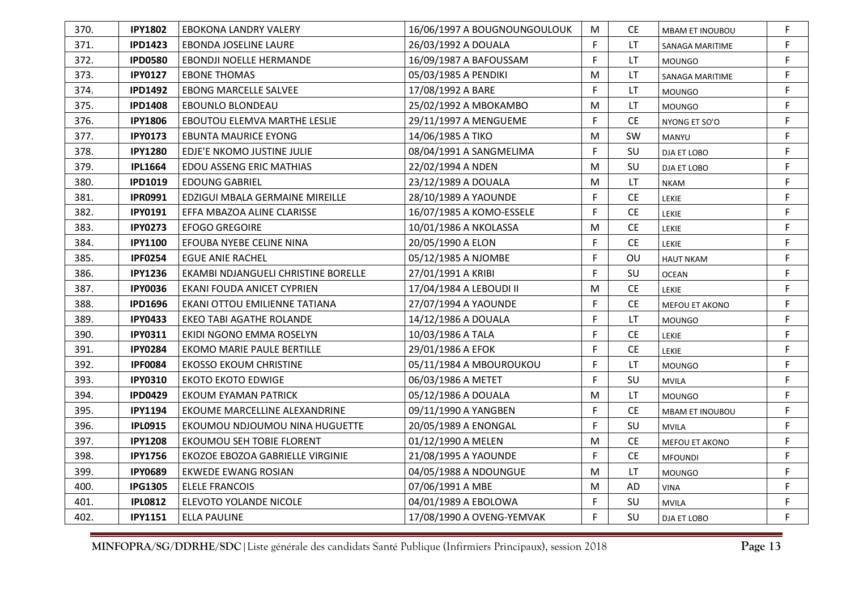| 370. | <b>IPY1802</b> | EBOKONA LANDRY VALERY               | 16/06/1997 A BOUGNOUNGOULOUK | M | CE.       | <b>MBAM ET INOUBOU</b> | F |
|------|----------------|-------------------------------------|------------------------------|---|-----------|------------------------|---|
| 371. | <b>IPD1423</b> | EBONDA JOSELINE LAURE               | 26/03/1992 A DOUALA          | F | LT        | SANAGA MARITIME        | F |
| 372. | <b>IPD0580</b> | <b>EBONDJI NOELLE HERMANDE</b>      | 16/09/1987 A BAFOUSSAM       | F | LT        | <b>MOUNGO</b>          | F |
| 373. | <b>IPY0127</b> | <b>EBONE THOMAS</b>                 | 05/03/1985 A PENDIKI         | M | LT        | <b>SANAGA MARITIME</b> | F |
| 374. | <b>IPD1492</b> | <b>EBONG MARCELLE SALVEE</b>        | 17/08/1992 A BARE            | F | LT        | <b>MOUNGO</b>          | F |
| 375. | <b>IPD1408</b> | EBOUNLO BLONDEAU                    | 25/02/1992 A MBOKAMBO        | M | LT        | <b>MOUNGO</b>          | F |
| 376. | <b>IPY1806</b> | EBOUTOU ELEMVA MARTHE LESLIE        | 29/11/1997 A MENGUEME        | F | <b>CE</b> | NYONG ET SO'O          | F |
| 377. | <b>IPY0173</b> | <b>EBUNTA MAURICE EYONG</b>         | 14/06/1985 A TIKO            | M | SW        | <b>MANYU</b>           | F |
| 378. | <b>IPY1280</b> | EDJE'E NKOMO JUSTINE JULIE          | 08/04/1991 A SANGMELIMA      | F | SU        | DJA ET LOBO            | F |
| 379. | <b>IPL1664</b> | EDOU ASSENG ERIC MATHIAS            | 22/02/1994 A NDEN            | M | SU        | DJA ET LOBO            | F |
| 380. | <b>IPD1019</b> | <b>EDOUNG GABRIEL</b>               | 23/12/1989 A DOUALA          | M | LT.       | <b>NKAM</b>            | F |
| 381. | <b>IPR0991</b> | EDZIGUI MBALA GERMAINE MIREILLE     | 28/10/1989 A YAOUNDE         | F | <b>CE</b> | <b>LEKIE</b>           | F |
| 382. | <b>IPY0191</b> | EFFA MBAZOA ALINE CLARISSE          | 16/07/1985 A KOMO-ESSELE     | F | <b>CE</b> | LEKIE                  | F |
| 383. | <b>IPY0273</b> | <b>EFOGO GREGOIRE</b>               | 10/01/1986 A NKOLASSA        | M | <b>CE</b> | <b>LEKIE</b>           | F |
| 384. | <b>IPY1100</b> | EFOUBA NYEBE CELINE NINA            | 20/05/1990 A ELON            | F | <b>CE</b> | <b>LEKIE</b>           | F |
| 385. | <b>IPF0254</b> | <b>EGUE ANIE RACHEL</b>             | 05/12/1985 A NJOMBE          | F | OU        | <b>HAUT NKAM</b>       | F |
| 386. | <b>IPY1236</b> | EKAMBI NDJANGUELI CHRISTINE BORELLE | 27/01/1991 A KRIBI           | F | SU        | <b>OCEAN</b>           | F |
| 387. | <b>IPY0036</b> | EKANI FOUDA ANICET CYPRIEN          | 17/04/1984 A LEBOUDI II      | M | <b>CE</b> | <b>LEKIE</b>           | F |
| 388. | <b>IPD1696</b> | EKANI OTTOU EMILIENNE TATIANA       | 27/07/1994 A YAOUNDE         | F | CE.       | MEFOU ET AKONO         | F |
| 389. | <b>IPY0433</b> | <b>EKEO TABI AGATHE ROLANDE</b>     | 14/12/1986 A DOUALA          | F | LT        | <b>MOUNGO</b>          | F |
| 390. | <b>IPY0311</b> | EKIDI NGONO EMMA ROSELYN            | 10/03/1986 A TALA            | F | <b>CE</b> | LEKIE                  | F |
| 391. | <b>IPY0284</b> | EKOMO MARIE PAULE BERTILLE          | 29/01/1986 A EFOK            | F | <b>CE</b> | <b>LEKIE</b>           | F |
| 392. | <b>IPF0084</b> | <b>EKOSSO EKOUM CHRISTINE</b>       | 05/11/1984 A MBOUROUKOU      | F | LT.       | <b>MOUNGO</b>          | F |
| 393. | <b>IPY0310</b> | <b>EKOTO EKOTO EDWIGE</b>           | 06/03/1986 A METET           | F | SU        | <b>MVILA</b>           | F |
| 394. | <b>IPD0429</b> | <b>EKOUM EYAMAN PATRICK</b>         | 05/12/1986 A DOUALA          | M | LT        | <b>MOUNGO</b>          | F |
| 395. | <b>IPY1194</b> | EKOUME MARCELLINE ALEXANDRINE       | 09/11/1990 A YANGBEN         | F | <b>CE</b> | <b>MBAM ET INOUBOU</b> | F |
| 396. | <b>IPL0915</b> | EKOUMOU NDJOUMOU NINA HUGUETTE      | 20/05/1989 A ENONGAL         | F | SU        | <b>MVILA</b>           | F |
| 397. | <b>IPY1208</b> | EKOUMOU SEH TOBIE FLORENT           | 01/12/1990 A MELEN           | M | <b>CE</b> | MEFOU ET AKONO         | F |
| 398. | <b>IPY1756</b> | EKOZOE EBOZOA GABRIELLE VIRGINIE    | 21/08/1995 A YAOUNDE         | F | <b>CE</b> | <b>MFOUNDI</b>         | F |
| 399. | <b>IPY0689</b> | <b>EKWEDE EWANG ROSIAN</b>          | 04/05/1988 A NDOUNGUE        | M | LT        | <b>MOUNGO</b>          | F |
| 400. | <b>IPG1305</b> | <b>ELELE FRANCOIS</b>               | 07/06/1991 A MBE             | M | <b>AD</b> | <b>VINA</b>            | F |
| 401. | <b>IPL0812</b> | ELEVOTO YOLANDE NICOLE              | 04/01/1989 A EBOLOWA         | F | SU        | <b>MVILA</b>           | F |
| 402. | <b>IPY1151</b> | <b>ELLA PAULINE</b>                 | 17/08/1990 A OVENG-YEMVAK    | F | SU        | DJA ET LOBO            | F |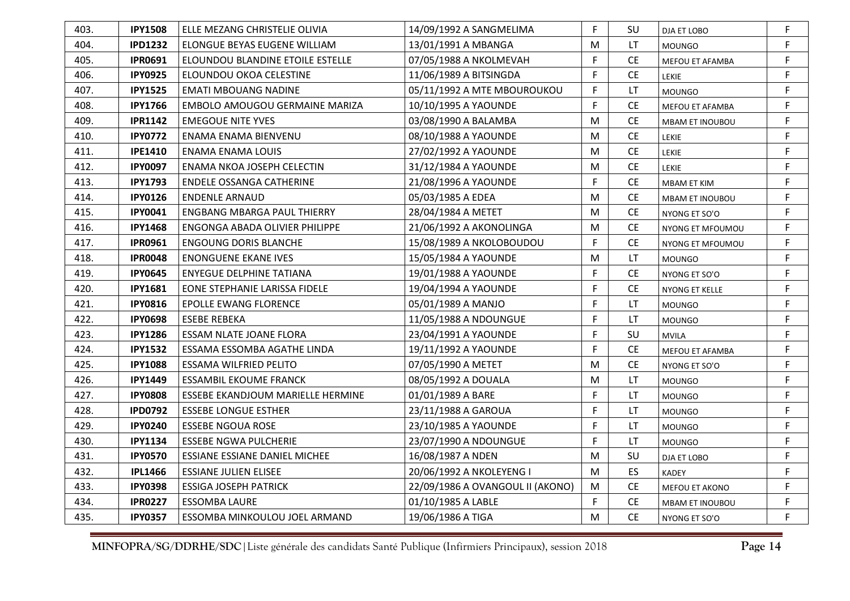| 403. | <b>IPY1508</b> | ELLE MEZANG CHRISTELIE OLIVIA        | 14/09/1992 A SANGMELIMA          | F | SU        | DJA ET LOBO            | F |
|------|----------------|--------------------------------------|----------------------------------|---|-----------|------------------------|---|
| 404. | <b>IPD1232</b> | ELONGUE BEYAS EUGENE WILLIAM         | 13/01/1991 A MBANGA              | M | LT        | <b>MOUNGO</b>          | F |
| 405. | <b>IPR0691</b> | ELOUNDOU BLANDINE ETOILE ESTELLE     | 07/05/1988 A NKOLMEVAH           | F | <b>CE</b> | MEFOU ET AFAMBA        | F |
| 406. | <b>IPY0925</b> | ELOUNDOU OKOA CELESTINE              | 11/06/1989 A BITSINGDA           | F | <b>CE</b> | LEKIE                  | F |
| 407. | <b>IPY1525</b> | <b>EMATI MBOUANG NADINE</b>          | 05/11/1992 A MTE MBOUROUKOU      | F | LT        | <b>MOUNGO</b>          | F |
| 408. | <b>IPY1766</b> | EMBOLO AMOUGOU GERMAINE MARIZA       | 10/10/1995 A YAOUNDE             | F | <b>CE</b> | MEFOU ET AFAMBA        | F |
| 409. | <b>IPR1142</b> | <b>EMEGOUE NITE YVES</b>             | 03/08/1990 A BALAMBA             | M | <b>CE</b> | <b>MBAM ET INOUBOU</b> | F |
| 410. | <b>IPY0772</b> | ENAMA ENAMA BIENVENU                 | 08/10/1988 A YAOUNDE             | M | <b>CE</b> | <b>LEKIE</b>           | F |
| 411. | <b>IPE1410</b> | ENAMA ENAMA LOUIS                    | 27/02/1992 A YAOUNDE             | M | <b>CE</b> | <b>LEKIE</b>           | F |
| 412. | <b>IPY0097</b> | ENAMA NKOA JOSEPH CELECTIN           | 31/12/1984 A YAOUNDE             | M | <b>CE</b> | <b>LEKIE</b>           | F |
| 413. | <b>IPY1793</b> | ENDELE OSSANGA CATHERINE             | 21/08/1996 A YAOUNDE             | F | <b>CE</b> | <b>MBAM ET KIM</b>     | F |
| 414. | <b>IPY0126</b> | <b>ENDENLE ARNAUD</b>                | 05/03/1985 A EDEA                | M | <b>CE</b> | <b>MBAM ET INOUBOU</b> | F |
| 415. | <b>IPY0041</b> | ENGBANG MBARGA PAUL THIERRY          | 28/04/1984 A METET               | M | <b>CE</b> | NYONG ET SO'O          | F |
| 416. | <b>IPY1468</b> | ENGONGA ABADA OLIVIER PHILIPPE       | 21/06/1992 A AKONOLINGA          | M | <b>CE</b> | NYONG ET MFOUMOU       | F |
| 417. | <b>IPR0961</b> | <b>ENGOUNG DORIS BLANCHE</b>         | 15/08/1989 A NKOLOBOUDOU         | F | <b>CE</b> | NYONG ET MFOUMOU       | F |
| 418. | <b>IPR0048</b> | <b>ENONGUENE EKANE IVES</b>          | 15/05/1984 A YAOUNDE             | M | LT        | <b>MOUNGO</b>          | F |
| 419. | <b>IPY0645</b> | ENYEGUE DELPHINE TATIANA             | 19/01/1988 A YAOUNDE             | F | <b>CE</b> | NYONG ET SO'O          | F |
| 420. | <b>IPY1681</b> | EONE STEPHANIE LARISSA FIDELE        | 19/04/1994 A YAOUNDE             | F | <b>CE</b> | NYONG ET KELLE         | F |
| 421. | <b>IPY0816</b> | EPOLLE EWANG FLORENCE                | 05/01/1989 A MANJO               | F | LT        | <b>MOUNGO</b>          | F |
| 422. | <b>IPY0698</b> | ESEBE REBEKA                         | 11/05/1988 A NDOUNGUE            | F | LT        | <b>MOUNGO</b>          | F |
| 423. | <b>IPY1286</b> | <b>ESSAM NLATE JOANE FLORA</b>       | 23/04/1991 A YAOUNDE             | F | SU        | <b>MVILA</b>           | F |
| 424. | <b>IPY1532</b> | ESSAMA ESSOMBA AGATHE LINDA          | 19/11/1992 A YAOUNDE             | F | <b>CE</b> | MEFOU ET AFAMBA        | F |
| 425. | <b>IPY1088</b> | ESSAMA WILFRIED PELITO               | 07/05/1990 A METET               | м | <b>CE</b> | NYONG ET SO'O          | F |
| 426. | <b>IPY1449</b> | ESSAMBIL EKOUME FRANCK               | 08/05/1992 A DOUALA              | M | LT.       | <b>MOUNGO</b>          | F |
| 427. | <b>IPY0808</b> | ESSEBE EKANDJOUM MARIELLE HERMINE    | 01/01/1989 A BARE                | F | <b>LT</b> | <b>MOUNGO</b>          | F |
| 428. | <b>IPD0792</b> | <b>ESSEBE LONGUE ESTHER</b>          | 23/11/1988 A GAROUA              | F | <b>LT</b> | <b>MOUNGO</b>          | F |
| 429. | <b>IPY0240</b> | <b>ESSEBE NGOUA ROSE</b>             | 23/10/1985 A YAOUNDE             | F | <b>LT</b> | <b>MOUNGO</b>          | F |
| 430. | <b>IPY1134</b> | <b>ESSEBE NGWA PULCHERIE</b>         | 23/07/1990 A NDOUNGUE            | F | LT        | <b>MOUNGO</b>          | F |
| 431. | <b>IPY0570</b> | <b>ESSIANE ESSIANE DANIEL MICHEE</b> | 16/08/1987 A NDEN                | M | SU        | DJA ET LOBO            | F |
| 432. | <b>IPL1466</b> | <b>ESSIANE JULIEN ELISEE</b>         | 20/06/1992 A NKOLEYENG I         | M | ES        | <b>KADEY</b>           | F |
| 433. | <b>IPY0398</b> | <b>ESSIGA JOSEPH PATRICK</b>         | 22/09/1986 A OVANGOUL II (AKONO) | M | <b>CE</b> | MEFOU ET AKONO         | F |
| 434. | <b>IPR0227</b> | <b>ESSOMBA LAURE</b>                 | 01/10/1985 A LABLE               | F | <b>CE</b> | <b>MBAM ET INOUBOU</b> | F |
| 435. | <b>IPY0357</b> | ESSOMBA MINKOULOU JOEL ARMAND        | 19/06/1986 A TIGA                | M | <b>CE</b> | NYONG ET SO'O          | F |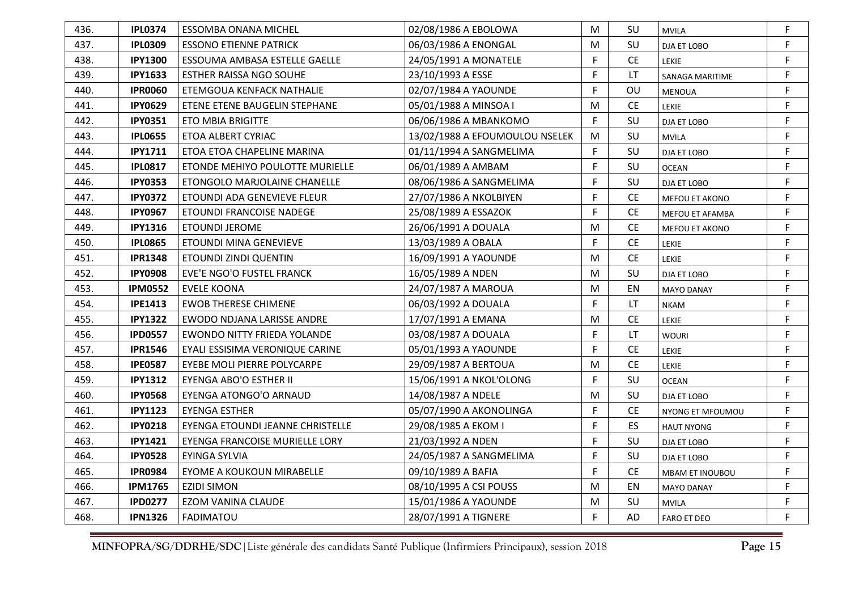| 436. | <b>IPL0374</b> | <b>ESSOMBA ONANA MICHEL</b>      | 02/08/1986 A EBOLOWA           | M | SU        | <b>MVILA</b>           | F            |
|------|----------------|----------------------------------|--------------------------------|---|-----------|------------------------|--------------|
| 437. | <b>IPL0309</b> | <b>ESSONO ETIENNE PATRICK</b>    | 06/03/1986 A ENONGAL           | M | SU        | DJA ET LOBO            | F            |
| 438. | <b>IPY1300</b> | ESSOUMA AMBASA ESTELLE GAELLE    | 24/05/1991 A MONATELE          | F | <b>CE</b> | <b>LEKIE</b>           | F            |
| 439. | <b>IPY1633</b> | ESTHER RAISSA NGO SOUHE          | 23/10/1993 A ESSE              | F | <b>LT</b> | <b>SANAGA MARITIME</b> | F            |
| 440. | <b>IPR0060</b> | ETEMGOUA KENFACK NATHALIE        | 02/07/1984 A YAOUNDE           | F | OU        | <b>MENOUA</b>          | $\mathsf F$  |
| 441. | <b>IPY0629</b> | ETENE ETENE BAUGELIN STEPHANE    | 05/01/1988 A MINSOA I          | M | CE.       | <b>LEKIE</b>           | F            |
| 442. | <b>IPY0351</b> | <b>ETO MBIA BRIGITTE</b>         | 06/06/1986 A MBANKOMO          | F | SU        | DJA ET LOBO            | $\mathsf F$  |
| 443. | <b>IPL0655</b> | ETOA ALBERT CYRIAC               | 13/02/1988 A EFOUMOULOU NSELEK | M | SU        | <b>MVILA</b>           | F            |
| 444. | <b>IPY1711</b> | ETOA ETOA CHAPELINE MARINA       | 01/11/1994 A SANGMELIMA        | F | SU        | DJA ET LOBO            | $\mathsf{F}$ |
| 445. | <b>IPL0817</b> | ETONDE MEHIYO POULOTTE MURIELLE  | 06/01/1989 A AMBAM             | F | SU        | <b>OCEAN</b>           | F            |
| 446. | <b>IPY0353</b> | ETONGOLO MARJOLAINE CHANELLE     | 08/06/1986 A SANGMELIMA        | F | SU        | DJA ET LOBO            | $\mathsf F$  |
| 447. | <b>IPY0372</b> | ETOUNDI ADA GENEVIEVE FLEUR      | 27/07/1986 A NKOLBIYEN         | F | <b>CE</b> | MEFOU ET AKONO         | F            |
| 448. | <b>IPY0967</b> | ETOUNDI FRANCOISE NADEGE         | 25/08/1989 A ESSAZOK           | F | <b>CE</b> | MEFOU ET AFAMBA        | F            |
| 449. | <b>IPY1316</b> | <b>ETOUNDI JEROME</b>            | 26/06/1991 A DOUALA            | M | CE.       | MEFOU ET AKONO         | F            |
| 450. | <b>IPL0865</b> | ETOUNDI MINA GENEVIEVE           | 13/03/1989 A OBALA             | F | <b>CE</b> | LEKIE                  | F            |
| 451. | <b>IPR1348</b> | <b>ETOUNDI ZINDI QUENTIN</b>     | 16/09/1991 A YAOUNDE           | M | <b>CE</b> | LEKIE                  | F            |
| 452. | <b>IPY0908</b> | EVE'E NGO'O FUSTEL FRANCK        | 16/05/1989 A NDEN              | M | SU        | DJA ET LOBO            | F            |
| 453. | <b>IPM0552</b> | <b>EVELE KOONA</b>               | 24/07/1987 A MAROUA            | M | EN        | <b>MAYO DANAY</b>      | $\mathsf F$  |
| 454. | <b>IPE1413</b> | <b>EWOB THERESE CHIMENE</b>      | 06/03/1992 A DOUALA            | F | LT        | <b>NKAM</b>            | F            |
| 455. | <b>IPY1322</b> | EWODO NDJANA LARISSE ANDRE       | 17/07/1991 A EMANA             | М | <b>CE</b> | LEKIE                  | F            |
| 456. | <b>IPD0557</b> | EWONDO NITTY FRIEDA YOLANDE      | 03/08/1987 A DOUALA            | F | LT        | <b>WOURI</b>           | F            |
| 457. | <b>IPR1546</b> | EYALI ESSISIMA VERONIQUE CARINE  | 05/01/1993 A YAOUNDE           | F | <b>CE</b> | <b>LEKIE</b>           | $\mathsf F$  |
| 458. | <b>IPE0587</b> | EYEBE MOLI PIERRE POLYCARPE      | 29/09/1987 A BERTOUA           | M | <b>CE</b> | <b>LEKIE</b>           | F            |
| 459. | <b>IPY1312</b> | <b>EYENGA ABO'O ESTHER II</b>    | 15/06/1991 A NKOL'OLONG        | F | SU        | <b>OCEAN</b>           | $\mathsf F$  |
| 460. | <b>IPY0568</b> | EYENGA ATONGO'O ARNAUD           | 14/08/1987 A NDELE             | M | SU        | DJA ET LOBO            | F            |
| 461. | <b>IPY1123</b> | <b>EYENGA ESTHER</b>             | 05/07/1990 A AKONOLINGA        | F | <b>CE</b> | NYONG ET MFOUMOU       | F            |
| 462. | <b>IPY0218</b> | EYENGA ETOUNDI JEANNE CHRISTELLE | 29/08/1985 A EKOM I            | F | ES        | <b>HAUT NYONG</b>      | F            |
| 463. | <b>IPY1421</b> | EYENGA FRANCOISE MURIELLE LORY   | 21/03/1992 A NDEN              | F | SU        | DJA ET LOBO            | $\mathsf F$  |
| 464. | <b>IPY0528</b> | EYINGA SYLVIA                    | 24/05/1987 A SANGMELIMA        | F | SU        | DJA ET LOBO            | F            |
| 465. | <b>IPR0984</b> | EYOME A KOUKOUN MIRABELLE        | 09/10/1989 A BAFIA             | F | <b>CE</b> | <b>MBAM ET INOUBOU</b> | F            |
| 466. | <b>IPM1765</b> | <b>EZIDI SIMON</b>               | 08/10/1995 A CSI POUSS         | M | EN        | <b>MAYO DANAY</b>      | F            |
| 467. | <b>IPD0277</b> | EZOM VANINA CLAUDE               | 15/01/1986 A YAOUNDE           | М | SU        | MVILA                  | F            |
| 468. | <b>IPN1326</b> | <b>FADIMATOU</b>                 | 28/07/1991 A TIGNERE           | F | AD        | <b>FARO ET DEO</b>     | F.           |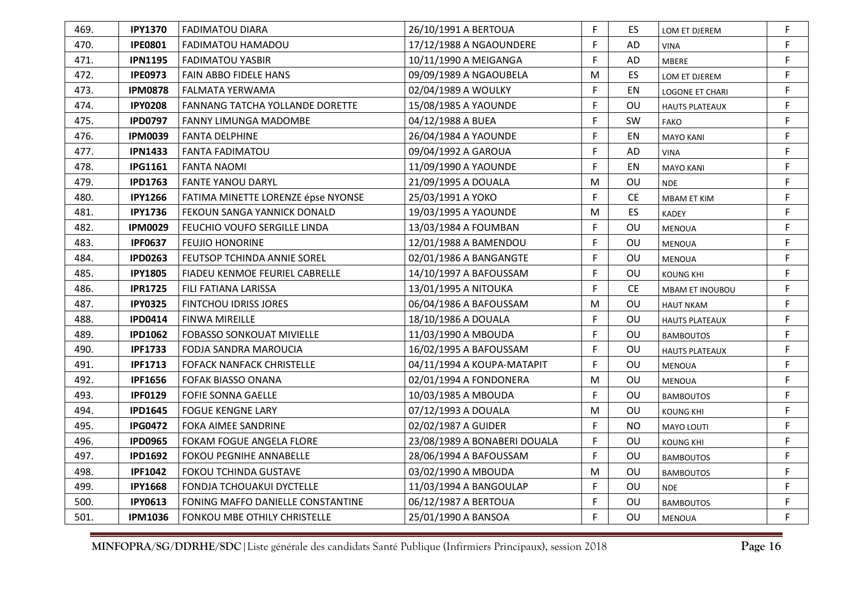| 469. | <b>IPY1370</b> | <b>FADIMATOU DIARA</b>                 | 26/10/1991 A BERTOUA         | F           | ES.       | LOM ET DJEREM          | F           |
|------|----------------|----------------------------------------|------------------------------|-------------|-----------|------------------------|-------------|
| 470. | <b>IPE0801</b> | FADIMATOU HAMADOU                      | 17/12/1988 A NGAOUNDERE      | F           | AD        | <b>VINA</b>            | F           |
| 471. | <b>IPN1195</b> | <b>FADIMATOU YASBIR</b>                | 10/11/1990 A MEIGANGA        | F           | AD        | <b>MBERE</b>           | F           |
| 472. | <b>IPE0973</b> | FAIN ABBO FIDELE HANS                  | 09/09/1989 A NGAOUBELA       | М           | ES        | LOM ET DJEREM          | F           |
| 473. | <b>IPM0878</b> | <b>FALMATA YERWAMA</b>                 | 02/04/1989 A WOULKY          | F           | EN        | LOGONE ET CHARI        | F           |
| 474. | <b>IPY0208</b> | <b>FANNANG TATCHA YOLLANDE DORETTE</b> | 15/08/1985 A YAOUNDE         | F           | OU        | <b>HAUTS PLATEAUX</b>  | F           |
| 475. | <b>IPD0797</b> | FANNY LIMUNGA MADOMBE                  | 04/12/1988 A BUEA            | F           | SW        | <b>FAKO</b>            | $\mathsf F$ |
| 476. | <b>IPM0039</b> | <b>FANTA DELPHINE</b>                  | 26/04/1984 A YAOUNDE         | F           | EN        | <b>MAYO KANI</b>       | F           |
| 477. | <b>IPN1433</b> | <b>FANTA FADIMATOU</b>                 | 09/04/1992 A GAROUA          | F           | <b>AD</b> | VINA                   | F           |
| 478. | <b>IPG1161</b> | <b>FANTA NAOMI</b>                     | 11/09/1990 A YAOUNDE         | F           | EN        | <b>MAYO KANI</b>       | F           |
| 479. | <b>IPD1763</b> | <b>FANTE YANOU DARYL</b>               | 21/09/1995 A DOUALA          | М           | OU        | <b>NDE</b>             | $\mathsf F$ |
| 480. | <b>IPY1266</b> | FATIMA MINETTE LORENZE épse NYONSE     | 25/03/1991 A YOKO            | F           | <b>CE</b> | <b>MBAM ET KIM</b>     | F           |
| 481. | <b>IPY1736</b> | FEKOUN SANGA YANNICK DONALD            | 19/03/1995 A YAOUNDE         | M           | ES        | <b>KADEY</b>           | $\mathsf F$ |
| 482. | <b>IPM0029</b> | FEUCHIO VOUFO SERGILLE LINDA           | 13/03/1984 A FOUMBAN         | F           | <b>OU</b> | <b>MENOUA</b>          | $\mathsf F$ |
| 483. | <b>IPF0637</b> | <b>FEUJIO HONORINE</b>                 | 12/01/1988 A BAMENDOU        | F           | OU        | <b>MENOUA</b>          | $\mathsf F$ |
| 484. | <b>IPD0263</b> | <b>FEUTSOP TCHINDA ANNIE SOREL</b>     | 02/01/1986 A BANGANGTE       | F           | OU        | <b>MENOUA</b>          | F           |
| 485. | <b>IPY1805</b> | <b>FIADEU KENMOE FEURIEL CABRELLE</b>  | 14/10/1997 A BAFOUSSAM       | F           | OU        | KOUNG KHI              | F           |
| 486. | <b>IPR1725</b> | FILI FATIANA LARISSA                   | 13/01/1995 A NITOUKA         | F           | <b>CE</b> | <b>MBAM ET INOUBOU</b> | $\mathsf F$ |
| 487. | <b>IPY0325</b> | <b>FINTCHOU IDRISS JORES</b>           | 06/04/1986 A BAFOUSSAM       | М           | OU        | <b>HAUT NKAM</b>       | F           |
| 488. | <b>IPD0414</b> | <b>FINWA MIREILLE</b>                  | 18/10/1986 A DOUALA          | F           | <b>OU</b> | <b>HAUTS PLATEAUX</b>  | $\mathsf F$ |
| 489. | <b>IPD1062</b> | <b>FOBASSO SONKOUAT MIVIELLE</b>       | 11/03/1990 A MBOUDA          | $\mathsf F$ | <b>OU</b> | <b>BAMBOUTOS</b>       | F           |
| 490. | <b>IPF1733</b> | FODJA SANDRA MAROUCIA                  | 16/02/1995 A BAFOUSSAM       | F           | OU        | <b>HAUTS PLATEAUX</b>  | F           |
| 491. | <b>IPF1713</b> | <b>FOFACK NANFACK CHRISTELLE</b>       | 04/11/1994 A KOUPA-MATAPIT   | F           | OU        | <b>MENOUA</b>          | F           |
| 492. | <b>IPF1656</b> | <b>FOFAK BIASSO ONANA</b>              | 02/01/1994 A FONDONERA       | M           | OU        | <b>MENOUA</b>          | $\mathsf F$ |
| 493. | <b>IPF0129</b> | <b>FOFIE SONNA GAELLE</b>              | 10/03/1985 A MBOUDA          | F           | OU        | <b>BAMBOUTOS</b>       | F           |
| 494. | <b>IPD1645</b> | <b>FOGUE KENGNE LARY</b>               | 07/12/1993 A DOUALA          | М           | OU        | <b>KOUNG KHI</b>       | F           |
| 495. | <b>IPG0472</b> | <b>FOKA AIMEE SANDRINE</b>             | 02/02/1987 A GUIDER          | F           | <b>NO</b> | MAYO LOUTI             | F           |
| 496. | <b>IPD0965</b> | <b>FOKAM FOGUE ANGELA FLORE</b>        | 23/08/1989 A BONABERI DOUALA | F           | OU        | KOUNG KHI              | F           |
| 497. | <b>IPD1692</b> | <b>FOKOU PEGNIHE ANNABELLE</b>         | 28/06/1994 A BAFOUSSAM       | F           | <b>OU</b> | <b>BAMBOUTOS</b>       | F           |
| 498. | <b>IPF1042</b> | FOKOU TCHINDA GUSTAVE                  | 03/02/1990 A MBOUDA          | М           | OU        | <b>BAMBOUTOS</b>       | F           |
| 499. | <b>IPY1668</b> | FONDJA TCHOUAKUI DYCTELLE              | 11/03/1994 A BANGOULAP       | F           | OU        | <b>NDE</b>             | F           |
| 500. | <b>IPY0613</b> | FONING MAFFO DANIELLE CONSTANTINE      | 06/12/1987 A BERTOUA         | F           | OU        | <b>BAMBOUTOS</b>       | F           |
| 501. | <b>IPM1036</b> | <b>FONKOU MBE OTHILY CHRISTELLE</b>    | 25/01/1990 A BANSOA          | F           | OU        | <b>MENOUA</b>          | F.          |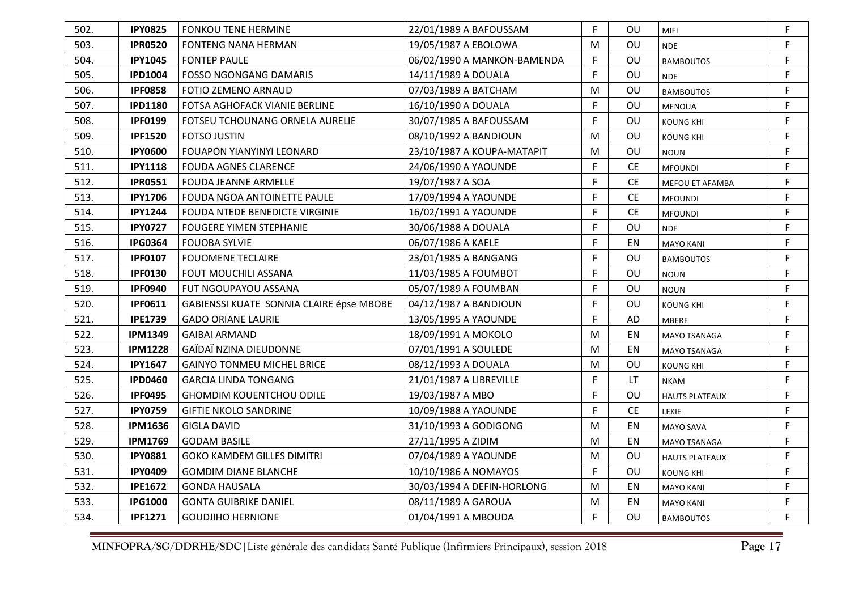| 502. | <b>IPY0825</b> | <b>FONKOU TENE HERMINE</b>               | 22/01/1989 A BAFOUSSAM      | F  | OU.       | <b>MIFI</b>           | F |
|------|----------------|------------------------------------------|-----------------------------|----|-----------|-----------------------|---|
| 503. | <b>IPR0520</b> | FONTENG NANA HERMAN                      | 19/05/1987 A EBOLOWA        | M  | OU        | <b>NDE</b>            | F |
| 504. | <b>IPY1045</b> | <b>FONTEP PAULE</b>                      | 06/02/1990 A MANKON-BAMENDA | F  | OU        | <b>BAMBOUTOS</b>      | F |
| 505. | <b>IPD1004</b> | <b>FOSSO NGONGANG DAMARIS</b>            | 14/11/1989 A DOUALA         | F  | OU        | <b>NDE</b>            | F |
| 506. | <b>IPF0858</b> | FOTIO ZEMENO ARNAUD                      | 07/03/1989 A BATCHAM        | M  | OU        | <b>BAMBOUTOS</b>      | F |
| 507. | <b>IPD1180</b> | FOTSA AGHOFACK VIANIE BERLINE            | 16/10/1990 A DOUALA         | F  | OU        | <b>MENOUA</b>         | F |
| 508. | <b>IPF0199</b> | FOTSEU TCHOUNANG ORNELA AURELIE          | 30/07/1985 A BAFOUSSAM      | F  | OU        | <b>KOUNG KHI</b>      | F |
| 509. | <b>IPF1520</b> | <b>FOTSO JUSTIN</b>                      | 08/10/1992 A BANDJOUN       | М  | OU        | <b>KOUNG KHI</b>      | F |
| 510. | <b>IPY0600</b> | FOUAPON YIANYINYI LEONARD                | 23/10/1987 A KOUPA-MATAPIT  | M  | <b>OU</b> | <b>NOUN</b>           | F |
| 511. | <b>IPY1118</b> | <b>FOUDA AGNES CLARENCE</b>              | 24/06/1990 A YAOUNDE        | F  | <b>CE</b> | <b>MFOUNDI</b>        | F |
| 512. | <b>IPR0551</b> | <b>FOUDA JEANNE ARMELLE</b>              | 19/07/1987 A SOA            | F  | <b>CE</b> | MEFOU ET AFAMBA       | F |
| 513. | <b>IPY1706</b> | <b>FOUDA NGOA ANTOINETTE PAULE</b>       | 17/09/1994 A YAOUNDE        | F  | <b>CE</b> | <b>MFOUNDI</b>        | F |
| 514. | <b>IPY1244</b> | <b>FOUDA NTEDE BENEDICTE VIRGINIE</b>    | 16/02/1991 A YAOUNDE        | F  | <b>CE</b> | <b>MFOUNDI</b>        | F |
| 515. | <b>IPY0727</b> | <b>FOUGERE YIMEN STEPHANIE</b>           | 30/06/1988 A DOUALA         | F  | OU        | <b>NDE</b>            | F |
| 516. | <b>IPG0364</b> | <b>FOUOBA SYLVIE</b>                     | 06/07/1986 A KAELE          | F  | EN        | <b>MAYO KANI</b>      | F |
| 517. | <b>IPF0107</b> | <b>FOUOMENE TECLAIRE</b>                 | 23/01/1985 A BANGANG        | F. | OU        | <b>BAMBOUTOS</b>      | F |
| 518. | <b>IPF0130</b> | <b>FOUT MOUCHILI ASSANA</b>              | 11/03/1985 A FOUMBOT        | F  | OU        | <b>NOUN</b>           | F |
| 519. | <b>IPF0940</b> | FUT NGOUPAYOU ASSANA                     | 05/07/1989 A FOUMBAN        | F  | OU        | <b>NOUN</b>           | F |
| 520. | <b>IPF0611</b> | GABIENSSI KUATE SONNIA CLAIRE épse MBOBE | 04/12/1987 A BANDJOUN       | F  | OU        | <b>KOUNG KHI</b>      | F |
| 521. | <b>IPE1739</b> | <b>GADO ORIANE LAURIE</b>                | 13/05/1995 A YAOUNDE        | F  | <b>AD</b> | <b>MBERE</b>          | F |
| 522. | <b>IPM1349</b> | <b>GAIBAI ARMAND</b>                     | 18/09/1991 A MOKOLO         | М  | EN        | MAYO TSANAGA          | F |
| 523. | <b>IPM1228</b> | GAÏDAÏ NZINA DIEUDONNE                   | 07/01/1991 A SOULEDE        | М  | EN        | <b>MAYO TSANAGA</b>   | F |
| 524. | <b>IPY1647</b> | <b>GAINYO TONMEU MICHEL BRICE</b>        | 08/12/1993 A DOUALA         | M  | OU        | <b>KOUNG KHI</b>      | F |
| 525. | <b>IPD0460</b> | GARCIA LINDA TONGANG                     | 21/01/1987 A LIBREVILLE     | F  | LT.       | <b>NKAM</b>           | F |
| 526. | <b>IPF0495</b> | <b>GHOMDIM KOUENTCHOU ODILE</b>          | 19/03/1987 A MBO            | F  | <b>OU</b> | <b>HAUTS PLATEAUX</b> | F |
| 527. | <b>IPY0759</b> | <b>GIFTIE NKOLO SANDRINE</b>             | 10/09/1988 A YAOUNDE        | F  | <b>CE</b> | LEKIE                 | F |
| 528. | <b>IPM1636</b> | <b>GIGLA DAVID</b>                       | 31/10/1993 A GODIGONG       | M  | EN        | <b>MAYO SAVA</b>      | F |
| 529. | <b>IPM1769</b> | <b>GODAM BASILE</b>                      | 27/11/1995 A ZIDIM          | M  | EN        | MAYO TSANAGA          | F |
| 530. | <b>IPY0881</b> | <b>GOKO KAMDEM GILLES DIMITRI</b>        | 07/04/1989 A YAOUNDE        | М  | <b>OU</b> | <b>HAUTS PLATEAUX</b> | F |
| 531. | <b>IPY0409</b> | <b>GOMDIM DIANE BLANCHE</b>              | 10/10/1986 A NOMAYOS        | F  | OU        | <b>KOUNG KHI</b>      | F |
| 532. | <b>IPE1672</b> | <b>GONDA HAUSALA</b>                     | 30/03/1994 A DEFIN-HORLONG  | M  | EN        | <b>MAYO KANI</b>      | F |
| 533. | <b>IPG1000</b> | <b>GONTA GUIBRIKE DANIEL</b>             | 08/11/1989 A GAROUA         | M  | EN        | <b>MAYO KANI</b>      | F |
| 534. | <b>IPF1271</b> | <b>GOUDJIHO HERNIONE</b>                 | 01/04/1991 A MBOUDA         | F  | OU        | <b>BAMBOUTOS</b>      | F |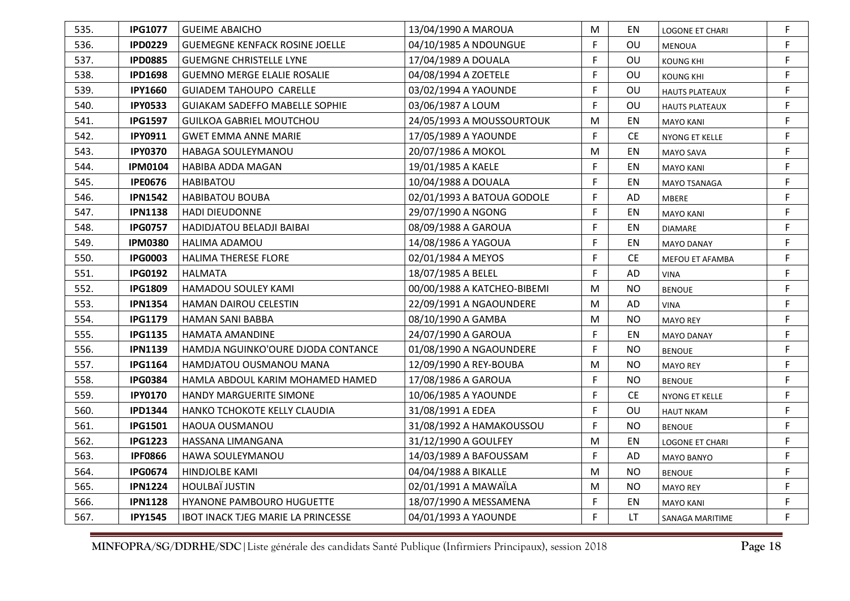| 535. | <b>IPG1077</b> | <b>GUEIME ABAICHO</b>                 | 13/04/1990 A MAROUA         | M         | ΕN        | <b>LOGONE ET CHARI</b> | F |
|------|----------------|---------------------------------------|-----------------------------|-----------|-----------|------------------------|---|
| 536. | <b>IPD0229</b> | <b>GUEMEGNE KENFACK ROSINE JOELLE</b> | 04/10/1985 A NDOUNGUE       | F         | OU        | <b>MENOUA</b>          | F |
| 537. | <b>IPD0885</b> | <b>GUEMGNE CHRISTELLE LYNE</b>        | 17/04/1989 A DOUALA         | F         | OU        | <b>KOUNG KHI</b>       | F |
| 538. | <b>IPD1698</b> | <b>GUEMNO MERGE ELALIE ROSALIE</b>    | 04/08/1994 A ZOETELE        | F         | OU        | KOUNG KHI              | F |
| 539. | <b>IPY1660</b> | <b>GUIADEM TAHOUPO CARELLE</b>        | 03/02/1994 A YAOUNDE        | F         | OU        | <b>HAUTS PLATEAUX</b>  | F |
| 540. | <b>IPY0533</b> | <b>GUIAKAM SADEFFO MABELLE SOPHIE</b> | 03/06/1987 A LOUM           | F         | OU        | <b>HAUTS PLATEAUX</b>  | F |
| 541. | <b>IPG1597</b> | <b>GUILKOA GABRIEL MOUTCHOU</b>       | 24/05/1993 A MOUSSOURTOUK   | M         | EN        | <b>MAYO KANI</b>       | F |
| 542. | <b>IPY0911</b> | <b>GWET EMMA ANNE MARIE</b>           | 17/05/1989 A YAOUNDE        | F         | <b>CE</b> | NYONG ET KELLE         | F |
| 543. | <b>IPY0370</b> | HABAGA SOULEYMANOU                    | 20/07/1986 A MOKOL          | ${\sf M}$ | EN        | MAYO SAVA              | F |
| 544. | <b>IPM0104</b> | HABIBA ADDA MAGAN                     | 19/01/1985 A KAELE          | F         | EN        | <b>MAYO KANI</b>       | F |
| 545. | <b>IPE0676</b> | HABIBATOU                             | 10/04/1988 A DOUALA         | F         | EN        | MAYO TSANAGA           | F |
| 546. | <b>IPN1542</b> | <b>HABIBATOU BOUBA</b>                | 02/01/1993 A BATOUA GODOLE  | F         | AD        | MBERE                  | F |
| 547. | <b>IPN1138</b> | <b>HADI DIEUDONNE</b>                 | 29/07/1990 A NGONG          | F         | EN        | <b>MAYO KANI</b>       | F |
| 548. | <b>IPG0757</b> | <b>HADIDJATOU BELADJI BAIBAI</b>      | 08/09/1988 A GAROUA         | F         | EN        | <b>DIAMARE</b>         | F |
| 549. | <b>IPM0380</b> | <b>HALIMA ADAMOU</b>                  | 14/08/1986 A YAGOUA         | F         | EN        | <b>MAYO DANAY</b>      | F |
| 550. | <b>IPG0003</b> | <b>HALIMA THERESE FLORE</b>           | 02/01/1984 A MEYOS          | F         | <b>CE</b> | MEFOU ET AFAMBA        | F |
| 551. | <b>IPG0192</b> | <b>HALMATA</b>                        | 18/07/1985 A BELEL          | F         | AD        | <b>VINA</b>            | F |
| 552. | <b>IPG1809</b> | HAMADOU SOULEY KAMI                   | 00/00/1988 A KATCHEO-BIBEMI | M         | <b>NO</b> | <b>BENOUE</b>          | F |
| 553. | <b>IPN1354</b> | <b>HAMAN DAIROU CELESTIN</b>          | 22/09/1991 A NGAOUNDERE     | M         | <b>AD</b> | <b>VINA</b>            | F |
| 554. | <b>IPG1179</b> | HAMAN SANI BABBA                      | 08/10/1990 A GAMBA          | M         | <b>NO</b> | <b>MAYO REY</b>        | F |
| 555. | <b>IPG1135</b> | HAMATA AMANDINE                       | 24/07/1990 A GAROUA         | F         | ΕN        | <b>MAYO DANAY</b>      | F |
| 556. | <b>IPN1139</b> | HAMDJA NGUINKO'OURE DJODA CONTANCE    | 01/08/1990 A NGAOUNDERE     | F         | <b>NO</b> | <b>BENOUE</b>          | F |
| 557. | <b>IPG1164</b> | HAMDJATOU OUSMANOU MANA               | 12/09/1990 A REY-BOUBA      | M         | <b>NO</b> | <b>MAYO REY</b>        | F |
| 558. | <b>IPG0384</b> | HAMLA ABDOUL KARIM MOHAMED HAMED      | 17/08/1986 A GAROUA         | F         | <b>NO</b> | <b>BENOUE</b>          | F |
| 559. | <b>IPY0170</b> | <b>HANDY MARGUERITE SIMONE</b>        | 10/06/1985 A YAOUNDE        | F         | CE.       | NYONG ET KELLE         | F |
| 560. | <b>IPD1344</b> | HANKO TCHOKOTE KELLY CLAUDIA          | 31/08/1991 A EDEA           | F         | OU        | <b>HAUT NKAM</b>       | F |
| 561. | <b>IPG1501</b> | HAOUA OUSMANOU                        | 31/08/1992 A HAMAKOUSSOU    | F         | <b>NO</b> | <b>BENOUE</b>          | F |
| 562. | <b>IPG1223</b> | HASSANA LIMANGANA                     | 31/12/1990 A GOULFEY        | M         | EN        | <b>LOGONE ET CHARI</b> | F |
| 563. | <b>IPF0866</b> | HAWA SOULEYMANOU                      | 14/03/1989 A BAFOUSSAM      | F         | AD        | MAYO BANYO             | F |
| 564. | <b>IPG0674</b> | <b>HINDJOLBE KAMI</b>                 | 04/04/1988 A BIKALLE        | M         | <b>NO</b> | <b>BENOUE</b>          | F |
| 565. | <b>IPN1224</b> | <b>HOULBAÏ JUSTIN</b>                 | 02/01/1991 A MAWAÏLA        | M         | <b>NO</b> | <b>MAYO REY</b>        | F |
| 566. | <b>IPN1128</b> | HYANONE PAMBOURO HUGUETTE             | 18/07/1990 A MESSAMENA      | F         | EN        | <b>MAYO KANI</b>       | F |
| 567. | <b>IPY1545</b> | IBOT INACK TJEG MARIE LA PRINCESSE    | 04/01/1993 A YAOUNDE        | F         | LT        | <b>SANAGA MARITIME</b> | F |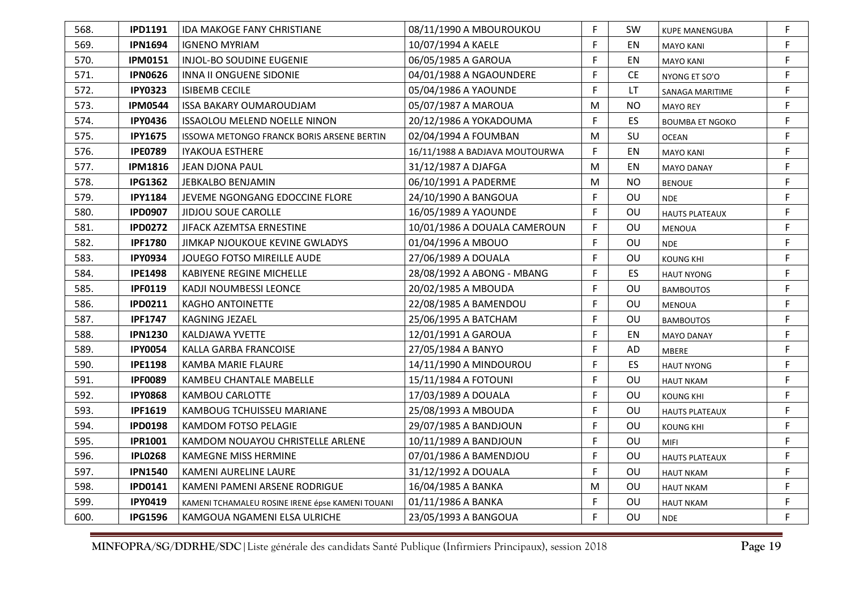| 568. | <b>IPD1191</b> | <b>IDA MAKOGE FANY CHRISTIANE</b>                | 08/11/1990 A MBOUROUKOU        | F | <b>SW</b> | <b>KUPE MANENGUBA</b>  | F |
|------|----------------|--------------------------------------------------|--------------------------------|---|-----------|------------------------|---|
| 569. | <b>IPN1694</b> | <b>IGNENO MYRIAM</b>                             | 10/07/1994 A KAELE             | F | EN        | <b>MAYO KANI</b>       | F |
| 570. | <b>IPM0151</b> | INJOL-BO SOUDINE EUGENIE                         | 06/05/1985 A GAROUA            | F | EN        | <b>MAYO KANI</b>       | F |
| 571. | <b>IPN0626</b> | <b>INNA II ONGUENE SIDONIE</b>                   | 04/01/1988 A NGAOUNDERE        | F | <b>CE</b> | NYONG ET SO'O          | F |
| 572. | <b>IPY0323</b> | <b>ISIBEMB CECILE</b>                            | 05/04/1986 A YAOUNDE           | F | LT        | SANAGA MARITIME        | F |
| 573. | <b>IPM0544</b> | <b>ISSA BAKARY OUMAROUDJAM</b>                   | 05/07/1987 A MAROUA            | M | <b>NO</b> | <b>MAYO REY</b>        | F |
| 574. | <b>IPY0436</b> | <b>ISSAOLOU MELEND NOELLE NINON</b>              | 20/12/1986 A YOKADOUMA         | F | ES        | <b>BOUMBA ET NGOKO</b> | F |
| 575. | <b>IPY1675</b> | ISSOWA METONGO FRANCK BORIS ARSENE BERTIN        | 02/04/1994 A FOUMBAN           | M | SU        | OCEAN                  | F |
| 576. | <b>IPE0789</b> | <b>IYAKOUA ESTHERE</b>                           | 16/11/1988 A BADJAVA MOUTOURWA | F | EN        | <b>MAYO KANI</b>       | F |
| 577. | <b>IPM1816</b> | JEAN DJONA PAUL                                  | 31/12/1987 A DJAFGA            | M | EN        | <b>MAYO DANAY</b>      | F |
| 578. | <b>IPG1362</b> | JEBKALBO BENJAMIN                                | 06/10/1991 A PADERME           | M | <b>NO</b> | <b>BENOUE</b>          | F |
| 579. | <b>IPY1184</b> | JEVEME NGONGANG EDOCCINE FLORE                   | 24/10/1990 A BANGOUA           | F | <b>OU</b> | <b>NDE</b>             | F |
| 580. | <b>IPD0907</b> | <b>JIDJOU SOUE CAROLLE</b>                       | 16/05/1989 A YAOUNDE           | F | ΟU        | <b>HAUTS PLATEAUX</b>  | F |
| 581. | <b>IPD0272</b> | JIFACK AZEMTSA ERNESTINE                         | 10/01/1986 A DOUALA CAMEROUN   | F | OU        | <b>MENOUA</b>          | F |
| 582. | <b>IPF1780</b> | JIMKAP NJOUKOUE KEVINE GWLADYS                   | 01/04/1996 A MBOUO             | F | OU        | <b>NDE</b>             | F |
| 583. | <b>IPY0934</b> | JOUEGO FOTSO MIREILLE AUDE                       | 27/06/1989 A DOUALA            | F | OU        | <b>KOUNG KHI</b>       | F |
| 584. | <b>IPE1498</b> | KABIYENE REGINE MICHELLE                         | 28/08/1992 A ABONG - MBANG     | F | ES        | <b>HAUT NYONG</b>      | F |
| 585. | <b>IPF0119</b> | KADJI NOUMBESSI LEONCE                           | 20/02/1985 A MBOUDA            | F | OU        | <b>BAMBOUTOS</b>       | F |
| 586. | <b>IPD0211</b> | <b>KAGHO ANTOINETTE</b>                          | 22/08/1985 A BAMENDOU          | F | OU        | <b>MENOUA</b>          | F |
| 587. | <b>IPF1747</b> | <b>KAGNING JEZAEL</b>                            | 25/06/1995 A BATCHAM           | F | OU        | <b>BAMBOUTOS</b>       | F |
| 588. | <b>IPN1230</b> | KALDJAWA YVETTE                                  | 12/01/1991 A GAROUA            | F | EN        | <b>MAYO DANAY</b>      | F |
| 589. | <b>IPY0054</b> | KALLA GARBA FRANCOISE                            | 27/05/1984 A BANYO             | F | AD        | <b>MBERE</b>           | F |
| 590. | <b>IPE1198</b> | KAMBA MARIE FLAURE                               | 14/11/1990 A MINDOUROU         | F | <b>ES</b> | <b>HAUT NYONG</b>      | F |
| 591. | <b>IPF0089</b> | <b>KAMBEU CHANTALE MABELLE</b>                   | 15/11/1984 A FOTOUNI           | F | OU        | <b>HAUT NKAM</b>       | F |
| 592. | <b>IPY0868</b> | KAMBOU CARLOTTE                                  | 17/03/1989 A DOUALA            | F | OU.       | <b>KOUNG KHI</b>       | F |
| 593. | <b>IPF1619</b> | KAMBOUG TCHUISSEU MARIANE                        | 25/08/1993 A MBOUDA            | F | OU        | <b>HAUTS PLATEAUX</b>  | F |
| 594. | <b>IPD0198</b> | KAMDOM FOTSO PELAGIE                             | 29/07/1985 A BANDJOUN          | F | OU        | KOUNG KHI              | F |
| 595. | <b>IPR1001</b> | KAMDOM NOUAYOU CHRISTELLE ARLENE                 | 10/11/1989 A BANDJOUN          | F | OU        | MIFI                   | F |
| 596. | <b>IPL0268</b> | <b>KAMEGNE MISS HERMINE</b>                      | 07/01/1986 A BAMENDJOU         | F | OU        | <b>HAUTS PLATEAUX</b>  | F |
| 597. | <b>IPN1540</b> | KAMENI AURELINE LAURE                            | 31/12/1992 A DOUALA            | F | <b>OU</b> | <b>HAUT NKAM</b>       | F |
| 598. | <b>IPD0141</b> | KAMENI PAMENI ARSENE RODRIGUE                    | 16/04/1985 A BANKA             | M | OU        | <b>HAUT NKAM</b>       | F |
| 599. | <b>IPY0419</b> | KAMENI TCHAMALEU ROSINE IRENE épse KAMENI TOUANI | 01/11/1986 A BANKA             | F | OU        | <b>HAUT NKAM</b>       | F |
| 600. | <b>IPG1596</b> | KAMGOUA NGAMENI ELSA ULRICHE                     | 23/05/1993 A BANGOUA           | F | OU        | <b>NDE</b>             | F |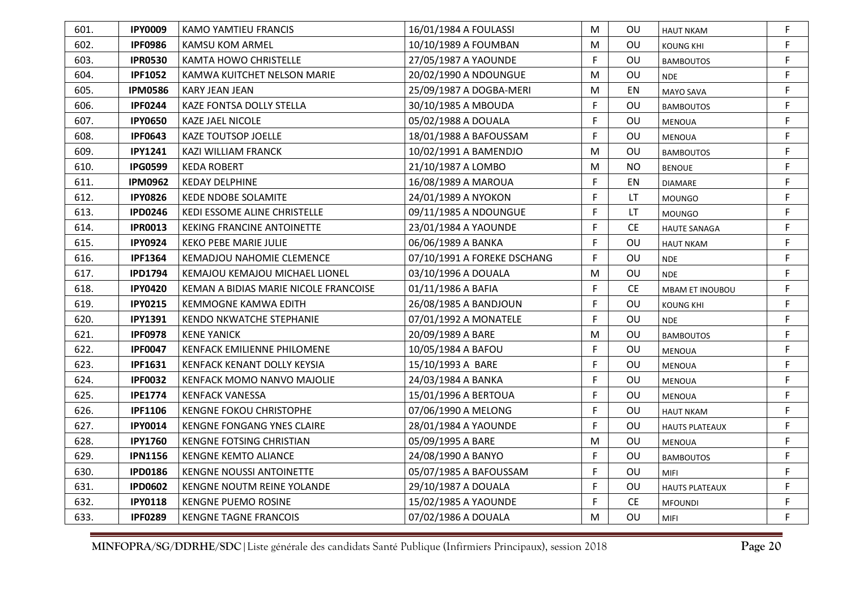| 601. | <b>IPY0009</b> | KAMO YAMTIEU FRANCIS                  | 16/01/1984 A FOULASSI       | M | OU.       | <b>HAUT NKAM</b>       | F           |
|------|----------------|---------------------------------------|-----------------------------|---|-----------|------------------------|-------------|
| 602. | <b>IPF0986</b> | KAMSU KOM ARMEL                       | 10/10/1989 A FOUMBAN        | M | <b>OU</b> | KOUNG KHI              | F           |
| 603. | <b>IPR0530</b> | <b>KAMTA HOWO CHRISTELLE</b>          | 27/05/1987 A YAOUNDE        | F | OU        | <b>BAMBOUTOS</b>       | F           |
| 604. | <b>IPF1052</b> | KAMWA KUITCHET NELSON MARIE           | 20/02/1990 A NDOUNGUE       | M | OU        | <b>NDE</b>             | F           |
| 605. | <b>IPM0586</b> | <b>KARY JEAN JEAN</b>                 | 25/09/1987 A DOGBA-MERI     | М | EN        | <b>MAYO SAVA</b>       | F           |
| 606. | <b>IPF0244</b> | KAZE FONTSA DOLLY STELLA              | 30/10/1985 A MBOUDA         | F | OU        | <b>BAMBOUTOS</b>       | F           |
| 607. | <b>IPY0650</b> | <b>KAZE JAEL NICOLE</b>               | 05/02/1988 A DOUALA         | F | OU        | <b>MENOUA</b>          | $\mathsf F$ |
| 608. | <b>IPF0643</b> | <b>KAZE TOUTSOP JOELLE</b>            | 18/01/1988 A BAFOUSSAM      | F | OU        | <b>MENOUA</b>          | F.          |
| 609. | <b>IPY1241</b> | KAZI WILLIAM FRANCK                   | 10/02/1991 A BAMENDJO       | M | OU        | <b>BAMBOUTOS</b>       | $\mathsf F$ |
| 610. | <b>IPG0599</b> | <b>KEDA ROBERT</b>                    | 21/10/1987 A LOMBO          | M | <b>NO</b> | <b>BENOUE</b>          | F           |
| 611. | <b>IPM0962</b> | <b>KEDAY DELPHINE</b>                 | 16/08/1989 A MAROUA         | F | EN        | <b>DIAMARE</b>         | $\mathsf F$ |
| 612. | <b>IPY0826</b> | <b>KEDE NDOBE SOLAMITE</b>            | 24/01/1989 A NYOKON         | F | LT        | <b>MOUNGO</b>          | F           |
| 613. | <b>IPD0246</b> | KEDI ESSOME ALINE CHRISTELLE          | 09/11/1985 A NDOUNGUE       | F | LT.       | <b>MOUNGO</b>          | $\mathsf F$ |
| 614. | <b>IPR0013</b> | <b>KEKING FRANCINE ANTOINETTE</b>     | 23/01/1984 A YAOUNDE        | F | CE.       | <b>HAUTE SANAGA</b>    | F           |
| 615. | <b>IPY0924</b> | <b>KEKO PEBE MARIE JULIE</b>          | 06/06/1989 A BANKA          | F | OU        | <b>HAUT NKAM</b>       | $\mathsf F$ |
| 616. | <b>IPF1364</b> | <b>KEMADJOU NAHOMIE CLEMENCE</b>      | 07/10/1991 A FOREKE DSCHANG | F | OU        | <b>NDE</b>             | F           |
| 617. | <b>IPD1794</b> | KEMAJOU KEMAJOU MICHAEL LIONEL        | 03/10/1996 A DOUALA         | M | OU        | <b>NDE</b>             | $\mathsf F$ |
| 618. | <b>IPY0420</b> | KEMAN A BIDIAS MARIE NICOLE FRANCOISE | 01/11/1986 A BAFIA          | F | <b>CE</b> | <b>MBAM ET INOUBOU</b> | $\mathsf F$ |
| 619. | <b>IPY0215</b> | KEMMOGNE KAMWA EDITH                  | 26/08/1985 A BANDJOUN       | F | OU        | <b>KOUNG KHI</b>       | F           |
| 620. | <b>IPY1391</b> | <b>KENDO NKWATCHE STEPHANIE</b>       | 07/01/1992 A MONATELE       | F | OU        | <b>NDE</b>             | F           |
| 621. | <b>IPF0978</b> | <b>KENE YANICK</b>                    | 20/09/1989 A BARE           | M | OU        | <b>BAMBOUTOS</b>       | F           |
| 622. | <b>IPF0047</b> | KENFACK EMILIENNE PHILOMENE           | 10/05/1984 A BAFOU          | F | <b>OU</b> | <b>MENOUA</b>          | F           |
| 623. | <b>IPF1631</b> | KENFACK KENANT DOLLY KEYSIA           | 15/10/1993 A BARE           | F | OU        | MENOUA                 | F           |
| 624. | <b>IPF0032</b> | KENFACK MOMO NANVO MAJOLIE            | 24/03/1984 A BANKA          | F | OU        | <b>MENOUA</b>          | $\mathsf F$ |
| 625. | <b>IPE1774</b> | <b>KENFACK VANESSA</b>                | 15/01/1996 A BERTOUA        | F | OU        | <b>MENOUA</b>          | F           |
| 626. | <b>IPF1106</b> | <b>KENGNE FOKOU CHRISTOPHE</b>        | 07/06/1990 A MELONG         | F | OU        | <b>HAUT NKAM</b>       | F           |
| 627. | <b>IPY0014</b> | KENGNE FONGANG YNES CLAIRE            | 28/01/1984 A YAOUNDE        | F | OU        | <b>HAUTS PLATEAUX</b>  | F           |
| 628. | <b>IPY1760</b> | <b>KENGNE FOTSING CHRISTIAN</b>       | 05/09/1995 A BARE           | M | OU        | <b>MENOUA</b>          | F           |
| 629. | <b>IPN1156</b> | <b>KENGNE KEMTO ALIANCE</b>           | 24/08/1990 A BANYO          | F | OU        | <b>BAMBOUTOS</b>       | $\mathsf F$ |
| 630. | <b>IPD0186</b> | <b>KENGNE NOUSSI ANTOINETTE</b>       | 05/07/1985 A BAFOUSSAM      | F | OU        | <b>MIFI</b>            | F.          |
| 631. | <b>IPD0602</b> | KENGNE NOUTM REINE YOLANDE            | 29/10/1987 A DOUALA         | F | OU        | <b>HAUTS PLATEAUX</b>  | F           |
| 632. | <b>IPY0118</b> | <b>KENGNE PUEMO ROSINE</b>            | 15/02/1985 A YAOUNDE        | F | <b>CE</b> | <b>MFOUNDI</b>         | F           |
| 633. | <b>IPF0289</b> | <b>KENGNE TAGNE FRANCOIS</b>          | 07/02/1986 A DOUALA         | М | OU        | MIFI                   | F.          |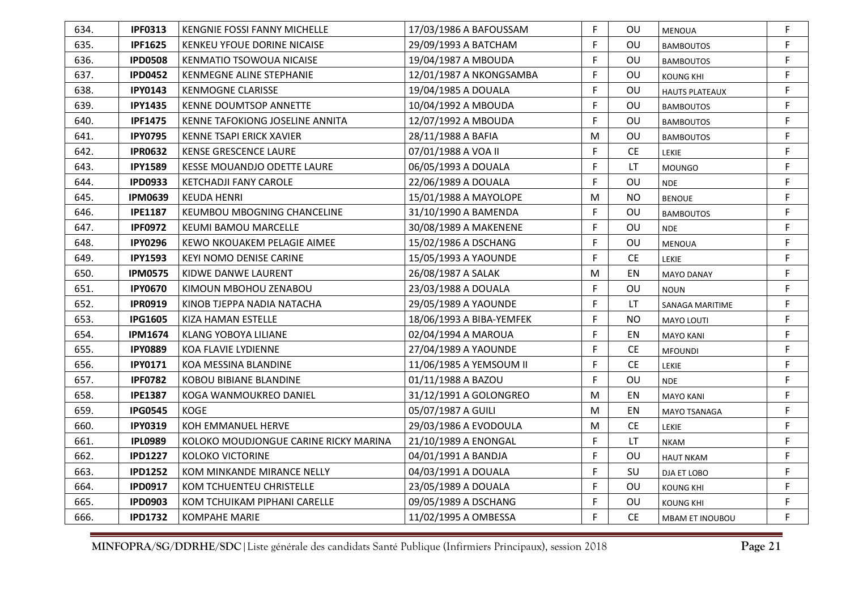| 634. | <b>IPF0313</b> | KENGNIE FOSSI FANNY MICHELLE          | 17/03/1986 A BAFOUSSAM   | F  | OU             | <b>MENOUA</b>          | F |
|------|----------------|---------------------------------------|--------------------------|----|----------------|------------------------|---|
| 635. | <b>IPF1625</b> | KENKEU YFOUE DORINE NICAISE           | 29/09/1993 A BATCHAM     | F  | OU             | <b>BAMBOUTOS</b>       | F |
| 636. | <b>IPD0508</b> | KENMATIO TSOWOUA NICAISE              | 19/04/1987 A MBOUDA      | F  | OU             | <b>BAMBOUTOS</b>       | F |
| 637. | <b>IPD0452</b> | KENMEGNE ALINE STEPHANIE              | 12/01/1987 A NKONGSAMBA  | F  | OU             | <b>KOUNG KHI</b>       | F |
| 638. | <b>IPY0143</b> | <b>KENMOGNE CLARISSE</b>              | 19/04/1985 A DOUALA      | F  | OU             | <b>HAUTS PLATEAUX</b>  | F |
| 639. | <b>IPY1435</b> | <b>KENNE DOUMTSOP ANNETTE</b>         | 10/04/1992 A MBOUDA      | F  | OU             | <b>BAMBOUTOS</b>       | F |
| 640. | <b>IPF1475</b> | KENNE TAFOKIONG JOSELINE ANNITA       | 12/07/1992 A MBOUDA      | F  | OU             | <b>BAMBOUTOS</b>       | F |
| 641. | <b>IPY0795</b> | KENNE TSAPI ERICK XAVIER              | 28/11/1988 A BAFIA       | M  | OU             | <b>BAMBOUTOS</b>       | F |
| 642. | <b>IPR0632</b> | KENSE GRESCENCE LAURE                 | 07/01/1988 A VOA II      | F  | <b>CE</b>      | LEKIE                  | F |
| 643. | <b>IPY1589</b> | KESSE MOUANDJO ODETTE LAURE           | 06/05/1993 A DOUALA      | F  | <b>LT</b>      | <b>MOUNGO</b>          | F |
| 644. | <b>IPD0933</b> | KETCHADJI FANY CAROLE                 | 22/06/1989 A DOUALA      | F  | OU             | <b>NDE</b>             | F |
| 645. | <b>IPM0639</b> | <b>KEUDA HENRI</b>                    | 15/01/1988 A MAYOLOPE    | M  | <b>NO</b>      | <b>BENOUE</b>          | F |
| 646. | <b>IPE1187</b> | KEUMBOU MBOGNING CHANCELINE           | 31/10/1990 A BAMENDA     | F  | OU             | <b>BAMBOUTOS</b>       | F |
| 647. | <b>IPF0972</b> | <b>KEUMI BAMOU MARCELLE</b>           | 30/08/1989 A MAKENENE    | F  | OU             | <b>NDE</b>             | F |
| 648. | <b>IPY0296</b> | KEWO NKOUAKEM PELAGIE AIMEE           | 15/02/1986 A DSCHANG     | F  | OU             | <b>MENOUA</b>          | F |
| 649. | <b>IPY1593</b> | <b>KEYI NOMO DENISE CARINE</b>        | 15/05/1993 A YAOUNDE     | F  | <b>CE</b>      | LEKIE                  | F |
| 650. | <b>IPM0575</b> | KIDWE DANWE LAURENT                   | 26/08/1987 A SALAK       | M  | EN             | <b>MAYO DANAY</b>      | F |
| 651. | <b>IPY0670</b> | KIMOUN MBOHOU ZENABOU                 | 23/03/1988 A DOUALA      | F  | OU             | <b>NOUN</b>            | F |
| 652. | <b>IPR0919</b> | KINOB TJEPPA NADIA NATACHA            | 29/05/1989 A YAOUNDE     | F  | LT.            | SANAGA MARITIME        | F |
| 653. | <b>IPG1605</b> | KIZA HAMAN ESTELLE                    | 18/06/1993 A BIBA-YEMFEK | F  | N <sub>O</sub> | <b>MAYO LOUTI</b>      | F |
| 654. | <b>IPM1674</b> | KLANG YOBOYA LILIANE                  | 02/04/1994 A MAROUA      | F  | ΕN             | <b>MAYO KANI</b>       | F |
| 655. | <b>IPY0889</b> | KOA FLAVIE LYDIENNE                   | 27/04/1989 A YAOUNDE     | F  | <b>CE</b>      | <b>MFOUNDI</b>         | F |
| 656. | <b>IPY0171</b> | KOA MESSINA BLANDINE                  | 11/06/1985 A YEMSOUM II  | F  | CE.            | LEKIE                  | F |
| 657. | <b>IPF0782</b> | <b>KOBOU BIBIANE BLANDINE</b>         | 01/11/1988 A BAZOU       | F  | OU             | <b>NDE</b>             | F |
| 658. | <b>IPE1387</b> | KOGA WANMOUKREO DANIEL                | 31/12/1991 A GOLONGREO   | M  | EN             | <b>MAYO KANI</b>       | F |
| 659. | <b>IPG0545</b> | <b>KOGE</b>                           | 05/07/1987 A GUILI       | M  | EN             | <b>MAYO TSANAGA</b>    | F |
| 660. | <b>IPY0319</b> | KOH EMMANUEL HERVE                    | 29/03/1986 A EVODOULA    | M  | <b>CE</b>      | <b>LEKIE</b>           | F |
| 661. | <b>IPL0989</b> | KOLOKO MOUDJONGUE CARINE RICKY MARINA | 21/10/1989 A ENONGAL     | F  | <b>LT</b>      | <b>NKAM</b>            | F |
| 662. | <b>IPD1227</b> | <b>KOLOKO VICTORINE</b>               | 04/01/1991 A BANDJA      | F  | OU             | <b>HAUT NKAM</b>       | F |
| 663. | <b>IPD1252</b> | KOM MINKANDE MIRANCE NELLY            | 04/03/1991 A DOUALA      | F  | SU             | DJA ET LOBO            | F |
| 664. | <b>IPD0917</b> | <b>KOM TCHUENTEU CHRISTELLE</b>       | 23/05/1989 A DOUALA      | F. | <b>OU</b>      | <b>KOUNG KHI</b>       | F |
| 665. | <b>IPD0903</b> | KOM TCHUIKAM PIPHANI CARELLE          | 09/05/1989 A DSCHANG     | F  | OU             | KOUNG KHI              | F |
| 666. | <b>IPD1732</b> | <b>KOMPAHE MARIE</b>                  | 11/02/1995 A OMBESSA     | F  | <b>CE</b>      | <b>MBAM ET INOUBOU</b> | F |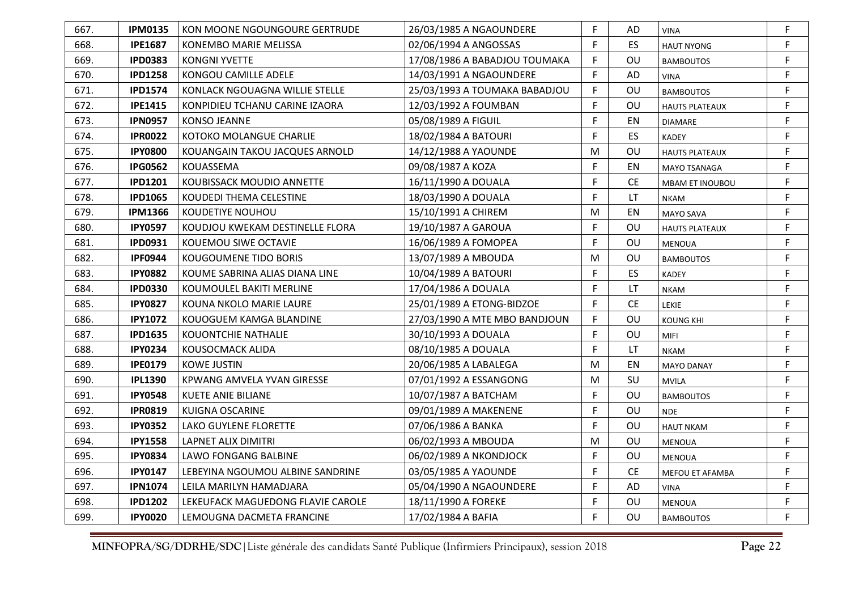| 667. | <b>IPM0135</b> | KON MOONE NGOUNGOURE GERTRUDE     | 26/03/1985 A NGAOUNDERE       | F  | AD        | <b>VINA</b>            | F           |
|------|----------------|-----------------------------------|-------------------------------|----|-----------|------------------------|-------------|
| 668. | <b>IPE1687</b> | KONEMBO MARIE MELISSA             | 02/06/1994 A ANGOSSAS         | F  | <b>ES</b> | <b>HAUT NYONG</b>      | F           |
| 669. | <b>IPD0383</b> | <b>KONGNI YVETTE</b>              | 17/08/1986 A BABADJOU TOUMAKA | F  | OU        | <b>BAMBOUTOS</b>       | F           |
| 670. | <b>IPD1258</b> | KONGOU CAMILLE ADELE              | 14/03/1991 A NGAOUNDERE       | F  | AD        | <b>VINA</b>            | F           |
| 671. | <b>IPD1574</b> | KONLACK NGOUAGNA WILLIE STELLE    | 25/03/1993 A TOUMAKA BABADJOU | F  | OU        | <b>BAMBOUTOS</b>       | F           |
| 672. | <b>IPE1415</b> | KONPIDIEU TCHANU CARINE IZAORA    | 12/03/1992 A FOUMBAN          | F  | OU        | <b>HAUTS PLATEAUX</b>  | F           |
| 673. | <b>IPN0957</b> | <b>KONSO JEANNE</b>               | 05/08/1989 A FIGUIL           | F  | EN        | <b>DIAMARE</b>         | F           |
| 674. | <b>IPR0022</b> | KOTOKO MOLANGUE CHARLIE           | 18/02/1984 A BATOURI          | F  | ES        | <b>KADEY</b>           | F           |
| 675. | <b>IPY0800</b> | KOUANGAIN TAKOU JACQUES ARNOLD    | 14/12/1988 A YAOUNDE          | M  | OU        | <b>HAUTS PLATEAUX</b>  | F           |
| 676. | <b>IPG0562</b> | KOUASSEMA                         | 09/08/1987 A KOZA             | F  | ΕN        | MAYO TSANAGA           | $\mathsf F$ |
| 677. | <b>IPD1201</b> | KOUBISSACK MOUDIO ANNETTE         | 16/11/1990 A DOUALA           | F  | <b>CE</b> | <b>MBAM ET INOUBOU</b> | F           |
| 678. | <b>IPD1065</b> | KOUDEDI THEMA CELESTINE           | 18/03/1990 A DOUALA           | F  | LT        | <b>NKAM</b>            | F           |
| 679. | <b>IPM1366</b> | <b>KOUDETIYE NOUHOU</b>           | 15/10/1991 A CHIREM           | M  | EN        | <b>MAYO SAVA</b>       | F           |
| 680. | <b>IPY0597</b> | KOUDJOU KWEKAM DESTINELLE FLORA   | 19/10/1987 A GAROUA           | F  | OU        | <b>HAUTS PLATEAUX</b>  | F           |
| 681. | <b>IPD0931</b> | KOUEMOU SIWE OCTAVIE              | 16/06/1989 A FOMOPEA          | F  | OU        | <b>MENOUA</b>          | F           |
| 682. | <b>IPF0944</b> | KOUGOUMENE TIDO BORIS             | 13/07/1989 A MBOUDA           | M  | <b>OU</b> | <b>BAMBOUTOS</b>       | F           |
| 683. | <b>IPY0882</b> | KOUME SABRINA ALIAS DIANA LINE    | 10/04/1989 A BATOURI          | F  | ES        | <b>KADEY</b>           | F           |
| 684. | <b>IPD0330</b> | KOUMOULEL BAKITI MERLINE          | 17/04/1986 A DOUALA           | F  | LT        | <b>NKAM</b>            | F           |
| 685. | <b>IPY0827</b> | KOUNA NKOLO MARIE LAURE           | 25/01/1989 A ETONG-BIDZOE     | F  | <b>CE</b> | LEKIE                  | F           |
| 686. | <b>IPY1072</b> | KOUOGUEM KAMGA BLANDINE           | 27/03/1990 A MTE MBO BANDJOUN | F. | OU        | <b>KOUNG KHI</b>       | F           |
| 687. | <b>IPD1635</b> | <b>KOUONTCHIE NATHALIE</b>        | 30/10/1993 A DOUALA           | F  | OU        | <b>MIFI</b>            | F           |
| 688. | <b>IPY0234</b> | KOUSOCMACK ALIDA                  | 08/10/1985 A DOUALA           | F  | LT.       | <b>NKAM</b>            | F           |
| 689. | <b>IPE0179</b> | KOWE JUSTIN                       | 20/06/1985 A LABALEGA         | М  | EN        | <b>MAYO DANAY</b>      | F           |
| 690. | <b>IPL1390</b> | KPWANG AMVELA YVAN GIRESSE        | 07/01/1992 A ESSANGONG        | M  | SU        | <b>MVILA</b>           | F           |
| 691. | <b>IPY0548</b> | KUETE ANIE BILIANE                | 10/07/1987 A BATCHAM          | F  | OU        | <b>BAMBOUTOS</b>       | F           |
| 692. | <b>IPR0819</b> | <b>KUIGNA OSCARINE</b>            | 09/01/1989 A MAKENENE         | F  | OU        | <b>NDE</b>             | F           |
| 693. | <b>IPY0352</b> | LAKO GUYLENE FLORETTE             | 07/06/1986 A BANKA            | F  | OU        | <b>HAUT NKAM</b>       | F           |
| 694. | <b>IPY1558</b> | <b>LAPNET ALIX DIMITRI</b>        | 06/02/1993 A MBOUDA           | M  | OU        | <b>MENOUA</b>          | F           |
| 695. | <b>IPY0834</b> | LAWO FONGANG BALBINE              | 06/02/1989 A NKONDJOCK        | F  | OU        | <b>MENOUA</b>          | F           |
| 696. | <b>IPY0147</b> | LEBEYINA NGOUMOU ALBINE SANDRINE  | 03/05/1985 A YAOUNDE          | F  | <b>CE</b> | MEFOU ET AFAMBA        | F           |
| 697. | <b>IPN1074</b> | LEILA MARILYN HAMADJARA           | 05/04/1990 A NGAOUNDERE       | F  | AD        | <b>VINA</b>            | F           |
| 698. | <b>IPD1202</b> | LEKEUFACK MAGUEDONG FLAVIE CAROLE | 18/11/1990 A FOREKE           | F  | <b>OU</b> | <b>MENOUA</b>          | F           |
| 699. | <b>IPY0020</b> | LEMOUGNA DACMETA FRANCINE         | 17/02/1984 A BAFIA            | F  | OU        | <b>BAMBOUTOS</b>       | F           |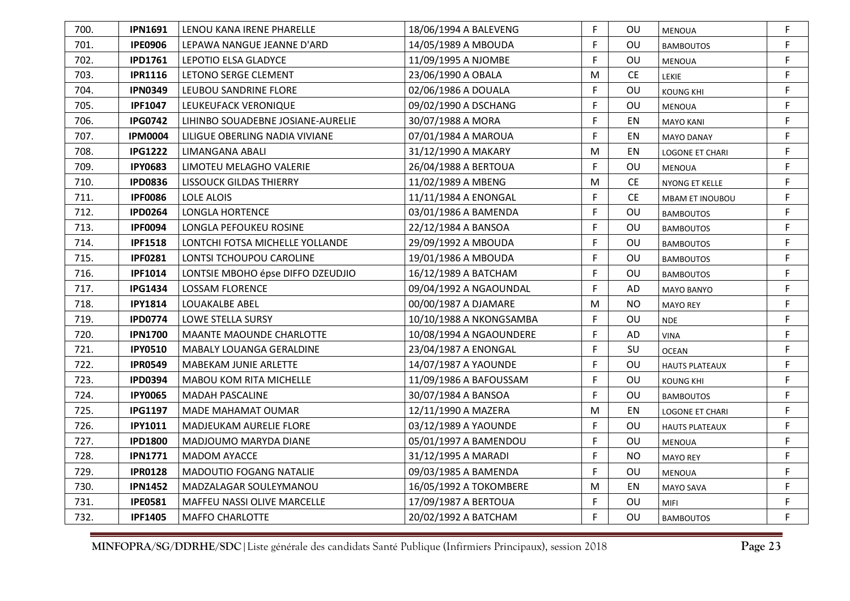| 700. | <b>IPN1691</b> | LENOU KANA IRENE PHARELLE          | 18/06/1994 A BALEVENG   | F | ου        | <b>MENOUA</b>          | F |
|------|----------------|------------------------------------|-------------------------|---|-----------|------------------------|---|
| 701. | <b>IPE0906</b> | LEPAWA NANGUE JEANNE D'ARD         | 14/05/1989 A MBOUDA     | F | OU        | <b>BAMBOUTOS</b>       | F |
| 702. | <b>IPD1761</b> | LEPOTIO ELSA GLADYCE               | 11/09/1995 A NJOMBE     | F | OU        | <b>MENOUA</b>          | F |
| 703. | <b>IPR1116</b> | LETONO SERGE CLEMENT               | 23/06/1990 A OBALA      | M | <b>CE</b> | <b>LEKIE</b>           | F |
| 704. | <b>IPN0349</b> | LEUBOU SANDRINE FLORE              | 02/06/1986 A DOUALA     | F | OU        | KOUNG KHI              | F |
| 705. | <b>IPF1047</b> | LEUKEUFACK VERONIQUE               | 09/02/1990 A DSCHANG    | F | OU        | <b>MENOUA</b>          | F |
| 706. | <b>IPG0742</b> | LIHINBO SOUADEBNE JOSIANE-AURELIE  | 30/07/1988 A MORA       | F | EN        | <b>MAYO KANI</b>       | F |
| 707. | <b>IPM0004</b> | LILIGUE OBERLING NADIA VIVIANE     | 07/01/1984 A MAROUA     | F | EN        | <b>MAYO DANAY</b>      | F |
| 708. | <b>IPG1222</b> | LIMANGANA ABALI                    | 31/12/1990 A MAKARY     | M | EN        | LOGONE ET CHARI        | F |
| 709. | <b>IPY0683</b> | LIMOTEU MELAGHO VALERIE            | 26/04/1988 A BERTOUA    | F | OU        | <b>MENOUA</b>          | F |
| 710. | <b>IPD0836</b> | <b>LISSOUCK GILDAS THIERRY</b>     | 11/02/1989 A MBENG      | M | <b>CE</b> | NYONG ET KELLE         | F |
| 711. | <b>IPF0086</b> | LOLE ALOIS                         | 11/11/1984 A ENONGAL    | F | <b>CE</b> | MBAM ET INOUBOU        | F |
| 712. | <b>IPD0264</b> | <b>LONGLA HORTENCE</b>             | 03/01/1986 A BAMENDA    | F | OU        | <b>BAMBOUTOS</b>       | F |
| 713. | <b>IPF0094</b> | LONGLA PEFOUKEU ROSINE             | 22/12/1984 A BANSOA     | F | <b>OU</b> | <b>BAMBOUTOS</b>       | F |
| 714. | <b>IPF1518</b> | LONTCHI FOTSA MICHELLE YOLLANDE    | 29/09/1992 A MBOUDA     | F | OU        | <b>BAMBOUTOS</b>       | F |
| 715. | <b>IPF0281</b> | LONTSI TCHOUPOU CAROLINE           | 19/01/1986 A MBOUDA     | F | OU        | <b>BAMBOUTOS</b>       | F |
| 716. | <b>IPF1014</b> | LONTSIE MBOHO épse DIFFO DZEUDJIO  | 16/12/1989 A BATCHAM    | F | OU        | <b>BAMBOUTOS</b>       | F |
| 717. | <b>IPG1434</b> | LOSSAM FLORENCE                    | 09/04/1992 A NGAOUNDAL  | F | AD        | <b>MAYO BANYO</b>      | F |
| 718. | <b>IPY1814</b> | LOUAKALBE ABEL                     | 00/00/1987 A DJAMARE    | м | <b>NO</b> | <b>MAYO REY</b>        | F |
| 719. | <b>IPD0774</b> | LOWE STELLA SURSY                  | 10/10/1988 A NKONGSAMBA | F | OU        | <b>NDE</b>             | F |
| 720. | <b>IPN1700</b> | <b>MAANTE MAOUNDE CHARLOTTE</b>    | 10/08/1994 A NGAOUNDERE | F | AD        | <b>VINA</b>            | F |
| 721. | <b>IPY0510</b> | MABALY LOUANGA GERALDINE           | 23/04/1987 A ENONGAL    | F | SU        | <b>OCEAN</b>           | F |
| 722. | <b>IPR0549</b> | MABEKAM JUNIE ARLETTE              | 14/07/1987 A YAOUNDE    | F | OU        | <b>HAUTS PLATEAUX</b>  | F |
| 723. | <b>IPD0394</b> | MABOU KOM RITA MICHELLE            | 11/09/1986 A BAFOUSSAM  | F | OU        | KOUNG KHI              | F |
| 724. | <b>IPY0065</b> | <b>MADAH PASCALINE</b>             | 30/07/1984 A BANSOA     | F | OU        | <b>BAMBOUTOS</b>       | F |
| 725. | <b>IPG1197</b> | <b>MADE MAHAMAT OUMAR</b>          | 12/11/1990 A MAZERA     | M | EN        | <b>LOGONE ET CHARI</b> | F |
| 726. | <b>IPY1011</b> | MADJEUKAM AURELIE FLORE            | 03/12/1989 A YAOUNDE    | F | OU        | <b>HAUTS PLATEAUX</b>  | F |
| 727. | <b>IPD1800</b> | MADJOUMO MARYDA DIANE              | 05/01/1997 A BAMENDOU   | F | OU        | <b>MENOUA</b>          | F |
| 728. | <b>IPN1771</b> | <b>MADOM AYACCE</b>                | 31/12/1995 A MARADI     | F | <b>NO</b> | <b>MAYO REY</b>        | F |
| 729. | <b>IPR0128</b> | MADOUTIO FOGANG NATALIE            | 09/03/1985 A BAMENDA    | F | OU        | <b>MENOUA</b>          | F |
| 730. | <b>IPN1452</b> | MADZALAGAR SOULEYMANOU             | 16/05/1992 A TOKOMBERE  | M | EN        | MAYO SAVA              | F |
| 731. | <b>IPE0581</b> | <b>MAFFEU NASSI OLIVE MARCELLE</b> | 17/09/1987 A BERTOUA    | F | OU        | MIFI                   | F |
| 732. | <b>IPF1405</b> | <b>MAFFO CHARLOTTE</b>             | 20/02/1992 A BATCHAM    | F | OU        | <b>BAMBOUTOS</b>       | F |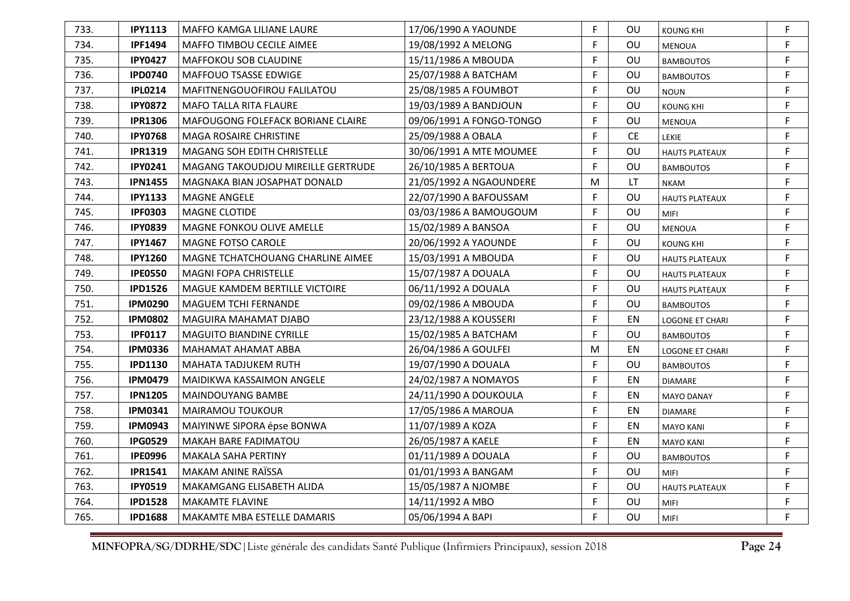| 733. | <b>IPY1113</b> | MAFFO KAMGA LILIANE LAURE                 | 17/06/1990 A YAOUNDE     | F | OU        | <b>KOUNG KHI</b>       | F |
|------|----------------|-------------------------------------------|--------------------------|---|-----------|------------------------|---|
| 734. | <b>IPF1494</b> | MAFFO TIMBOU CECILE AIMEE                 | 19/08/1992 A MELONG      | F | OU        | MENOUA                 | F |
| 735. | <b>IPY0427</b> | MAFFOKOU SOB CLAUDINE                     | 15/11/1986 A MBOUDA      | F | OU        | <b>BAMBOUTOS</b>       | F |
| 736. | <b>IPD0740</b> | MAFFOUO TSASSE EDWIGE                     | 25/07/1988 A BATCHAM     | F | OU        | <b>BAMBOUTOS</b>       | F |
| 737. | <b>IPL0214</b> | MAFITNENGOUOFIROU FALILATOU               | 25/08/1985 A FOUMBOT     | F | OU        | <b>NOUN</b>            | F |
| 738. | <b>IPY0872</b> | MAFO TALLA RITA FLAURE                    | 19/03/1989 A BANDJOUN    | F | OU        | <b>KOUNG KHI</b>       | F |
| 739. | <b>IPR1306</b> | MAFOUGONG FOLEFACK BORIANE CLAIRE         | 09/06/1991 A FONGO-TONGO | F | OU        | <b>MENOUA</b>          | F |
| 740. | <b>IPY0768</b> | MAGA ROSAIRE CHRISTINE                    | 25/09/1988 A OBALA       | F | <b>CE</b> | <b>LEKIE</b>           | F |
| 741. | <b>IPR1319</b> | MAGANG SOH EDITH CHRISTELLE               | 30/06/1991 A MTE MOUMEE  | F | OU        | <b>HAUTS PLATEAUX</b>  | F |
| 742. | <b>IPY0241</b> | <b>MAGANG TAKOUDJOU MIREILLE GERTRUDE</b> | 26/10/1985 A BERTOUA     | F | OU        | <b>BAMBOUTOS</b>       | F |
| 743. | <b>IPN1455</b> | MAGNAKA BIAN JOSAPHAT DONALD              | 21/05/1992 A NGAOUNDERE  | M | LT.       | <b>NKAM</b>            | F |
| 744. | <b>IPY1133</b> | MAGNE ANGELE                              | 22/07/1990 A BAFOUSSAM   | F | OU        | <b>HAUTS PLATEAUX</b>  | F |
| 745. | <b>IPF0303</b> | <b>MAGNE CLOTIDE</b>                      | 03/03/1986 A BAMOUGOUM   | F | OU        | MIFI                   | F |
| 746. | <b>IPY0839</b> | MAGNE FONKOU OLIVE AMELLE                 | 15/02/1989 A BANSOA      | F | OU        | <b>MENOUA</b>          | F |
| 747. | <b>IPY1467</b> | MAGNE FOTSO CAROLE                        | 20/06/1992 A YAOUNDE     | F | OU        | <b>KOUNG KHI</b>       | F |
| 748. | <b>IPY1260</b> | MAGNE TCHATCHOUANG CHARLINE AIMEE         | 15/03/1991 A MBOUDA      | F | OU        | <b>HAUTS PLATEAUX</b>  | F |
| 749. | <b>IPE0550</b> | <b>MAGNI FOPA CHRISTELLE</b>              | 15/07/1987 A DOUALA      | F | OU        | <b>HAUTS PLATEAUX</b>  | F |
| 750. | <b>IPD1526</b> | MAGUE KAMDEM BERTILLE VICTOIRE            | 06/11/1992 A DOUALA      | F | OU        | <b>HAUTS PLATEAUX</b>  | F |
| 751. | <b>IPM0290</b> | MAGUEM TCHI FERNANDE                      | 09/02/1986 A MBOUDA      | F | OU        | <b>BAMBOUTOS</b>       | F |
| 752. | <b>IPM0802</b> | MAGUIRA MAHAMAT DJABO                     | 23/12/1988 A KOUSSERI    | F | EN        | <b>LOGONE ET CHARI</b> | F |
| 753. | <b>IPF0117</b> | <b>MAGUITO BIANDINE CYRILLE</b>           | 15/02/1985 A BATCHAM     | F | OU        | <b>BAMBOUTOS</b>       | F |
| 754. | <b>IPM0336</b> | MAHAMAT AHAMAT ABBA                       | 26/04/1986 A GOULFEI     | M | EN        | <b>LOGONE ET CHARI</b> | F |
| 755. | <b>IPD1130</b> | <b>MAHATA TADJUKEM RUTH</b>               | 19/07/1990 A DOUALA      | F | OU        | <b>BAMBOUTOS</b>       | F |
| 756. | <b>IPM0479</b> | MAIDIKWA KASSAIMON ANGELE                 | 24/02/1987 A NOMAYOS     | F | EN        | <b>DIAMARE</b>         | F |
| 757. | <b>IPN1205</b> | MAINDOUYANG BAMBE                         | 24/11/1990 A DOUKOULA    | F | EN        | <b>MAYO DANAY</b>      | F |
| 758. | <b>IPM0341</b> | <b>MAIRAMOU TOUKOUR</b>                   | 17/05/1986 A MAROUA      | F | EN        | <b>DIAMARE</b>         | F |
| 759. | <b>IPM0943</b> | MAIYINWE SIPORA épse BONWA                | 11/07/1989 A KOZA        | F | ΕN        | <b>MAYO KANI</b>       | F |
| 760. | <b>IPG0529</b> | MAKAH BARE FADIMATOU                      | 26/05/1987 A KAELE       | F | EN        | <b>MAYO KANI</b>       | F |
| 761. | <b>IPE0996</b> | MAKALA SAHA PERTINY                       | 01/11/1989 A DOUALA      | F | OU        | <b>BAMBOUTOS</b>       | F |
| 762. | <b>IPR1541</b> | MAKAM ANINE RAÏSSA                        | 01/01/1993 A BANGAM      | F | OU        | <b>MIFI</b>            | F |
| 763. | <b>IPY0519</b> | MAKAMGANG ELISABETH ALIDA                 | 15/05/1987 A NJOMBE      | F | OU        | <b>HAUTS PLATEAUX</b>  | F |
| 764. | <b>IPD1528</b> | <b>MAKAMTE FLAVINE</b>                    | 14/11/1992 A MBO         | F | OU        | <b>MIFI</b>            | F |
| 765. | <b>IPD1688</b> | <b>MAKAMTE MBA ESTELLE DAMARIS</b>        | 05/06/1994 A BAPI        | F | OU        | <b>MIFI</b>            | F |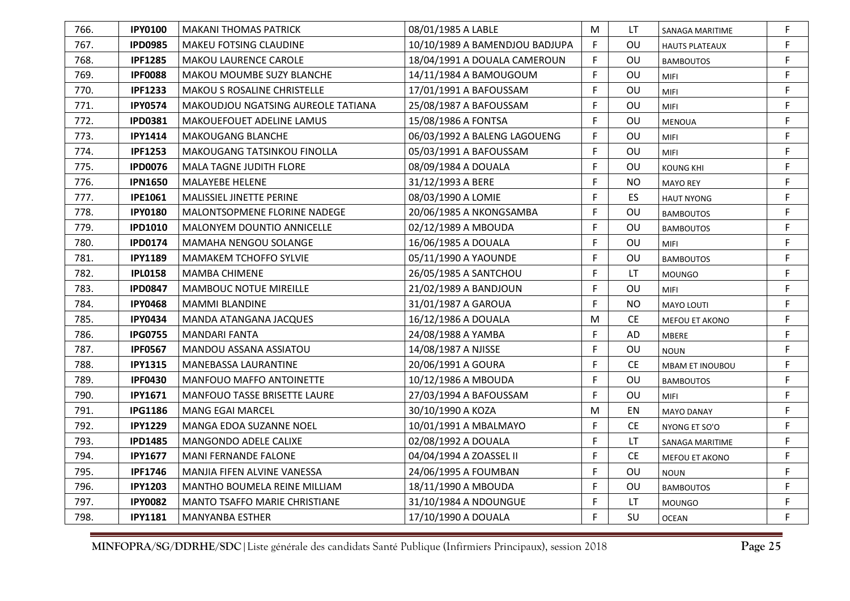| 766. | <b>IPY0100</b> | <b>MAKANI THOMAS PATRICK</b>         | 08/01/1985 A LABLE             | M  | LT             | SANAGA MARITIME        | F |
|------|----------------|--------------------------------------|--------------------------------|----|----------------|------------------------|---|
| 767. | <b>IPD0985</b> | <b>MAKEU FOTSING CLAUDINE</b>        | 10/10/1989 A BAMENDJOU BADJUPA | F. | OU             | <b>HAUTS PLATEAUX</b>  | F |
| 768. | <b>IPF1285</b> | MAKOU LAURENCE CAROLE                | 18/04/1991 A DOUALA CAMEROUN   | F  | OU             | <b>BAMBOUTOS</b>       | F |
| 769. | <b>IPF0088</b> | MAKOU MOUMBE SUZY BLANCHE            | 14/11/1984 A BAMOUGOUM         | F  | OU             | <b>MIFI</b>            | F |
| 770. | <b>IPF1233</b> | MAKOU S ROSALINE CHRISTELLE          | 17/01/1991 A BAFOUSSAM         | F  | OU             | MIFI                   | F |
| 771. | <b>IPY0574</b> | MAKOUDJOU NGATSING AUREOLE TATIANA   | 25/08/1987 A BAFOUSSAM         | F  | OU             | <b>MIFI</b>            | F |
| 772. | <b>IPD0381</b> | MAKOUEFOUET ADELINE LAMUS            | 15/08/1986 A FONTSA            | F  | OU             | <b>MENOUA</b>          | F |
| 773. | <b>IPY1414</b> | <b>MAKOUGANG BLANCHE</b>             | 06/03/1992 A BALENG LAGOUENG   | F  | OU             | <b>MIFI</b>            | F |
| 774. | <b>IPF1253</b> | MAKOUGANG TATSINKOU FINOLLA          | 05/03/1991 A BAFOUSSAM         | F  | OU             | MIFI                   | F |
| 775. | <b>IPD0076</b> | <b>MALA TAGNE JUDITH FLORE</b>       | 08/09/1984 A DOUALA            | F  | OU             | <b>KOUNG KHI</b>       | F |
| 776. | <b>IPN1650</b> | MALAYEBE HELENE                      | 31/12/1993 A BERE              | F  | <b>NO</b>      | <b>MAYO REY</b>        | F |
| 777. | <b>IPE1061</b> | MALISSIEL JINETTE PERINE             | 08/03/1990 A LOMIE             | F  | ES             | <b>HAUT NYONG</b>      | F |
| 778. | <b>IPY0180</b> | <b>MALONTSOPMENE FLORINE NADEGE</b>  | 20/06/1985 A NKONGSAMBA        | F  | OU             | <b>BAMBOUTOS</b>       | F |
| 779. | <b>IPD1010</b> | MALONYEM DOUNTIO ANNICELLE           | 02/12/1989 A MBOUDA            | F  | OU             | <b>BAMBOUTOS</b>       | F |
| 780. | <b>IPD0174</b> | MAMAHA NENGOU SOLANGE                | 16/06/1985 A DOUALA            | F  | OU             | <b>MIFI</b>            | F |
| 781. | <b>IPY1189</b> | <b>MAMAKEM TCHOFFO SYLVIE</b>        | 05/11/1990 A YAOUNDE           | F  | OU             | <b>BAMBOUTOS</b>       | F |
| 782. | <b>IPL0158</b> | <b>MAMBA CHIMENE</b>                 | 26/05/1985 A SANTCHOU          | F  | LT             | <b>MOUNGO</b>          | F |
| 783. | <b>IPD0847</b> | MAMBOUC NOTUE MIREILLE               | 21/02/1989 A BANDJOUN          | F  | OU             | MIFI                   | F |
| 784. | <b>IPY0468</b> | <b>MAMMI BLANDINE</b>                | 31/01/1987 A GAROUA            | F  | N <sub>O</sub> | <b>MAYO LOUTI</b>      | F |
| 785. | <b>IPY0434</b> | MANDA ATANGANA JACQUES               | 16/12/1986 A DOUALA            | M  | <b>CE</b>      | MEFOU ET AKONO         | F |
| 786. | <b>IPG0755</b> | MANDARI FANTA                        | 24/08/1988 A YAMBA             | F  | AD             | MBERE                  | F |
| 787. | <b>IPF0567</b> | MANDOU ASSANA ASSIATOU               | 14/08/1987 A NJISSE            | F  | OU             | <b>NOUN</b>            | F |
| 788. | <b>IPY1315</b> | MANEBASSA LAURANTINE                 | 20/06/1991 A GOURA             | F  | <b>CE</b>      | <b>MBAM ET INOUBOU</b> | F |
| 789. | <b>IPF0430</b> | MANFOUO MAFFO ANTOINETTE             | 10/12/1986 A MBOUDA            | F  | OU             | <b>BAMBOUTOS</b>       | F |
| 790. | <b>IPY1671</b> | <b>MANFOUO TASSE BRISETTE LAURE</b>  | 27/03/1994 A BAFOUSSAM         | F  | OU             | <b>MIFI</b>            | F |
| 791. | <b>IPG1186</b> | <b>MANG EGAI MARCEL</b>              | 30/10/1990 A KOZA              | M  | EN             | <b>MAYO DANAY</b>      | F |
| 792. | <b>IPY1229</b> | MANGA EDOA SUZANNE NOEL              | 10/01/1991 A MBALMAYO          | F  | <b>CE</b>      | NYONG ET SO'O          | F |
| 793. | <b>IPD1485</b> | <b>MANGONDO ADELE CALIXE</b>         | 02/08/1992 A DOUALA            | F  | LT             | SANAGA MARITIME        | F |
| 794. | <b>IPY1677</b> | <b>MANI FERNANDE FALONE</b>          | 04/04/1994 A ZOASSEL II        | F  | <b>CE</b>      | MEFOU ET AKONO         | F |
| 795. | <b>IPF1746</b> | <b>MANJIA FIFEN ALVINE VANESSA</b>   | 24/06/1995 A FOUMBAN           | F  | OU             | <b>NOUN</b>            | F |
| 796. | <b>IPY1203</b> | <b>MANTHO BOUMELA REINE MILLIAM</b>  | 18/11/1990 A MBOUDA            | F  | OU             | <b>BAMBOUTOS</b>       | F |
| 797. | <b>IPY0082</b> | <b>MANTO TSAFFO MARIE CHRISTIANE</b> | 31/10/1984 A NDOUNGUE          | F  | LT.            | <b>MOUNGO</b>          | F |
| 798. | <b>IPY1181</b> | <b>MANYANBA ESTHER</b>               | 17/10/1990 A DOUALA            | F  | SU             | <b>OCEAN</b>           | F |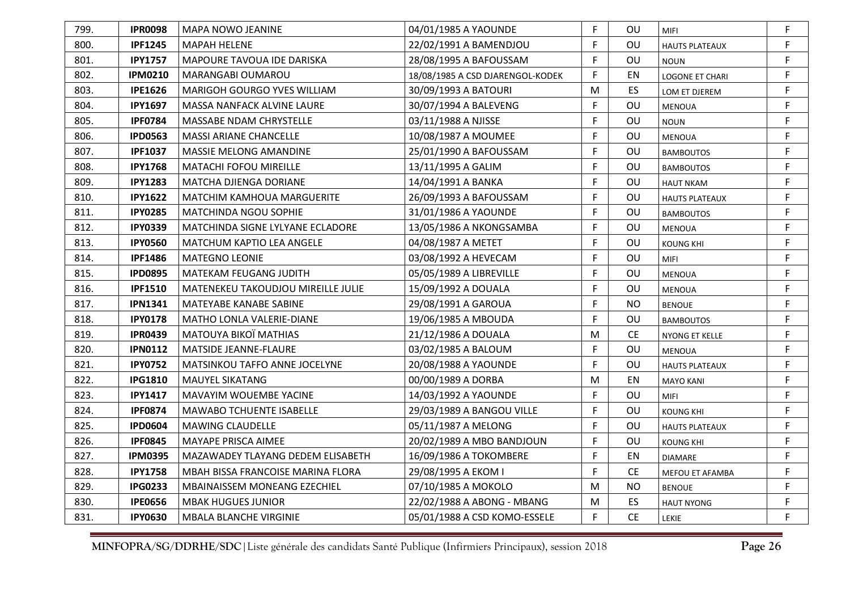| 799. | <b>IPR0098</b> | <b>MAPA NOWO JEANINE</b>             | 04/01/1985 A YAOUNDE             | F | OU        | <b>MIFI</b>            | F |
|------|----------------|--------------------------------------|----------------------------------|---|-----------|------------------------|---|
| 800. | <b>IPF1245</b> | <b>MAPAH HELENE</b>                  | 22/02/1991 A BAMENDJOU           | F | OU        | <b>HAUTS PLATEAUX</b>  | F |
| 801. | <b>IPY1757</b> | MAPOURE TAVOUA IDE DARISKA           | 28/08/1995 A BAFOUSSAM           | F | OU        | <b>NOUN</b>            | F |
| 802. | <b>IPM0210</b> | MARANGABI OUMAROU                    | 18/08/1985 A CSD DJARENGOL-KODEK | F | EN        | <b>LOGONE ET CHARI</b> | F |
| 803. | <b>IPE1626</b> | MARIGOH GOURGO YVES WILLIAM          | 30/09/1993 A BATOURI             | M | ES.       | LOM ET DJEREM          | F |
| 804. | <b>IPY1697</b> | <b>MASSA NANFACK ALVINE LAURE</b>    | 30/07/1994 A BALEVENG            | F | OU        | <b>MENOUA</b>          | F |
| 805. | <b>IPF0784</b> | <b>MASSABE NDAM CHRYSTELLE</b>       | 03/11/1988 A NJISSE              | F | OU        | <b>NOUN</b>            | F |
| 806. | <b>IPD0563</b> | <b>MASSI ARIANE CHANCELLE</b>        | 10/08/1987 A MOUMEE              | F | OU        | <b>MENOUA</b>          | F |
| 807. | <b>IPF1037</b> | <b>MASSIE MELONG AMANDINE</b>        | 25/01/1990 A BAFOUSSAM           | F | OU        | <b>BAMBOUTOS</b>       | F |
| 808. | <b>IPY1768</b> | MATACHI FOFOU MIREILLE               | 13/11/1995 A GALIM               | F | <b>OU</b> | <b>BAMBOUTOS</b>       | F |
| 809. | <b>IPY1283</b> | MATCHA DJIENGA DORIANE               | 14/04/1991 A BANKA               | F | <b>OU</b> | <b>HAUT NKAM</b>       | F |
| 810. | <b>IPY1622</b> | <b>MATCHIM KAMHOUA MARGUERITE</b>    | 26/09/1993 A BAFOUSSAM           | F | <b>OU</b> | <b>HAUTS PLATEAUX</b>  | F |
| 811. | <b>IPY0285</b> | <b>MATCHINDA NGOU SOPHIE</b>         | 31/01/1986 A YAOUNDE             | F | OU        | <b>BAMBOUTOS</b>       | F |
| 812. | <b>IPY0339</b> | MATCHINDA SIGNE LYLYANE ECLADORE     | 13/05/1986 A NKONGSAMBA          | F | OU        | <b>MENOUA</b>          | F |
| 813. | <b>IPY0560</b> | MATCHUM KAPTIO LEA ANGELE            | 04/08/1987 A METET               | F | OU        | <b>KOUNG KHI</b>       | F |
| 814. | <b>IPF1486</b> | <b>MATEGNO LEONIE</b>                | 03/08/1992 A HEVECAM             | F | OU        | <b>MIFI</b>            | F |
| 815. | <b>IPD0895</b> | MATEKAM FEUGANG JUDITH               | 05/05/1989 A LIBREVILLE          | F | OU        | <b>MENOUA</b>          | F |
| 816. | <b>IPF1510</b> | MATENEKEU TAKOUDJOU MIREILLE JULIE   | 15/09/1992 A DOUALA              | F | OU        | <b>MENOUA</b>          | F |
| 817. | <b>IPN1341</b> | MATEYABE KANABE SABINE               | 29/08/1991 A GAROUA              | F | <b>NO</b> | <b>BENOUE</b>          | F |
| 818. | <b>IPY0178</b> | <b>MATHO LONLA VALERIE-DIANE</b>     | 19/06/1985 A MBOUDA              | F | OU        | <b>BAMBOUTOS</b>       | F |
| 819. | <b>IPR0439</b> | MATOUYA BIKOÏ MATHIAS                | 21/12/1986 A DOUALA              | M | <b>CE</b> | <b>NYONG ET KELLE</b>  | F |
| 820. | <b>IPN0112</b> | <b>MATSIDE JEANNE-FLAURE</b>         | 03/02/1985 A BALOUM              | F | OU        | <b>MENOUA</b>          | F |
| 821. | <b>IPY0752</b> | <b>MATSINKOU TAFFO ANNE JOCELYNE</b> | 20/08/1988 A YAOUNDE             | F | OU        | <b>HAUTS PLATEAUX</b>  | F |
| 822. | <b>IPG1810</b> | <b>MAUYEL SIKATANG</b>               | 00/00/1989 A DORBA               | M | EN        | <b>MAYO KANI</b>       | F |
| 823. | <b>IPY1417</b> | <b>MAVAYIM WOUEMBE YACINE</b>        | 14/03/1992 A YAOUNDE             | F | OU        | <b>MIFI</b>            | F |
| 824. | <b>IPF0874</b> | MAWABO TCHUENTE ISABELLE             | 29/03/1989 A BANGOU VILLE        | F | OU        | <b>KOUNG KHI</b>       | F |
| 825. | <b>IPD0604</b> | <b>MAWING CLAUDELLE</b>              | 05/11/1987 A MELONG              | F | OU        | <b>HAUTS PLATEAUX</b>  | F |
| 826. | <b>IPF0845</b> | MAYAPE PRISCA AIMEE                  | 20/02/1989 A MBO BANDJOUN        | F | OU        | <b>KOUNG KHI</b>       | F |
| 827. | <b>IPM0395</b> | MAZAWADEY TLAYANG DEDEM ELISABETH    | 16/09/1986 A TOKOMBERE           | F | EN        | <b>DIAMARE</b>         | F |
| 828. | <b>IPY1758</b> | MBAH BISSA FRANCOISE MARINA FLORA    | 29/08/1995 A EKOM I              | F | <b>CE</b> | MEFOU ET AFAMBA        | F |
| 829. | <b>IPG0233</b> | MBAINAISSEM MONEANG EZECHIEL         | 07/10/1985 A MOKOLO              | М | NO.       | <b>BENOUE</b>          | F |
| 830. | <b>IPE0656</b> | <b>MBAK HUGUES JUNIOR</b>            | 22/02/1988 A ABONG - MBANG       | M | ES.       | <b>HAUT NYONG</b>      | F |
| 831. | <b>IPY0630</b> | <b>MBALA BLANCHE VIRGINIE</b>        | 05/01/1988 A CSD KOMO-ESSELE     | F | <b>CE</b> | LEKIE                  | F |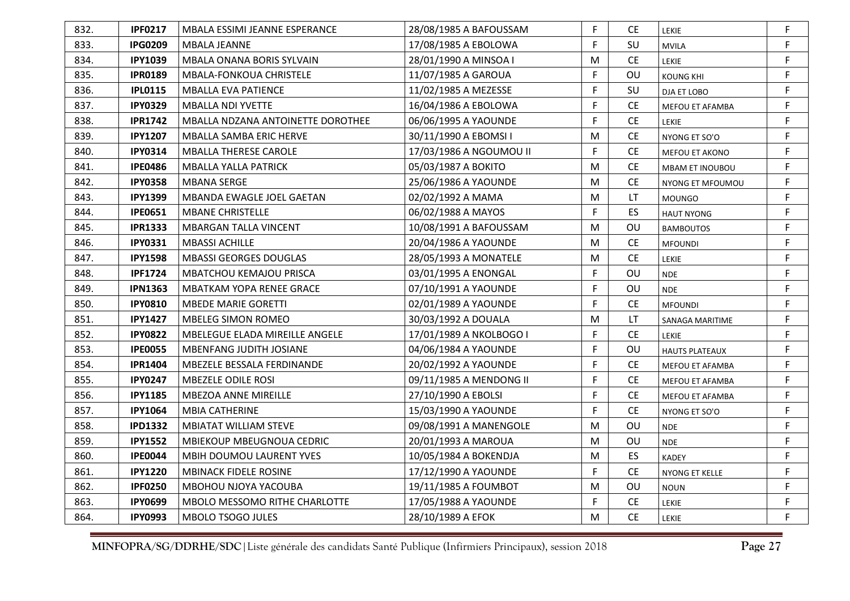| 832. | <b>IPF0217</b> | MBALA ESSIMI JEANNE ESPERANCE         | 28/08/1985 A BAFOUSSAM  | F. | CE.       | LEKIE                  | F           |
|------|----------------|---------------------------------------|-------------------------|----|-----------|------------------------|-------------|
| 833. | <b>IPG0209</b> | <b>MBALA JEANNE</b>                   | 17/08/1985 A EBOLOWA    | F  | SU        | <b>MVILA</b>           | F           |
| 834. | <b>IPY1039</b> | <b>MBALA ONANA BORIS SYLVAIN</b>      | 28/01/1990 A MINSOA I   | M  | <b>CE</b> | LEKIE                  | F           |
| 835. | <b>IPR0189</b> | MBALA-FONKOUA CHRISTELE               | 11/07/1985 A GAROUA     | F  | OU        | <b>KOUNG KHI</b>       | F           |
| 836. | <b>IPL0115</b> | <b>MBALLA EVA PATIENCE</b>            | 11/02/1985 A MEZESSE    | F  | SU        | DJA ET LOBO            | F           |
| 837. | <b>IPY0329</b> | <b>MBALLA NDI YVETTE</b>              | 16/04/1986 A EBOLOWA    | F  | <b>CE</b> | MEFOU ET AFAMBA        | F           |
| 838. | <b>IPR1742</b> | MBALLA NDZANA ANTOINETTE DOROTHEE     | 06/06/1995 A YAOUNDE    | F  | <b>CE</b> | LEKIE                  | F           |
| 839. | <b>IPY1207</b> | <b>MBALLA SAMBA ERIC HERVE</b>        | 30/11/1990 A EBOMSI I   | M  | <b>CE</b> | NYONG ET SO'O          | F           |
| 840. | <b>IPY0314</b> | <b>MBALLA THERESE CAROLE</b>          | 17/03/1986 A NGOUMOU II | F  | <b>CE</b> | MEFOU ET AKONO         | F           |
| 841. | <b>IPE0486</b> | <b>MBALLA YALLA PATRICK</b>           | 05/03/1987 A BOKITO     | M  | <b>CE</b> | <b>MBAM ET INOUBOU</b> | $\mathsf F$ |
| 842. | <b>IPY0358</b> | <b>MBANA SERGE</b>                    | 25/06/1986 A YAOUNDE    | м  | CE.       | NYONG ET MFOUMOU       | F           |
| 843. | <b>IPY1399</b> | MBANDA EWAGLE JOEL GAETAN             | 02/02/1992 A MAMA       | M  | LT        | <b>MOUNGO</b>          | F           |
| 844. | <b>IPE0651</b> | <b>MBANE CHRISTELLE</b>               | 06/02/1988 A MAYOS      | F  | ES        | <b>HAUT NYONG</b>      | F           |
| 845. | <b>IPR1333</b> | <b>MBARGAN TALLA VINCENT</b>          | 10/08/1991 A BAFOUSSAM  | M  | OU        | <b>BAMBOUTOS</b>       | F           |
| 846. | <b>IPY0331</b> | <b>MBASSI ACHILLE</b>                 | 20/04/1986 A YAOUNDE    | M  | <b>CE</b> | <b>MFOUNDI</b>         | F           |
| 847. | <b>IPY1598</b> | <b>MBASSI GEORGES DOUGLAS</b>         | 28/05/1993 A MONATELE   | M  | <b>CE</b> | LEKIE                  | F           |
| 848. | <b>IPF1724</b> | MBATCHOU KEMAJOU PRISCA               | 03/01/1995 A ENONGAL    | F  | OU        | <b>NDE</b>             | F           |
| 849. | <b>IPN1363</b> | <b>MBATKAM YOPA RENEE GRACE</b>       | 07/10/1991 A YAOUNDE    | F  | OU        | <b>NDE</b>             | F           |
| 850. | <b>IPY0810</b> | <b>MBEDE MARIE GORETTI</b>            | 02/01/1989 A YAOUNDE    | F  | <b>CE</b> | <b>MFOUNDI</b>         | F           |
| 851. | <b>IPY1427</b> | <b>MBELEG SIMON ROMEO</b>             | 30/03/1992 A DOUALA     | M  | LT        | SANAGA MARITIME        | F           |
| 852. | <b>IPY0822</b> | <b>MBELEGUE ELADA MIREILLE ANGELE</b> | 17/01/1989 A NKOLBOGO I | F  | CE.       | <b>LEKIE</b>           | F           |
| 853. | <b>IPE0055</b> | <b>MBENFANG JUDITH JOSIANE</b>        | 04/06/1984 A YAOUNDE    | F  | OU        | <b>HAUTS PLATEAUX</b>  | F           |
| 854. | <b>IPR1404</b> | MBEZELE BESSALA FERDINANDE            | 20/02/1992 A YAOUNDE    | F  | <b>CE</b> | MEFOU ET AFAMBA        | F           |
| 855. | <b>IPY0247</b> | <b>MBEZELE ODILE ROSI</b>             | 09/11/1985 A MENDONG II | F  | <b>CE</b> | MEFOU ET AFAMBA        | F           |
| 856. | <b>IPY1185</b> | MBEZOA ANNE MIREILLE                  | 27/10/1990 A EBOLSI     | F  | <b>CE</b> | MEFOU ET AFAMBA        | F           |
| 857. | <b>IPY1064</b> | <b>MBIA CATHERINE</b>                 | 15/03/1990 A YAOUNDE    | F. | <b>CE</b> | NYONG ET SO'O          | F           |
| 858. | <b>IPD1332</b> | <b>MBIATAT WILLIAM STEVE</b>          | 09/08/1991 A MANENGOLE  | M  | OU        | <b>NDE</b>             | F           |
| 859. | <b>IPY1552</b> | <b>MBIEKOUP MBEUGNOUA CEDRIC</b>      | 20/01/1993 A MAROUA     | M  | OU        | <b>NDE</b>             | F           |
| 860. | <b>IPE0044</b> | <b>MBIH DOUMOU LAURENT YVES</b>       | 10/05/1984 A BOKENDJA   | M  | ES        | <b>KADEY</b>           | F           |
| 861. | <b>IPY1220</b> | <b>MBINACK FIDELE ROSINE</b>          | 17/12/1990 A YAOUNDE    | F  | <b>CE</b> | NYONG ET KELLE         | F           |
| 862. | <b>IPF0250</b> | MBOHOU NJOYA YACOUBA                  | 19/11/1985 A FOUMBOT    | M  | OU        | <b>NOUN</b>            | F           |
| 863. | <b>IPY0699</b> | MBOLO MESSOMO RITHE CHARLOTTE         | 17/05/1988 A YAOUNDE    | F  | <b>CE</b> | <b>LEKIE</b>           | F           |
| 864. | <b>IPY0993</b> | <b>MBOLO TSOGO JULES</b>              | 28/10/1989 A EFOK       | M  | <b>CE</b> | LEKIE                  | F           |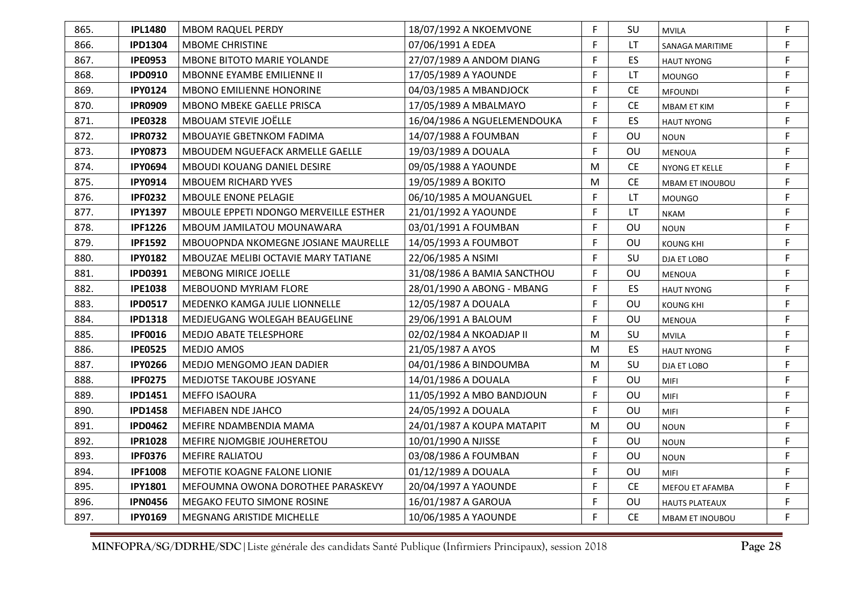| 865. | <b>IPL1480</b> | <b>MBOM RAQUEL PERDY</b>                   | 18/07/1992 A NKOEMVONE      | F | SU        | <b>MVILA</b>           | F |
|------|----------------|--------------------------------------------|-----------------------------|---|-----------|------------------------|---|
| 866. | <b>IPD1304</b> | <b>MBOME CHRISTINE</b>                     | 07/06/1991 A EDEA           | F | LT        | SANAGA MARITIME        | F |
| 867. | <b>IPE0953</b> | MBONE BITOTO MARIE YOLANDE                 | 27/07/1989 A ANDOM DIANG    | F | ES        | <b>HAUT NYONG</b>      | F |
| 868. | <b>IPD0910</b> | <b>MBONNE EYAMBE EMILIENNE II</b>          | 17/05/1989 A YAOUNDE        | F | LT        | <b>MOUNGO</b>          | F |
| 869. | <b>IPY0124</b> | <b>MBONO EMILIENNE HONORINE</b>            | 04/03/1985 A MBANDJOCK      | F | <b>CE</b> | <b>MFOUNDI</b>         | F |
| 870. | <b>IPR0909</b> | <b>MBONO MBEKE GAELLE PRISCA</b>           | 17/05/1989 A MBALMAYO       | F | <b>CE</b> | <b>MBAM ET KIM</b>     | F |
| 871. | <b>IPE0328</b> | <b>MBOUAM STEVIE JOËLLE</b>                | 16/04/1986 A NGUELEMENDOUKA | F | ES        | <b>HAUT NYONG</b>      | F |
| 872. | <b>IPR0732</b> | <b>MBOUAYIE GBETNKOM FADIMA</b>            | 14/07/1988 A FOUMBAN        | F | OU        | <b>NOUN</b>            | F |
| 873. | <b>IPY0873</b> | MBOUDEM NGUEFACK ARMELLE GAELLE            | 19/03/1989 A DOUALA         | F | OU        | <b>MENOUA</b>          | F |
| 874. | <b>IPY0694</b> | <b>MBOUDI KOUANG DANIEL DESIRE</b>         | 09/05/1988 A YAOUNDE        | M | <b>CE</b> | <b>NYONG ET KELLE</b>  | F |
| 875. | <b>IPY0914</b> | <b>MBOUEM RICHARD YVES</b>                 | 19/05/1989 A BOKITO         | M | <b>CE</b> | <b>MBAM ET INOUBOU</b> | F |
| 876. | <b>IPF0232</b> | <b>MBOULE ENONE PELAGIE</b>                | 06/10/1985 A MOUANGUEL      | F | LT.       | <b>MOUNGO</b>          | F |
| 877. | <b>IPY1397</b> | MBOULE EPPETI NDONGO MERVEILLE ESTHER      | 21/01/1992 A YAOUNDE        | F | <b>LT</b> | <b>NKAM</b>            | F |
| 878. | <b>IPF1226</b> | MBOUM JAMILATOU MOUNAWARA                  | 03/01/1991 A FOUMBAN        | F | OU        | <b>NOUN</b>            | F |
| 879. | <b>IPF1592</b> | <b>MBOUOPNDA NKOMEGNE JOSIANE MAURELLE</b> | 14/05/1993 A FOUMBOT        | F | OU        | <b>KOUNG KHI</b>       | F |
| 880. | <b>IPY0182</b> | MBOUZAE MELIBI OCTAVIE MARY TATIANE        | 22/06/1985 A NSIMI          | F | SU        | DJA ET LOBO            | F |
| 881. | <b>IPD0391</b> | <b>MEBONG MIRICE JOELLE</b>                | 31/08/1986 A BAMIA SANCTHOU | F | OU        | <b>MENOUA</b>          | F |
| 882. | <b>IPE1038</b> | <b>MEBOUOND MYRIAM FLORE</b>               | 28/01/1990 A ABONG - MBANG  | F | ES        | <b>HAUT NYONG</b>      | F |
| 883. | <b>IPD0517</b> | <b>MEDENKO KAMGA JULIE LIONNELLE</b>       | 12/05/1987 A DOUALA         | F | OU        | <b>KOUNG KHI</b>       | F |
| 884. | <b>IPD1318</b> | MEDJEUGANG WOLEGAH BEAUGELINE              | 29/06/1991 A BALOUM         | F | OU        | <b>MENOUA</b>          | F |
| 885. | <b>IPF0016</b> | <b>MEDJO ABATE TELESPHORE</b>              | 02/02/1984 A NKOADJAP II    | M | SU        | <b>MVILA</b>           | F |
| 886. | <b>IPE0525</b> | <b>MEDJO AMOS</b>                          | 21/05/1987 A AYOS           | M | ES.       | <b>HAUT NYONG</b>      | F |
| 887. | <b>IPY0266</b> | <b>MEDJO MENGOMO JEAN DADIER</b>           | 04/01/1986 A BINDOUMBA      | M | SU        | DJA ET LOBO            | F |
| 888. | <b>IPF0275</b> | <b>MEDJOTSE TAKOUBE JOSYANE</b>            | 14/01/1986 A DOUALA         | F | OU        | <b>MIFI</b>            | F |
| 889. | <b>IPD1451</b> | <b>MEFFO ISAOURA</b>                       | 11/05/1992 A MBO BANDJOUN   | F | OU        | <b>MIFI</b>            | F |
| 890. | <b>IPD1458</b> | <b>MEFIABEN NDE JAHCO</b>                  | 24/05/1992 A DOUALA         | F | OU        | <b>MIFI</b>            | F |
| 891. | <b>IPD0462</b> | MEFIRE NDAMBENDIA MAMA                     | 24/01/1987 A KOUPA MATAPIT  | M | OU        | <b>NOUN</b>            | F |
| 892. | <b>IPR1028</b> | MEFIRE NJOMGBIE JOUHERETOU                 | 10/01/1990 A NJISSE         | F | OU        | <b>NOUN</b>            | F |
| 893. | <b>IPF0376</b> | <b>MEFIRE RALIATOU</b>                     | 03/08/1986 A FOUMBAN        | F | OU        | <b>NOUN</b>            | F |
| 894. | <b>IPF1008</b> | MEFOTIE KOAGNE FALONE LIONIE               | 01/12/1989 A DOUALA         | F | OU        | MIFI                   | F |
| 895. | <b>IPY1801</b> | MEFOUMNA OWONA DOROTHEE PARASKEVY          | 20/04/1997 A YAOUNDE        | F | <b>CE</b> | MEFOU ET AFAMBA        | F |
| 896. | <b>IPN0456</b> | <b>MEGAKO FEUTO SIMONE ROSINE</b>          | 16/01/1987 A GAROUA         | F | OU        | <b>HAUTS PLATEAUX</b>  | F |
| 897. | <b>IPY0169</b> | MEGNANG ARISTIDE MICHELLE                  | 10/06/1985 A YAOUNDE        | F | <b>CE</b> | <b>MBAM ET INOUBOU</b> | F |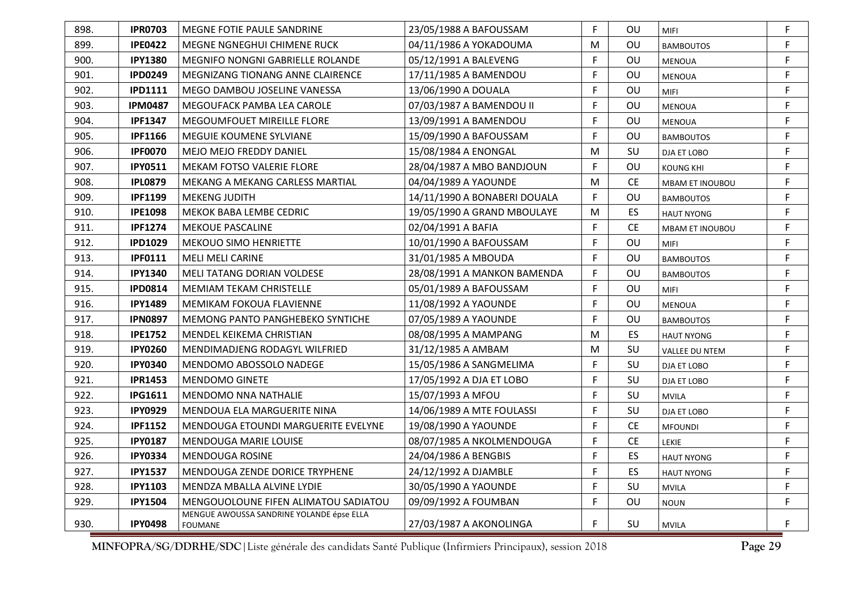| 898. | <b>IPR0703</b> | MEGNE FOTIE PAULE SANDRINE                                  | 23/05/1988 A BAFOUSSAM       | F. | OU        | <b>MIFI</b>            | F |
|------|----------------|-------------------------------------------------------------|------------------------------|----|-----------|------------------------|---|
| 899. | <b>IPE0422</b> | MEGNE NGNEGHUI CHIMENE RUCK                                 | 04/11/1986 A YOKADOUMA       | M  | OU        | <b>BAMBOUTOS</b>       | F |
| 900. | <b>IPY1380</b> | <b>MEGNIFO NONGNI GABRIELLE ROLANDE</b>                     | 05/12/1991 A BALEVENG        | F  | OU        | MENOUA                 | F |
| 901. | <b>IPD0249</b> | MEGNIZANG TIONANG ANNE CLAIRENCE                            | 17/11/1985 A BAMENDOU        | F  | OU        | <b>MENOUA</b>          | F |
| 902. | <b>IPD1111</b> | MEGO DAMBOU JOSELINE VANESSA                                | 13/06/1990 A DOUALA          | F  | <b>OU</b> | <b>MIFI</b>            | F |
| 903. | <b>IPM0487</b> | MEGOUFACK PAMBA LEA CAROLE                                  | 07/03/1987 A BAMENDOU II     | F  | OU        | <b>MENOUA</b>          | F |
| 904. | <b>IPF1347</b> | MEGOUMFOUET MIREILLE FLORE                                  | 13/09/1991 A BAMENDOU        | F  | OU        | <b>MENOUA</b>          | F |
| 905. | <b>IPF1166</b> | <b>MEGUIE KOUMENE SYLVIANE</b>                              | 15/09/1990 A BAFOUSSAM       | F  | OU        | <b>BAMBOUTOS</b>       | F |
| 906. | <b>IPF0070</b> | MEJO MEJO FREDDY DANIEL                                     | 15/08/1984 A ENONGAL         | м  | <b>SU</b> | DJA ET LOBO            | F |
| 907. | <b>IPY0511</b> | <b>MEKAM FOTSO VALERIE FLORE</b>                            | 28/04/1987 A MBO BANDJOUN    | F  | OU        | <b>KOUNG KHI</b>       | F |
| 908. | <b>IPL0879</b> | MEKANG A MEKANG CARLESS MARTIAL                             | 04/04/1989 A YAOUNDE         | M  | <b>CE</b> | MBAM ET INOUBOU        | F |
| 909. | <b>IPF1199</b> | <b>MEKENG JUDITH</b>                                        | 14/11/1990 A BONABERI DOUALA | F  | OU        | <b>BAMBOUTOS</b>       | F |
| 910. | <b>IPE1098</b> | MEKOK BABA LEMBE CEDRIC                                     | 19/05/1990 A GRAND MBOULAYE  | M  | ES        | <b>HAUT NYONG</b>      | F |
| 911. | <b>IPF1274</b> | <b>MEKOUE PASCALINE</b>                                     | 02/04/1991 A BAFIA           | F. | <b>CE</b> | <b>MBAM ET INOUBOU</b> | F |
| 912. | <b>IPD1029</b> | <b>MEKOUO SIMO HENRIETTE</b>                                | 10/01/1990 A BAFOUSSAM       | F  | OU        | <b>MIFI</b>            | F |
| 913. | <b>IPF0111</b> | <b>MELI MELI CARINE</b>                                     | 31/01/1985 A MBOUDA          | F  | OU        | <b>BAMBOUTOS</b>       | F |
| 914. | <b>IPY1340</b> | <b>MELI TATANG DORIAN VOLDESE</b>                           | 28/08/1991 A MANKON BAMENDA  | F  | OU        | <b>BAMBOUTOS</b>       | F |
| 915. | <b>IPD0814</b> | <b>MEMIAM TEKAM CHRISTELLE</b>                              | 05/01/1989 A BAFOUSSAM       | E  | OU        | MIFI                   | F |
| 916. | <b>IPY1489</b> | <b>MEMIKAM FOKOUA FLAVIENNE</b>                             | 11/08/1992 A YAOUNDE         | F. | OU        | <b>MENOUA</b>          | F |
| 917. | <b>IPN0897</b> | <b>MEMONG PANTO PANGHEBEKO SYNTICHE</b>                     | 07/05/1989 A YAOUNDE         | F  | OU        | <b>BAMBOUTOS</b>       | F |
| 918. | <b>IPE1752</b> | MENDEL KEIKEMA CHRISTIAN                                    | 08/08/1995 A MAMPANG         | М  | <b>ES</b> | <b>HAUT NYONG</b>      | F |
| 919. | <b>IPY0260</b> | MENDIMADJENG RODAGYL WILFRIED                               | 31/12/1985 A AMBAM           | М  | SU        | VALLEE DU NTEM         | F |
| 920. | <b>IPY0340</b> | MENDOMO ABOSSOLO NADEGE                                     | 15/05/1986 A SANGMELIMA      | F  | SU        | DJA ET LOBO            | F |
| 921. | <b>IPR1453</b> | <b>MENDOMO GINETE</b>                                       | 17/05/1992 A DJA ET LOBO     | F  | SU        | DJA ET LOBO            | F |
| 922. | <b>IPG1611</b> | <b>MENDOMO NNA NATHALIE</b>                                 | 15/07/1993 A MFOU            | F  | SU        | <b>MVILA</b>           | F |
| 923. | <b>IPY0929</b> | MENDOUA ELA MARGUERITE NINA                                 | 14/06/1989 A MTE FOULASSI    | F  | <b>SU</b> | DJA ET LOBO            | F |
| 924. | <b>IPF1152</b> | MENDOUGA ETOUNDI MARGUERITE EVELYNE                         | 19/08/1990 A YAOUNDE         | F. | <b>CE</b> | <b>MFOUNDI</b>         | F |
| 925. | <b>IPY0187</b> | <b>MENDOUGA MARIE LOUISE</b>                                | 08/07/1985 A NKOLMENDOUGA    | F  | <b>CE</b> | <b>LEKIE</b>           | F |
| 926. | <b>IPY0334</b> | <b>MENDOUGA ROSINE</b>                                      | 24/04/1986 A BENGBIS         | F  | ES        | <b>HAUT NYONG</b>      | F |
| 927. | <b>IPY1537</b> | MENDOUGA ZENDE DORICE TRYPHENE                              | 24/12/1992 A DJAMBLE         | F  | ES.       | <b>HAUT NYONG</b>      | F |
| 928. | <b>IPY1103</b> | MENDZA MBALLA ALVINE LYDIE                                  | 30/05/1990 A YAOUNDE         | F  | SU        | <b>MVILA</b>           | F |
| 929. | <b>IPY1504</b> | MENGOUOLOUNE FIFEN ALIMATOU SADIATOU                        | 09/09/1992 A FOUMBAN         | F  | OU        | <b>NOUN</b>            | F |
| 930. | <b>IPY0498</b> | MENGUE AWOUSSA SANDRINE YOLANDE épse ELLA<br><b>FOUMANE</b> | 27/03/1987 A AKONOLINGA      | F. | SU        | <b>MVILA</b>           | F |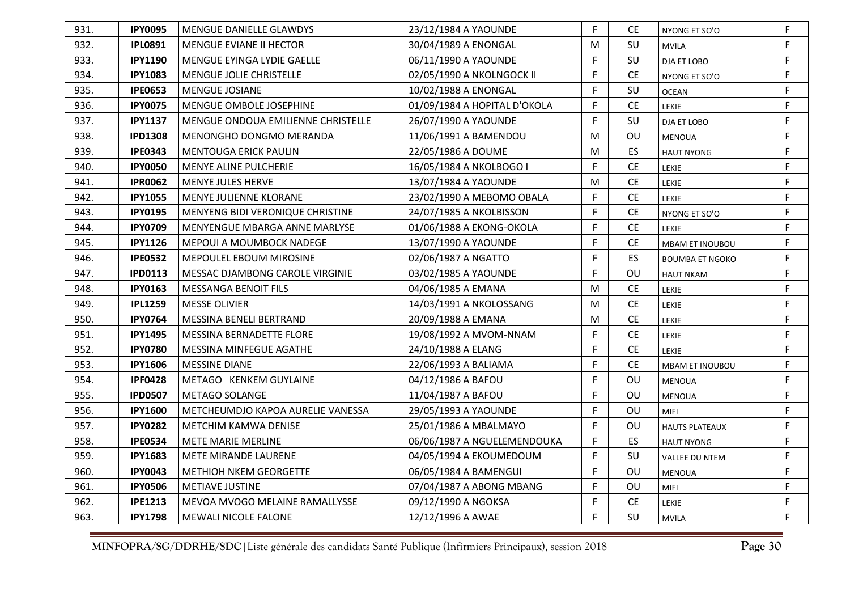| 931. | <b>IPY0095</b> | MENGUE DANIELLE GLAWDYS                   | 23/12/1984 A YAOUNDE         | F | CЕ        | NYONG ET SO'O          | F           |
|------|----------------|-------------------------------------------|------------------------------|---|-----------|------------------------|-------------|
| 932. | <b>IPL0891</b> | MENGUE EVIANE II HECTOR                   | 30/04/1989 A ENONGAL         | M | SU        | <b>MVILA</b>           | F           |
| 933. | <b>IPY1190</b> | MENGUE EYINGA LYDIE GAELLE                | 06/11/1990 A YAOUNDE         | F | SU        | DJA ET LOBO            | F           |
| 934. | <b>IPY1083</b> | <b>MENGUE JOLIE CHRISTELLE</b>            | 02/05/1990 A NKOLNGOCK II    | F | <b>CE</b> | NYONG ET SO'O          | F           |
| 935. | <b>IPE0653</b> | <b>MENGUE JOSIANE</b>                     | 10/02/1988 A ENONGAL         | F | SU        | <b>OCEAN</b>           | $\mathsf F$ |
| 936. | <b>IPY0075</b> | <b>MENGUE OMBOLE JOSEPHINE</b>            | 01/09/1984 A HOPITAL D'OKOLA | F | CE.       | <b>LEKIE</b>           | F           |
| 937. | <b>IPY1137</b> | <b>MENGUE ONDOUA EMILIENNE CHRISTELLE</b> | 26/07/1990 A YAOUNDE         | F | SU        | DJA ET LOBO            | $\mathsf F$ |
| 938. | <b>IPD1308</b> | <b>MENONGHO DONGMO MERANDA</b>            | 11/06/1991 A BAMENDOU        | M | OU        | MENOUA                 | F           |
| 939. | <b>IPE0343</b> | <b>MENTOUGA ERICK PAULIN</b>              | 22/05/1986 A DOUME           | M | ES        | <b>HAUT NYONG</b>      | F           |
| 940. | <b>IPY0050</b> | <b>MENYE ALINE PULCHERIE</b>              | 16/05/1984 A NKOLBOGO I      | F | <b>CE</b> | <b>LEKIE</b>           | F           |
| 941. | <b>IPR0062</b> | <b>MENYE JULES HERVE</b>                  | 13/07/1984 A YAOUNDE         | M | <b>CE</b> | LEKIE                  | F           |
| 942. | <b>IPY1055</b> | <b>MENYE JULIENNE KLORANE</b>             | 23/02/1990 A MEBOMO OBALA    | F | <b>CE</b> | LEKIE                  | F           |
| 943. | <b>IPY0195</b> | <b>MENYENG BIDI VERONIQUE CHRISTINE</b>   | 24/07/1985 A NKOLBISSON      | F | <b>CE</b> | NYONG ET SO'O          | F           |
| 944. | <b>IPY0709</b> | MENYENGUE MBARGA ANNE MARLYSE             | 01/06/1988 A EKONG-OKOLA     | F | <b>CE</b> | <b>LEKIE</b>           | F           |
| 945. | <b>IPY1126</b> | MEPOUI A MOUMBOCK NADEGE                  | 13/07/1990 A YAOUNDE         | F | CE.       | <b>MBAM ET INOUBOU</b> | F           |
| 946. | <b>IPE0532</b> | MEPOULEL EBOUM MIROSINE                   | 02/06/1987 A NGATTO          | F | ES.       | <b>BOUMBA ET NGOKO</b> | F           |
| 947. | <b>IPD0113</b> | MESSAC DJAMBONG CAROLE VIRGINIE           | 03/02/1985 A YAOUNDE         | F | OU        | <b>HAUT NKAM</b>       | F           |
| 948. | <b>IPY0163</b> | <b>MESSANGA BENOIT FILS</b>               | 04/06/1985 A EMANA           | М | <b>CE</b> | <b>LEKIE</b>           | F           |
| 949. | <b>IPL1259</b> | <b>MESSE OLIVIER</b>                      | 14/03/1991 A NKOLOSSANG      | М | <b>CE</b> | <b>LEKIE</b>           | F           |
| 950. | <b>IPY0764</b> | MESSINA BENELI BERTRAND                   | 20/09/1988 A EMANA           | M | <b>CE</b> | <b>LEKIE</b>           | F           |
| 951. | <b>IPY1495</b> | MESSINA BERNADETTE FLORE                  | 19/08/1992 A MVOM-NNAM       | F | <b>CE</b> | <b>LEKIE</b>           | F           |
| 952. | <b>IPY0780</b> | <b>MESSINA MINFEGUE AGATHE</b>            | 24/10/1988 A ELANG           | F | <b>CE</b> | <b>LEKIE</b>           | F           |
| 953. | <b>IPY1606</b> | <b>MESSINE DIANE</b>                      | 22/06/1993 A BALIAMA         | F | <b>CE</b> | MBAM ET INOUBOU        | F           |
| 954. | <b>IPF0428</b> | METAGO KENKEM GUYLAINE                    | 04/12/1986 A BAFOU           | F | OU        | <b>MENOUA</b>          | F           |
| 955. | <b>IPD0507</b> | METAGO SOLANGE                            | 11/04/1987 A BAFOU           | F | OU        | <b>MENOUA</b>          | F           |
| 956. | <b>IPY1600</b> | METCHEUMDJO KAPOA AURELIE VANESSA         | 29/05/1993 A YAOUNDE         | F | OU        | <b>MIFI</b>            | $\mathsf F$ |
| 957. | <b>IPY0282</b> | METCHIM KAMWA DENISE                      | 25/01/1986 A MBALMAYO        | F | <b>OU</b> | <b>HAUTS PLATEAUX</b>  | $\mathsf F$ |
| 958. | <b>IPE0534</b> | <b>METE MARIE MERLINE</b>                 | 06/06/1987 A NGUELEMENDOUKA  | F | ES        | <b>HAUT NYONG</b>      | F           |
| 959. | <b>IPY1683</b> | METE MIRANDE LAURENE                      | 04/05/1994 A EKOUMEDOUM      | F | SU        | <b>VALLEE DU NTEM</b>  | F           |
| 960. | <b>IPY0043</b> | <b>METHIOH NKEM GEORGETTE</b>             | 06/05/1984 A BAMENGUI        | F | OU        | <b>MENOUA</b>          | F           |
| 961. | <b>IPY0506</b> | <b>METIAVE JUSTINE</b>                    | 07/04/1987 A ABONG MBANG     | F | OU        | <b>MIFI</b>            | F           |
| 962. | <b>IPE1213</b> | MEVOA MVOGO MELAINE RAMALLYSSE            | 09/12/1990 A NGOKSA          | F | <b>CE</b> | <b>LEKIE</b>           | $\mathsf F$ |
| 963. | <b>IPY1798</b> | <b>MEWALI NICOLE FALONE</b>               | 12/12/1996 A AWAE            | F | SU        | <b>MVILA</b>           | F           |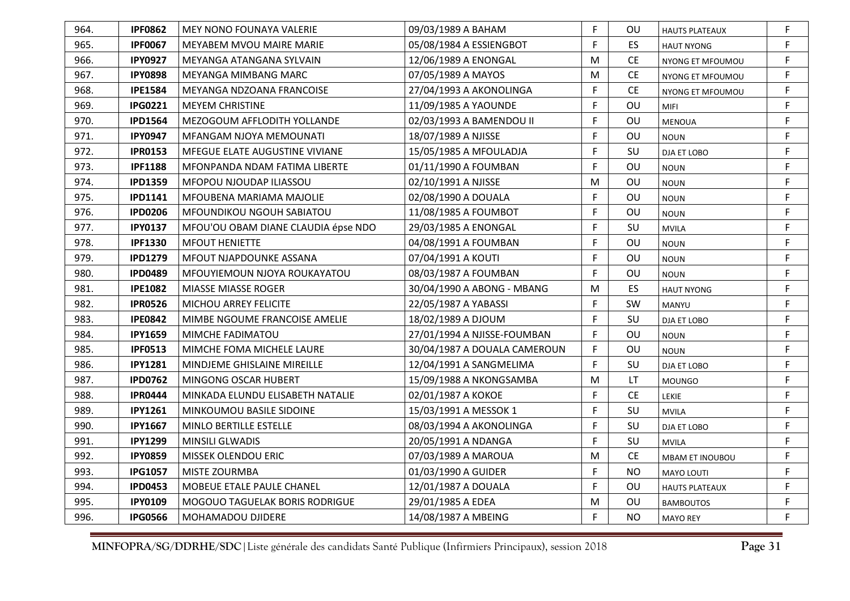| 964. | <b>IPF0862</b> | MEY NONO FOUNAYA VALERIE            | 09/03/1989 A BAHAM           | F | ΟU        | <b>HAUTS PLATEAUX</b>  | F |
|------|----------------|-------------------------------------|------------------------------|---|-----------|------------------------|---|
| 965. | <b>IPF0067</b> | MEYABEM MVOU MAIRE MARIE            | 05/08/1984 A ESSIENGBOT      | F | <b>ES</b> | <b>HAUT NYONG</b>      | F |
| 966. | <b>IPY0927</b> | MEYANGA ATANGANA SYLVAIN            | 12/06/1989 A ENONGAL         | M | CE.       | NYONG ET MFOUMOU       | F |
| 967. | <b>IPY0898</b> | MEYANGA MIMBANG MARC                | 07/05/1989 A MAYOS           | M | <b>CE</b> | NYONG ET MFOUMOU       | F |
| 968. | <b>IPE1584</b> | MEYANGA NDZOANA FRANCOISE           | 27/04/1993 A AKONOLINGA      | F | <b>CE</b> | NYONG ET MFOUMOU       | F |
| 969. | <b>IPG0221</b> | <b>MEYEM CHRISTINE</b>              | 11/09/1985 A YAOUNDE         | F | OU        | <b>MIFI</b>            | F |
| 970. | <b>IPD1564</b> | MEZOGOUM AFFLODITH YOLLANDE         | 02/03/1993 A BAMENDOU II     | F | OU        | <b>MENOUA</b>          | F |
| 971. | <b>IPY0947</b> | MFANGAM NJOYA MEMOUNATI             | 18/07/1989 A NJISSE          | F | OU        | <b>NOUN</b>            | F |
| 972. | <b>IPR0153</b> | MFEGUE ELATE AUGUSTINE VIVIANE      | 15/05/1985 A MFOULADJA       | F | SU        | DJA ET LOBO            | F |
| 973. | <b>IPF1188</b> | MFONPANDA NDAM FATIMA LIBERTE       | 01/11/1990 A FOUMBAN         | F | OU        | <b>NOUN</b>            | F |
| 974. | <b>IPD1359</b> | MFOPOU NJOUDAP ILIASSOU             | 02/10/1991 A NJISSE          | M | OU        | <b>NOUN</b>            | F |
| 975. | <b>IPD1141</b> | MFOUBENA MARIAMA MAJOLIE            | 02/08/1990 A DOUALA          | F | OU        | <b>NOUN</b>            | F |
| 976. | <b>IPD0206</b> | <b>MFOUNDIKOU NGOUH SABIATOU</b>    | 11/08/1985 A FOUMBOT         | F | OU        | <b>NOUN</b>            | F |
| 977. | <b>IPY0137</b> | MFOU'OU OBAM DIANE CLAUDIA épse NDO | 29/03/1985 A ENONGAL         | F | SU        | <b>MVILA</b>           | F |
| 978. | <b>IPF1330</b> | <b>MFOUT HENIETTE</b>               | 04/08/1991 A FOUMBAN         | F | OU        | <b>NOUN</b>            | F |
| 979. | <b>IPD1279</b> | <b>MFOUT NJAPDOUNKE ASSANA</b>      | 07/04/1991 A KOUTI           | F | OU        | <b>NOUN</b>            | F |
| 980. | <b>IPD0489</b> | MFOUYIEMOUN NJOYA ROUKAYATOU        | 08/03/1987 A FOUMBAN         | F | OU        | <b>NOUN</b>            | F |
| 981. | <b>IPE1082</b> | MIASSE MIASSE ROGER                 | 30/04/1990 A ABONG - MBANG   | M | ES        | <b>HAUT NYONG</b>      | F |
| 982. | <b>IPR0526</b> | MICHOU ARREY FELICITE               | 22/05/1987 A YABASSI         | F | <b>SW</b> | MANYU                  | F |
| 983. | <b>IPE0842</b> | MIMBE NGOUME FRANCOISE AMELIE       | 18/02/1989 A DJOUM           | F | SU        | DJA ET LOBO            | F |
| 984. | <b>IPY1659</b> | MIMCHE FADIMATOU                    | 27/01/1994 A NJISSE-FOUMBAN  | F | OU        | <b>NOUN</b>            | F |
| 985. | <b>IPF0513</b> | MIMCHE FOMA MICHELE LAURE           | 30/04/1987 A DOUALA CAMEROUN | F | OU        | <b>NOUN</b>            | F |
| 986. | <b>IPY1281</b> | MINDJEME GHISLAINE MIREILLE         | 12/04/1991 A SANGMELIMA      | F | SU        | DJA ET LOBO            | F |
| 987. | <b>IPD0762</b> | MINGONG OSCAR HUBERT                | 15/09/1988 A NKONGSAMBA      | M | LT        | <b>MOUNGO</b>          | F |
| 988. | <b>IPR0444</b> | MINKADA ELUNDU ELISABETH NATALIE    | 02/01/1987 A KOKOE           | F | <b>CE</b> | <b>LEKIE</b>           | F |
| 989. | <b>IPY1261</b> | MINKOUMOU BASILE SIDOINE            | 15/03/1991 A MESSOK 1        | F | SU        | <b>MVILA</b>           | F |
| 990. | <b>IPY1667</b> | MINLO BERTILLE ESTELLE              | 08/03/1994 A AKONOLINGA      | F | SU        | DJA ET LOBO            | F |
| 991. | <b>IPY1299</b> | <b>MINSILI GLWADIS</b>              | 20/05/1991 A NDANGA          | F | SU        | <b>MVILA</b>           | F |
| 992. | <b>IPY0859</b> | <b>MISSEK OLENDOU ERIC</b>          | 07/03/1989 A MAROUA          | м | <b>CE</b> | <b>MBAM ET INOUBOU</b> | F |
| 993. | <b>IPG1057</b> | MISTE ZOURMBA                       | 01/03/1990 A GUIDER          | F | <b>NO</b> | <b>MAYO LOUTI</b>      | F |
| 994. | <b>IPD0453</b> | MOBEUE ETALE PAULE CHANEL           | 12/01/1987 A DOUALA          | F | OU        | <b>HAUTS PLATEAUX</b>  | F |
| 995. | <b>IPY0109</b> | MOGOUO TAGUELAK BORIS RODRIGUE      | 29/01/1985 A EDEA            | M | OU        | <b>BAMBOUTOS</b>       | F |
| 996. | <b>IPG0566</b> | MOHAMADOU DJIDERE                   | 14/08/1987 A MBEING          | F | <b>NO</b> | <b>MAYO REY</b>        | F |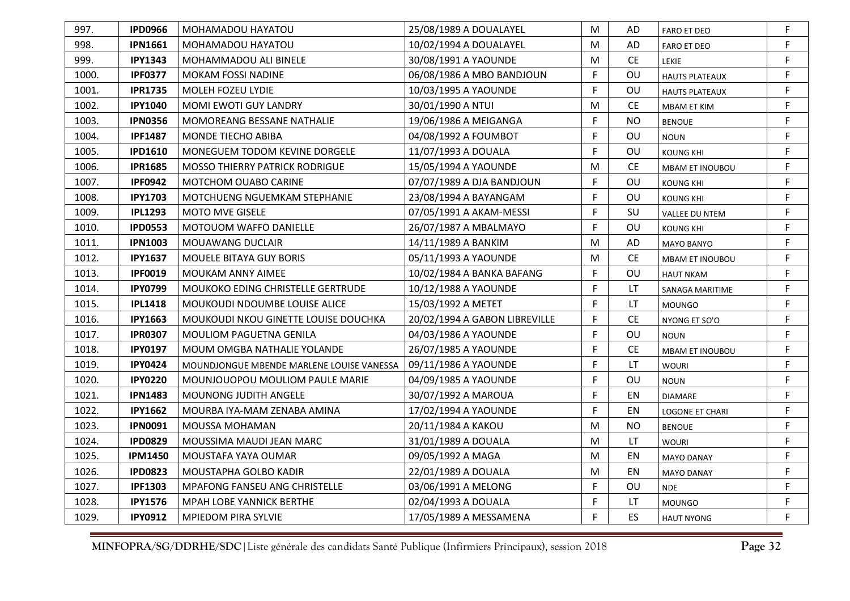| 997.  | <b>IPD0966</b> | MOHAMADOU HAYATOU                         | 25/08/1989 A DOUALAYEL        | M | AD        | <b>FARO ET DEO</b>     | F |
|-------|----------------|-------------------------------------------|-------------------------------|---|-----------|------------------------|---|
| 998.  | <b>IPN1661</b> | MOHAMADOU HAYATOU                         | 10/02/1994 A DOUALAYEL        | M | AD        | <b>FARO ET DEO</b>     | F |
| 999.  | <b>IPY1343</b> | MOHAMMADOU ALI BINELE                     | 30/08/1991 A YAOUNDE          | M | <b>CE</b> | LEKIE                  | F |
| 1000. | <b>IPF0377</b> | MOKAM FOSSI NADINE                        | 06/08/1986 A MBO BANDJOUN     | F | OU        | <b>HAUTS PLATEAUX</b>  | F |
| 1001. | <b>IPR1735</b> | <b>MOLEH FOZEU LYDIE</b>                  | 10/03/1995 A YAOUNDE          | F | OU        | <b>HAUTS PLATEAUX</b>  | F |
| 1002. | <b>IPY1040</b> | <b>MOMI EWOTI GUY LANDRY</b>              | 30/01/1990 A NTUI             | M | <b>CE</b> | MBAM ET KIM            | F |
| 1003. | <b>IPN0356</b> | <b>MOMOREANG BESSANE NATHALIE</b>         | 19/06/1986 A MEIGANGA         | F | <b>NO</b> | <b>BENOUE</b>          | F |
| 1004. | <b>IPF1487</b> | <b>MONDE TIECHO ABIBA</b>                 | 04/08/1992 A FOUMBOT          | F | OU        | <b>NOUN</b>            | F |
| 1005. | <b>IPD1610</b> | MONEGUEM TODOM KEVINE DORGELE             | 11/07/1993 A DOUALA           | F | OU        | <b>KOUNG KHI</b>       | F |
| 1006. | <b>IPR1685</b> | MOSSO THIERRY PATRICK RODRIGUE            | 15/05/1994 A YAOUNDE          | M | <b>CE</b> | <b>MBAM ET INOUBOU</b> | F |
| 1007. | <b>IPF0942</b> | MOTCHOM OUABO CARINE                      | 07/07/1989 A DJA BANDJOUN     | F | OU        | <b>KOUNG KHI</b>       | F |
| 1008. | <b>IPY1703</b> | MOTCHUENG NGUEMKAM STEPHANIE              | 23/08/1994 A BAYANGAM         | F | OU        | KOUNG KHI              | F |
| 1009. | <b>IPL1293</b> | <b>MOTO MVE GISELE</b>                    | 07/05/1991 A AKAM-MESSI       | F | SU        | VALLEE DU NTEM         | F |
| 1010. | <b>IPD0553</b> | MOTOUOM WAFFO DANIELLE                    | 26/07/1987 A MBALMAYO         | F | <b>OU</b> | <b>KOUNG KHI</b>       | F |
| 1011. | <b>IPN1003</b> | <b>MOUAWANG DUCLAIR</b>                   | 14/11/1989 A BANKIM           | M | AD        | MAYO BANYO             | F |
| 1012. | <b>IPY1637</b> | <b>MOUELE BITAYA GUY BORIS</b>            | 05/11/1993 A YAOUNDE          | M | <b>CE</b> | <b>MBAM ET INOUBOU</b> | F |
| 1013. | <b>IPF0019</b> | <b>MOUKAM ANNY AIMEE</b>                  | 10/02/1984 A BANKA BAFANG     | F | OU        | <b>HAUT NKAM</b>       | F |
| 1014. | <b>IPY0799</b> | MOUKOKO EDING CHRISTELLE GERTRUDE         | 10/12/1988 A YAOUNDE          | F | <b>LT</b> | SANAGA MARITIME        | F |
| 1015. | <b>IPL1418</b> | <b>MOUKOUDI NDOUMBE LOUISE ALICE</b>      | 15/03/1992 A METET            | F | LT.       | <b>MOUNGO</b>          | F |
| 1016. | <b>IPY1663</b> | MOUKOUDI NKOU GINETTE LOUISE DOUCHKA      | 20/02/1994 A GABON LIBREVILLE | F | <b>CE</b> | NYONG ET SO'O          | F |
| 1017. | <b>IPR0307</b> | <b>MOULIOM PAGUETNA GENILA</b>            | 04/03/1986 A YAOUNDE          | F | OU        | <b>NOUN</b>            | F |
| 1018. | <b>IPY0197</b> | MOUM OMGBA NATHALIE YOLANDE               | 26/07/1985 A YAOUNDE          | F | <b>CE</b> | <b>MBAM ET INOUBOU</b> | F |
| 1019. | <b>IPY0424</b> | MOUNDJONGUE MBENDE MARLENE LOUISE VANESSA | 09/11/1986 A YAOUNDE          | F | LT        | <b>WOURI</b>           | F |
| 1020. | <b>IPY0220</b> | MOUNJOUOPOU MOULIOM PAULE MARIE           | 04/09/1985 A YAOUNDE          | F | OU        | <b>NOUN</b>            | F |
| 1021. | <b>IPN1483</b> | <b>MOUNONG JUDITH ANGELE</b>              | 30/07/1992 A MAROUA           | F | EN        | <b>DIAMARE</b>         | F |
| 1022. | <b>IPY1662</b> | MOURBA IYA-MAM ZENABA AMINA               | 17/02/1994 A YAOUNDE          | F | EN        | <b>LOGONE ET CHARI</b> | F |
| 1023. | <b>IPN0091</b> | MOUSSA MOHAMAN                            | 20/11/1984 A KAKOU            | М | <b>NO</b> | <b>BENOUE</b>          | F |
| 1024. | <b>IPD0829</b> | MOUSSIMA MAUDI JEAN MARC                  | 31/01/1989 A DOUALA           | M | <b>LT</b> | <b>WOURI</b>           | F |
| 1025. | <b>IPM1450</b> | MOUSTAFA YAYA OUMAR                       | 09/05/1992 A MAGA             | M | ΕN        | <b>MAYO DANAY</b>      | F |
| 1026. | <b>IPD0823</b> | MOUSTAPHA GOLBO KADIR                     | 22/01/1989 A DOUALA           | M | EN        | <b>MAYO DANAY</b>      | F |
| 1027. | <b>IPF1303</b> | <b>MPAFONG FANSEU ANG CHRISTELLE</b>      | 03/06/1991 A MELONG           | F | OU        | <b>NDE</b>             | F |
| 1028. | <b>IPY1576</b> | <b>MPAH LOBE YANNICK BERTHE</b>           | 02/04/1993 A DOUALA           | F | LT        | <b>MOUNGO</b>          | F |
| 1029. | <b>IPY0912</b> | <b>MPIEDOM PIRA SYLVIE</b>                | 17/05/1989 A MESSAMENA        | F | ES        | <b>HAUT NYONG</b>      | F |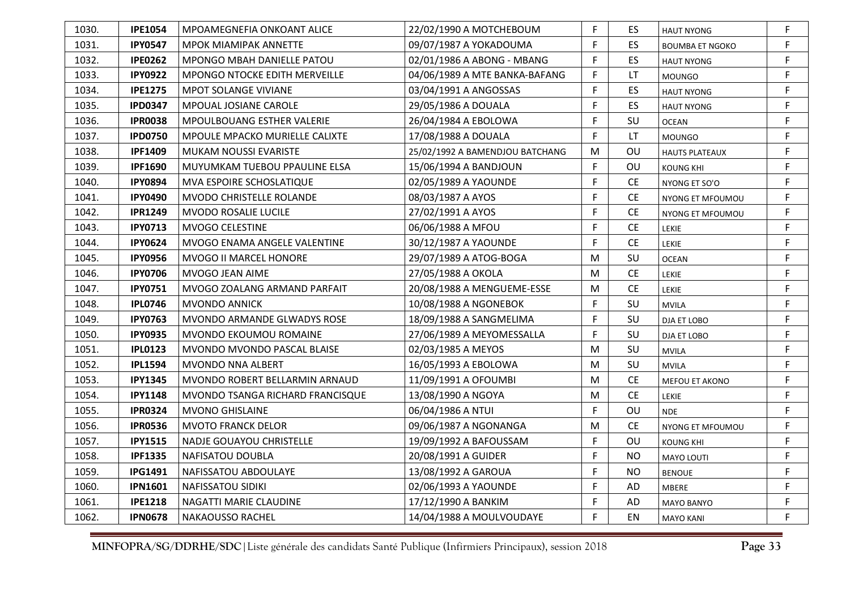| 1030. | <b>IPE1054</b> | MPOAMEGNEFIA ONKOANT ALICE            | 22/02/1990 A MOTCHEBOUM         | F | ES.       | <b>HAUT NYONG</b>      | F |
|-------|----------------|---------------------------------------|---------------------------------|---|-----------|------------------------|---|
| 1031. | <b>IPY0547</b> | <b>MPOK MIAMIPAK ANNETTE</b>          | 09/07/1987 A YOKADOUMA          | F | ES        | <b>BOUMBA ET NGOKO</b> | F |
| 1032. | <b>IPE0262</b> | MPONGO MBAH DANIELLE PATOU            | 02/01/1986 A ABONG - MBANG      | F | <b>ES</b> | <b>HAUT NYONG</b>      | F |
| 1033. | <b>IPY0922</b> | MPONGO NTOCKE EDITH MERVEILLE         | 04/06/1989 A MTE BANKA-BAFANG   | F | LT        | <b>MOUNGO</b>          | F |
| 1034. | <b>IPE1275</b> | <b>MPOT SOLANGE VIVIANE</b>           | 03/04/1991 A ANGOSSAS           | F | ES        | <b>HAUT NYONG</b>      | F |
| 1035. | <b>IPD0347</b> | MPOUAL JOSIANE CAROLE                 | 29/05/1986 A DOUALA             | F | ES        | <b>HAUT NYONG</b>      | F |
| 1036. | <b>IPR0038</b> | MPOULBOUANG ESTHER VALERIE            | 26/04/1984 A EBOLOWA            | F | SU        | <b>OCEAN</b>           | F |
| 1037. | <b>IPD0750</b> | <b>MPOULE MPACKO MURIELLE CALIXTE</b> | 17/08/1988 A DOUALA             | F | LT.       | <b>MOUNGO</b>          | F |
| 1038. | <b>IPF1409</b> | MUKAM NOUSSI EVARISTE                 | 25/02/1992 A BAMENDJOU BATCHANG | м | OU        | <b>HAUTS PLATEAUX</b>  | F |
| 1039. | <b>IPF1690</b> | MUYUMKAM TUEBOU PPAULINE ELSA         | 15/06/1994 A BANDJOUN           | F | OU        | <b>KOUNG KHI</b>       | F |
| 1040. | <b>IPY0894</b> | MVA ESPOIRE SCHOSLATIQUE              | 02/05/1989 A YAOUNDE            | F | <b>CE</b> | NYONG ET SO'O          | F |
| 1041. | <b>IPY0490</b> | <b>MVODO CHRISTELLE ROLANDE</b>       | 08/03/1987 A AYOS               | F | CE.       | NYONG ET MFOUMOU       | F |
| 1042. | <b>IPR1249</b> | <b>MVODO ROSALIE LUCILE</b>           | 27/02/1991 A AYOS               | F | <b>CE</b> | NYONG ET MFOUMOU       | F |
| 1043. | <b>IPY0713</b> | <b>MVOGO CELESTINE</b>                | 06/06/1988 A MFOU               | F | CE.       | <b>LEKIE</b>           | F |
| 1044. | <b>IPY0624</b> | MVOGO ENAMA ANGELE VALENTINE          | 30/12/1987 A YAOUNDE            | F | <b>CE</b> | <b>LEKIE</b>           | F |
| 1045. | <b>IPY0956</b> | <b>MVOGO II MARCEL HONORE</b>         | 29/07/1989 A ATOG-BOGA          | M | SU        | <b>OCEAN</b>           | F |
| 1046. | <b>IPY0706</b> | MVOGO JEAN AIME                       | 27/05/1988 A OKOLA              | M | <b>CE</b> | LEKIE                  | F |
| 1047. | <b>IPY0751</b> | MVOGO ZOALANG ARMAND PARFAIT          | 20/08/1988 A MENGUEME-ESSE      | M | <b>CE</b> | <b>LEKIE</b>           | F |
| 1048. | <b>IPL0746</b> | <b>MVONDO ANNICK</b>                  | 10/08/1988 A NGONEBOK           | F | SU        | <b>MVILA</b>           | F |
| 1049. | <b>IPY0763</b> | MVONDO ARMANDE GLWADYS ROSE           | 18/09/1988 A SANGMELIMA         | F | SU        | DJA ET LOBO            | F |
| 1050. | <b>IPY0935</b> | MVONDO EKOUMOU ROMAINE                | 27/06/1989 A MEYOMESSALLA       | F | SU        | DJA ET LOBO            | F |
| 1051. | <b>IPL0123</b> | MVONDO MVONDO PASCAL BLAISE           | 02/03/1985 A MEYOS              | M | SU        | <b>MVILA</b>           | F |
| 1052. | <b>IPL1594</b> | <b>MVONDO NNA ALBERT</b>              | 16/05/1993 A EBOLOWA            | M | SU        | <b>MVILA</b>           | F |
| 1053. | <b>IPY1345</b> | MVONDO ROBERT BELLARMIN ARNAUD        | 11/09/1991 A OFOUMBI            | M | <b>CE</b> | MEFOU ET AKONO         | F |
| 1054. | <b>IPY1148</b> | MVONDO TSANGA RICHARD FRANCISQUE      | 13/08/1990 A NGOYA              | M | <b>CE</b> | <b>LEKIE</b>           | F |
| 1055. | <b>IPR0324</b> | <b>MVONO GHISLAINE</b>                | 06/04/1986 A NTUI               | F | OU        | <b>NDE</b>             | F |
| 1056. | <b>IPR0536</b> | <b>MVOTO FRANCK DELOR</b>             | 09/06/1987 A NGONANGA           | M | <b>CE</b> | NYONG ET MFOUMOU       | F |
| 1057. | <b>IPY1515</b> | <b>NADJE GOUAYOU CHRISTELLE</b>       | 19/09/1992 A BAFOUSSAM          | F | OU        | <b>KOUNG KHI</b>       | F |
| 1058. | <b>IPF1335</b> | NAFISATOU DOUBLA                      | 20/08/1991 A GUIDER             | F | <b>NO</b> | MAYO LOUTI             | F |
| 1059. | <b>IPG1491</b> | NAFISSATOU ABDOULAYE                  | 13/08/1992 A GAROUA             | F | <b>NO</b> | <b>BENOUE</b>          | F |
| 1060. | <b>IPN1601</b> | NAFISSATOU SIDIKI                     | 02/06/1993 A YAOUNDE            | F | <b>AD</b> | MBERE                  | F |
| 1061. | <b>IPE1218</b> | NAGATTI MARIE CLAUDINE                | 17/12/1990 A BANKIM             | F | AD        | <b>MAYO BANYO</b>      | F |
| 1062. | <b>IPN0678</b> | <b>NAKAOUSSO RACHEL</b>               | 14/04/1988 A MOULVOUDAYE        | F | EN        | <b>MAYO KANI</b>       | F |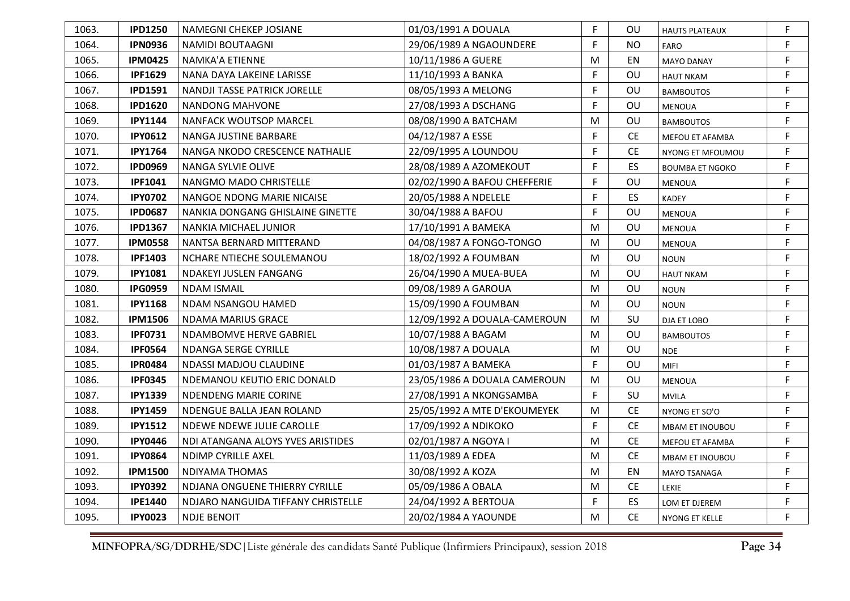| 1063. | <b>IPD1250</b> | NAMEGNI CHEKEP JOSIANE              | 01/03/1991 A DOUALA          | F | OU        | <b>HAUTS PLATEAUX</b>  | F |
|-------|----------------|-------------------------------------|------------------------------|---|-----------|------------------------|---|
| 1064. | <b>IPN0936</b> | NAMIDI BOUTAAGNI                    | 29/06/1989 A NGAOUNDERE      | F | <b>NO</b> | FARO                   | F |
| 1065. | <b>IPM0425</b> | NAMKA'A ETIENNE                     | 10/11/1986 A GUERE           | M | EN        | <b>MAYO DANAY</b>      | F |
| 1066. | <b>IPF1629</b> | NANA DAYA LAKEINE LARISSE           | 11/10/1993 A BANKA           | F | OU        | <b>HAUT NKAM</b>       | F |
| 1067. | <b>IPD1591</b> | <b>NANDJI TASSE PATRICK JORELLE</b> | 08/05/1993 A MELONG          | F | OU        | <b>BAMBOUTOS</b>       | F |
| 1068. | <b>IPD1620</b> | NANDONG MAHVONE                     | 27/08/1993 A DSCHANG         | F | OU        | <b>MENOUA</b>          | F |
| 1069. | <b>IPY1144</b> | NANFACK WOUTSOP MARCEL              | 08/08/1990 A BATCHAM         | M | OU        | <b>BAMBOUTOS</b>       | F |
| 1070. | <b>IPY0612</b> | NANGA JUSTINE BARBARE               | 04/12/1987 A ESSE            | F | <b>CE</b> | MEFOU ET AFAMBA        | F |
| 1071. | <b>IPY1764</b> | NANGA NKODO CRESCENCE NATHALIE      | 22/09/1995 A LOUNDOU         | F | <b>CE</b> | NYONG ET MFOUMOU       | F |
| 1072. | <b>IPD0969</b> | NANGA SYLVIE OLIVE                  | 28/08/1989 A AZOMEKOUT       | F | ES        | <b>BOUMBA ET NGOKO</b> | F |
| 1073. | <b>IPF1041</b> | NANGMO MADO CHRISTELLE              | 02/02/1990 A BAFOU CHEFFERIE | F | OU        | MENOUA                 | F |
| 1074. | <b>IPY0702</b> | NANGOE NDONG MARIE NICAISE          | 20/05/1988 A NDELELE         | F | ES        | <b>KADEY</b>           | F |
| 1075. | <b>IPD0687</b> | NANKIA DONGANG GHISLAINE GINETTE    | 30/04/1988 A BAFOU           | F | OU        | <b>MENOUA</b>          | F |
| 1076. | <b>IPD1367</b> | NANKIA MICHAEL JUNIOR               | 17/10/1991 A BAMEKA          | M | OU        | <b>MENOUA</b>          | F |
| 1077. | <b>IPM0558</b> | NANTSA BERNARD MITTERAND            | 04/08/1987 A FONGO-TONGO     | М | OU        | <b>MENOUA</b>          | F |
| 1078. | <b>IPF1403</b> | NCHARE NTIECHE SOULEMANOU           | 18/02/1992 A FOUMBAN         | M | OU        | <b>NOUN</b>            | F |
| 1079. | <b>IPY1081</b> | NDAKEYI JUSLEN FANGANG              | 26/04/1990 A MUEA-BUEA       | М | OU        | <b>HAUT NKAM</b>       | F |
| 1080. | <b>IPG0959</b> | <b>NDAM ISMAIL</b>                  | 09/08/1989 A GAROUA          | M | OU        | <b>NOUN</b>            | F |
| 1081. | <b>IPY1168</b> | NDAM NSANGOU HAMED                  | 15/09/1990 A FOUMBAN         | M | OU        | <b>NOUN</b>            | F |
| 1082. | <b>IPM1506</b> | NDAMA MARIUS GRACE                  | 12/09/1992 A DOUALA-CAMEROUN | M | SU        | DJA ET LOBO            | F |
| 1083. | <b>IPF0731</b> | NDAMBOMVE HERVE GABRIEL             | 10/07/1988 A BAGAM           | M | OU        | <b>BAMBOUTOS</b>       | F |
| 1084. | <b>IPF0564</b> | <b>NDANGA SERGE CYRILLE</b>         | 10/08/1987 A DOUALA          | M | OU        | <b>NDE</b>             | F |
| 1085. | <b>IPR0484</b> | NDASSI MADJOU CLAUDINE              | 01/03/1987 A BAMEKA          | F | OU        | <b>MIFI</b>            | F |
| 1086. | <b>IPF0345</b> | NDEMANOU KEUTIO ERIC DONALD         | 23/05/1986 A DOUALA CAMEROUN | M | OU        | <b>MENOUA</b>          | F |
| 1087. | <b>IPY1339</b> | NDENDENG MARIE CORINE               | 27/08/1991 A NKONGSAMBA      | F | SU        | <b>MVILA</b>           | F |
| 1088. | <b>IPY1459</b> | NDENGUE BALLA JEAN ROLAND           | 25/05/1992 A MTE D'EKOUMEYEK | M | <b>CE</b> | NYONG ET SO'O          | F |
| 1089. | <b>IPY1512</b> | NDEWE NDEWE JULIE CAROLLE           | 17/09/1992 A NDIKOKO         | F | <b>CE</b> | <b>MBAM ET INOUBOU</b> | F |
| 1090. | <b>IPY0446</b> | NDI ATANGANA ALOYS YVES ARISTIDES   | 02/01/1987 A NGOYA I         | M | <b>CE</b> | MEFOU ET AFAMBA        | F |
| 1091. | <b>IPY0864</b> | NDIMP CYRILLE AXEL                  | 11/03/1989 A EDEA            | M | <b>CE</b> | MBAM ET INOUBOU        | F |
| 1092. | <b>IPM1500</b> | <b>NDIYAMA THOMAS</b>               | 30/08/1992 A KOZA            | М | EN        | MAYO TSANAGA           | F |
| 1093. | <b>IPY0392</b> | NDJANA ONGUENE THIERRY CYRILLE      | 05/09/1986 A OBALA           | M | <b>CE</b> | <b>LEKIE</b>           | F |
| 1094. | <b>IPE1440</b> | NDJARO NANGUIDA TIFFANY CHRISTELLE  | 24/04/1992 A BERTOUA         | F | ES        | LOM ET DJEREM          | F |
| 1095. | <b>IPY0023</b> | NDJE BENOIT                         | 20/02/1984 A YAOUNDE         | M | <b>CE</b> | NYONG ET KELLE         | F |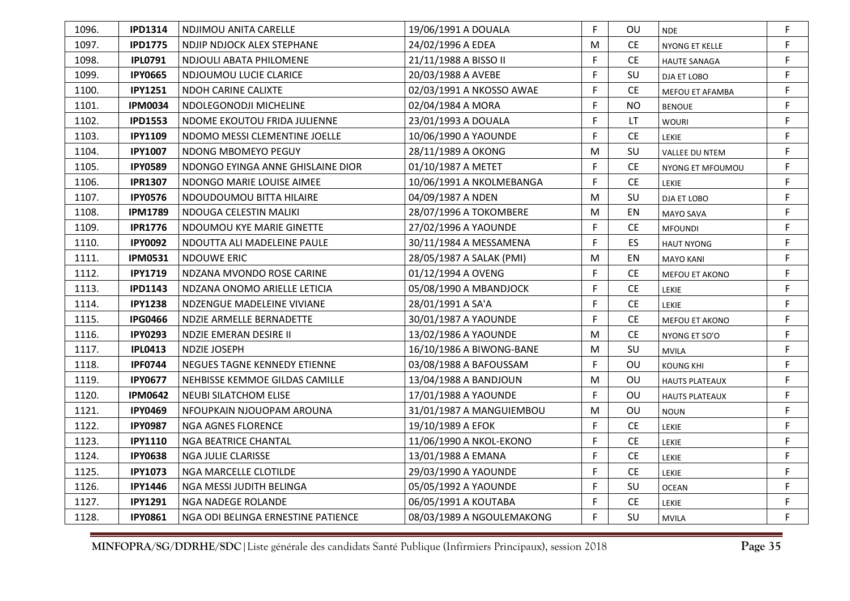| 1096. | <b>IPD1314</b> | NDJIMOU ANITA CARELLE              | 19/06/1991 A DOUALA       | F | OU        | <b>NDE</b>            | F |
|-------|----------------|------------------------------------|---------------------------|---|-----------|-----------------------|---|
| 1097. | <b>IPD1775</b> | NDJIP NDJOCK ALEX STEPHANE         | 24/02/1996 A EDEA         | M | <b>CE</b> | NYONG ET KELLE        | F |
| 1098. | <b>IPL0791</b> | NDJOULI ABATA PHILOMENE            | 21/11/1988 A BISSO II     | F | <b>CE</b> | <b>HAUTE SANAGA</b>   | F |
| 1099. | <b>IPY0665</b> | NDJOUMOU LUCIE CLARICE             | 20/03/1988 A AVEBE        | F | SU        | DJA ET LOBO           | F |
| 1100. | <b>IPY1251</b> | <b>NDOH CARINE CALIXTE</b>         | 02/03/1991 A NKOSSO AWAE  | F | CE.       | MEFOU ET AFAMBA       | F |
| 1101. | <b>IPM0034</b> | NDOLEGONODJI MICHELINE             | 02/04/1984 A MORA         | F | <b>NO</b> | <b>BENOUE</b>         | F |
| 1102. | <b>IPD1553</b> | NDOME EKOUTOU FRIDA JULIENNE       | 23/01/1993 A DOUALA       | F | <b>LT</b> | <b>WOURI</b>          | F |
| 1103. | <b>IPY1109</b> | NDOMO MESSI CLEMENTINE JOELLE      | 10/06/1990 A YAOUNDE      | F | <b>CE</b> | <b>LEKIE</b>          | F |
| 1104. | <b>IPY1007</b> | NDONG MBOMEYO PEGUY                | 28/11/1989 A OKONG        | M | SU        | <b>VALLEE DU NTEM</b> | F |
| 1105. | <b>IPY0589</b> | NDONGO EYINGA ANNE GHISLAINE DIOR  | 01/10/1987 A METET        | F | <b>CE</b> | NYONG ET MFOUMOU      | F |
| 1106. | <b>IPR1307</b> | NDONGO MARIE LOUISE AIMEE          | 10/06/1991 A NKOLMEBANGA  | F | <b>CE</b> | <b>LEKIE</b>          | F |
| 1107. | <b>IPY0576</b> | NDOUDOUMOU BITTA HILAIRE           | 04/09/1987 A NDEN         | M | <b>SU</b> | DJA ET LOBO           | F |
| 1108. | <b>IPM1789</b> | NDOUGA CELESTIN MALIKI             | 28/07/1996 A TOKOMBERE    | M | EN        | MAYO SAVA             | F |
| 1109. | <b>IPR1776</b> | NDOUMOU KYE MARIE GINETTE          | 27/02/1996 A YAOUNDE      | F | <b>CE</b> | <b>MFOUNDI</b>        | F |
| 1110. | <b>IPY0092</b> | NDOUTTA ALI MADELEINE PAULE        | 30/11/1984 A MESSAMENA    | F | ES        | <b>HAUT NYONG</b>     | F |
| 1111. | <b>IPM0531</b> | NDOUWE ERIC                        | 28/05/1987 A SALAK (PMI)  | M | EN        | <b>MAYO KANI</b>      | F |
| 1112. | <b>IPY1719</b> | NDZANA MVONDO ROSE CARINE          | 01/12/1994 A OVENG        | F | <b>CE</b> | MEFOU ET AKONO        | F |
| 1113. | <b>IPD1143</b> | NDZANA ONOMO ARIELLE LETICIA       | 05/08/1990 A MBANDJOCK    | F | <b>CE</b> | LEKIE                 | F |
| 1114. | <b>IPY1238</b> | NDZENGUE MADELEINE VIVIANE         | 28/01/1991 A SA'A         | F | <b>CE</b> | <b>LEKIE</b>          | F |
| 1115. | <b>IPG0466</b> | NDZIE ARMELLE BERNADETTE           | 30/01/1987 A YAOUNDE      | F | <b>CE</b> | MEFOU ET AKONO        | F |
| 1116. | <b>IPY0293</b> | NDZIE EMERAN DESIRE II             | 13/02/1986 A YAOUNDE      | М | <b>CE</b> | NYONG ET SO'O         | F |
| 1117. | <b>IPL0413</b> | NDZIE JOSEPH                       | 16/10/1986 A BIWONG-BANE  | M | SU        | <b>MVILA</b>          | F |
| 1118. | <b>IPF0744</b> | NEGUES TAGNE KENNEDY ETIENNE       | 03/08/1988 A BAFOUSSAM    | F | OU        | <b>KOUNG KHI</b>      | F |
| 1119. | <b>IPY0677</b> | NEHBISSE KEMMOE GILDAS CAMILLE     | 13/04/1988 A BANDJOUN     | M | OU        | <b>HAUTS PLATEAUX</b> | F |
| 1120. | <b>IPM0642</b> | <b>NEUBI SILATCHOM ELISE</b>       | 17/01/1988 A YAOUNDE      | F | OU        | <b>HAUTS PLATEAUX</b> | F |
| 1121. | <b>IPY0469</b> | NFOUPKAIN NJOUOPAM AROUNA          | 31/01/1987 A MANGUIEMBOU  | M | OU        | <b>NOUN</b>           | F |
| 1122. | <b>IPY0987</b> | NGA AGNES FLORENCE                 | 19/10/1989 A EFOK         | F | <b>CE</b> | <b>LEKIE</b>          | F |
| 1123. | <b>IPY1110</b> | NGA BEATRICE CHANTAL               | 11/06/1990 A NKOL-EKONO   | F | <b>CE</b> | <b>LEKIE</b>          | F |
| 1124. | <b>IPY0638</b> | NGA JULIE CLARISSE                 | 13/01/1988 A EMANA        | F | <b>CE</b> | <b>LEKIE</b>          | F |
| 1125. | <b>IPY1073</b> | NGA MARCELLE CLOTILDE              | 29/03/1990 A YAOUNDE      | F | <b>CE</b> | <b>LEKIE</b>          | F |
| 1126. | <b>IPY1446</b> | NGA MESSI JUDITH BELINGA           | 05/05/1992 A YAOUNDE      | F | SU        | <b>OCEAN</b>          | F |
| 1127. | <b>IPY1291</b> | <b>NGA NADEGE ROLANDE</b>          | 06/05/1991 A KOUTABA      | F | <b>CE</b> | <b>LEKIE</b>          | F |
| 1128. | <b>IPY0861</b> | NGA ODI BELINGA ERNESTINE PATIENCE | 08/03/1989 A NGOULEMAKONG | F | SU        | <b>MVILA</b>          | F |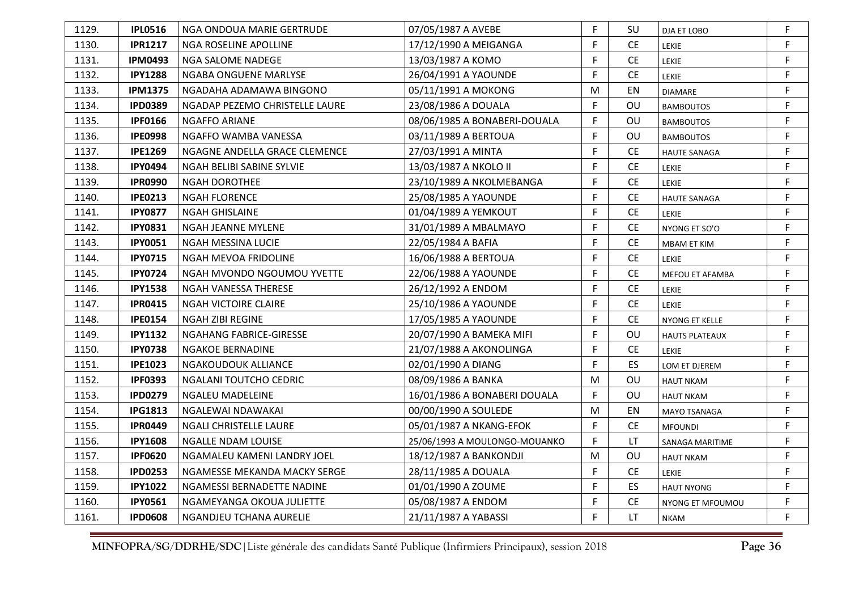| 1129. | <b>IPLO516</b> | NGA ONDOUA MARIE GERTRUDE      | 07/05/1987 A AVEBE            | F         | SU        | DJA ET LOBO           | F. |
|-------|----------------|--------------------------------|-------------------------------|-----------|-----------|-----------------------|----|
| 1130. | <b>IPR1217</b> | NGA ROSELINE APOLLINE          | 17/12/1990 A MEIGANGA         | F         | <b>CE</b> | LEKIE                 | F  |
| 1131. | <b>IPM0493</b> | NGA SALOME NADEGE              | 13/03/1987 A KOMO             | F         | <b>CE</b> | LEKIE                 | F  |
| 1132. | <b>IPY1288</b> | NGABA ONGUENE MARLYSE          | 26/04/1991 A YAOUNDE          | F         | <b>CE</b> | LEKIE                 | F  |
| 1133. | <b>IPM1375</b> | NGADAHA ADAMAWA BINGONO        | 05/11/1991 A MOKONG           | M         | EN        | <b>DIAMARE</b>        | F  |
| 1134. | <b>IPD0389</b> | NGADAP PEZEMO CHRISTELLE LAURE | 23/08/1986 A DOUALA           | F         | OU        | <b>BAMBOUTOS</b>      | F  |
| 1135. | <b>IPF0166</b> | <b>NGAFFO ARIANE</b>           | 08/06/1985 A BONABERI-DOUALA  | F         | OU        | <b>BAMBOUTOS</b>      | F  |
| 1136. | <b>IPE0998</b> | NGAFFO WAMBA VANESSA           | 03/11/1989 A BERTOUA          | F         | OU        | <b>BAMBOUTOS</b>      | F  |
| 1137. | <b>IPE1269</b> | NGAGNE ANDELLA GRACE CLEMENCE  | 27/03/1991 A MINTA            | F         | CE.       | <b>HAUTE SANAGA</b>   | F  |
| 1138. | <b>IPY0494</b> | NGAH BELIBI SABINE SYLVIE      | 13/03/1987 A NKOLO II         | F         | <b>CE</b> | LEKIE                 | F  |
| 1139. | <b>IPR0990</b> | <b>NGAH DOROTHEE</b>           | 23/10/1989 A NKOLMEBANGA      | F         | <b>CE</b> | LEKIE                 | F  |
| 1140. | <b>IPE0213</b> | <b>NGAH FLORENCE</b>           | 25/08/1985 A YAOUNDE          | F         | CE.       | <b>HAUTE SANAGA</b>   | F  |
| 1141. | <b>IPY0877</b> | NGAH GHISLAINE                 | 01/04/1989 A YEMKOUT          | F         | <b>CE</b> | <b>LEKIE</b>          | F  |
| 1142. | <b>IPY0831</b> | NGAH JEANNE MYLENE             | 31/01/1989 A MBALMAYO         | F         | <b>CE</b> | NYONG ET SO'O         | F  |
| 1143. | <b>IPY0051</b> | NGAH MESSINA LUCIE             | 22/05/1984 A BAFIA            | F         | <b>CE</b> | MBAM ET KIM           | F  |
| 1144. | <b>IPY0715</b> | NGAH MEVOA FRIDOLINE           | 16/06/1988 A BERTOUA          | F         | <b>CE</b> | LEKIE                 | F  |
| 1145. | <b>IPY0724</b> | NGAH MVONDO NGOUMOU YVETTE     | 22/06/1988 A YAOUNDE          | F         | <b>CE</b> | MEFOU ET AFAMBA       | F  |
| 1146. | <b>IPY1538</b> | <b>NGAH VANESSA THERESE</b>    | 26/12/1992 A ENDOM            | F         | <b>CE</b> | LEKIE                 | F  |
| 1147. | <b>IPR0415</b> | NGAH VICTOIRE CLAIRE           | 25/10/1986 A YAOUNDE          | F.        | <b>CE</b> | <b>LEKIE</b>          | F  |
| 1148. | <b>IPE0154</b> | <b>NGAH ZIBI REGINE</b>        | 17/05/1985 A YAOUNDE          | F         | CE.       | NYONG ET KELLE        | F  |
| 1149. | <b>IPY1132</b> | NGAHANG FABRICE-GIRESSE        | 20/07/1990 A BAMEKA MIFI      | F         | OU        | <b>HAUTS PLATEAUX</b> | F  |
| 1150. | <b>IPY0738</b> | <b>NGAKOE BERNADINE</b>        | 21/07/1988 A AKONOLINGA       | F         | <b>CE</b> | LEKIE                 | F  |
| 1151. | <b>IPE1023</b> | NGAKOUDOUK ALLIANCE            | 02/01/1990 A DIANG            | F         | ES        | LOM ET DJEREM         | F  |
| 1152. | <b>IPF0393</b> | NGALANI TOUTCHO CEDRIC         | 08/09/1986 A BANKA            | M         | OU        | <b>HAUT NKAM</b>      | F  |
| 1153. | <b>IPD0279</b> | NGALEU MADELEINE               | 16/01/1986 A BONABERI DOUALA  | F         | OU        | <b>HAUT NKAM</b>      | F  |
| 1154. | <b>IPG1813</b> | NGALEWAI NDAWAKAI              | 00/00/1990 A SOULEDE          | ${\sf M}$ | EN        | MAYO TSANAGA          | F  |
| 1155. | <b>IPR0449</b> | NGALI CHRISTELLE LAURE         | 05/01/1987 A NKANG-EFOK       | F         | CE.       | <b>MFOUNDI</b>        | F  |
| 1156. | <b>IPY1608</b> | NGALLE NDAM LOUISE             | 25/06/1993 A MOULONGO-MOUANKO | F         | LT        | SANAGA MARITIME       | F  |
| 1157. | <b>IPF0620</b> | NGAMALEU KAMENI LANDRY JOEL    | 18/12/1987 A BANKONDJI        | M         | <b>OU</b> | <b>HAUT NKAM</b>      | F  |
| 1158. | <b>IPD0253</b> | NGAMESSE MEKANDA MACKY SERGE   | 28/11/1985 A DOUALA           | F         | <b>CE</b> | LEKIE                 | F  |
| 1159. | <b>IPY1022</b> | NGAMESSI BERNADETTE NADINE     | 01/01/1990 A ZOUME            | F         | <b>ES</b> | <b>HAUT NYONG</b>     | F  |
| 1160. | <b>IPY0561</b> | NGAMEYANGA OKOUA JULIETTE      | 05/08/1987 A ENDOM            | F         | <b>CE</b> | NYONG ET MFOUMOU      | F  |
| 1161. | <b>IPD0608</b> | NGANDJEU TCHANA AURELIE        | 21/11/1987 A YABASSI          | F         | LT.       | <b>NKAM</b>           | F  |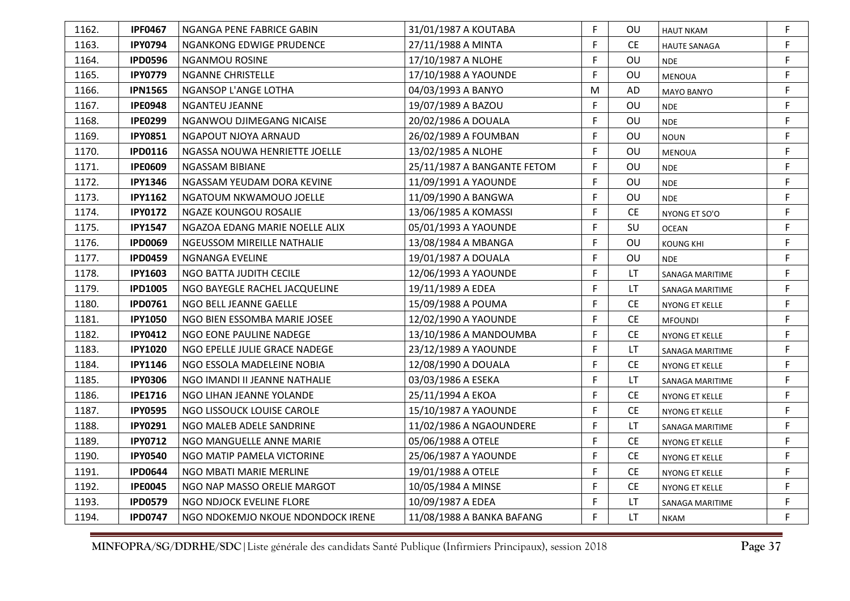| 1162. | <b>IPF0467</b> | NGANGA PENE FABRICE GABIN         | 31/01/1987 A KOUTABA        | F | OU.       | <b>HAUT NKAM</b>       | F           |
|-------|----------------|-----------------------------------|-----------------------------|---|-----------|------------------------|-------------|
| 1163. | <b>IPY0794</b> | NGANKONG EDWIGE PRUDENCE          | 27/11/1988 A MINTA          | F | <b>CE</b> | <b>HAUTE SANAGA</b>    | F           |
| 1164. | <b>IPD0596</b> | <b>NGANMOU ROSINE</b>             | 17/10/1987 A NLOHE          | F | OU        | <b>NDE</b>             | F           |
| 1165. | <b>IPY0779</b> | <b>NGANNE CHRISTELLE</b>          | 17/10/1988 A YAOUNDE        | F | OU        | <b>MENOUA</b>          | F           |
| 1166. | <b>IPN1565</b> | NGANSOP L'ANGE LOTHA              | 04/03/1993 A BANYO          | М | <b>AD</b> | <b>MAYO BANYO</b>      | F           |
| 1167. | <b>IPE0948</b> | <b>NGANTEU JEANNE</b>             | 19/07/1989 A BAZOU          | F | OU        | <b>NDE</b>             | F           |
| 1168. | <b>IPE0299</b> | NGANWOU DJIMEGANG NICAISE         | 20/02/1986 A DOUALA         | F | OU        | <b>NDE</b>             | $\mathsf F$ |
| 1169. | <b>IPY0851</b> | NGAPOUT NJOYA ARNAUD              | 26/02/1989 A FOUMBAN        | F | OU        | <b>NOUN</b>            | $\mathsf F$ |
| 1170. | <b>IPD0116</b> | NGASSA NOUWA HENRIETTE JOELLE     | 13/02/1985 A NLOHE          | F | OU        | <b>MENOUA</b>          | $\mathsf F$ |
| 1171. | <b>IPE0609</b> | NGASSAM BIBIANE                   | 25/11/1987 A BANGANTE FETOM | F | OU        | <b>NDE</b>             | F           |
| 1172. | <b>IPY1346</b> | NGASSAM YEUDAM DORA KEVINE        | 11/09/1991 A YAOUNDE        | F | OU        | <b>NDE</b>             | $\mathsf F$ |
| 1173. | <b>IPY1162</b> | NGATOUM NKWAMOUO JOELLE           | 11/09/1990 A BANGWA         | F | OU        | <b>NDE</b>             | F           |
| 1174. | <b>IPY0172</b> | NGAZE KOUNGOU ROSALIE             | 13/06/1985 A KOMASSI        | F | <b>CE</b> | NYONG ET SO'O          | F           |
| 1175. | <b>IPY1547</b> | NGAZOA EDANG MARIE NOELLE ALIX    | 05/01/1993 A YAOUNDE        | F | SU        | <b>OCEAN</b>           | F           |
| 1176. | <b>IPD0069</b> | NGEUSSOM MIREILLE NATHALIE        | 13/08/1984 A MBANGA         | F | OU        | <b>KOUNG KHI</b>       | $\mathsf F$ |
| 1177. | <b>IPD0459</b> | <b>NGNANGA EVELINE</b>            | 19/01/1987 A DOUALA         | F | OU        | <b>NDE</b>             | F           |
| 1178. | <b>IPY1603</b> | NGO BATTA JUDITH CECILE           | 12/06/1993 A YAOUNDE        | F | LT.       | SANAGA MARITIME        | F           |
| 1179. | <b>IPD1005</b> | NGO BAYEGLE RACHEL JACQUELINE     | 19/11/1989 A EDEA           | F | LT.       | SANAGA MARITIME        | $\mathsf F$ |
| 1180. | <b>IPD0761</b> | NGO BELL JEANNE GAELLE            | 15/09/1988 A POUMA          | F | <b>CE</b> | NYONG ET KELLE         | F           |
| 1181. | <b>IPY1050</b> | NGO BIEN ESSOMBA MARIE JOSEE      | 12/02/1990 A YAOUNDE        | F | <b>CE</b> | <b>MFOUNDI</b>         | F           |
| 1182. | <b>IPY0412</b> | NGO EONE PAULINE NADEGE           | 13/10/1986 A MANDOUMBA      | F | <b>CE</b> | NYONG ET KELLE         | F           |
| 1183. | <b>IPY1020</b> | NGO EPELLE JULIE GRACE NADEGE     | 23/12/1989 A YAOUNDE        | F | LT.       | SANAGA MARITIME        | F           |
| 1184. | <b>IPY1146</b> | NGO ESSOLA MADELEINE NOBIA        | 12/08/1990 A DOUALA         | F | <b>CE</b> | NYONG ET KELLE         | F           |
| 1185. | <b>IPY0306</b> | NGO IMANDI II JEANNE NATHALIE     | 03/03/1986 A ESEKA          | F | LT        | SANAGA MARITIME        | F           |
| 1186. | <b>IPE1716</b> | NGO LIHAN JEANNE YOLANDE          | 25/11/1994 A EKOA           | F | <b>CE</b> | NYONG ET KELLE         | F           |
| 1187. | <b>IPY0595</b> | NGO LISSOUCK LOUISE CAROLE        | 15/10/1987 A YAOUNDE        | F | <b>CE</b> | NYONG ET KELLE         | F           |
| 1188. | <b>IPY0291</b> | NGO MALEB ADELE SANDRINE          | 11/02/1986 A NGAOUNDERE     | F | <b>LT</b> | <b>SANAGA MARITIME</b> | F           |
| 1189. | <b>IPY0712</b> | NGO MANGUELLE ANNE MARIE          | 05/06/1988 A OTELE          | F | <b>CE</b> | NYONG ET KELLE         | $\mathsf F$ |
| 1190. | <b>IPY0540</b> | NGO MATIP PAMELA VICTORINE        | 25/06/1987 A YAOUNDE        | F | <b>CE</b> | NYONG ET KELLE         | F           |
| 1191. | <b>IPD0644</b> | NGO MBATI MARIE MERLINE           | 19/01/1988 A OTELE          | F | <b>CE</b> | NYONG ET KELLE         | $\mathsf F$ |
| 1192. | <b>IPE0045</b> | NGO NAP MASSO ORELIE MARGOT       | 10/05/1984 A MINSE          | F | <b>CE</b> | NYONG ET KELLE         | F           |
| 1193. | <b>IPD0579</b> | NGO NDJOCK EVELINE FLORE          | 10/09/1987 A EDEA           | F | LT        | SANAGA MARITIME        | F           |
| 1194. | <b>IPD0747</b> | NGO NDOKEMJO NKOUE NDONDOCK IRENE | 11/08/1988 A BANKA BAFANG   | F | LT.       | <b>NKAM</b>            | F           |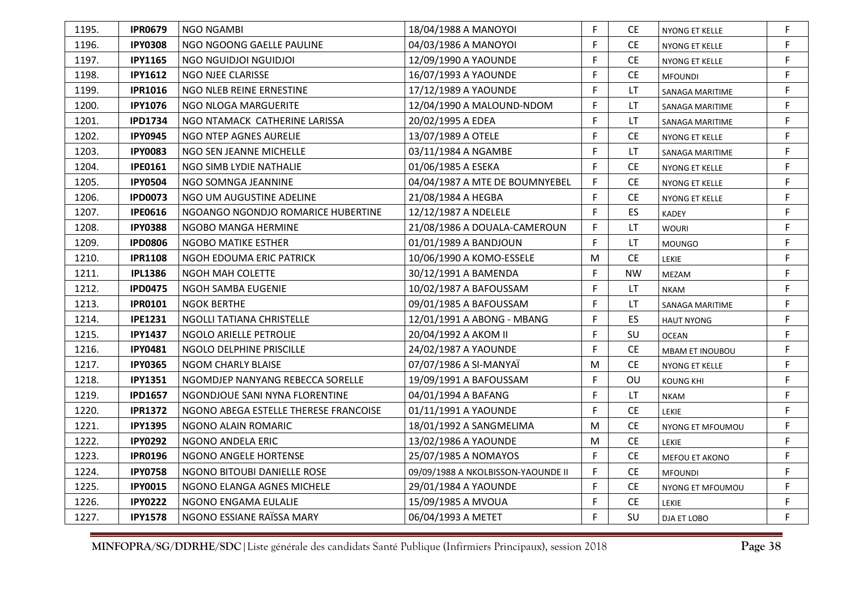| 1195. | <b>IPR0679</b> | <b>NGO NGAMBI</b>                     | 18/04/1988 A MANOYOI               | F | <b>CE</b> | NYONG ET KELLE         | F |
|-------|----------------|---------------------------------------|------------------------------------|---|-----------|------------------------|---|
| 1196. | <b>IPY0308</b> | NGO NGOONG GAELLE PAULINE             | 04/03/1986 A MANOYOI               | F | <b>CE</b> | NYONG ET KELLE         | F |
| 1197. | <b>IPY1165</b> | NGO NGUIDJOI NGUIDJOI                 | 12/09/1990 A YAOUNDE               | F | <b>CE</b> | NYONG ET KELLE         | F |
| 1198. | <b>IPY1612</b> | NGO NJEE CLARISSE                     | 16/07/1993 A YAOUNDE               | F | <b>CE</b> | <b>MFOUNDI</b>         | F |
| 1199. | <b>IPR1016</b> | NGO NLEB REINE ERNESTINE              | 17/12/1989 A YAOUNDE               | F | LT        | SANAGA MARITIME        | F |
| 1200. | <b>IPY1076</b> | NGO NLOGA MARGUERITE                  | 12/04/1990 A MALOUND-NDOM          | F | LT        | SANAGA MARITIME        | F |
| 1201. | <b>IPD1734</b> | NGO NTAMACK CATHERINE LARISSA         | 20/02/1995 A EDEA                  | F | <b>LT</b> | SANAGA MARITIME        | F |
| 1202. | <b>IPY0945</b> | NGO NTEP AGNES AURELIE                | 13/07/1989 A OTELE                 | F | <b>CE</b> | NYONG ET KELLE         | F |
| 1203. | <b>IPY0083</b> | NGO SEN JEANNE MICHELLE               | 03/11/1984 A NGAMBE                | F | <b>LT</b> | SANAGA MARITIME        | F |
| 1204. | <b>IPE0161</b> | NGO SIMB LYDIE NATHALIE               | 01/06/1985 A ESEKA                 | F | <b>CE</b> | NYONG ET KELLE         | F |
| 1205. | <b>IPY0504</b> | NGO SOMNGA JEANNINE                   | 04/04/1987 A MTE DE BOUMNYEBEL     | F | <b>CE</b> | NYONG ET KELLE         | F |
| 1206. | <b>IPD0073</b> | NGO UM AUGUSTINE ADELINE              | 21/08/1984 A HEGBA                 | F | <b>CE</b> | <b>NYONG ET KELLE</b>  | F |
| 1207. | <b>IPE0616</b> | NGOANGO NGONDJO ROMARICE HUBERTINE    | 12/12/1987 A NDELELE               | F | ES        | <b>KADEY</b>           | F |
| 1208. | <b>IPY0388</b> | NGOBO MANGA HERMINE                   | 21/08/1986 A DOUALA-CAMEROUN       | F | LT.       | <b>WOURI</b>           | F |
| 1209. | <b>IPD0806</b> | NGOBO MATIKE ESTHER                   | 01/01/1989 A BANDJOUN              | F | LT        | <b>MOUNGO</b>          | F |
| 1210. | <b>IPR1108</b> | NGOH EDOUMA ERIC PATRICK              | 10/06/1990 A KOMO-ESSELE           | M | <b>CE</b> | LEKIE                  | F |
| 1211. | <b>IPL1386</b> | <b>NGOH MAH COLETTE</b>               | 30/12/1991 A BAMENDA               | F | <b>NW</b> | <b>MEZAM</b>           | F |
| 1212. | <b>IPD0475</b> | NGOH SAMBA EUGENIE                    | 10/02/1987 A BAFOUSSAM             | F | <b>LT</b> | <b>NKAM</b>            | F |
| 1213. | <b>IPR0101</b> | <b>NGOK BERTHE</b>                    | 09/01/1985 A BAFOUSSAM             | F | LT        | SANAGA MARITIME        | F |
| 1214. | <b>IPE1231</b> | NGOLLI TATIANA CHRISTELLE             | 12/01/1991 A ABONG - MBANG         | F | ES        | <b>HAUT NYONG</b>      | F |
| 1215. | <b>IPY1437</b> | NGOLO ARIELLE PETROLIE                | 20/04/1992 A AKOM II               | F | SU        | <b>OCEAN</b>           | F |
| 1216. | <b>IPY0481</b> | NGOLO DELPHINE PRISCILLE              | 24/02/1987 A YAOUNDE               | F | <b>CE</b> | <b>MBAM ET INOUBOU</b> | F |
| 1217. | <b>IPY0365</b> | <b>NGOM CHARLY BLAISE</b>             | 07/07/1986 A SI-MANYAÏ             | M | <b>CE</b> | <b>NYONG ET KELLE</b>  | F |
| 1218. | <b>IPY1351</b> | NGOMDJEP NANYANG REBECCA SORELLE      | 19/09/1991 A BAFOUSSAM             | F | OU        | <b>KOUNG KHI</b>       | F |
| 1219. | <b>IPD1657</b> | NGONDJOUE SANI NYNA FLORENTINE        | 04/01/1994 A BAFANG                | F | LT        | <b>NKAM</b>            | F |
| 1220. | <b>IPR1372</b> | NGONO ABEGA ESTELLE THERESE FRANCOISE | 01/11/1991 A YAOUNDE               | F | <b>CE</b> | <b>LEKIE</b>           | F |
| 1221. | <b>IPY1395</b> | NGONO ALAIN ROMARIC                   | 18/01/1992 A SANGMELIMA            | М | <b>CE</b> | NYONG ET MFOUMOU       | F |
| 1222. | <b>IPY0292</b> | NGONO ANDELA ERIC                     | 13/02/1986 A YAOUNDE               | M | <b>CE</b> | <b>LEKIE</b>           | F |
| 1223. | <b>IPR0196</b> | NGONO ANGELE HORTENSE                 | 25/07/1985 A NOMAYOS               | F | <b>CE</b> | MEFOU ET AKONO         | F |
| 1224. | <b>IPY0758</b> | NGONO BITOUBI DANIELLE ROSE           | 09/09/1988 A NKOLBISSON-YAOUNDE II | F | <b>CE</b> | <b>MFOUNDI</b>         | F |
| 1225. | <b>IPY0015</b> | NGONO ELANGA AGNES MICHELE            | 29/01/1984 A YAOUNDE               | F | <b>CE</b> | NYONG ET MFOUMOU       | F |
| 1226. | <b>IPY0222</b> | NGONO ENGAMA EULALIE                  | 15/09/1985 A MVOUA                 | F | <b>CE</b> | LEKIE                  | F |
| 1227. | <b>IPY1578</b> | NGONO ESSIANE RAÏSSA MARY             | 06/04/1993 A METET                 | F | SU        | DJA ET LOBO            | F |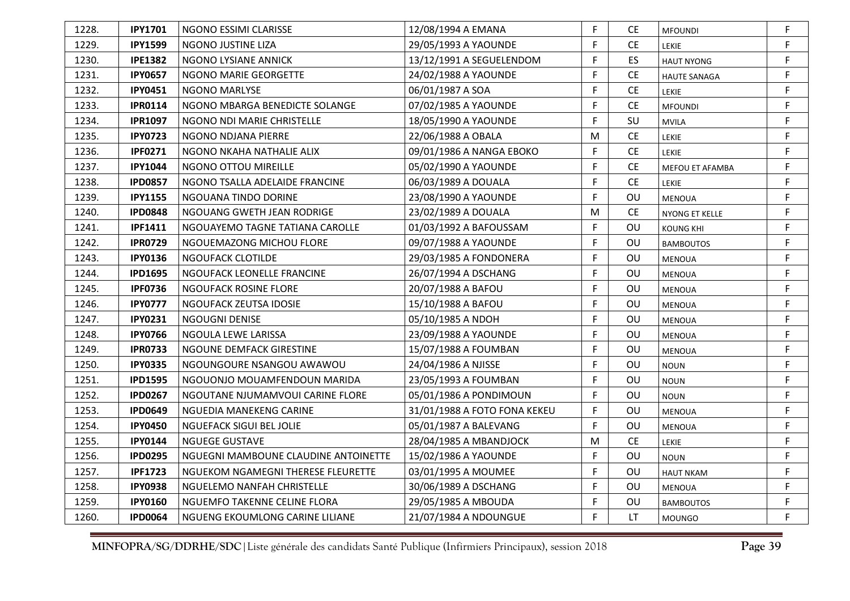| 1228. | <b>IPY1701</b> | NGONO ESSIMI CLARISSE                | 12/08/1994 A EMANA           | F            | CЕ        | <b>MFOUNDI</b>      | F           |
|-------|----------------|--------------------------------------|------------------------------|--------------|-----------|---------------------|-------------|
| 1229. | <b>IPY1599</b> | NGONO JUSTINE LIZA                   | 29/05/1993 A YAOUNDE         | F            | <b>CE</b> | LEKIE               | F           |
| 1230. | <b>IPE1382</b> | NGONO LYSIANE ANNICK                 | 13/12/1991 A SEGUELENDOM     | F            | ES        | <b>HAUT NYONG</b>   | F           |
| 1231. | <b>IPY0657</b> | NGONO MARIE GEORGETTE                | 24/02/1988 A YAOUNDE         | F            | CE.       | <b>HAUTE SANAGA</b> | F           |
| 1232. | <b>IPY0451</b> | NGONO MARLYSE                        | 06/01/1987 A SOA             | F            | <b>CE</b> | <b>LEKIE</b>        | F           |
| 1233. | <b>IPR0114</b> | NGONO MBARGA BENEDICTE SOLANGE       | 07/02/1985 A YAOUNDE         | F            | <b>CE</b> | <b>MFOUNDI</b>      | F           |
| 1234. | <b>IPR1097</b> | NGONO NDI MARIE CHRISTELLE           | 18/05/1990 A YAOUNDE         | F            | SU        | <b>MVILA</b>        | F           |
| 1235. | <b>IPY0723</b> | NGONO NDJANA PIERRE                  | 22/06/1988 A OBALA           | M            | <b>CE</b> | LEKIE               | F           |
| 1236. | <b>IPF0271</b> | NGONO NKAHA NATHALIE ALIX            | 09/01/1986 A NANGA EBOKO     | F            | <b>CE</b> | LEKIE               | $\mathsf F$ |
| 1237. | <b>IPY1044</b> | NGONO OTTOU MIREILLE                 | 05/02/1990 A YAOUNDE         | F            | CE.       | MEFOU ET AFAMBA     | F           |
| 1238. | <b>IPD0857</b> | NGONO TSALLA ADELAIDE FRANCINE       | 06/03/1989 A DOUALA          | F            | <b>CE</b> | LEKIE               | $\mathsf F$ |
| 1239. | <b>IPY1155</b> | NGOUANA TINDO DORINE                 | 23/08/1990 A YAOUNDE         | F            | OU        | <b>MENOUA</b>       | F           |
| 1240. | <b>IPD0848</b> | NGOUANG GWETH JEAN RODRIGE           | 23/02/1989 A DOUALA          | M            | <b>CE</b> | NYONG ET KELLE      | $\mathsf F$ |
| 1241. | <b>IPF1411</b> | NGOUAYEMO TAGNE TATIANA CAROLLE      | 01/03/1992 A BAFOUSSAM       | F            | OU        | <b>KOUNG KHI</b>    | F           |
| 1242. | <b>IPR0729</b> | NGOUEMAZONG MICHOU FLORE             | 09/07/1988 A YAOUNDE         | F            | OU        | <b>BAMBOUTOS</b>    | F           |
| 1243. | <b>IPY0136</b> | NGOUFACK CLOTILDE                    | 29/03/1985 A FONDONERA       | F            | OU        | <b>MENOUA</b>       | F           |
| 1244. | <b>IPD1695</b> | NGOUFACK LEONELLE FRANCINE           | 26/07/1994 A DSCHANG         | F            | OU        | <b>MENOUA</b>       | $\mathsf F$ |
| 1245. | <b>IPF0736</b> | NGOUFACK ROSINE FLORE                | 20/07/1988 A BAFOU           | F            | OU        | <b>MENOUA</b>       | F           |
| 1246. | <b>IPY0777</b> | NGOUFACK ZEUTSA IDOSIE               | 15/10/1988 A BAFOU           | F            | OU        | <b>MENOUA</b>       | $\mathsf F$ |
| 1247. | <b>IPY0231</b> | NGOUGNI DENISE                       | 05/10/1985 A NDOH            | F            | <b>OU</b> | <b>MENOUA</b>       | F.          |
| 1248. | <b>IPY0766</b> | NGOULA LEWE LARISSA                  | 23/09/1988 A YAOUNDE         | $\mathsf{F}$ | OU        | <b>MENOUA</b>       | $\mathsf F$ |
| 1249. | <b>IPR0733</b> | NGOUNE DEMFACK GIRESTINE             | 15/07/1988 A FOUMBAN         | F            | OU        | <b>MENOUA</b>       | $\mathsf F$ |
| 1250. | <b>IPY0335</b> | NGOUNGOURE NSANGOU AWAWOU            | 24/04/1986 A NJISSE          | F            | OU        | <b>NOUN</b>         | F           |
| 1251. | <b>IPD1595</b> | NGOUONJO MOUAMFENDOUN MARIDA         | 23/05/1993 A FOUMBAN         | F            | OU        | NOUN                | F           |
| 1252. | <b>IPD0267</b> | NGOUTANE NJUMAMVOUI CARINE FLORE     | 05/01/1986 A PONDIMOUN       | F            | OU        | <b>NOUN</b>         | $\mathsf F$ |
| 1253. | <b>IPD0649</b> | NGUEDIA MANEKENG CARINE              | 31/01/1988 A FOTO FONA KEKEU | F            | OU        | <b>MENOUA</b>       | $\mathsf F$ |
| 1254. | <b>IPY0450</b> | NGUEFACK SIGUI BEL JOLIE             | 05/01/1987 A BALEVANG        | F            | OU        | <b>MENOUA</b>       | F           |
| 1255. | <b>IPY0144</b> | <b>NGUEGE GUSTAVE</b>                | 28/04/1985 A MBANDJOCK       | м            | <b>CE</b> | LEKIE               | F           |
| 1256. | <b>IPD0295</b> | NGUEGNI MAMBOUNE CLAUDINE ANTOINETTE | 15/02/1986 A YAOUNDE         | F            | OU        | <b>NOUN</b>         | $\mathsf F$ |
| 1257. | <b>IPF1723</b> | NGUEKOM NGAMEGNI THERESE FLEURETTE   | 03/01/1995 A MOUMEE          | F            | OU        | <b>HAUT NKAM</b>    | F           |
| 1258. | <b>IPY0938</b> | NGUELEMO NANFAH CHRISTELLE           | 30/06/1989 A DSCHANG         | F            | OU        | <b>MENOUA</b>       | F           |
| 1259. | <b>IPY0160</b> | NGUEMFO TAKENNE CELINE FLORA         | 29/05/1985 A MBOUDA          | F            | OU        | <b>BAMBOUTOS</b>    | F           |
| 1260. | <b>IPD0064</b> | NGUENG EKOUMLONG CARINE LILIANE      | 21/07/1984 A NDOUNGUE        | F            | LT        | <b>MOUNGO</b>       | F           |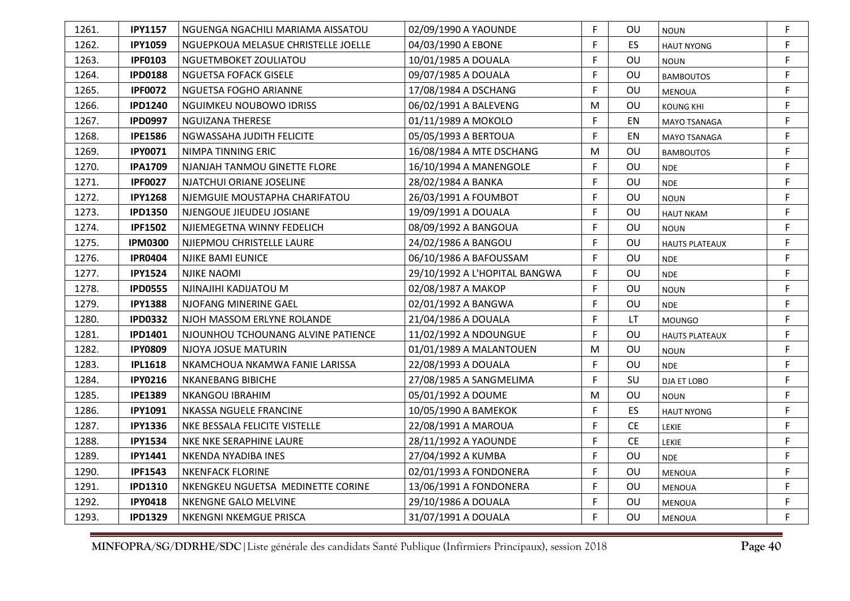| 1261. | <b>IPY1157</b> | NGUENGA NGACHILI MARIAMA AISSATOU   | 02/09/1990 A YAOUNDE          | F | OU        | <b>NOUN</b>           | F |
|-------|----------------|-------------------------------------|-------------------------------|---|-----------|-----------------------|---|
| 1262. | <b>IPY1059</b> | NGUEPKOUA MELASUE CHRISTELLE JOELLE | 04/03/1990 A EBONE            | F | ES        | <b>HAUT NYONG</b>     | F |
| 1263. | <b>IPF0103</b> | NGUETMBOKET ZOULIATOU               | 10/01/1985 A DOUALA           | F | OU        | <b>NOUN</b>           | F |
| 1264. | <b>IPD0188</b> | <b>NGUETSA FOFACK GISELE</b>        | 09/07/1985 A DOUALA           | F | OU        | <b>BAMBOUTOS</b>      | F |
| 1265. | <b>IPF0072</b> | NGUETSA FOGHO ARIANNE               | 17/08/1984 A DSCHANG          | F | OU        | MENOUA                | F |
| 1266. | <b>IPD1240</b> | <b>NGUIMKEU NOUBOWO IDRISS</b>      | 06/02/1991 A BALEVENG         | M | OU        | <b>KOUNG KHI</b>      | F |
| 1267. | <b>IPD0997</b> | <b>NGUIZANA THERESE</b>             | 01/11/1989 A MOKOLO           | F | EN        | MAYO TSANAGA          | F |
| 1268. | <b>IPE1586</b> | NGWASSAHA JUDITH FELICITE           | 05/05/1993 A BERTOUA          | F | EN        | MAYO TSANAGA          | F |
| 1269. | <b>IPY0071</b> | NIMPA TINNING ERIC                  | 16/08/1984 A MTE DSCHANG      | M | OU        | <b>BAMBOUTOS</b>      | F |
| 1270. | <b>IPA1709</b> | NJANJAH TANMOU GINETTE FLORE        | 16/10/1994 A MANENGOLE        | F | <b>OU</b> | <b>NDE</b>            | F |
| 1271. | <b>IPF0027</b> | NJATCHUI ORIANE JOSELINE            | 28/02/1984 A BANKA            | F | OU        | <b>NDE</b>            | F |
| 1272. | <b>IPY1268</b> | NJEMGUIE MOUSTAPHA CHARIFATOU       | 26/03/1991 A FOUMBOT          | F | OU        | <b>NOUN</b>           | F |
| 1273. | <b>IPD1350</b> | NJENGOUE JIEUDEU JOSIANE            | 19/09/1991 A DOUALA           | F | OU        | <b>HAUT NKAM</b>      | F |
| 1274. | <b>IPF1502</b> | NJIEMEGETNA WINNY FEDELICH          | 08/09/1992 A BANGOUA          | F | OU        | <b>NOUN</b>           | F |
| 1275. | <b>IPM0300</b> | NJIEPMOU CHRISTELLE LAURE           | 24/02/1986 A BANGOU           | F | OU        | <b>HAUTS PLATEAUX</b> | F |
| 1276. | <b>IPR0404</b> | NJIKE BAMI EUNICE                   | 06/10/1986 A BAFOUSSAM        | F | OU        | <b>NDE</b>            | F |
| 1277. | <b>IPY1524</b> | <b>NJIKE NAOMI</b>                  | 29/10/1992 A L'HOPITAL BANGWA | F | OU        | <b>NDE</b>            | F |
| 1278. | <b>IPD0555</b> | NJINAJIHI KADIJATOU M               | 02/08/1987 A MAKOP            | F | OU        | <b>NOUN</b>           | F |
| 1279. | <b>IPY1388</b> | NJOFANG MINERINE GAEL               | 02/01/1992 A BANGWA           | F | OU        | <b>NDE</b>            | F |
| 1280. | <b>IPD0332</b> | NJOH MASSOM ERLYNE ROLANDE          | 21/04/1986 A DOUALA           | F | LT        | <b>MOUNGO</b>         | F |
| 1281. | <b>IPD1401</b> | NJOUNHOU TCHOUNANG ALVINE PATIENCE  | 11/02/1992 A NDOUNGUE         | F | OU        | <b>HAUTS PLATEAUX</b> | F |
| 1282. | <b>IPY0809</b> | NJOYA JOSUE MATURIN                 | 01/01/1989 A MALANTOUEN       | M | OU        | <b>NOUN</b>           | F |
| 1283. | <b>IPL1618</b> | NKAMCHOUA NKAMWA FANIE LARISSA      | 22/08/1993 A DOUALA           | F | OU        | <b>NDE</b>            | F |
| 1284. | <b>IPY0216</b> | <b>NKANEBANG BIBICHE</b>            | 27/08/1985 A SANGMELIMA       | F | SU        | DJA ET LOBO           | F |
| 1285. | <b>IPE1389</b> | <b>NKANGOU IBRAHIM</b>              | 05/01/1992 A DOUME            | М | OU        | <b>NOUN</b>           | F |
| 1286. | <b>IPY1091</b> | NKASSA NGUELE FRANCINE              | 10/05/1990 A BAMEKOK          | F | ES        | <b>HAUT NYONG</b>     | F |
| 1287. | <b>IPY1336</b> | NKE BESSALA FELICITE VISTELLE       | 22/08/1991 A MAROUA           | F | <b>CE</b> | <b>LEKIE</b>          | F |
| 1288. | <b>IPY1534</b> | NKE NKE SERAPHINE LAURE             | 28/11/1992 A YAOUNDE          | F | <b>CE</b> | <b>LEKIE</b>          | F |
| 1289. | <b>IPY1441</b> | NKENDA NYADIBA INES                 | 27/04/1992 A KUMBA            | F | OU        | <b>NDE</b>            | F |
| 1290. | <b>IPF1543</b> | <b>NKENFACK FLORINE</b>             | 02/01/1993 A FONDONERA        | F | OU        | <b>MENOUA</b>         | F |
| 1291. | <b>IPD1310</b> | NKENGKEU NGUETSA MEDINETTE CORINE   | 13/06/1991 A FONDONERA        | F | OU        | <b>MENOUA</b>         | F |
| 1292. | <b>IPY0418</b> | NKENGNE GALO MELVINE                | 29/10/1986 A DOUALA           | F | OU        | MENOUA                | F |
| 1293. | <b>IPD1329</b> | <b>NKENGNI NKEMGUE PRISCA</b>       | 31/07/1991 A DOUALA           | F | OU        | <b>MENOUA</b>         | F |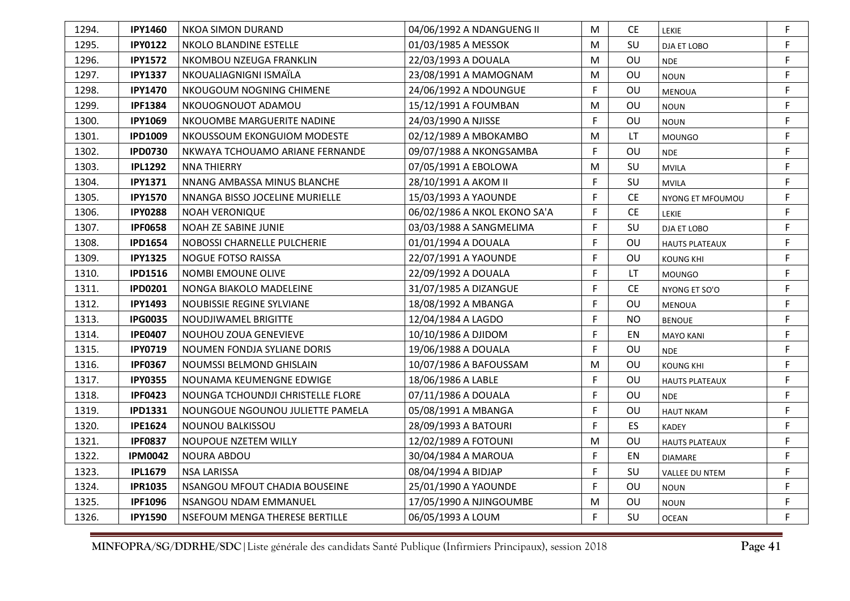| 1294. | <b>IPY1460</b> | <b>NKOA SIMON DURAND</b>          | 04/06/1992 A NDANGUENG II    | M            | CE        | <b>LEKIE</b>          | F           |
|-------|----------------|-----------------------------------|------------------------------|--------------|-----------|-----------------------|-------------|
| 1295. | <b>IPY0122</b> | NKOLO BLANDINE ESTELLE            | 01/03/1985 A MESSOK          | M            | SU        | DJA ET LOBO           | F           |
| 1296. | <b>IPY1572</b> | NKOMBOU NZEUGA FRANKLIN           | 22/03/1993 A DOUALA          | М            | OU        | <b>NDE</b>            | F           |
| 1297. | <b>IPY1337</b> | NKOUALIAGNIGNI ISMAÏLA            | 23/08/1991 A MAMOGNAM        | M            | OU        | <b>NOUN</b>           | F           |
| 1298. | <b>IPY1470</b> | NKOUGOUM NOGNING CHIMENE          | 24/06/1992 A NDOUNGUE        | F            | OU        | <b>MENOUA</b>         | F           |
| 1299. | <b>IPF1384</b> | NKOUOGNOUOT ADAMOU                | 15/12/1991 A FOUMBAN         | M            | OU        | <b>NOUN</b>           | F           |
| 1300. | <b>IPY1069</b> | NKOUOMBE MARGUERITE NADINE        | 24/03/1990 A NJISSE          | F            | OU        | <b>NOUN</b>           | F           |
| 1301. | <b>IPD1009</b> | NKOUSSOUM EKONGUIOM MODESTE       | 02/12/1989 A MBOKAMBO        | М            | LT        | <b>MOUNGO</b>         | F           |
| 1302. | <b>IPD0730</b> | NKWAYA TCHOUAMO ARIANE FERNANDE   | 09/07/1988 A NKONGSAMBA      | F            | OU        | <b>NDE</b>            | $\mathsf F$ |
| 1303. | <b>IPL1292</b> | <b>NNA THIERRY</b>                | 07/05/1991 A EBOLOWA         | M            | SU        | <b>MVILA</b>          | F           |
| 1304. | <b>IPY1371</b> | NNANG AMBASSA MINUS BLANCHE       | 28/10/1991 A AKOM II         | F            | SU        | <b>MVILA</b>          | $\mathsf F$ |
| 1305. | <b>IPY1570</b> | NNANGA BISSO JOCELINE MURIELLE    | 15/03/1993 A YAOUNDE         | F            | <b>CE</b> | NYONG ET MFOUMOU      | F           |
| 1306. | <b>IPY0288</b> | <b>NOAH VERONIQUE</b>             | 06/02/1986 A NKOL EKONO SA'A | F            | <b>CE</b> | <b>LEKIE</b>          | $\mathsf F$ |
| 1307. | <b>IPF0658</b> | NOAH ZE SABINE JUNIE              | 03/03/1988 A SANGMELIMA      | F            | SU        | DJA ET LOBO           | F           |
| 1308. | <b>IPD1654</b> | NOBOSSI CHARNELLE PULCHERIE       | 01/01/1994 A DOUALA          | F            | OU        | <b>HAUTS PLATEAUX</b> | F           |
| 1309. | <b>IPY1325</b> | <b>NOGUE FOTSO RAISSA</b>         | 22/07/1991 A YAOUNDE         | F            | OU        | KOUNG KHI             | F           |
| 1310. | <b>IPD1516</b> | NOMBI EMOUNE OLIVE                | 22/09/1992 A DOUALA          | F            | LT.       | <b>MOUNGO</b>         | $\mathsf F$ |
| 1311. | <b>IPD0201</b> | NONGA BIAKOLO MADELEINE           | 31/07/1985 A DIZANGUE        | F            | <b>CE</b> | NYONG ET SO'O         | F           |
| 1312. | <b>IPY1493</b> | NOUBISSIE REGINE SYLVIANE         | 18/08/1992 A MBANGA          | F            | OU        | <b>MENOUA</b>         | $\mathsf F$ |
| 1313. | <b>IPG0035</b> | NOUDJIWAMEL BRIGITTE              | 12/04/1984 A LAGDO           | F            | <b>NO</b> | <b>BENOUE</b>         | F           |
| 1314. | <b>IPE0407</b> | NOUHOU ZOUA GENEVIEVE             | 10/10/1986 A DJIDOM          | $\mathsf F$  | EN        | <b>MAYO KANI</b>      | $\mathsf F$ |
| 1315. | <b>IPY0719</b> | NOUMEN FONDJA SYLIANE DORIS       | 19/06/1988 A DOUALA          | F            | <b>OU</b> | <b>NDE</b>            | $\mathsf F$ |
| 1316. | <b>IPF0367</b> | NOUMSSI BELMOND GHISLAIN          | 10/07/1986 A BAFOUSSAM       | М            | OU        | <b>KOUNG KHI</b>      | F           |
| 1317. | <b>IPY0355</b> | NOUNAMA KEUMENGNE EDWIGE          | 18/06/1986 A LABLE           | F            | OU        | <b>HAUTS PLATEAUX</b> | $\mathsf F$ |
| 1318. | <b>IPF0423</b> | NOUNGA TCHOUNDJI CHRISTELLE FLORE | 07/11/1986 A DOUALA          | $\mathsf{F}$ | OU        | <b>NDE</b>            | F           |
| 1319. | <b>IPD1331</b> | NOUNGOUE NGOUNOU JULIETTE PAMELA  | 05/08/1991 A MBANGA          | F            | OU        | <b>HAUT NKAM</b>      | $\mathsf F$ |
| 1320. | <b>IPE1624</b> | <b>NOUNOU BALKISSOU</b>           | 28/09/1993 A BATOURI         | F            | ES        | <b>KADEY</b>          | F           |
| 1321. | <b>IPF0837</b> | NOUPOUE NZETEM WILLY              | 12/02/1989 A FOTOUNI         | м            | OU        | <b>HAUTS PLATEAUX</b> | F           |
| 1322. | <b>IPM0042</b> | <b>NOURA ABDOU</b>                | 30/04/1984 A MAROUA          | F            | EN        | <b>DIAMARE</b>        | $\mathsf F$ |
| 1323. | <b>IPL1679</b> | <b>NSA LARISSA</b>                | 08/04/1994 A BIDJAP          | F            | SU        | VALLEE DU NTEM        | F           |
| 1324. | <b>IPR1035</b> | NSANGOU MFOUT CHADIA BOUSEINE     | 25/01/1990 A YAOUNDE         | F            | OU        | <b>NOUN</b>           | F           |
| 1325. | <b>IPF1096</b> | NSANGOU NDAM EMMANUEL             | 17/05/1990 A NJINGOUMBE      | М            | OU        | <b>NOUN</b>           | F           |
| 1326. | <b>IPY1590</b> | NSEFOUM MENGA THERESE BERTILLE    | 06/05/1993 A LOUM            | F            | SU        | <b>OCEAN</b>          | F           |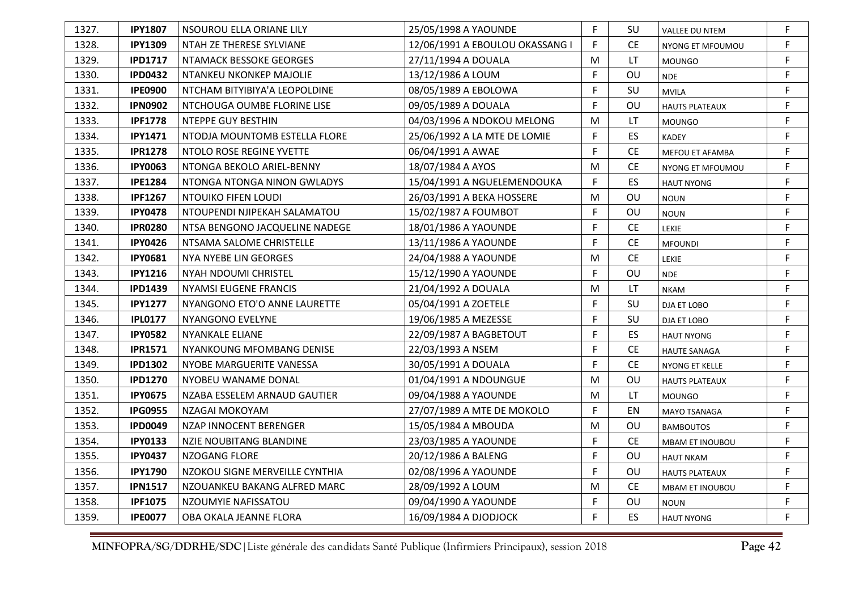| 1327. | <b>IPY1807</b> | <b>NSOUROU ELLA ORIANE LILY</b> | 25/05/1998 A YAOUNDE            | F | SU        | VALLEE DU NTEM         | F |
|-------|----------------|---------------------------------|---------------------------------|---|-----------|------------------------|---|
| 1328. | <b>IPY1309</b> | NTAH ZE THERESE SYLVIANE        | 12/06/1991 A EBOULOU OKASSANG I | F | <b>CE</b> | NYONG ET MFOUMOU       | F |
| 1329. | <b>IPD1717</b> | NTAMACK BESSOKE GEORGES         | 27/11/1994 A DOUALA             | M | LT        | <b>MOUNGO</b>          | F |
| 1330. | <b>IPD0432</b> | NTANKEU NKONKEP MAJOLIE         | 13/12/1986 A LOUM               | F | OU        | <b>NDE</b>             | F |
| 1331. | <b>IPE0900</b> | NTCHAM BITYIBIYA'A LEOPOLDINE   | 08/05/1989 A EBOLOWA            | F | SU        | <b>MVILA</b>           | F |
| 1332. | <b>IPN0902</b> | NTCHOUGA OUMBE FLORINE LISE     | 09/05/1989 A DOUALA             | F | OU        | <b>HAUTS PLATEAUX</b>  | F |
| 1333. | <b>IPF1778</b> | NTEPPE GUY BESTHIN              | 04/03/1996 A NDOKOU MELONG      | M | LT        | <b>MOUNGO</b>          | F |
| 1334. | <b>IPY1471</b> | NTODJA MOUNTOMB ESTELLA FLORE   | 25/06/1992 A LA MTE DE LOMIE    | F | <b>ES</b> | <b>KADEY</b>           | F |
| 1335. | <b>IPR1278</b> | NTOLO ROSE REGINE YVETTE        | 06/04/1991 A AWAE               | F | <b>CE</b> | MEFOU ET AFAMBA        | F |
| 1336. | <b>IPY0063</b> | NTONGA BEKOLO ARIEL-BENNY       | 18/07/1984 A AYOS               | M | CE.       | NYONG ET MFOUMOU       | F |
| 1337. | <b>IPE1284</b> | NTONGA NTONGA NINON GWLADYS     | 15/04/1991 A NGUELEMENDOUKA     | F | <b>ES</b> | <b>HAUT NYONG</b>      | F |
| 1338. | <b>IPF1267</b> | NTOUIKO FIFEN LOUDI             | 26/03/1991 A BEKA HOSSERE       | M | OU        | <b>NOUN</b>            | F |
| 1339. | <b>IPY0478</b> | NTOUPENDI NJIPEKAH SALAMATOU    | 15/02/1987 A FOUMBOT            | F | OU        | <b>NOUN</b>            | F |
| 1340. | <b>IPR0280</b> | NTSA BENGONO JACQUELINE NADEGE  | 18/01/1986 A YAOUNDE            | F | <b>CE</b> | <b>LEKIE</b>           | F |
| 1341. | <b>IPY0426</b> | NTSAMA SALOME CHRISTELLE        | 13/11/1986 A YAOUNDE            | F | <b>CE</b> | <b>MFOUNDI</b>         | F |
| 1342. | <b>IPY0681</b> | NYA NYEBE LIN GEORGES           | 24/04/1988 A YAOUNDE            | M | <b>CE</b> | LEKIE                  | F |
| 1343. | <b>IPY1216</b> | NYAH NDOUMI CHRISTEL            | 15/12/1990 A YAOUNDE            | F | OU        | <b>NDE</b>             | F |
| 1344. | <b>IPD1439</b> | <b>NYAMSI EUGENE FRANCIS</b>    | 21/04/1992 A DOUALA             | M | LT.       | <b>NKAM</b>            | F |
| 1345. | <b>IPY1277</b> | NYANGONO ETO'O ANNE LAURETTE    | 05/04/1991 A ZOETELE            | F | SU        | DJA ET LOBO            | F |
| 1346. | <b>IPL0177</b> | <b>NYANGONO EVELYNE</b>         | 19/06/1985 A MEZESSE            | F | SU        | DJA ET LOBO            | F |
| 1347. | <b>IPY0582</b> | NYANKALE ELIANE                 | 22/09/1987 A BAGBETOUT          | F | ES        | <b>HAUT NYONG</b>      | F |
| 1348. | <b>IPR1571</b> | NYANKOUNG MFOMBANG DENISE       | 22/03/1993 A NSEM               | F | <b>CE</b> | <b>HAUTE SANAGA</b>    | F |
| 1349. | <b>IPD1302</b> | NYOBE MARGUERITE VANESSA        | 30/05/1991 A DOUALA             | F | <b>CE</b> | NYONG ET KELLE         | F |
| 1350. | <b>IPD1270</b> | NYOBEU WANAME DONAL             | 01/04/1991 A NDOUNGUE           | M | OU        | <b>HAUTS PLATEAUX</b>  | F |
| 1351. | <b>IPY0675</b> | NZABA ESSELEM ARNAUD GAUTIER    | 09/04/1988 A YAOUNDE            | M | LT.       | <b>MOUNGO</b>          | F |
| 1352. | <b>IPG0955</b> | NZAGAI MOKOYAM                  | 27/07/1989 A MTE DE MOKOLO      | F | EN        | MAYO TSANAGA           | F |
| 1353. | <b>IPD0049</b> | NZAP INNOCENT BERENGER          | 15/05/1984 A MBOUDA             | M | OU        | <b>BAMBOUTOS</b>       | F |
| 1354. | <b>IPY0133</b> | NZIE NOUBITANG BLANDINE         | 23/03/1985 A YAOUNDE            | F | <b>CE</b> | <b>MBAM ET INOUBOU</b> | F |
| 1355. | <b>IPY0437</b> | NZOGANG FLORE                   | 20/12/1986 A BALENG             | F | OU        | <b>HAUT NKAM</b>       | F |
| 1356. | <b>IPY1790</b> | NZOKOU SIGNE MERVEILLE CYNTHIA  | 02/08/1996 A YAOUNDE            | F | OU        | <b>HAUTS PLATEAUX</b>  | F |
| 1357. | <b>IPN1517</b> | NZOUANKEU BAKANG ALFRED MARC    | 28/09/1992 A LOUM               | M | <b>CE</b> | MBAM ET INOUBOU        | F |
| 1358. | <b>IPF1075</b> | NZOUMYIE NAFISSATOU             | 09/04/1990 A YAOUNDE            | F | OU        | <b>NOUN</b>            | F |
| 1359. | <b>IPE0077</b> | OBA OKALA JEANNE FLORA          | 16/09/1984 A DJODJOCK           | F | <b>ES</b> | <b>HAUT NYONG</b>      | F |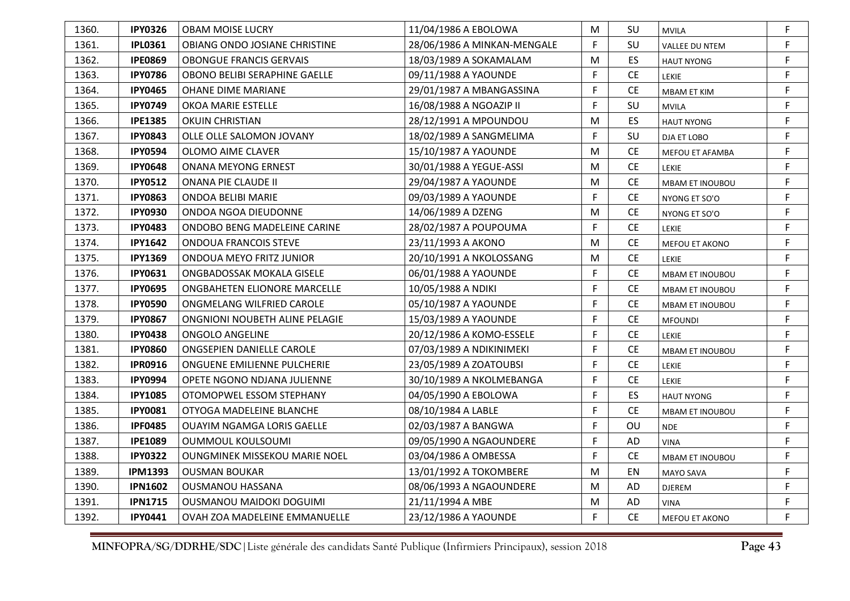| 1360. | <b>IPY0326</b> | <b>OBAM MOISE LUCRY</b>              | 11/04/1986 A EBOLOWA        | M | SU        | <b>MVILA</b>           | F |
|-------|----------------|--------------------------------------|-----------------------------|---|-----------|------------------------|---|
| 1361. | <b>IPL0361</b> | OBIANG ONDO JOSIANE CHRISTINE        | 28/06/1986 A MINKAN-MENGALE | F | SU        | VALLEE DU NTEM         | F |
| 1362. | <b>IPE0869</b> | <b>OBONGUE FRANCIS GERVAIS</b>       | 18/03/1989 A SOKAMALAM      | M | <b>ES</b> | <b>HAUT NYONG</b>      | F |
| 1363. | <b>IPY0786</b> | <b>OBONO BELIBI SERAPHINE GAELLE</b> | 09/11/1988 A YAOUNDE        | F | <b>CE</b> | <b>LEKIE</b>           | F |
| 1364. | <b>IPY0465</b> | OHANE DIME MARIANE                   | 29/01/1987 A MBANGASSINA    | F | <b>CE</b> | <b>MBAM ET KIM</b>     | F |
| 1365. | <b>IPY0749</b> | OKOA MARIE ESTELLE                   | 16/08/1988 A NGOAZIP II     | F | SU        | <b>MVILA</b>           | F |
| 1366. | <b>IPE1385</b> | <b>OKUIN CHRISTIAN</b>               | 28/12/1991 A MPOUNDOU       | M | <b>ES</b> | <b>HAUT NYONG</b>      | F |
| 1367. | <b>IPY0843</b> | OLLE OLLE SALOMON JOVANY             | 18/02/1989 A SANGMELIMA     | F | SU        | DJA ET LOBO            | F |
| 1368. | <b>IPY0594</b> | OLOMO AIME CLAVER                    | 15/10/1987 A YAOUNDE        | M | <b>CE</b> | MEFOU ET AFAMBA        | F |
| 1369. | <b>IPY0648</b> | <b>ONANA MEYONG ERNEST</b>           | 30/01/1988 A YEGUE-ASSI     | M | <b>CE</b> | <b>LEKIE</b>           | F |
| 1370. | <b>IPY0512</b> | <b>ONANA PIE CLAUDE II</b>           | 29/04/1987 A YAOUNDE        | M | <b>CE</b> | <b>MBAM ET INOUBOU</b> | F |
| 1371. | <b>IPY0863</b> | ONDOA BELIBI MARIE                   | 09/03/1989 A YAOUNDE        | F | <b>CE</b> | NYONG ET SO'O          | F |
| 1372. | <b>IPY0930</b> | ONDOA NGOA DIEUDONNE                 | 14/06/1989 A DZENG          | M | <b>CE</b> | NYONG ET SO'O          | F |
| 1373. | <b>IPY0483</b> | ONDOBO BENG MADELEINE CARINE         | 28/02/1987 A POUPOUMA       | F | <b>CE</b> | <b>LEKIE</b>           | F |
| 1374. | <b>IPY1642</b> | <b>ONDOUA FRANCOIS STEVE</b>         | 23/11/1993 A AKONO          | M | <b>CE</b> | MEFOU ET AKONO         | F |
| 1375. | <b>IPY1369</b> | ONDOUA MEYO FRITZ JUNIOR             | 20/10/1991 A NKOLOSSANG     | M | <b>CE</b> | LEKIE                  | F |
| 1376. | <b>IPY0631</b> | ONGBADOSSAK MOKALA GISELE            | 06/01/1988 A YAOUNDE        | F | <b>CE</b> | <b>MBAM ET INOUBOU</b> | F |
| 1377. | <b>IPY0695</b> | ONGBAHETEN ELIONORE MARCELLE         | 10/05/1988 A NDIKI          | F | <b>CE</b> | <b>MBAM ET INOUBOU</b> | F |
| 1378. | <b>IPY0590</b> | ONGMELANG WILFRIED CAROLE            | 05/10/1987 A YAOUNDE        | F | <b>CE</b> | <b>MBAM ET INOUBOU</b> | F |
| 1379. | <b>IPY0867</b> | ONGNIONI NOUBETH ALINE PELAGIE       | 15/03/1989 A YAOUNDE        | F | <b>CE</b> | <b>MFOUNDI</b>         | F |
| 1380. | <b>IPY0438</b> | <b>ONGOLO ANGELINE</b>               | 20/12/1986 A KOMO-ESSELE    | F | <b>CE</b> | LEKIE                  | F |
| 1381. | <b>IPY0860</b> | ONGSEPIEN DANIELLE CAROLE            | 07/03/1989 A NDIKINIMEKI    | F | <b>CE</b> | <b>MBAM ET INOUBOU</b> | F |
| 1382. | <b>IPR0916</b> | ONGUENE EMILIENNE PULCHERIE          | 23/05/1989 A ZOATOUBSI      | F | <b>CE</b> | LEKIE                  | F |
| 1383. | <b>IPY0994</b> | OPETE NGONO NDJANA JULIENNE          | 30/10/1989 A NKOLMEBANGA    | F | <b>CE</b> | <b>LEKIE</b>           | F |
| 1384. | <b>IPY1085</b> | OTOMOPWEL ESSOM STEPHANY             | 04/05/1990 A EBOLOWA        | F | <b>ES</b> | <b>HAUT NYONG</b>      | F |
| 1385. | <b>IPY0081</b> | OTYOGA MADELEINE BLANCHE             | 08/10/1984 A LABLE          | F | <b>CE</b> | <b>MBAM ET INOUBOU</b> | F |
| 1386. | <b>IPF0485</b> | <b>OUAYIM NGAMGA LORIS GAELLE</b>    | 02/03/1987 A BANGWA         | F | OU        | <b>NDE</b>             | F |
| 1387. | <b>IPE1089</b> | OUMMOUL KOULSOUMI                    | 09/05/1990 A NGAOUNDERE     | F | <b>AD</b> | <b>VINA</b>            | F |
| 1388. | <b>IPY0322</b> | <b>OUNGMINEK MISSEKOU MARIE NOEL</b> | 03/04/1986 A OMBESSA        | F | <b>CE</b> | <b>MBAM ET INOUBOU</b> | F |
| 1389. | <b>IPM1393</b> | <b>OUSMAN BOUKAR</b>                 | 13/01/1992 A TOKOMBERE      | M | EN        | MAYO SAVA              | F |
| 1390. | <b>IPN1602</b> | OUSMANOU HASSANA                     | 08/06/1993 A NGAOUNDERE     | M | AD        | <b>DJEREM</b>          | F |
| 1391. | <b>IPN1715</b> | OUSMANOU MAIDOKI DOGUIMI             | 21/11/1994 A MBE            | M | AD        | VINA                   | F |
| 1392. | <b>IPY0441</b> | OVAH ZOA MADELEINE EMMANUELLE        | 23/12/1986 A YAOUNDE        | F | <b>CE</b> | <b>MEFOU ET AKONO</b>  | F |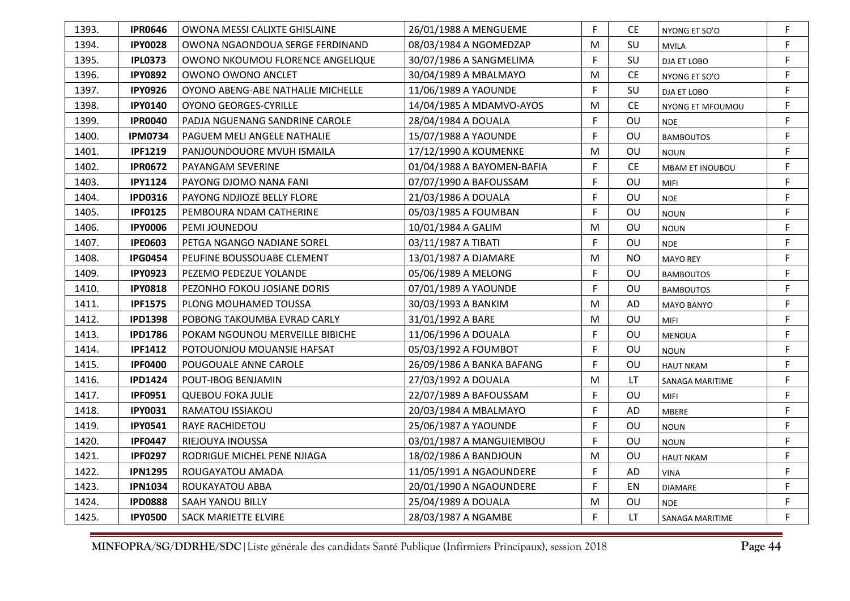| 1393. | <b>IPR0646</b> | OWONA MESSI CALIXTE GHISLAINE     | 26/01/1988 A MENGUEME      | F  | CE.       | NYONG ET SO'O          | F.          |
|-------|----------------|-----------------------------------|----------------------------|----|-----------|------------------------|-------------|
| 1394. | <b>IPY0028</b> | OWONA NGAONDOUA SERGE FERDINAND   | 08/03/1984 A NGOMEDZAP     | M  | SU        | <b>MVILA</b>           | F           |
| 1395. | <b>IPL0373</b> | OWONO NKOUMOU FLORENCE ANGELIQUE  | 30/07/1986 A SANGMELIMA    | F  | SU        | DJA ET LOBO            | F           |
| 1396. | <b>IPY0892</b> | OWONO OWONO ANCLET                | 30/04/1989 A MBALMAYO      | M  | <b>CE</b> | NYONG ET SO'O          | F           |
| 1397. | <b>IPY0926</b> | OYONO ABENG-ABE NATHALIE MICHELLE | 11/06/1989 A YAOUNDE       | F  | SU        | DJA ET LOBO            | F           |
| 1398. | <b>IPY0140</b> | <b>OYONO GEORGES-CYRILLE</b>      | 14/04/1985 A MDAMVO-AYOS   | M  | <b>CE</b> | NYONG ET MFOUMOU       | F           |
| 1399. | <b>IPR0040</b> | PADJA NGUENANG SANDRINE CAROLE    | 28/04/1984 A DOUALA        | F  | OU        | <b>NDE</b>             | F           |
| 1400. | <b>IPM0734</b> | PAGUEM MELI ANGELE NATHALIE       | 15/07/1988 A YAOUNDE       | F  | OU        | <b>BAMBOUTOS</b>       | F           |
| 1401. | <b>IPF1219</b> | PANJOUNDOUORE MVUH ISMAILA        | 17/12/1990 A KOUMENKE      | М  | OU        | <b>NOUN</b>            | F           |
| 1402. | <b>IPR0672</b> | PAYANGAM SEVERINE                 | 01/04/1988 A BAYOMEN-BAFIA | F  | <b>CE</b> | <b>MBAM ET INOUBOU</b> | $\mathsf F$ |
| 1403. | <b>IPY1124</b> | PAYONG DJOMO NANA FANI            | 07/07/1990 A BAFOUSSAM     | F  | OU        | MIFI                   | F           |
| 1404. | <b>IPD0316</b> | PAYONG NDJIOZE BELLY FLORE        | 21/03/1986 A DOUALA        | F. | OU        | <b>NDE</b>             | F           |
| 1405. | <b>IPF0125</b> | PEMBOURA NDAM CATHERINE           | 05/03/1985 A FOUMBAN       | F  | OU        | <b>NOUN</b>            | F           |
| 1406. | <b>IPY0006</b> | PEMI JOUNEDOU                     | 10/01/1984 A GALIM         | M  | OU        | <b>NOUN</b>            | F           |
| 1407. | <b>IPE0603</b> | PETGA NGANGO NADIANE SOREL        | 03/11/1987 A TIBATI        | F  | OU        | <b>NDE</b>             | F           |
| 1408. | <b>IPG0454</b> | PEUFINE BOUSSOUABE CLEMENT        | 13/01/1987 A DJAMARE       | M  | <b>NO</b> | <b>MAYO REY</b>        | F           |
| 1409. | <b>IPY0923</b> | PEZEMO PEDEZUE YOLANDE            | 05/06/1989 A MELONG        | F  | OU        | <b>BAMBOUTOS</b>       | F           |
| 1410. | <b>IPY0818</b> | PEZONHO FOKOU JOSIANE DORIS       | 07/01/1989 A YAOUNDE       | F  | OU        | <b>BAMBOUTOS</b>       | F           |
| 1411. | <b>IPF1575</b> | PLONG MOUHAMED TOUSSA             | 30/03/1993 A BANKIM        | M  | AD        | <b>MAYO BANYO</b>      | F           |
| 1412. | <b>IPD1398</b> | POBONG TAKOUMBA EVRAD CARLY       | 31/01/1992 A BARE          | M  | OU        | <b>MIFI</b>            | F           |
| 1413. | <b>IPD1786</b> | POKAM NGOUNOU MERVEILLE BIBICHE   | 11/06/1996 A DOUALA        | F  | OU        | <b>MENOUA</b>          | F           |
| 1414. | <b>IPF1412</b> | POTOUONJOU MOUANSIE HAFSAT        | 05/03/1992 A FOUMBOT       | F  | OU        | <b>NOUN</b>            | F           |
| 1415. | <b>IPF0400</b> | POUGOUALE ANNE CAROLE             | 26/09/1986 A BANKA BAFANG  | F  | OU        | <b>HAUT NKAM</b>       | F           |
| 1416. | <b>IPD1424</b> | POUT-IBOG BENJAMIN                | 27/03/1992 A DOUALA        | М  | LT.       | SANAGA MARITIME        | F           |
| 1417. | <b>IPF0951</b> | <b>QUEBOU FOKA JULIE</b>          | 22/07/1989 A BAFOUSSAM     | F  | OU        | MIFI                   | F           |
| 1418. | <b>IPY0031</b> | RAMATOU ISSIAKOU                  | 20/03/1984 A MBALMAYO      | F  | <b>AD</b> | <b>MBERE</b>           | F           |
| 1419. | <b>IPY0541</b> | RAYE RACHIDETOU                   | 25/06/1987 A YAOUNDE       | F  | OU        | <b>NOUN</b>            | F           |
| 1420. | <b>IPF0447</b> | RIEJOUYA INOUSSA                  | 03/01/1987 A MANGUIEMBOU   | F  | OU        | <b>NOUN</b>            | F           |
| 1421. | <b>IPF0297</b> | RODRIGUE MICHEL PENE NJIAGA       | 18/02/1986 A BANDJOUN      | M  | OU        | <b>HAUT NKAM</b>       | F           |
| 1422. | <b>IPN1295</b> | ROUGAYATOU AMADA                  | 11/05/1991 A NGAOUNDERE    | F  | AD        | <b>VINA</b>            | F           |
| 1423. | <b>IPN1034</b> | ROUKAYATOU ABBA                   | 20/01/1990 A NGAOUNDERE    | F  | EN        | <b>DIAMARE</b>         | F           |
| 1424. | <b>IPD0888</b> | SAAH YANOU BILLY                  | 25/04/1989 A DOUALA        | M  | OU        | <b>NDE</b>             | F           |
| 1425. | <b>IPY0500</b> | <b>SACK MARIETTE ELVIRE</b>       | 28/03/1987 A NGAMBE        | F  | LT.       | SANAGA MARITIME        | F           |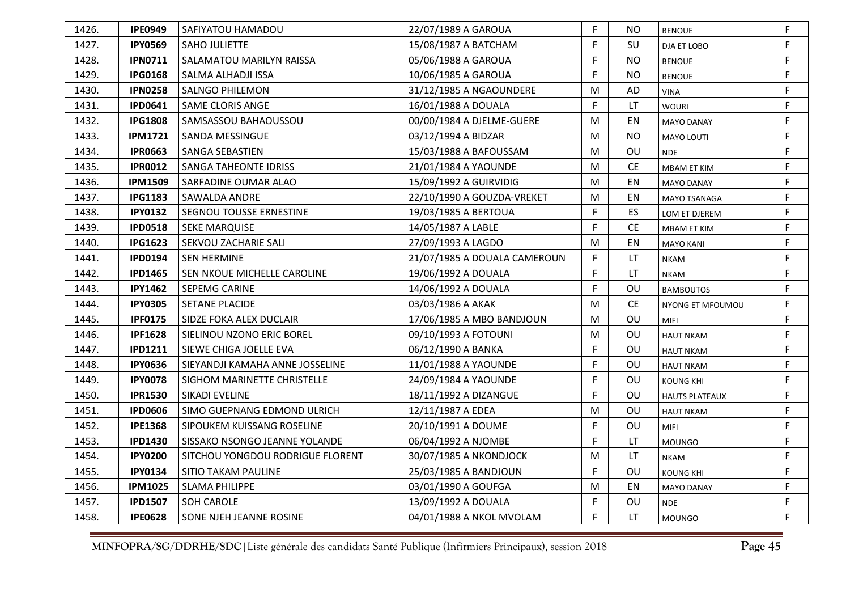| 1426. | <b>IPE0949</b> | SAFIYATOU HAMADOU                | 22/07/1989 A GAROUA          | F. | NO.            | <b>BENOUE</b>         | F |
|-------|----------------|----------------------------------|------------------------------|----|----------------|-----------------------|---|
| 1427. | <b>IPY0569</b> | <b>SAHO JULIETTE</b>             | 15/08/1987 A BATCHAM         | F  | SU             | DJA ET LOBO           | F |
| 1428. | <b>IPN0711</b> | SALAMATOU MARILYN RAISSA         | 05/06/1988 A GAROUA          | F  | <b>NO</b>      | <b>BENOUE</b>         | F |
| 1429. | <b>IPG0168</b> | SALMA ALHADJI ISSA               | 10/06/1985 A GAROUA          | F  | <b>NO</b>      | <b>BENOUE</b>         | F |
| 1430. | <b>IPN0258</b> | SALNGO PHILEMON                  | 31/12/1985 A NGAOUNDERE      | M  | AD             | <b>VINA</b>           | F |
| 1431. | <b>IPD0641</b> | <b>SAME CLORIS ANGE</b>          | 16/01/1988 A DOUALA          | F  | LT             | <b>WOURI</b>          | F |
| 1432. | <b>IPG1808</b> | SAMSASSOU BAHAOUSSOU             | 00/00/1984 A DJELME-GUERE    | M  | EN             | <b>MAYO DANAY</b>     | F |
| 1433. | <b>IPM1721</b> | SANDA MESSINGUE                  | 03/12/1994 A BIDZAR          | M  | N <sub>O</sub> | MAYO LOUTI            | F |
| 1434. | <b>IPR0663</b> | <b>SANGA SEBASTIEN</b>           | 15/03/1988 A BAFOUSSAM       | M  | OU             | <b>NDE</b>            | F |
| 1435. | <b>IPR0012</b> | <b>SANGA TAHEONTE IDRISS</b>     | 21/01/1984 A YAOUNDE         | M  | <b>CE</b>      | <b>MBAM ET KIM</b>    | F |
| 1436. | <b>IPM1509</b> | SARFADINE OUMAR ALAO             | 15/09/1992 A GUIRVIDIG       | M  | EN             | <b>MAYO DANAY</b>     | F |
| 1437. | <b>IPG1183</b> | SAWALDA ANDRE                    | 22/10/1990 A GOUZDA-VREKET   | M  | EN             | MAYO TSANAGA          | F |
| 1438. | <b>IPY0132</b> | SEGNOU TOUSSE ERNESTINE          | 19/03/1985 A BERTOUA         | F  | ES             | LOM ET DJEREM         | F |
| 1439. | <b>IPD0518</b> | <b>SEKE MARQUISE</b>             | 14/05/1987 A LABLE           | F  | <b>CE</b>      | <b>MBAM ET KIM</b>    | F |
| 1440. | <b>IPG1623</b> | SEKVOU ZACHARIE SALI             | 27/09/1993 A LAGDO           | M  | ΕN             | <b>MAYO KANI</b>      | F |
| 1441. | <b>IPD0194</b> | <b>SEN HERMINE</b>               | 21/07/1985 A DOUALA CAMEROUN | F  | LT             | <b>NKAM</b>           | F |
| 1442. | <b>IPD1465</b> | SEN NKOUE MICHELLE CAROLINE      | 19/06/1992 A DOUALA          | F  | LT             | <b>NKAM</b>           | F |
| 1443. | <b>IPY1462</b> | <b>SEPEMG CARINE</b>             | 14/06/1992 A DOUALA          | F  | OU             | <b>BAMBOUTOS</b>      | F |
| 1444. | <b>IPY0305</b> | <b>SETANE PLACIDE</b>            | 03/03/1986 A AKAK            | M  | <b>CE</b>      | NYONG ET MFOUMOU      | F |
| 1445. | <b>IPF0175</b> | <b>SIDZE FOKA ALEX DUCLAIR</b>   | 17/06/1985 A MBO BANDJOUN    | M  | OU             | <b>MIFI</b>           | F |
| 1446. | <b>IPF1628</b> | SIELINOU NZONO ERIC BOREL        | 09/10/1993 A FOTOUNI         | M  | OU             | <b>HAUT NKAM</b>      | F |
| 1447. | <b>IPD1211</b> | SIEWE CHIGA JOELLE EVA           | 06/12/1990 A BANKA           | F  | OU             | <b>HAUT NKAM</b>      | F |
| 1448. | <b>IPY0636</b> | SIEYANDJI KAMAHA ANNE JOSSELINE  | 11/01/1988 A YAOUNDE         | F  | OU             | <b>HAUT NKAM</b>      | F |
| 1449. | <b>IPY0078</b> | SIGHOM MARINETTE CHRISTELLE      | 24/09/1984 A YAOUNDE         | F. | OU             | <b>KOUNG KHI</b>      | F |
| 1450. | <b>IPR1530</b> | SIKADI EVELINE                   | 18/11/1992 A DIZANGUE        | F  | OU             | <b>HAUTS PLATEAUX</b> | F |
| 1451. | <b>IPD0606</b> | SIMO GUEPNANG EDMOND ULRICH      | 12/11/1987 A EDEA            | М  | OU             | <b>HAUT NKAM</b>      | F |
| 1452. | <b>IPE1368</b> | SIPOUKEM KUISSANG ROSELINE       | 20/10/1991 A DOUME           | F  | OU             | <b>MIFI</b>           | F |
| 1453. | <b>IPD1430</b> | SISSAKO NSONGO JEANNE YOLANDE    | 06/04/1992 A NJOMBE          | F  | LT             | <b>MOUNGO</b>         | F |
| 1454. | <b>IPY0200</b> | SITCHOU YONGDOU RODRIGUE FLORENT | 30/07/1985 A NKONDJOCK       | M  | LT             | <b>NKAM</b>           | F |
| 1455. | <b>IPY0134</b> | SITIO TAKAM PAULINE              | 25/03/1985 A BANDJOUN        | F  | OU             | <b>KOUNG KHI</b>      | F |
| 1456. | <b>IPM1025</b> | <b>SLAMA PHILIPPE</b>            | 03/01/1990 A GOUFGA          | M  | EN             | <b>MAYO DANAY</b>     | F |
| 1457. | <b>IPD1507</b> | SOH CAROLE                       | 13/09/1992 A DOUALA          | F  | OU             | <b>NDE</b>            | F |
| 1458. | <b>IPE0628</b> | <b>SONE NJEH JEANNE ROSINE</b>   | 04/01/1988 A NKOL MVOLAM     | F  | LT.            | <b>MOUNGO</b>         | F |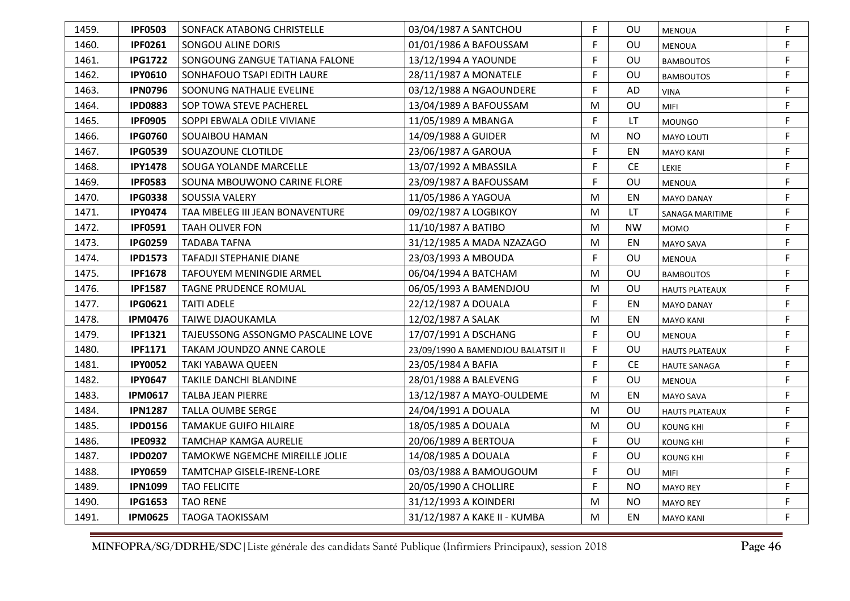| 1459. | <b>IPF0503</b> | SONFACK ATABONG CHRISTELLE         | 03/04/1987 A SANTCHOU              | F | OU        | <b>MENOUA</b>         | F |
|-------|----------------|------------------------------------|------------------------------------|---|-----------|-----------------------|---|
| 1460. | <b>IPF0261</b> | SONGOU ALINE DORIS                 | 01/01/1986 A BAFOUSSAM             | F | OU        | <b>MENOUA</b>         | F |
| 1461. | <b>IPG1722</b> | SONGOUNG ZANGUE TATIANA FALONE     | 13/12/1994 A YAOUNDE               | F | OU        | <b>BAMBOUTOS</b>      | F |
| 1462. | <b>IPY0610</b> | SONHAFOUO TSAPI EDITH LAURE        | 28/11/1987 A MONATELE              | F | OU        | <b>BAMBOUTOS</b>      | F |
| 1463. | <b>IPN0796</b> | SOONUNG NATHALIE EVELINE           | 03/12/1988 A NGAOUNDERE            | F | AD        | VINA                  | F |
| 1464. | <b>IPD0883</b> | SOP TOWA STEVE PACHEREL            | 13/04/1989 A BAFOUSSAM             | M | OU        | <b>MIFI</b>           | F |
| 1465. | <b>IPF0905</b> | SOPPI EBWALA ODILE VIVIANE         | 11/05/1989 A MBANGA                | F | LT        | <b>MOUNGO</b>         | F |
| 1466. | <b>IPG0760</b> | SOUAIBOU HAMAN                     | 14/09/1988 A GUIDER                | M | <b>NO</b> | <b>MAYO LOUTI</b>     | F |
| 1467. | <b>IPG0539</b> | SOUAZOUNE CLOTILDE                 | 23/06/1987 A GAROUA                | F | EN        | <b>MAYO KANI</b>      | F |
| 1468. | <b>IPY1478</b> | SOUGA YOLANDE MARCELLE             | 13/07/1992 A MBASSILA              | F | <b>CE</b> | <b>LEKIE</b>          | F |
| 1469. | <b>IPF0583</b> | SOUNA MBOUWONO CARINE FLORE        | 23/09/1987 A BAFOUSSAM             | F | OU        | <b>MENOUA</b>         | F |
| 1470. | <b>IPG0338</b> | SOUSSIA VALERY                     | 11/05/1986 A YAGOUA                | M | EN        | <b>MAYO DANAY</b>     | F |
| 1471. | <b>IPY0474</b> | TAA MBELEG III JEAN BONAVENTURE    | 09/02/1987 A LOGBIKOY              | M | LT        | SANAGA MARITIME       | F |
| 1472. | <b>IPF0591</b> | <b>TAAH OLIVER FON</b>             | 11/10/1987 A BATIBO                | M | <b>NW</b> | <b>MOMO</b>           | F |
| 1473. | <b>IPG0259</b> | TADABA TAFNA                       | 31/12/1985 A MADA NZAZAGO          | M | EN        | MAYO SAVA             | F |
| 1474. | <b>IPD1573</b> | <b>TAFADJI STEPHANIE DIANE</b>     | 23/03/1993 A MBOUDA                | F | OU        | <b>MENOUA</b>         | F |
| 1475. | <b>IPF1678</b> | TAFOUYEM MENINGDIE ARMEL           | 06/04/1994 A BATCHAM               | M | OU        | <b>BAMBOUTOS</b>      | F |
| 1476. | <b>IPF1587</b> | TAGNE PRUDENCE ROMUAL              | 06/05/1993 A BAMENDJOU             | M | OU        | <b>HAUTS PLATEAUX</b> | F |
| 1477. | <b>IPG0621</b> | <b>TAITI ADELE</b>                 | 22/12/1987 A DOUALA                | F | EN        | <b>MAYO DANAY</b>     | F |
| 1478. | <b>IPM0476</b> | TAIWE DJAOUKAMLA                   | 12/02/1987 A SALAK                 | M | EN        | <b>MAYO KANI</b>      | F |
| 1479. | <b>IPF1321</b> | TAJEUSSONG ASSONGMO PASCALINE LOVE | 17/07/1991 A DSCHANG               | F | OU        | <b>MENOUA</b>         | F |
| 1480. | <b>IPF1171</b> | TAKAM JOUNDZO ANNE CAROLE          | 23/09/1990 A BAMENDJOU BALATSIT II | F | OU        | <b>HAUTS PLATEAUX</b> | F |
| 1481. | <b>IPY0052</b> | TAKI YABAWA QUEEN                  | 23/05/1984 A BAFIA                 | F | <b>CE</b> | <b>HAUTE SANAGA</b>   | F |
| 1482. | <b>IPY0647</b> | TAKILE DANCHI BLANDINE             | 28/01/1988 A BALEVENG              | F | OU        | <b>MENOUA</b>         | F |
| 1483. | <b>IPM0617</b> | TALBA JEAN PIERRE                  | 13/12/1987 A MAYO-OULDEME          | M | EN        | <b>MAYO SAVA</b>      | F |
| 1484. | <b>IPN1287</b> | TALLA OUMBE SERGE                  | 24/04/1991 A DOUALA                | M | OU        | <b>HAUTS PLATEAUX</b> | F |
| 1485. | <b>IPD0156</b> | TAMAKUE GUIFO HILAIRE              | 18/05/1985 A DOUALA                | M | OU        | KOUNG KHI             | F |
| 1486. | <b>IPE0932</b> | TAMCHAP KAMGA AURELIE              | 20/06/1989 A BERTOUA               | F | OU        | <b>KOUNG KHI</b>      | F |
| 1487. | <b>IPD0207</b> | TAMOKWE NGEMCHE MIREILLE JOLIE     | 14/08/1985 A DOUALA                | F | OU        | <b>KOUNG KHI</b>      | F |
| 1488. | <b>IPY0659</b> | TAMTCHAP GISELE-IRENE-LORE         | 03/03/1988 A BAMOUGOUM             | F | OU        | MIFI                  | F |
| 1489. | <b>IPN1099</b> | <b>TAO FELICITE</b>                | 20/05/1990 A CHOLLIRE              | F | <b>NO</b> | <b>MAYO REY</b>       | F |
| 1490. | <b>IPG1653</b> | <b>TAO RENE</b>                    | 31/12/1993 A KOINDERI              | M | NO.       | <b>MAYO REY</b>       | F |
| 1491. | <b>IPM0625</b> | <b>TAOGA TAOKISSAM</b>             | 31/12/1987 A KAKE II - KUMBA       | M | EN        | <b>MAYO KANI</b>      | F |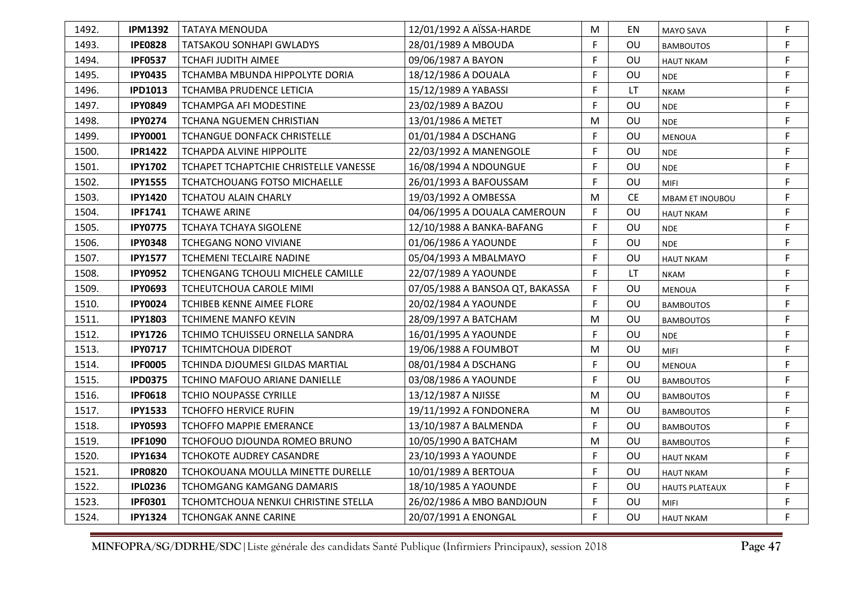| 1492. | <b>IPM1392</b> | <b>TATAYA MENOUDA</b>                 | 12/01/1992 A AÏSSA-HARDE        | M  | EN        | <b>MAYO SAVA</b>      | F  |
|-------|----------------|---------------------------------------|---------------------------------|----|-----------|-----------------------|----|
| 1493. | <b>IPE0828</b> | TATSAKOU SONHAPI GWLADYS              | 28/01/1989 A MBOUDA             | F  | OU        | <b>BAMBOUTOS</b>      | F  |
| 1494. | <b>IPF0537</b> | TCHAFI JUDITH AIMEE                   | 09/06/1987 A BAYON              | F  | OU        | <b>HAUT NKAM</b>      | F  |
| 1495. | <b>IPY0435</b> | TCHAMBA MBUNDA HIPPOLYTE DORIA        | 18/12/1986 A DOUALA             | F. | OU        | <b>NDE</b>            | F  |
| 1496. | <b>IPD1013</b> | TCHAMBA PRUDENCE LETICIA              | 15/12/1989 A YABASSI            | F  | LT        | <b>NKAM</b>           | F  |
| 1497. | <b>IPY0849</b> | <b>TCHAMPGA AFI MODESTINE</b>         | 23/02/1989 A BAZOU              | F  | OU        | <b>NDE</b>            | F  |
| 1498. | <b>IPY0274</b> | <b>TCHANA NGUEMEN CHRISTIAN</b>       | 13/01/1986 A METET              | М  | OU        | <b>NDE</b>            | F  |
| 1499. | <b>IPY0001</b> | <b>TCHANGUE DONFACK CHRISTELLE</b>    | 01/01/1984 A DSCHANG            | F  | OU        | <b>MENOUA</b>         | F  |
| 1500. | <b>IPR1422</b> | <b>TCHAPDA ALVINE HIPPOLITE</b>       | 22/03/1992 A MANENGOLE          | F  | OU        | <b>NDE</b>            | F  |
| 1501. | <b>IPY1702</b> | TCHAPET TCHAPTCHIE CHRISTELLE VANESSE | 16/08/1994 A NDOUNGUE           | F  | OU        | <b>NDE</b>            | F  |
| 1502. | <b>IPY1555</b> | <b>TCHATCHOUANG FOTSO MICHAELLE</b>   | 26/01/1993 A BAFOUSSAM          | F  | OU        | <b>MIFI</b>           | F  |
| 1503. | <b>IPY1420</b> | <b>TCHATOU ALAIN CHARLY</b>           | 19/03/1992 A OMBESSA            | M  | <b>CE</b> | MBAM ET INOUBOU       | F  |
| 1504. | <b>IPF1741</b> | <b>TCHAWE ARINE</b>                   | 04/06/1995 A DOUALA CAMEROUN    | F  | OU        | <b>HAUT NKAM</b>      | F  |
| 1505. | <b>IPY0775</b> | <b>TCHAYA TCHAYA SIGOLENE</b>         | 12/10/1988 A BANKA-BAFANG       | F. | OU        | <b>NDE</b>            | F  |
| 1506. | <b>IPY0348</b> | <b>TCHEGANG NONO VIVIANE</b>          | 01/06/1986 A YAOUNDE            | F  | OU        | <b>NDE</b>            | F  |
| 1507. | <b>IPY1577</b> | TCHEMENI TECLAIRE NADINE              | 05/04/1993 A MBALMAYO           | F  | OU        | <b>HAUT NKAM</b>      | F  |
| 1508. | <b>IPY0952</b> | TCHENGANG TCHOULI MICHELE CAMILLE     | 22/07/1989 A YAOUNDE            | F  | LT        | <b>NKAM</b>           | F  |
| 1509. | <b>IPY0693</b> | TCHEUTCHOUA CAROLE MIMI               | 07/05/1988 A BANSOA QT, BAKASSA | F  | OU        | <b>MENOUA</b>         | F  |
| 1510. | <b>IPY0024</b> | TCHIBEB KENNE AIMEE FLORE             | 20/02/1984 A YAOUNDE            | F. | <b>OU</b> | <b>BAMBOUTOS</b>      | F. |
| 1511. | <b>IPY1803</b> | TCHIMENE MANFO KEVIN                  | 28/09/1997 A BATCHAM            | M  | <b>OU</b> | <b>BAMBOUTOS</b>      | F  |
| 1512. | <b>IPY1726</b> | TCHIMO TCHUISSEU ORNELLA SANDRA       | 16/01/1995 A YAOUNDE            | F  | <b>OU</b> | <b>NDE</b>            | F  |
| 1513. | <b>IPY0717</b> | TCHIMTCHOUA DIDEROT                   | 19/06/1988 A FOUMBOT            | M  | OU        | <b>MIFI</b>           | F  |
| 1514. | <b>IPF0005</b> | TCHINDA DJOUMESI GILDAS MARTIAL       | 08/01/1984 A DSCHANG            | F  | OU        | <b>MENOUA</b>         | F  |
| 1515. | <b>IPD0375</b> | TCHINO MAFOUO ARIANE DANIELLE         | 03/08/1986 A YAOUNDE            | F. | OU        | <b>BAMBOUTOS</b>      | F  |
| 1516. | <b>IPF0618</b> | <b>TCHIO NOUPASSE CYRILLE</b>         | 13/12/1987 A NJISSE             | M  | OU        | <b>BAMBOUTOS</b>      | F  |
| 1517. | <b>IPY1533</b> | <b>TCHOFFO HERVICE RUFIN</b>          | 19/11/1992 A FONDONERA          | М  | OU        | <b>BAMBOUTOS</b>      | F  |
| 1518. | <b>IPY0593</b> | TCHOFFO MAPPIE EMERANCE               | 13/10/1987 A BALMENDA           | F. | OU        | <b>BAMBOUTOS</b>      | F  |
| 1519. | <b>IPF1090</b> | TCHOFOUO DJOUNDA ROMEO BRUNO          | 10/05/1990 A BATCHAM            | M  | OU        | <b>BAMBOUTOS</b>      | F  |
| 1520. | <b>IPY1634</b> | TCHOKOTE AUDREY CASANDRE              | 23/10/1993 A YAOUNDE            | F  | OU        | <b>HAUT NKAM</b>      | F  |
| 1521. | <b>IPR0820</b> | TCHOKOUANA MOULLA MINETTE DURELLE     | 10/01/1989 A BERTOUA            | F  | OU        | <b>HAUT NKAM</b>      | F  |
| 1522. | <b>IPL0236</b> | TCHOMGANG KAMGANG DAMARIS             | 18/10/1985 A YAOUNDE            | F. | OU        | <b>HAUTS PLATEAUX</b> | F  |
| 1523. | <b>IPF0301</b> | TCHOMTCHOUA NENKUI CHRISTINE STELLA   | 26/02/1986 A MBO BANDJOUN       | F  | OU        | <b>MIFI</b>           | F  |
| 1524. | <b>IPY1324</b> | <b>TCHONGAK ANNE CARINE</b>           | 20/07/1991 A ENONGAL            | F  | OU        | <b>HAUT NKAM</b>      | F  |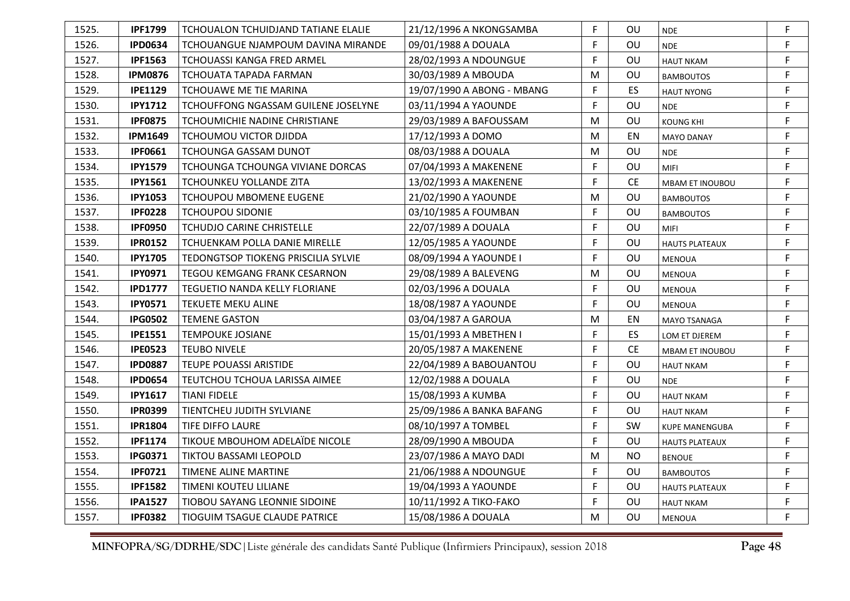| 1525. | <b>IPF1799</b> | TCHOUALON TCHUIDJAND TATIANE ELALIE  | 21/12/1996 A NKONGSAMBA    | F  | OU.       | <b>NDE</b>             | F           |
|-------|----------------|--------------------------------------|----------------------------|----|-----------|------------------------|-------------|
| 1526. | <b>IPD0634</b> | TCHOUANGUE NJAMPOUM DAVINA MIRANDE   | 09/01/1988 A DOUALA        | F  | OU        | <b>NDE</b>             | F           |
| 1527. | <b>IPF1563</b> | TCHOUASSI KANGA FRED ARMEL           | 28/02/1993 A NDOUNGUE      | F  | OU        | <b>HAUT NKAM</b>       | F           |
| 1528. | <b>IPM0876</b> | TCHOUATA TAPADA FARMAN               | 30/03/1989 A MBOUDA        | M  | OU        | <b>BAMBOUTOS</b>       | F           |
| 1529. | <b>IPE1129</b> | TCHOUAWE ME TIE MARINA               | 19/07/1990 A ABONG - MBANG | F  | ES        | <b>HAUT NYONG</b>      | F           |
| 1530. | <b>IPY1712</b> | TCHOUFFONG NGASSAM GUILENE JOSELYNE  | 03/11/1994 A YAOUNDE       | F  | OU        | <b>NDE</b>             | F           |
| 1531. | <b>IPF0875</b> | TCHOUMICHIE NADINE CHRISTIANE        | 29/03/1989 A BAFOUSSAM     | M  | OU        | <b>KOUNG KHI</b>       | F           |
| 1532. | <b>IPM1649</b> | TCHOUMOU VICTOR DJIDDA               | 17/12/1993 A DOMO          | M  | EN        | <b>MAYO DANAY</b>      | F           |
| 1533. | <b>IPF0661</b> | <b>TCHOUNGA GASSAM DUNOT</b>         | 08/03/1988 A DOUALA        | M  | OU        | <b>NDE</b>             | F           |
| 1534. | <b>IPY1579</b> | TCHOUNGA TCHOUNGA VIVIANE DORCAS     | 07/04/1993 A MAKENENE      | F  | OU        | MIFI                   | $\mathsf F$ |
| 1535. | <b>IPY1561</b> | TCHOUNKEU YOLLANDE ZITA              | 13/02/1993 A MAKENENE      | F  | CE.       | <b>MBAM ET INOUBOU</b> | F           |
| 1536. | <b>IPY1053</b> | <b>TCHOUPOU MBOMENE EUGENE</b>       | 21/02/1990 A YAOUNDE       | M  | <b>OU</b> | <b>BAMBOUTOS</b>       | F           |
| 1537. | <b>IPF0228</b> | <b>TCHOUPOU SIDONIE</b>              | 03/10/1985 A FOUMBAN       | F  | OU        | <b>BAMBOUTOS</b>       | F           |
| 1538. | <b>IPF0950</b> | <b>TCHUDJO CARINE CHRISTELLE</b>     | 22/07/1989 A DOUALA        | F  | OU        | MIFI                   | F           |
| 1539. | <b>IPR0152</b> | TCHUENKAM POLLA DANIE MIRELLE        | 12/05/1985 A YAOUNDE       | F  | OU        | <b>HAUTS PLATEAUX</b>  | F           |
| 1540. | <b>IPY1705</b> | TEDONGTSOP TIOKENG PRISCILIA SYLVIE  | 08/09/1994 A YAOUNDE I     | F. | OU        | <b>MENOUA</b>          | F           |
| 1541. | <b>IPY0971</b> | TEGOU KEMGANG FRANK CESARNON         | 29/08/1989 A BALEVENG      | M  | <b>OU</b> | <b>MENOUA</b>          | F           |
| 1542. | <b>IPD1777</b> | TEGUETIO NANDA KELLY FLORIANE        | 02/03/1996 A DOUALA        | F  | OU        | <b>MENOUA</b>          | F           |
| 1543. | <b>IPY0571</b> | TEKUETE MEKU ALINE                   | 18/08/1987 A YAOUNDE       | F  | OU        | <b>MENOUA</b>          | F           |
| 1544. | <b>IPG0502</b> | <b>TEMENE GASTON</b>                 | 03/04/1987 A GAROUA        | M  | EN        | MAYO TSANAGA           | F           |
| 1545. | <b>IPE1551</b> | <b>TEMPOUKE JOSIANE</b>              | 15/01/1993 A MBETHEN I     | F  | ES.       | LOM ET DJEREM          | F           |
| 1546. | <b>IPE0523</b> | <b>TEUBO NIVELE</b>                  | 20/05/1987 A MAKENENE      | F  | <b>CE</b> | <b>MBAM ET INOUBOU</b> | F           |
| 1547. | <b>IPD0887</b> | <b>TEUPE POUASSI ARISTIDE</b>        | 22/04/1989 A BABOUANTOU    | F  | OU        | <b>HAUT NKAM</b>       | F           |
| 1548. | <b>IPD0654</b> | TEUTCHOU TCHOUA LARISSA AIMEE        | 12/02/1988 A DOUALA        | F. | OU        | <b>NDE</b>             | F           |
| 1549. | <b>IPY1617</b> | <b>TIANI FIDELE</b>                  | 15/08/1993 A KUMBA         | F  | <b>OU</b> | <b>HAUT NKAM</b>       | F           |
| 1550. | <b>IPR0399</b> | TIENTCHEU JUDITH SYLVIANE            | 25/09/1986 A BANKA BAFANG  | F. | OU        | <b>HAUT NKAM</b>       | F           |
| 1551. | <b>IPR1804</b> | TIFE DIFFO LAURE                     | 08/10/1997 A TOMBEL        | F  | <b>SW</b> | <b>KUPE MANENGUBA</b>  | F           |
| 1552. | <b>IPF1174</b> | TIKOUE MBOUHOM ADELAIDE NICOLE       | 28/09/1990 A MBOUDA        | F  | OU        | <b>HAUTS PLATEAUX</b>  | F           |
| 1553. | <b>IPG0371</b> | <b>TIKTOU BASSAMI LEOPOLD</b>        | 23/07/1986 A MAYO DADI     | M  | NO.       | <b>BENOUE</b>          | F           |
| 1554. | <b>IPF0721</b> | TIMENE ALINE MARTINE                 | 21/06/1988 A NDOUNGUE      | F  | <b>OU</b> | <b>BAMBOUTOS</b>       | F           |
| 1555. | <b>IPF1582</b> | TIMENI KOUTEU LILIANE                | 19/04/1993 A YAOUNDE       | F  | <b>OU</b> | <b>HAUTS PLATEAUX</b>  | F           |
| 1556. | <b>IPA1527</b> | TIOBOU SAYANG LEONNIE SIDOINE        | 10/11/1992 A TIKO-FAKO     | F  | <b>OU</b> | <b>HAUT NKAM</b>       | F           |
| 1557. | <b>IPF0382</b> | <b>TIOGUIM TSAGUE CLAUDE PATRICE</b> | 15/08/1986 A DOUALA        | M  | OU        | <b>MENOUA</b>          | F.          |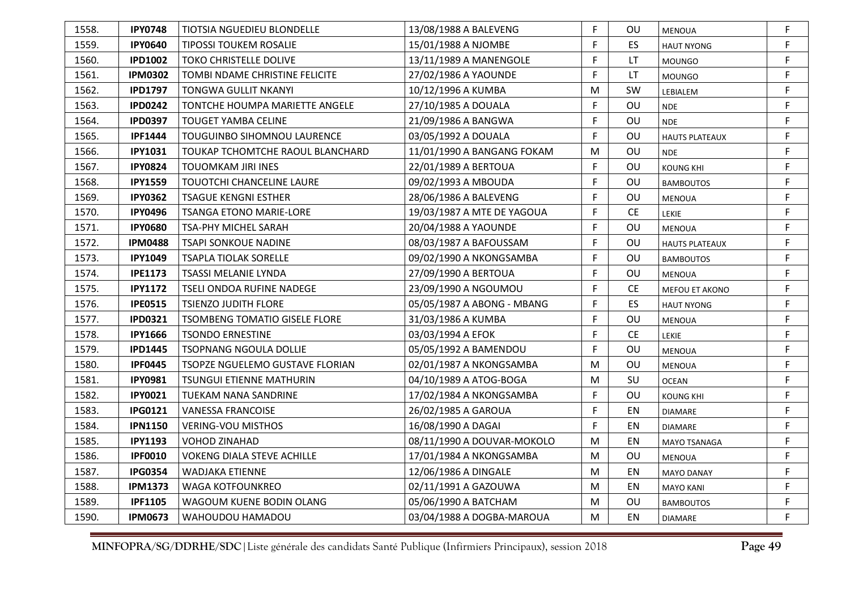| 1558. | <b>IPY0748</b> | TIOTSIA NGUEDIEU BLONDELLE            | 13/08/1988 A BALEVENG      | F  | OU.       | <b>MENOUA</b>         | F  |
|-------|----------------|---------------------------------------|----------------------------|----|-----------|-----------------------|----|
| 1559. | <b>IPY0640</b> | <b>TIPOSSI TOUKEM ROSALIE</b>         | 15/01/1988 A NJOMBE        | F  | <b>ES</b> | <b>HAUT NYONG</b>     | F  |
| 1560. | <b>IPD1002</b> | <b>TOKO CHRISTELLE DOLIVE</b>         | 13/11/1989 A MANENGOLE     | F  | LT        | <b>MOUNGO</b>         | F  |
| 1561. | <b>IPM0302</b> | TOMBI NDAME CHRISTINE FELICITE        | 27/02/1986 A YAOUNDE       | F  | <b>LT</b> | <b>MOUNGO</b>         | F  |
| 1562. | <b>IPD1797</b> | TONGWA GULLIT NKANYI                  | 10/12/1996 A KUMBA         | M  | <b>SW</b> | LEBIALEM              | F  |
| 1563. | <b>IPD0242</b> | <b>TONTCHE HOUMPA MARIETTE ANGELE</b> | 27/10/1985 A DOUALA        | F  | OU        | <b>NDE</b>            | F  |
| 1564. | <b>IPD0397</b> | <b>TOUGET YAMBA CELINE</b>            | 21/09/1986 A BANGWA        | F  | OU        | <b>NDE</b>            | F  |
| 1565. | <b>IPF1444</b> | <b>TOUGUINBO SIHOMNOU LAURENCE</b>    | 03/05/1992 A DOUALA        | F  | OU        | <b>HAUTS PLATEAUX</b> | F  |
| 1566. | <b>IPY1031</b> | TOUKAP TCHOMTCHE RAOUL BLANCHARD      | 11/01/1990 A BANGANG FOKAM | M  | <b>OU</b> | <b>NDE</b>            | F  |
| 1567. | <b>IPY0824</b> | <b>TOUOMKAM JIRI INES</b>             | 22/01/1989 A BERTOUA       | F  | OU        | <b>KOUNG KHI</b>      | F  |
| 1568. | <b>IPY1559</b> | TOUOTCHI CHANCELINE LAURE             | 09/02/1993 A MBOUDA        | F  | OU        | <b>BAMBOUTOS</b>      | F  |
| 1569. | <b>IPY0362</b> | <b>TSAGUE KENGNI ESTHER</b>           | 28/06/1986 A BALEVENG      | F. | OU        | <b>MENOUA</b>         | F  |
| 1570. | <b>IPY0496</b> | <b>TSANGA ETONO MARIE-LORE</b>        | 19/03/1987 A MTE DE YAGOUA | F  | <b>CE</b> | LEKIE                 | F  |
| 1571. | <b>IPY0680</b> | TSA-PHY MICHEL SARAH                  | 20/04/1988 A YAOUNDE       | F  | OU        | <b>MENOUA</b>         | F  |
| 1572. | <b>IPM0488</b> | <b>TSAPI SONKOUE NADINE</b>           | 08/03/1987 A BAFOUSSAM     | F  | OU        | <b>HAUTS PLATEAUX</b> | F  |
| 1573. | <b>IPY1049</b> | <b>TSAPLA TIOLAK SORELLE</b>          | 09/02/1990 A NKONGSAMBA    | F. | OU        | <b>BAMBOUTOS</b>      | F  |
| 1574. | <b>IPE1173</b> | TSASSI MELANIE LYNDA                  | 27/09/1990 A BERTOUA       | F  | <b>OU</b> | <b>MENOUA</b>         | F  |
| 1575. | <b>IPY1172</b> | TSELI ONDOA RUFINE NADEGE             | 23/09/1990 A NGOUMOU       | F  | <b>CE</b> | MEFOU ET AKONO        | F  |
| 1576. | <b>IPE0515</b> | <b>TSIENZO JUDITH FLORE</b>           | 05/05/1987 A ABONG - MBANG | F  | <b>ES</b> | <b>HAUT NYONG</b>     | F. |
| 1577. | <b>IPD0321</b> | <b>TSOMBENG TOMATIO GISELE FLORE</b>  | 31/03/1986 A KUMBA         | F. | OU        | <b>MENOUA</b>         | F  |
| 1578. | <b>IPY1666</b> | <b>TSONDO ERNESTINE</b>               | 03/03/1994 A EFOK          | F  | <b>CE</b> | LEKIE                 | F  |
| 1579. | <b>IPD1445</b> | <b>TSOPNANG NGOULA DOLLIE</b>         | 05/05/1992 A BAMENDOU      | F  | OU        | <b>MENOUA</b>         | F  |
| 1580. | <b>IPF0445</b> | TSOPZE NGUELEMO GUSTAVE FLORIAN       | 02/01/1987 A NKONGSAMBA    | M  | OU        | <b>MENOUA</b>         | F  |
| 1581. | <b>IPY0981</b> | <b>TSUNGUI ETIENNE MATHURIN</b>       | 04/10/1989 A ATOG-BOGA     | M  | SU        | <b>OCEAN</b>          | F  |
| 1582. | <b>IPY0021</b> | TUEKAM NANA SANDRINE                  | 17/02/1984 A NKONGSAMBA    | F  | OU        | <b>KOUNG KHI</b>      | F  |
| 1583. | <b>IPG0121</b> | <b>VANESSA FRANCOISE</b>              | 26/02/1985 A GAROUA        | F  | EN        | <b>DIAMARE</b>        | F  |
| 1584. | <b>IPN1150</b> | <b>VERING-VOU MISTHOS</b>             | 16/08/1990 A DAGAI         | F. | EN        | <b>DIAMARE</b>        | F  |
| 1585. | <b>IPY1193</b> | VOHOD ZINAHAD                         | 08/11/1990 A DOUVAR-MOKOLO | M  | EN        | MAYO TSANAGA          | F  |
| 1586. | <b>IPF0010</b> | <b>VOKENG DIALA STEVE ACHILLE</b>     | 17/01/1984 A NKONGSAMBA    | M  | <b>OU</b> | <b>MENOUA</b>         | F  |
| 1587. | <b>IPG0354</b> | WADJAKA ETIENNE                       | 12/06/1986 A DINGALE       | M  | EN        | <b>MAYO DANAY</b>     | F  |
| 1588. | <b>IPM1373</b> | <b>WAGA KOTFOUNKREO</b>               | 02/11/1991 A GAZOUWA       | M  | EN        | <b>MAYO KANI</b>      | F  |
| 1589. | <b>IPF1105</b> | WAGOUM KUENE BODIN OLANG              | 05/06/1990 A BATCHAM       | M  | <b>OU</b> | <b>BAMBOUTOS</b>      | F  |
| 1590. | <b>IPM0673</b> | WAHOUDOU HAMADOU                      | 03/04/1988 A DOGBA-MAROUA  | M  | EN        | <b>DIAMARE</b>        | F  |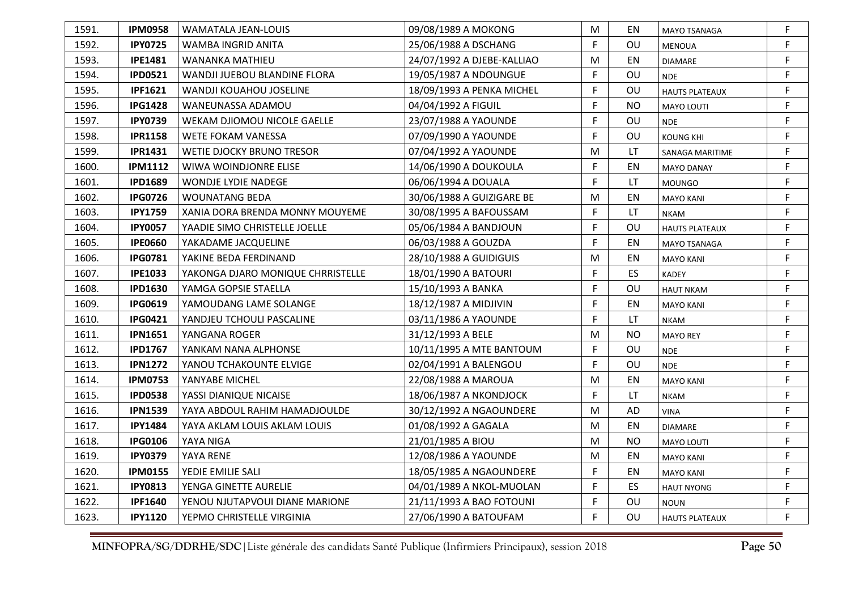| 1591. | <b>IPM0958</b> | WAMATALA JEAN-LOUIS               | 09/08/1989 A MOKONG        | M  | EN.       | <b>MAYO TSANAGA</b>   | F |
|-------|----------------|-----------------------------------|----------------------------|----|-----------|-----------------------|---|
| 1592. | <b>IPY0725</b> | WAMBA INGRID ANITA                | 25/06/1988 A DSCHANG       | F  | <b>OU</b> | <b>MENOUA</b>         | F |
| 1593. | <b>IPE1481</b> | WANANKA MATHIEU                   | 24/07/1992 A DJEBE-KALLIAO | M  | EN        | <b>DIAMARE</b>        | F |
| 1594. | <b>IPD0521</b> | WANDJI JUEBOU BLANDINE FLORA      | 19/05/1987 A NDOUNGUE      | F  | OU        | <b>NDE</b>            | F |
| 1595. | <b>IPF1621</b> | WANDJI KOUAHOU JOSELINE           | 18/09/1993 A PENKA MICHEL  | F  | OU        | <b>HAUTS PLATEAUX</b> | F |
| 1596. | <b>IPG1428</b> | WANEUNASSA ADAMOU                 | 04/04/1992 A FIGUIL        | F  | <b>NO</b> | <b>MAYO LOUTI</b>     | F |
| 1597. | <b>IPY0739</b> | WEKAM DJIOMOU NICOLE GAELLE       | 23/07/1988 A YAOUNDE       | F  | OU        | <b>NDE</b>            | F |
| 1598. | <b>IPR1158</b> | <b>WETE FOKAM VANESSA</b>         | 07/09/1990 A YAOUNDE       | F. | OU        | <b>KOUNG KHI</b>      | F |
| 1599. | <b>IPR1431</b> | WETIE DJOCKY BRUNO TRESOR         | 07/04/1992 A YAOUNDE       | M  | LT        | SANAGA MARITIME       | F |
| 1600. | <b>IPM1112</b> | WIWA WOINDJONRE ELISE             | 14/06/1990 A DOUKOULA      | F  | EN        | <b>MAYO DANAY</b>     | F |
| 1601. | <b>IPD1689</b> | <b>WONDJE LYDIE NADEGE</b>        | 06/06/1994 A DOUALA        | F  | LT.       | <b>MOUNGO</b>         | F |
| 1602. | <b>IPG0726</b> | <b>WOUNATANG BEDA</b>             | 30/06/1988 A GUIZIGARE BE  | М  | EN        | <b>MAYO KANI</b>      | F |
| 1603. | <b>IPY1759</b> | XANIA DORA BRENDA MONNY MOUYEME   | 30/08/1995 A BAFOUSSAM     | F  | LT.       | <b>NKAM</b>           | F |
| 1604. | <b>IPY0057</b> | YAADIE SIMO CHRISTELLE JOELLE     | 05/06/1984 A BANDJOUN      | F  | OU        | <b>HAUTS PLATEAUX</b> | F |
| 1605. | <b>IPE0660</b> | YAKADAME JACQUELINE               | 06/03/1988 A GOUZDA        | F  | EN        | MAYO TSANAGA          | F |
| 1606. | <b>IPG0781</b> | YAKINE BEDA FERDINAND             | 28/10/1988 A GUIDIGUIS     | M  | EN        | <b>MAYO KANI</b>      | F |
| 1607. | <b>IPE1033</b> | YAKONGA DJARO MONIQUE CHRRISTELLE | 18/01/1990 A BATOURI       | F  | <b>ES</b> | KADEY                 | F |
| 1608. | <b>IPD1630</b> | YAMGA GOPSIE STAELLA              | 15/10/1993 A BANKA         | F  | OU        | <b>HAUT NKAM</b>      | F |
| 1609. | <b>IPG0619</b> | YAMOUDANG LAME SOLANGE            | 18/12/1987 A MIDJIVIN      | F  | EN        | <b>MAYO KANI</b>      | F |
| 1610. | <b>IPG0421</b> | YANDJEU TCHOULI PASCALINE         | 03/11/1986 A YAOUNDE       | F  | LT        | <b>NKAM</b>           | F |
| 1611. | <b>IPN1651</b> | YANGANA ROGER                     | 31/12/1993 A BELE          | M  | <b>NO</b> | <b>MAYO REY</b>       | F |
| 1612. | <b>IPD1767</b> | YANKAM NANA ALPHONSE              | 10/11/1995 A MTE BANTOUM   | F. | <b>OU</b> | <b>NDE</b>            | F |
| 1613. | <b>IPN1272</b> | YANOU TCHAKOUNTE ELVIGE           | 02/04/1991 A BALENGOU      | F  | OU        | <b>NDE</b>            | F |
| 1614. | <b>IPM0753</b> | YANYABE MICHEL                    | 22/08/1988 A MAROUA        | M  | EN        | <b>MAYO KANI</b>      | F |
| 1615. | <b>IPD0538</b> | YASSI DIANIQUE NICAISE            | 18/06/1987 A NKONDJOCK     | F  | LT        | <b>NKAM</b>           | F |
| 1616. | <b>IPN1539</b> | YAYA ABDOUL RAHIM HAMADJOULDE     | 30/12/1992 A NGAOUNDERE    | M  | <b>AD</b> | <b>VINA</b>           | F |
| 1617. | <b>IPY1484</b> | YAYA AKLAM LOUIS AKLAM LOUIS      | 01/08/1992 A GAGALA        | M  | EN        | <b>DIAMARE</b>        | F |
| 1618. | <b>IPG0106</b> | YAYA NIGA                         | 21/01/1985 A BIOU          | М  | <b>NO</b> | <b>MAYO LOUTI</b>     | F |
| 1619. | <b>IPY0379</b> | YAYA RENE                         | 12/08/1986 A YAOUNDE       | M  | ΕN        | <b>MAYO KANI</b>      | F |
| 1620. | <b>IPM0155</b> | YEDIE EMILIE SALI                 | 18/05/1985 A NGAOUNDERE    | F  | EN        | <b>MAYO KANI</b>      | F |
| 1621. | <b>IPY0813</b> | YENGA GINETTE AURELIE             | 04/01/1989 A NKOL-MUOLAN   | F  | ES        | <b>HAUT NYONG</b>     | F |
| 1622. | <b>IPF1640</b> | YENOU NJUTAPVOUI DIANE MARIONE    | 21/11/1993 A BAO FOTOUNI   | F  | OU        | <b>NOUN</b>           | F |
| 1623. | <b>IPY1120</b> | YEPMO CHRISTELLE VIRGINIA         | 27/06/1990 A BATOUFAM      | F  | OU        | <b>HAUTS PLATEAUX</b> | F |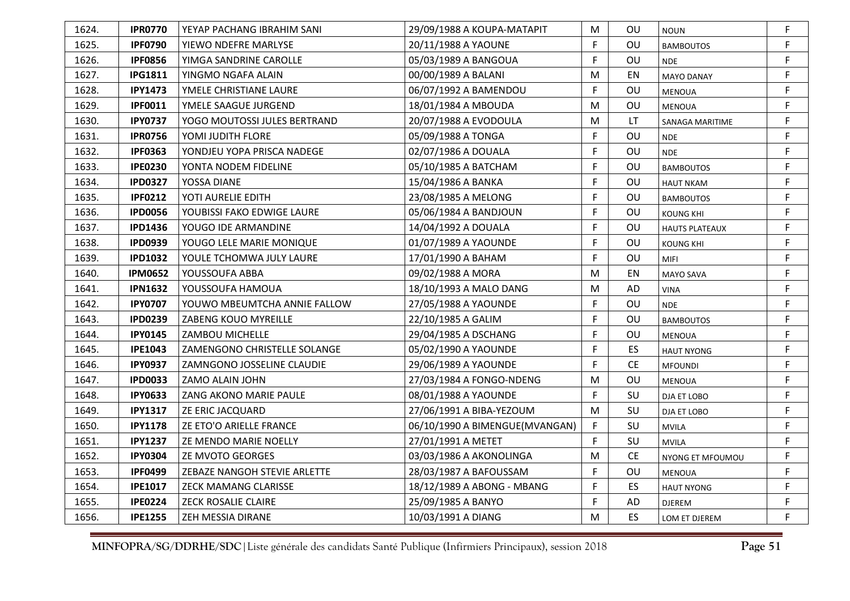| 1624. | <b>IPR0770</b> | YEYAP PACHANG IBRAHIM SANI   | 29/09/1988 A KOUPA-MATAPIT     | M  | OU.       | <b>NOUN</b>           | F           |
|-------|----------------|------------------------------|--------------------------------|----|-----------|-----------------------|-------------|
| 1625. | <b>IPF0790</b> | YIEWO NDEFRE MARLYSE         | 20/11/1988 A YAOUNE            | F  | OU        | <b>BAMBOUTOS</b>      | F           |
| 1626. | <b>IPF0856</b> | YIMGA SANDRINE CAROLLE       | 05/03/1989 A BANGOUA           | F  | OU        | <b>NDE</b>            | F           |
| 1627. | <b>IPG1811</b> | YINGMO NGAFA ALAIN           | 00/00/1989 A BALANI            | М  | EN        | <b>MAYO DANAY</b>     | F           |
| 1628. | <b>IPY1473</b> | YMELE CHRISTIANE LAURE       | 06/07/1992 A BAMENDOU          | F  | OU        | <b>MENOUA</b>         | F           |
| 1629. | <b>IPF0011</b> | YMELE SAAGUE JURGEND         | 18/01/1984 A MBOUDA            | М  | OU        | <b>MENOUA</b>         | F           |
| 1630. | <b>IPY0737</b> | YOGO MOUTOSSI JULES BERTRAND | 20/07/1988 A EVODOULA          | М  | LT        | SANAGA MARITIME       | F           |
| 1631. | <b>IPR0756</b> | YOMI JUDITH FLORE            | 05/09/1988 A TONGA             | F  | OU        | <b>NDE</b>            | F           |
| 1632. | <b>IPF0363</b> | YONDJEU YOPA PRISCA NADEGE   | 02/07/1986 A DOUALA            | F  | OU        | <b>NDE</b>            | $\mathsf F$ |
| 1633. | <b>IPE0230</b> | YONTA NODEM FIDELINE         | 05/10/1985 A BATCHAM           | F  | OU        | <b>BAMBOUTOS</b>      | F           |
| 1634. | <b>IPD0327</b> | YOSSA DIANE                  | 15/04/1986 A BANKA             | F  | OU        | <b>HAUT NKAM</b>      | $\mathsf F$ |
| 1635. | <b>IPF0212</b> | YOTI AURELIE EDITH           | 23/08/1985 A MELONG            | F  | OU        | <b>BAMBOUTOS</b>      | F           |
| 1636. | <b>IPD0056</b> | YOUBISSI FAKO EDWIGE LAURE   | 05/06/1984 A BANDJOUN          | F  | OU        | <b>KOUNG KHI</b>      | F           |
| 1637. | <b>IPD1436</b> | YOUGO IDE ARMANDINE          | 14/04/1992 A DOUALA            | F  | OU        | <b>HAUTS PLATEAUX</b> | F           |
| 1638. | <b>IPD0939</b> | YOUGO LELE MARIE MONIQUE     | 01/07/1989 A YAOUNDE           | F  | OU        | <b>KOUNG KHI</b>      | $\mathsf F$ |
| 1639. | <b>IPD1032</b> | YOULE TCHOMWA JULY LAURE     | 17/01/1990 A BAHAM             | F. | OU        | <b>MIFI</b>           | F           |
| 1640. | <b>IPM0652</b> | YOUSSOUFA ABBA               | 09/02/1988 A MORA              | М  | EN        | MAYO SAVA             | $\mathsf F$ |
| 1641. | <b>IPN1632</b> | YOUSSOUFA HAMOUA             | 18/10/1993 A MALO DANG         | М  | AD        | <b>VINA</b>           | F           |
| 1642. | <b>IPY0707</b> | YOUWO MBEUMTCHA ANNIE FALLOW | 27/05/1988 A YAOUNDE           | F  | OU        | <b>NDE</b>            | F           |
| 1643. | <b>IPD0239</b> | ZABENG KOUO MYREILLE         | 22/10/1985 A GALIM             | F  | OU        | <b>BAMBOUTOS</b>      | F           |
| 1644. | <b>IPY0145</b> | ZAMBOU MICHELLE              | 29/04/1985 A DSCHANG           | F  | OU        | <b>MENOUA</b>         | F           |
| 1645. | <b>IPE1043</b> | ZAMENGONO CHRISTELLE SOLANGE | 05/02/1990 A YAOUNDE           | F  | ES.       | <b>HAUT NYONG</b>     | F           |
| 1646. | <b>IPY0937</b> | ZAMNGONO JOSSELINE CLAUDIE   | 29/06/1989 A YAOUNDE           | F  | <b>CE</b> | <b>MFOUNDI</b>        | F           |
| 1647. | <b>IPD0033</b> | ZAMO ALAIN JOHN              | 27/03/1984 A FONGO-NDENG       | М  | OU        | <b>MENOUA</b>         | F           |
| 1648. | <b>IPY0633</b> | ZANG AKONO MARIE PAULE       | 08/01/1988 A YAOUNDE           | F  | SU        | DJA ET LOBO           | F           |
| 1649. | <b>IPY1317</b> | ZE ERIC JACQUARD             | 27/06/1991 A BIBA-YEZOUM       | М  | SU        | DJA ET LOBO           | $\mathsf F$ |
| 1650. | <b>IPY1178</b> | ZE ETO'O ARIELLE FRANCE      | 06/10/1990 A BIMENGUE(MVANGAN) | F  | <b>SU</b> | <b>MVILA</b>          | F           |
| 1651. | <b>IPY1237</b> | ZE MENDO MARIE NOELLY        | 27/01/1991 A METET             | E  | SU        | <b>MVILA</b>          | F           |
| 1652. | <b>IPY0304</b> | <b>ZE MVOTO GEORGES</b>      | 03/03/1986 A AKONOLINGA        | M  | <b>CE</b> | NYONG ET MFOUMOU      | F           |
| 1653. | <b>IPF0499</b> | ZEBAZE NANGOH STEVIE ARLETTE | 28/03/1987 A BAFOUSSAM         | F  | OU        | <b>MENOUA</b>         | F           |
| 1654. | <b>IPE1017</b> | ZECK MAMANG CLARISSE         | 18/12/1989 A ABONG - MBANG     | F  | <b>ES</b> | <b>HAUT NYONG</b>     | F           |
| 1655. | <b>IPE0224</b> | ZECK ROSALIE CLAIRE          | 25/09/1985 A BANYO             | F. | AD        | DJEREM                | F           |
| 1656. | <b>IPE1255</b> | ZEH MESSIA DIRANE            | 10/03/1991 A DIANG             | М  | <b>ES</b> | LOM ET DJEREM         | F           |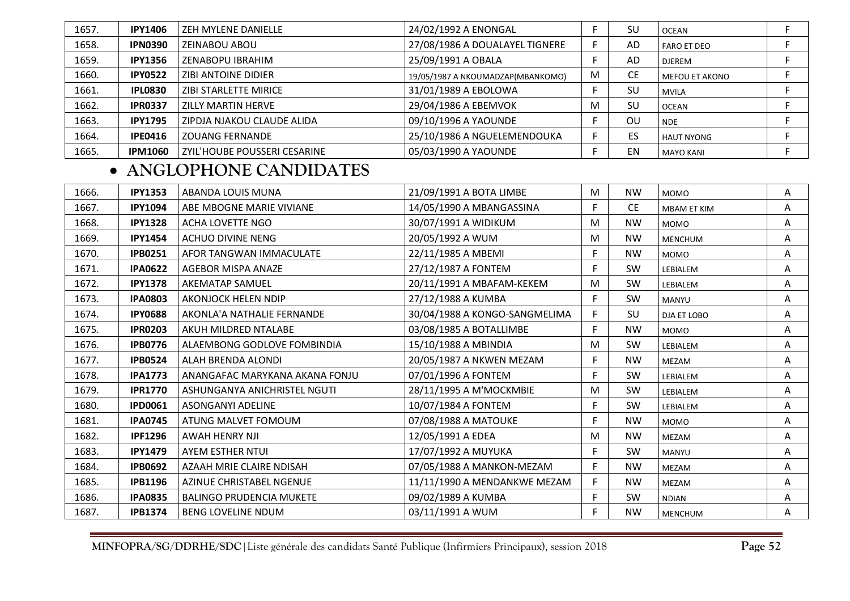| 1657. | <b>IPY1406</b> | ZEH MYLENE DANIELLE          | 24/02/1992 A ENONGAL              |   | SU        | <b>OCEAN</b>          |  |
|-------|----------------|------------------------------|-----------------------------------|---|-----------|-----------------------|--|
| 1658. | <b>IPN0390</b> | ZEINABOU ABOU                | 27/08/1986 A DOUALAYEL TIGNERE    |   | AD        | <b>FARO ET DEO</b>    |  |
| 1659. | <b>IPY1356</b> | ZENABOPU IBRAHIM             | 25/09/1991 A OBALA                |   | AD.       | <b>DJEREM</b>         |  |
| 1660. | <b>IPY0522</b> | ZIBI ANTOINE DIDIER          | 19/05/1987 A NKOUMADZAP(MBANKOMO) | M | <b>CE</b> | <b>MEFOU ET AKONO</b> |  |
| 1661. | <b>IPL0830</b> | ZIBI STARLETTE MIRICE        | 31/01/1989 A EBOLOWA              |   | SU        | <b>MVILA</b>          |  |
| 1662. | <b>IPR0337</b> | ZILLY MARTIN HERVE           | 29/04/1986 A EBEMVOK              | м | SU        | <b>OCEAN</b>          |  |
| 1663. | <b>IPY1795</b> | ZIPDJA NJAKOU CLAUDE ALIDA   | 09/10/1996 A YAOUNDE              |   | OU        | <b>NDE</b>            |  |
| 1664. | <b>IPE0416</b> | <b>ZOUANG FERNANDE</b>       | 25/10/1986 A NGUELEMENDOUKA       |   | ES.       | <b>HAUT NYONG</b>     |  |
| 1665. | <b>IPM1060</b> | ZYIL'HOUBE POUSSERI CESARINE | 05/03/1990 A YAOUNDE              |   | EN        | <b>MAYO KANI</b>      |  |

## • **ANGLOPHONE CANDIDATES**

| 1666. | <b>IPY1353</b> | ABANDA LOUIS MUNA               | 21/09/1991 A BOTA LIMBE       | M  | <b>NW</b> | <b>MOMO</b>        | Α |
|-------|----------------|---------------------------------|-------------------------------|----|-----------|--------------------|---|
| 1667. | <b>IPY1094</b> | ABE MBOGNE MARIE VIVIANE        | 14/05/1990 A MBANGASSINA      | F. | <b>CE</b> | <b>MBAM ET KIM</b> | Α |
| 1668. | <b>IPY1328</b> | <b>ACHA LOVETTE NGO</b>         | 30/07/1991 A WIDIKUM          | M  | <b>NW</b> | <b>MOMO</b>        | Α |
| 1669. | <b>IPY1454</b> | <b>ACHUO DIVINE NENG</b>        | 20/05/1992 A WUM              | M  | <b>NW</b> | <b>MENCHUM</b>     | A |
| 1670. | <b>IPB0251</b> | AFOR TANGWAN IMMACULATE         | 22/11/1985 A MBEMI            | F. | <b>NW</b> | <b>MOMO</b>        | Α |
| 1671. | <b>IPA0622</b> | AGEBOR MISPA ANAZE              | 27/12/1987 A FONTEM           | F  | <b>SW</b> | LEBIALEM           | Α |
| 1672. | <b>IPY1378</b> | <b>AKEMATAP SAMUEL</b>          | 20/11/1991 A MBAFAM-KEKEM     | M  | SW        | LEBIALEM           | A |
| 1673. | <b>IPA0803</b> | AKONJOCK HELEN NDIP             | 27/12/1988 A KUMBA            | F  | <b>SW</b> | MANYU              | Α |
| 1674. | <b>IPY0688</b> | AKONLA'A NATHALIE FERNANDE      | 30/04/1988 A KONGO-SANGMELIMA | F. | SU        | DJA ET LOBO        | Α |
| 1675. | <b>IPR0203</b> | AKUH MILDRED NTALABE            | 03/08/1985 A BOTALLIMBE       | F. | <b>NW</b> | <b>MOMO</b>        | A |
| 1676. | <b>IPB0776</b> | ALAEMBONG GODLOVE FOMBINDIA     | 15/10/1988 A MBINDIA          | M  | <b>SW</b> | LEBIALEM           | Α |
| 1677. | <b>IPB0524</b> | <b>ALAH BRENDA ALONDI</b>       | 20/05/1987 A NKWEN MEZAM      | F  | <b>NW</b> | MEZAM              | A |
| 1678. | <b>IPA1773</b> | ANANGAFAC MARYKANA AKANA FONJU  | 07/01/1996 A FONTEM           | F. | SW        | LEBIALEM           | A |
| 1679. | <b>IPR1770</b> | ASHUNGANYA ANICHRISTEL NGUTI    | 28/11/1995 A M'MOCKMBIE       | M  | SW        | LEBIALEM           | A |
| 1680. | <b>IPD0061</b> | <b>ASONGANYI ADELINE</b>        | 10/07/1984 A FONTEM           | F. | SW        | LEBIALEM           | Α |
| 1681. | <b>IPA0745</b> | ATUNG MALVET FOMOUM             | 07/08/1988 A MATOUKE          | F. | <b>NW</b> | <b>MOMO</b>        | A |
| 1682. | <b>IPF1296</b> | <b>AWAH HENRY NJI</b>           | 12/05/1991 A EDEA             | M  | <b>NW</b> | MEZAM              | A |
| 1683. | <b>IPY1479</b> | AYEM ESTHER NTUI                | 17/07/1992 A MUYUKA           | F. | SW        | MANYU              | Α |
| 1684. | <b>IPB0692</b> | AZAAH MRIE CLAIRE NDISAH        | 07/05/1988 A MANKON-MEZAM     | F. | <b>NW</b> | <b>MEZAM</b>       | Α |
| 1685. | <b>IPB1196</b> | <b>AZINUE CHRISTABEL NGENUE</b> | 11/11/1990 A MENDANKWE MEZAM  | F  | <b>NW</b> | <b>MEZAM</b>       | A |
| 1686. | <b>IPA0835</b> | <b>BALINGO PRUDENCIA MUKETE</b> | 09/02/1989 A KUMBA            | F. | SW        | <b>NDIAN</b>       | Α |
| 1687. | <b>IPB1374</b> | <b>BENG LOVELINE NDUM</b>       | 03/11/1991 A WUM              | F. | <b>NW</b> | <b>MENCHUM</b>     | A |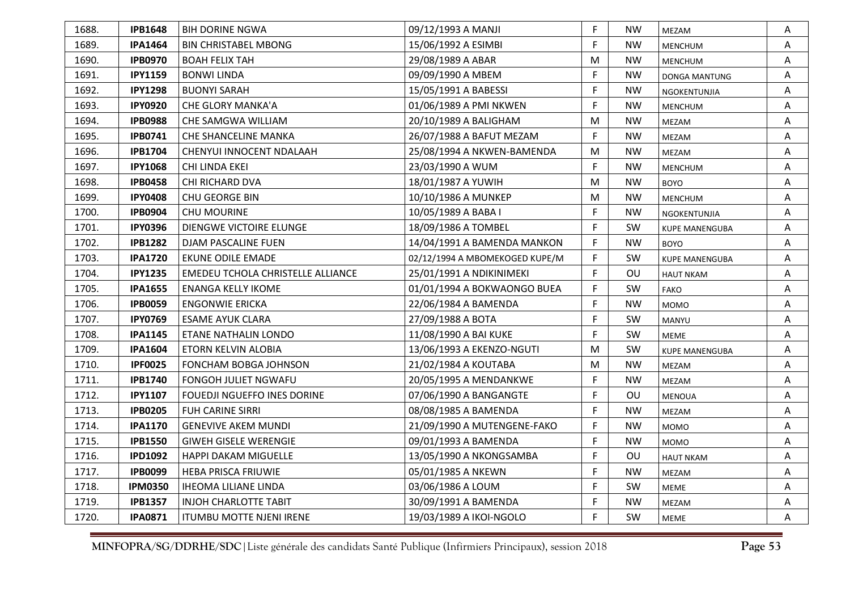| 1688. | <b>IPB1648</b> | <b>BIH DORINE NGWA</b>            | 09/12/1993 A MANJI             | F  | NW        | MEZAM                 | Α |
|-------|----------------|-----------------------------------|--------------------------------|----|-----------|-----------------------|---|
| 1689. | <b>IPA1464</b> | <b>BIN CHRISTABEL MBONG</b>       | 15/06/1992 A ESIMBI            | F  | <b>NW</b> | <b>MENCHUM</b>        | Α |
| 1690. | <b>IPB0970</b> | <b>BOAH FELIX TAH</b>             | 29/08/1989 A ABAR              | M  | <b>NW</b> | <b>MENCHUM</b>        | A |
| 1691. | <b>IPY1159</b> | <b>BONWI LINDA</b>                | 09/09/1990 A MBEM              | F  | <b>NW</b> | <b>DONGA MANTUNG</b>  | A |
| 1692. | <b>IPY1298</b> | <b>BUONYI SARAH</b>               | 15/05/1991 A BABESSI           | F  | <b>NW</b> | NGOKENTUNJIA          | Α |
| 1693. | <b>IPY0920</b> | <b>CHE GLORY MANKA'A</b>          | 01/06/1989 A PMI NKWEN         | F  | <b>NW</b> | <b>MENCHUM</b>        | A |
| 1694. | <b>IPB0988</b> | CHE SAMGWA WILLIAM                | 20/10/1989 A BALIGHAM          | M  | <b>NW</b> | MEZAM                 | A |
| 1695. | <b>IPB0741</b> | <b>CHE SHANCELINE MANKA</b>       | 26/07/1988 A BAFUT MEZAM       | F  | <b>NW</b> | MEZAM                 | A |
| 1696. | <b>IPB1704</b> | CHENYUI INNOCENT NDALAAH          | 25/08/1994 A NKWEN-BAMENDA     | M  | <b>NW</b> | MEZAM                 | Α |
| 1697. | <b>IPY1068</b> | CHI LINDA EKEI                    | 23/03/1990 A WUM               | F  | <b>NW</b> | <b>MENCHUM</b>        | Α |
| 1698. | <b>IPB0458</b> | CHI RICHARD DVA                   | 18/01/1987 A YUWIH             | м  | NW        | <b>BOYO</b>           | Α |
| 1699. | <b>IPY0408</b> | CHU GEORGE BIN                    | 10/10/1986 A MUNKEP            | M  | <b>NW</b> | <b>MENCHUM</b>        | Α |
| 1700. | <b>IPB0904</b> | <b>CHU MOURINE</b>                | 10/05/1989 A BABA I            | F  | NW        | NGOKENTUNJIA          | Α |
| 1701. | <b>IPY0396</b> | DIENGWE VICTOIRE ELUNGE           | 18/09/1986 A TOMBEL            | F  | SW        | <b>KUPE MANENGUBA</b> | Α |
| 1702. | <b>IPB1282</b> | DJAM PASCALINE FUEN               | 14/04/1991 A BAMENDA MANKON    | F  | <b>NW</b> | <b>BOYO</b>           | A |
| 1703. | <b>IPA1720</b> | <b>EKUNE ODILE EMADE</b>          | 02/12/1994 A MBOMEKOGED KUPE/M | F. | <b>SW</b> | <b>KUPE MANENGUBA</b> | Α |
| 1704. | <b>IPY1235</b> | EMEDEU TCHOLA CHRISTELLE ALLIANCE | 25/01/1991 A NDIKINIMEKI       | F  | OU        | <b>HAUT NKAM</b>      | Α |
| 1705. | <b>IPA1655</b> | <b>ENANGA KELLY IKOME</b>         | 01/01/1994 A BOKWAONGO BUEA    | F  | SW        | <b>FAKO</b>           | A |
| 1706. | <b>IPB0059</b> | <b>ENGONWIE ERICKA</b>            | 22/06/1984 A BAMENDA           | F  | <b>NW</b> | <b>MOMO</b>           | A |
| 1707. | <b>IPY0769</b> | <b>ESAME AYUK CLARA</b>           | 27/09/1988 A BOTA              | F  | SW        | <b>MANYU</b>          | A |
| 1708. | <b>IPA1145</b> | ETANE NATHALIN LONDO              | 11/08/1990 A BAI KUKE          | F  | <b>SW</b> | <b>MEME</b>           | Α |
| 1709. | <b>IPA1604</b> | ETORN KELVIN ALOBIA               | 13/06/1993 A EKENZO-NGUTI      | M  | <b>SW</b> | <b>KUPE MANENGUBA</b> | A |
| 1710. | <b>IPF0025</b> | FONCHAM BOBGA JOHNSON             | 21/02/1984 A KOUTABA           | м  | <b>NW</b> | MEZAM                 | Α |
| 1711. | <b>IPB1740</b> | FONGOH JULIET NGWAFU              | 20/05/1995 A MENDANKWE         | F  | <b>NW</b> | MEZAM                 | Α |
| 1712. | <b>IPY1107</b> | FOUEDJI NGUEFFO INES DORINE       | 07/06/1990 A BANGANGTE         | F  | OU        | <b>MENOUA</b>         | Α |
| 1713. | <b>IPB0205</b> | <b>FUH CARINE SIRRI</b>           | 08/08/1985 A BAMENDA           | F  | <b>NW</b> | MEZAM                 | Α |
| 1714. | <b>IPA1170</b> | <b>GENEVIVE AKEM MUNDI</b>        | 21/09/1990 A MUTENGENE-FAKO    | F  | <b>NW</b> | <b>MOMO</b>           | A |
| 1715. | <b>IPB1550</b> | <b>GIWEH GISELE WERENGIE</b>      | 09/01/1993 A BAMENDA           | F  | <b>NW</b> | <b>MOMO</b>           | Α |
| 1716. | <b>IPD1092</b> | <b>HAPPI DAKAM MIGUELLE</b>       | 13/05/1990 A NKONGSAMBA        | F  | OU        | <b>HAUT NKAM</b>      | Α |
| 1717. | <b>IPB0099</b> | <b>HEBA PRISCA FRIUWIE</b>        | 05/01/1985 A NKEWN             | F  | <b>NW</b> | MEZAM                 | Α |
| 1718. | <b>IPM0350</b> | <b>IHEOMA LILIANE LINDA</b>       | 03/06/1986 A LOUM              | F  | SW        | MEME                  | Α |
| 1719. | <b>IPB1357</b> | <b>INJOH CHARLOTTE TABIT</b>      | 30/09/1991 A BAMENDA           | F  | <b>NW</b> | MEZAM                 | Α |
| 1720. | <b>IPA0871</b> | <b>ITUMBU MOTTE NJENI IRENE</b>   | 19/03/1989 A IKOI-NGOLO        | F  | SW        | <b>MEME</b>           | A |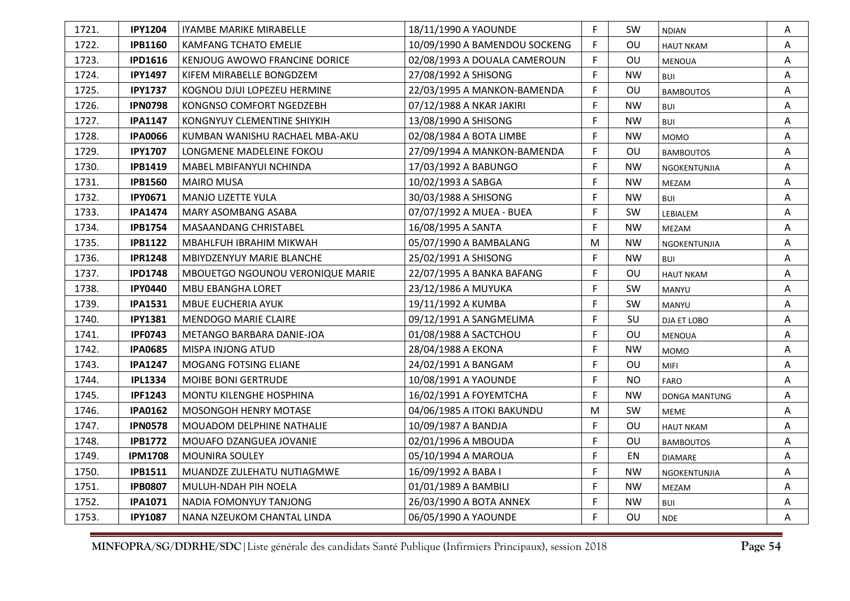| 1721. | <b>IPY1204</b> | IYAMBE MARIKE MIRABELLE          | 18/11/1990 A YAOUNDE          | F  | <b>SW</b> | <b>NDIAN</b>         | Α |
|-------|----------------|----------------------------------|-------------------------------|----|-----------|----------------------|---|
| 1722. | <b>IPB1160</b> | <b>KAMFANG TCHATO EMELIE</b>     | 10/09/1990 A BAMENDOU SOCKENG | F  | OU        | <b>HAUT NKAM</b>     | A |
| 1723. | <b>IPD1616</b> | KENJOUG AWOWO FRANCINE DORICE    | 02/08/1993 A DOUALA CAMEROUN  | F  | OU        | <b>MENOUA</b>        | Α |
| 1724. | <b>IPY1497</b> | KIFEM MIRABELLE BONGDZEM         | 27/08/1992 A SHISONG          | F  | <b>NW</b> | <b>BUI</b>           | A |
| 1725. | <b>IPY1737</b> | KOGNOU DJUI LOPEZEU HERMINE      | 22/03/1995 A MANKON-BAMENDA   | F  | OU        | <b>BAMBOUTOS</b>     | Α |
| 1726. | <b>IPN0798</b> | KONGNSO COMFORT NGEDZEBH         | 07/12/1988 A NKAR JAKIRI      | F  | <b>NW</b> | <b>BUI</b>           | Α |
| 1727. | <b>IPA1147</b> | KONGNYUY CLEMENTINE SHIYKIH      | 13/08/1990 A SHISONG          | E  | <b>NW</b> | <b>BUI</b>           | A |
| 1728. | <b>IPA0066</b> | KUMBAN WANISHU RACHAEL MBA-AKU   | 02/08/1984 A BOTA LIMBE       | F  | <b>NW</b> | <b>MOMO</b>          | Α |
| 1729. | <b>IPY1707</b> | LONGMENE MADELEINE FOKOU         | 27/09/1994 A MANKON-BAMENDA   | E  | OU        | <b>BAMBOUTOS</b>     | Α |
| 1730. | <b>IPB1419</b> | MABEL MBIFANYUI NCHINDA          | 17/03/1992 A BABUNGO          | F  | <b>NW</b> | NGOKENTUNJIA         | Α |
| 1731. | <b>IPB1560</b> | <b>MAIRO MUSA</b>                | 10/02/1993 A SABGA            | F  | <b>NW</b> | MEZAM                | A |
| 1732. | <b>IPY0671</b> | <b>MANJO LIZETTE YULA</b>        | 30/03/1988 A SHISONG          | F  | <b>NW</b> | <b>BUI</b>           | A |
| 1733. | <b>IPA1474</b> | MARY ASOMBANG ASABA              | 07/07/1992 A MUEA - BUEA      | F  | <b>SW</b> | LEBIALEM             | Α |
| 1734. | <b>IPB1754</b> | MASAANDANG CHRISTABEL            | 16/08/1995 A SANTA            | F  | <b>NW</b> | MEZAM                | Α |
| 1735. | <b>IPB1122</b> | <b>MBAHLFUH IBRAHIM MIKWAH</b>   | 05/07/1990 A BAMBALANG        | М  | <b>NW</b> | NGOKENTUNJIA         | A |
| 1736. | <b>IPR1248</b> | <b>MBIYDZENYUY MARIE BLANCHE</b> | 25/02/1991 A SHISONG          | F. | <b>NW</b> | BUI                  | A |
| 1737. | <b>IPD1748</b> | MBOUETGO NGOUNOU VERONIQUE MARIE | 22/07/1995 A BANKA BAFANG     | F  | <b>OU</b> | <b>HAUT NKAM</b>     | A |
| 1738. | <b>IPY0440</b> | MBU EBANGHA LORET                | 23/12/1986 A MUYUKA           | F  | SW        | MANYU                | Α |
| 1739. | <b>IPA1531</b> | MBUE EUCHERIA AYUK               | 19/11/1992 A KUMBA            | F  | SW        | MANYU                | Α |
| 1740. | <b>IPY1381</b> | <b>MENDOGO MARIE CLAIRE</b>      | 09/12/1991 A SANGMELIMA       | F. | <b>SU</b> | DJA ET LOBO          | Α |
| 1741. | <b>IPF0743</b> | METANGO BARBARA DANIE-JOA        | 01/08/1988 A SACTCHOU         | F  | <b>OU</b> | <b>MENOUA</b>        | Α |
| 1742. | <b>IPA0685</b> | MISPA INJONG ATUD                | 28/04/1988 A EKONA            | F  | <b>NW</b> | <b>MOMO</b>          | A |
| 1743. | <b>IPA1247</b> | MOGANG FOTSING ELIANE            | 24/02/1991 A BANGAM           | F  | OU        | <b>MIFI</b>          | Α |
| 1744. | <b>IPL1334</b> | MOIBE BONI GERTRUDE              | 10/08/1991 A YAOUNDE          | F  | <b>NO</b> | <b>FARO</b>          | A |
| 1745. | <b>IPF1243</b> | MONTU KILENGHE HOSPHINA          | 16/02/1991 A FOYEMTCHA        | F  | <b>NW</b> | <b>DONGA MANTUNG</b> | Α |
| 1746. | <b>IPA0162</b> | MOSONGOH HENRY MOTASE            | 04/06/1985 A ITOKI BAKUNDU    | M  | SW        | <b>MEME</b>          | Α |
| 1747. | <b>IPN0578</b> | <b>MOUADOM DELPHINE NATHALIE</b> | 10/09/1987 A BANDJA           | F  | OU        | <b>HAUT NKAM</b>     | A |
| 1748. | <b>IPB1772</b> | MOUAFO DZANGUEA JOVANIE          | 02/01/1996 A MBOUDA           | F  | OU        | <b>BAMBOUTOS</b>     | Α |
| 1749. | <b>IPM1708</b> | <b>MOUNIRA SOULEY</b>            | 05/10/1994 A MAROUA           | F  | EN        | <b>DIAMARE</b>       | Α |
| 1750. | <b>IPB1511</b> | MUANDZE ZULEHATU NUTIAGMWE       | 16/09/1992 A BABA I           | F  | <b>NW</b> | NGOKENTUNJIA         | Α |
| 1751. | <b>IPB0807</b> | MULUH-NDAH PIH NOELA             | 01/01/1989 A BAMBILI          | F  | <b>NW</b> | MEZAM                | Α |
| 1752. | <b>IPA1071</b> | NADIA FOMONYUY TANJONG           | 26/03/1990 A BOTA ANNEX       | F  | <b>NW</b> | <b>BUI</b>           | Α |
| 1753. | <b>IPY1087</b> | NANA NZEUKOM CHANTAL LINDA       | 06/05/1990 A YAOUNDE          | F  | OU        | <b>NDE</b>           | A |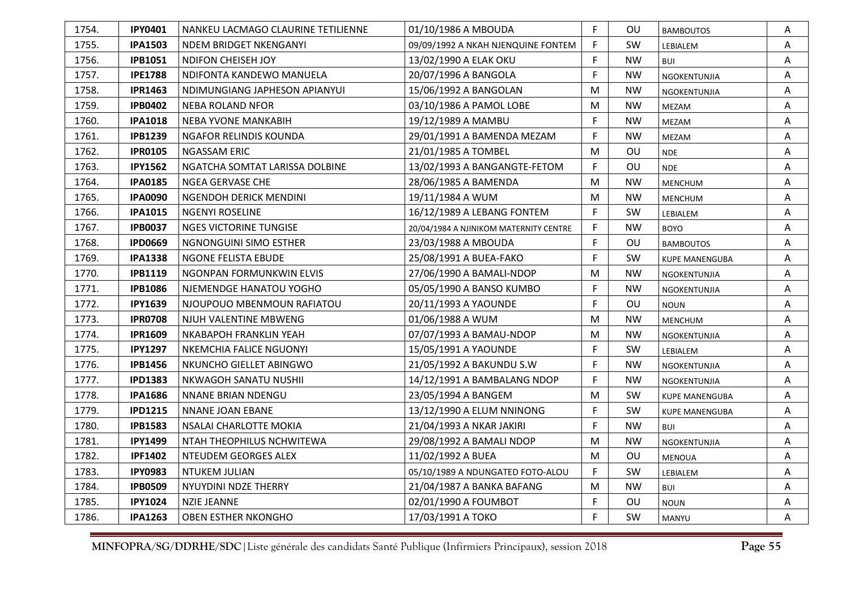| 1754. | <b>IPY0401</b> | NANKEU LACMAGO CLAURINE TETILIENNE | 01/10/1986 A MBOUDA                    | F  | 0U        | <b>BAMBOUTOS</b>      | Α |
|-------|----------------|------------------------------------|----------------------------------------|----|-----------|-----------------------|---|
| 1755. | <b>IPA1503</b> | NDEM BRIDGET NKENGANYI             | 09/09/1992 A NKAH NJENQUINE FONTEM     | F  | SW        | LEBIALEM              | Α |
| 1756. | <b>IPB1051</b> | <b>NDIFON CHEISEH JOY</b>          | 13/02/1990 A ELAK OKU                  | F  | <b>NW</b> | <b>BUI</b>            | A |
| 1757. | <b>IPE1788</b> | NDIFONTA KANDEWO MANUELA           | 20/07/1996 A BANGOLA                   | F. | <b>NW</b> | NGOKENTUNJIA          | A |
| 1758. | <b>IPR1463</b> | NDIMUNGIANG JAPHESON APIANYUI      | 15/06/1992 A BANGOLAN                  | M  | NW        | NGOKENTUNJIA          | Α |
| 1759. | <b>IPB0402</b> | <b>NEBA ROLAND NFOR</b>            | 03/10/1986 A PAMOL LOBE                | M  | <b>NW</b> | MEZAM                 | A |
| 1760. | <b>IPA1018</b> | NEBA YVONE MANKABIH                | 19/12/1989 A MAMBU                     | F  | <b>NW</b> | MEZAM                 | A |
| 1761. | <b>IPB1239</b> | NGAFOR RELINDIS KOUNDA             | 29/01/1991 A BAMENDA MEZAM             | F. | <b>NW</b> | MEZAM                 | A |
| 1762. | <b>IPR0105</b> | <b>NGASSAM ERIC</b>                | 21/01/1985 A TOMBEL                    | М  | OU        | <b>NDE</b>            | Α |
| 1763. | <b>IPY1562</b> | NGATCHA SOMTAT LARISSA DOLBINE     | 13/02/1993 A BANGANGTE-FETOM           | F  | OU        | <b>NDE</b>            | Α |
| 1764. | <b>IPA0185</b> | NGEA GERVASE CHE                   | 28/06/1985 A BAMENDA                   | м  | NW        | <b>MENCHUM</b>        | Α |
| 1765. | <b>IPA0090</b> | NGENDOH DERICK MENDINI             | 19/11/1984 A WUM                       | M  | <b>NW</b> | <b>MENCHUM</b>        | Α |
| 1766. | <b>IPA1015</b> | NGENYI ROSELINE                    | 16/12/1989 A LEBANG FONTEM             | F  | <b>SW</b> | LEBIALEM              | Α |
| 1767. | <b>IPB0037</b> | <b>NGES VICTORINE TUNGISE</b>      | 20/04/1984 A NJINIKOM MATERNITY CENTRE | F  | <b>NW</b> | <b>BOYO</b>           | Α |
| 1768. | <b>IPD0669</b> | NGNONGUINI SIMO ESTHER             | 23/03/1988 A MBOUDA                    | F  | OU        | <b>BAMBOUTOS</b>      | Α |
| 1769. | <b>IPA1338</b> | <b>NGONE FELISTA EBUDE</b>         | 25/08/1991 A BUEA-FAKO                 | F. | <b>SW</b> | <b>KUPE MANENGUBA</b> | Α |
| 1770. | <b>IPB1119</b> | NGONPAN FORMUNKWIN ELVIS           | 27/06/1990 A BAMALI-NDOP               | M  | <b>NW</b> | NGOKENTUNJIA          | Α |
| 1771. | <b>IPB1086</b> | NJEMENDGE HANATOU YOGHO            | 05/05/1990 A BANSO KUMBO               | F  | <b>NW</b> | NGOKENTUNJIA          | A |
| 1772. | <b>IPY1639</b> | NJOUPOUO MBENMOUN RAFIATOU         | 20/11/1993 A YAOUNDE                   | F  | OU        | <b>NOUN</b>           | A |
| 1773. | <b>IPR0708</b> | NJUH VALENTINE MBWENG              | 01/06/1988 A WUM                       | M  | <b>NW</b> | <b>MENCHUM</b>        | A |
| 1774. | <b>IPR1609</b> | NKABAPOH FRANKLIN YEAH             | 07/07/1993 A BAMAU-NDOP                | M  | <b>NW</b> | <b>NGOKENTUNJIA</b>   | Α |
| 1775. | <b>IPY1297</b> | <b>NKEMCHIA FALICE NGUONYI</b>     | 15/05/1991 A YAOUNDE                   | F  | <b>SW</b> | LEBIALEM              | A |
| 1776. | <b>IPB1456</b> | NKUNCHO GIELLET ABINGWO            | 21/05/1992 A BAKUNDU S.W               | F  | <b>NW</b> | NGOKENTUNJIA          | Α |
| 1777. | <b>IPD1383</b> | NKWAGOH SANATU NUSHII              | 14/12/1991 A BAMBALANG NDOP            | F. | <b>NW</b> | NGOKENTUNJIA          | A |
| 1778. | <b>IPA1686</b> | NNANE BRIAN NDENGU                 | 23/05/1994 A BANGEM                    | м  | <b>SW</b> | <b>KUPE MANENGUBA</b> | A |
| 1779. | <b>IPD1215</b> | NNANE JOAN EBANE                   | 13/12/1990 A ELUM NNINONG              | F. | SW        | <b>KUPE MANENGUBA</b> | Α |
| 1780. | <b>IPB1583</b> | NSALAI CHARLOTTE MOKIA             | 21/04/1993 A NKAR JAKIRI               | F  | <b>NW</b> | BUI                   | A |
| 1781. | <b>IPY1499</b> | NTAH THEOPHILUS NCHWITEWA          | 29/08/1992 A BAMALI NDOP               | M  | <b>NW</b> | NGOKENTUNJIA          | Α |
| 1782. | <b>IPF1402</b> | NTEUDEM GEORGES ALEX               | 11/02/1992 A BUEA                      | M  | OU        | <b>MENOUA</b>         | Α |
| 1783. | <b>IPY0983</b> | NTUKEM JULIAN                      | 05/10/1989 A NDUNGATED FOTO-ALOU       | F  | <b>SW</b> | LEBIALEM              | A |
| 1784. | <b>IPB0509</b> | NYUYDINI NDZE THERRY               | 21/04/1987 A BANKA BAFANG              | M  | <b>NW</b> | <b>BUI</b>            | A |
| 1785. | <b>IPY1024</b> | <b>NZIE JEANNE</b>                 | 02/01/1990 A FOUMBOT                   | F  | OU        | <b>NOUN</b>           | Α |
| 1786. | <b>IPA1263</b> | <b>OBEN ESTHER NKONGHO</b>         | 17/03/1991 A TOKO                      | F  | SW        | MANYU                 | A |